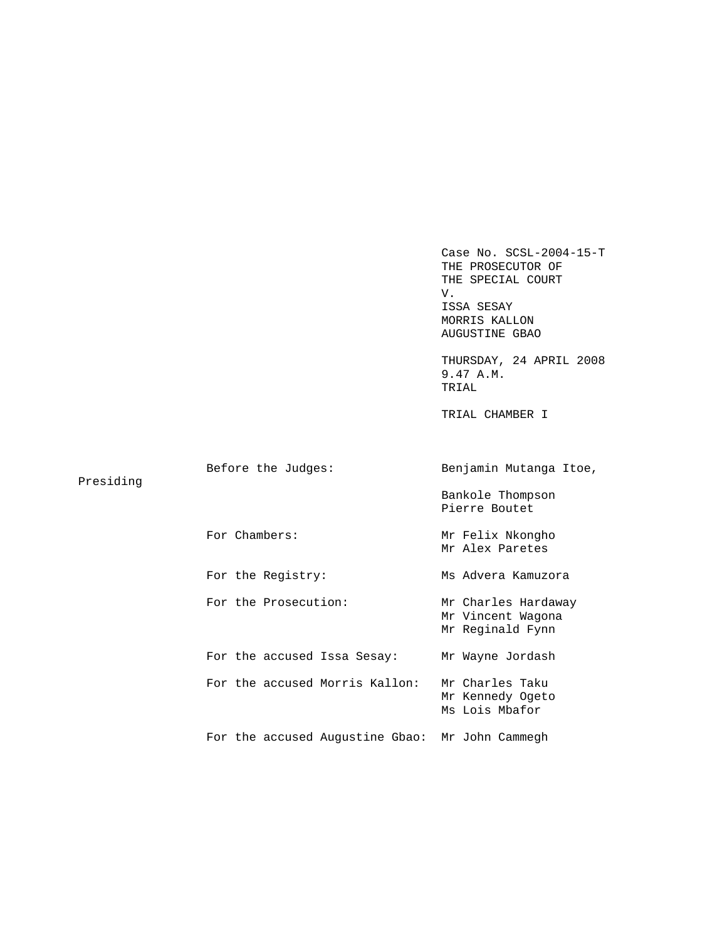Case No. SCSL-2004-15-T THE PROSECUTOR OF THE SPECIAL COURT<br>V. V. ISSA SESAY MORRIS KALLON AUGUSTINE GBAO

 THURSDAY, 24 APRIL 2008 9.47 A.M. TRIAL

TRIAL CHAMBER I

|           | Before the Judges:                              | Benjamin Mutanga Itoe,                                       |
|-----------|-------------------------------------------------|--------------------------------------------------------------|
| Presiding |                                                 | Bankole Thompson<br>Pierre Boutet                            |
|           | For Chambers:                                   | Mr Felix Nkongho<br>Mr Alex Paretes                          |
|           | For the Registry:                               | Ms Advera Kamuzora                                           |
|           | For the Prosecution:                            | Mr Charles Hardaway<br>Mr Vincent Wagona<br>Mr Reginald Fynn |
|           | For the accused Issa Sesay:                     | Mr Wayne Jordash                                             |
|           | For the accused Morris Kallon:                  | Mr Charles Taku<br>Mr Kennedy Ogeto<br>Ms Lois Mbafor        |
|           | For the accused Augustine Gbao: Mr John Cammegh |                                                              |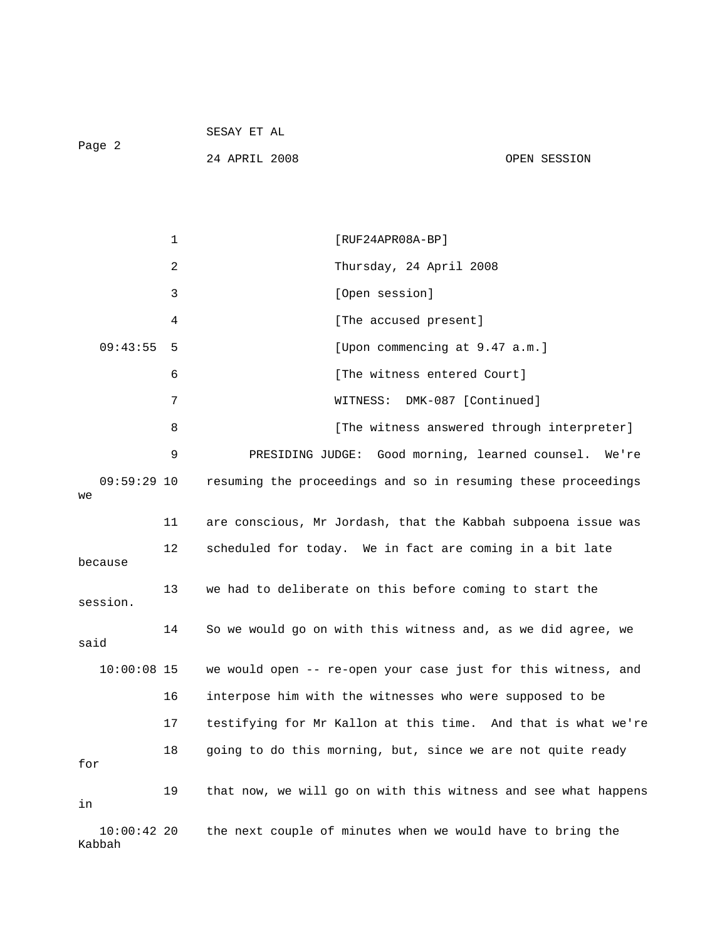|        | SESAY ET AL |  |  |
|--------|-------------|--|--|
| Page 2 |             |  |  |

24 APRIL 2008 OPEN SESSION

 1 [RUF24APR08A-BP] 2 Thursday, 24 April 2008 3 [Open session] 4 [The accused present] 09:43:55 5 [Upon commencing at 9.47 a.m.] 6 [The witness entered Court] 7 WITNESS: DMK-087 [Continued] 8 **8** [The witness answered through interpreter] 9 PRESIDING JUDGE: Good morning, learned counsel. We're 09:59:29 10 resuming the proceedings and so in resuming these proceedings we 11 are conscious, Mr Jordash, that the Kabbah subpoena issue was 12 scheduled for today. We in fact are coming in a bit late because 13 we had to deliberate on this before coming to start the session. 14 So we would go on with this witness and, as we did agree, we said 10:00:08 15 we would open -- re-open your case just for this witness, and 16 interpose him with the witnesses who were supposed to be 17 testifying for Mr Kallon at this time. And that is what we're 18 going to do this morning, but, since we are not quite ready for 19 that now, we will go on with this witness and see what happens in 10:00:42 20 the next couple of minutes when we would have to bring the Kabbah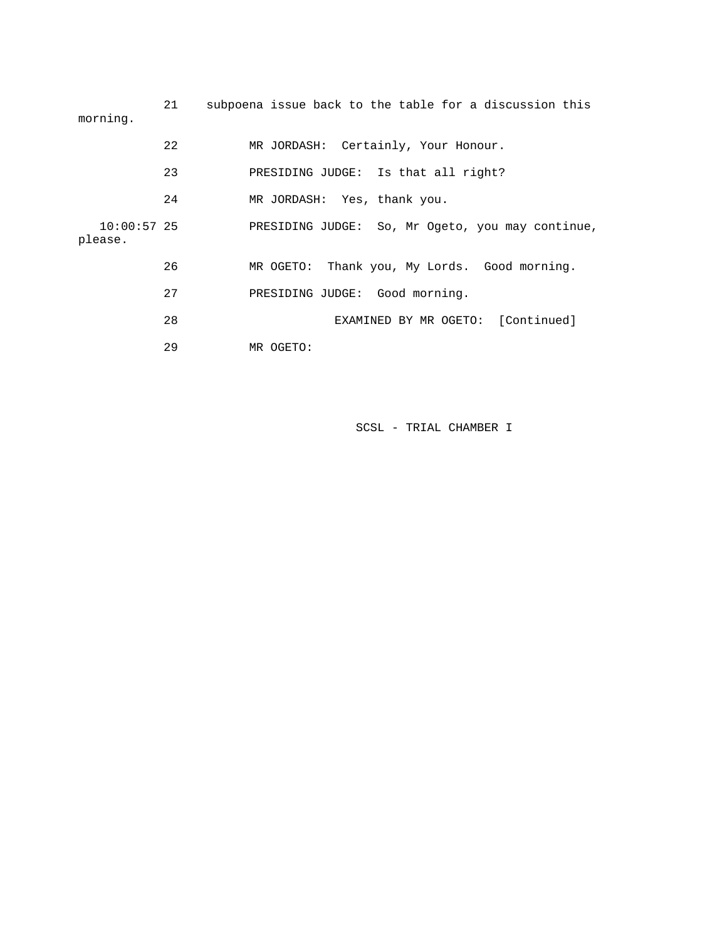| morning.               | 21  | subpoena issue back to the table for a discussion this |
|------------------------|-----|--------------------------------------------------------|
|                        | 22  | MR JORDASH: Certainly, Your Honour.                    |
|                        | 23  | PRESIDING JUDGE: Is that all right?                    |
|                        | 24  | MR JORDASH: Yes, thank you.                            |
| 10:00:57 25<br>please. |     | PRESIDING JUDGE: So, Mr Ogeto, you may continue,       |
|                        | 26  | MR OGETO: Thank you, My Lords. Good morning.           |
|                        | 2.7 | PRESIDING JUDGE: Good morning.                         |
|                        | 28  | EXAMINED BY MR OGETO: [Continued]                      |
|                        | 29  | MR OGETO:                                              |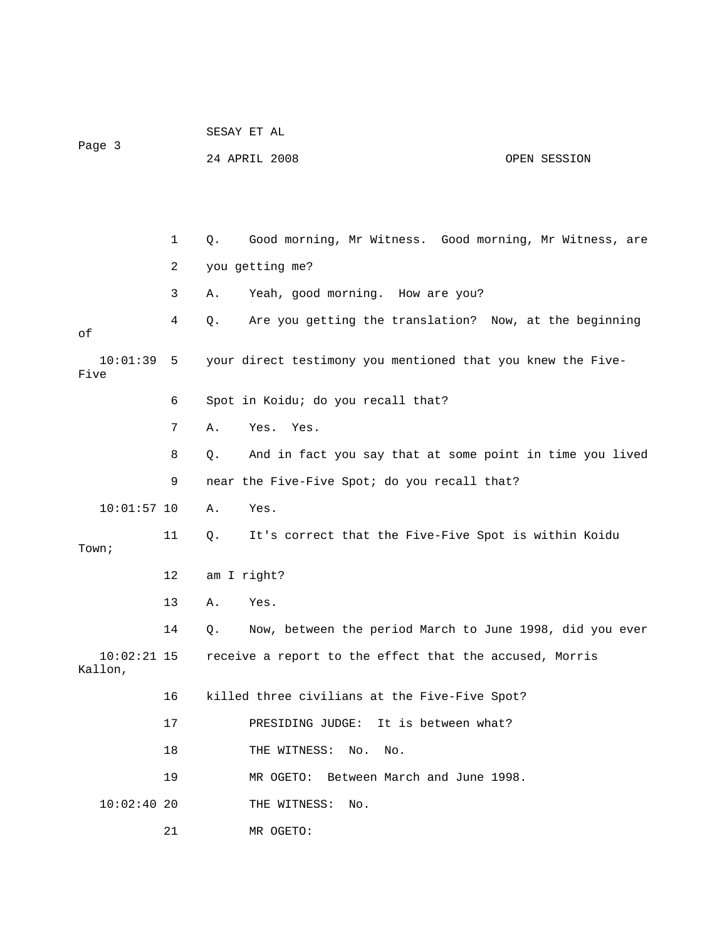|                          |    | SESAY ET AL                                                    |
|--------------------------|----|----------------------------------------------------------------|
| Page 3                   |    | 24 APRIL 2008<br>OPEN SESSION                                  |
|                          |    |                                                                |
|                          |    |                                                                |
|                          | 1  | Good morning, Mr Witness. Good morning, Mr Witness, are<br>Q.  |
|                          | 2  | you getting me?                                                |
|                          | 3  | Yeah, good morning. How are you?<br>Α.                         |
| οf                       | 4  | Are you getting the translation? Now, at the beginning<br>Q.   |
| 10:01:39<br>Five         | 5  | your direct testimony you mentioned that you knew the Five-    |
|                          | 6  | Spot in Koidu; do you recall that?                             |
|                          | 7  | Yes. Yes.<br>Α.                                                |
|                          | 8  | And in fact you say that at some point in time you lived<br>Q. |
|                          | 9  | near the Five-Five Spot; do you recall that?                   |
| $10:01:57$ 10            |    | Yes.<br>Α.                                                     |
| Town;                    | 11 | It's correct that the Five-Five Spot is within Koidu<br>Q.     |
|                          | 12 | am I right?                                                    |
|                          | 13 | Yes.<br>Α.                                                     |
|                          | 14 | Now, between the period March to June 1998, did you ever<br>Q. |
| $10:02:21$ 15<br>Kallon, |    | receive a report to the effect that the accused, Morris        |
|                          | 16 | killed three civilians at the Five-Five Spot?                  |
|                          | 17 | PRESIDING JUDGE:<br>It is between what?                        |
|                          | 18 | THE WITNESS:<br>No.<br>No.                                     |
|                          | 19 | MR OGETO: Between March and June 1998.                         |
| $10:02:40$ 20            |    | THE WITNESS:<br>No.                                            |
|                          | 21 | MR OGETO:                                                      |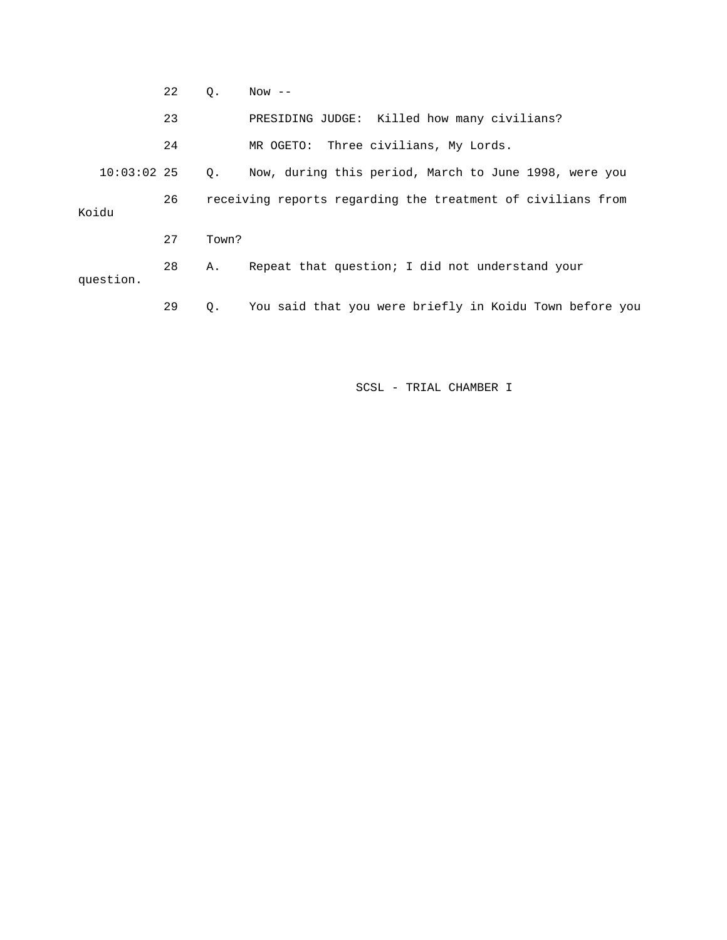|       |               | 22 | Ο.                                                          | $Now$ $--$                                              |  |
|-------|---------------|----|-------------------------------------------------------------|---------------------------------------------------------|--|
|       |               | 23 |                                                             | PRESIDING JUDGE: Killed how many civilians?             |  |
|       |               | 24 |                                                             | MR OGETO: Three civilians, My Lords.                    |  |
|       | $10:03:02$ 25 |    | $\circ$ .                                                   | Now, during this period, March to June 1998, were you   |  |
| Koidu |               | 26 | receiving reports regarding the treatment of civilians from |                                                         |  |
|       |               | 27 | Town?                                                       |                                                         |  |
|       | question.     | 28 | Α.                                                          | Repeat that question; I did not understand your         |  |
|       |               | 29 | Q.                                                          | You said that you were briefly in Koidu Town before you |  |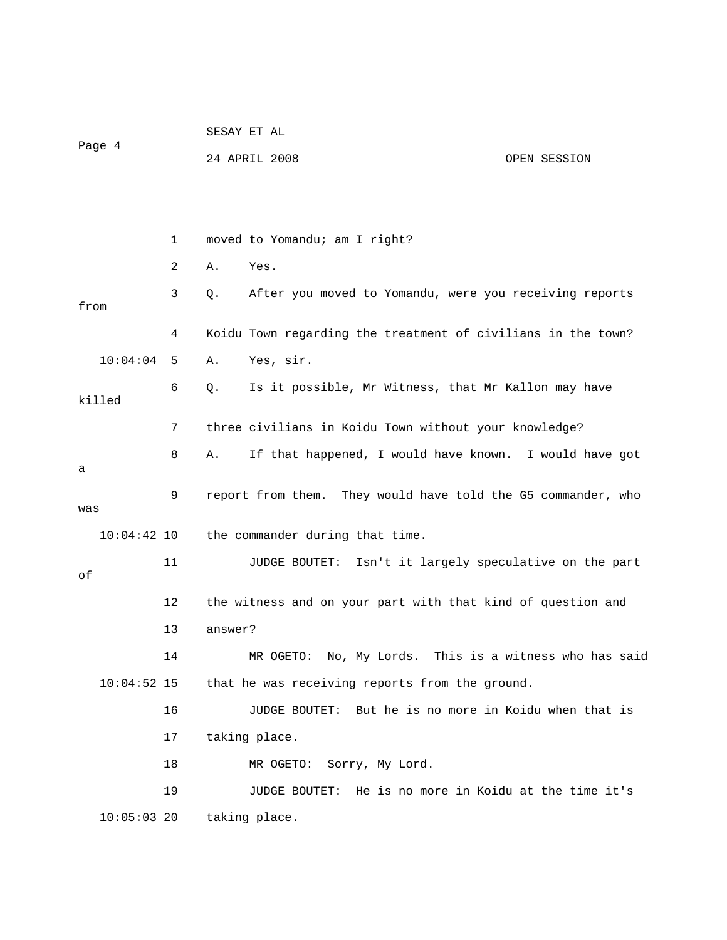| Page 4        |  |    | SESAY ET AL                                                     |              |  |  |
|---------------|--|----|-----------------------------------------------------------------|--------------|--|--|
|               |  |    | 24 APRIL 2008                                                   | OPEN SESSION |  |  |
|               |  |    |                                                                 |              |  |  |
|               |  |    |                                                                 |              |  |  |
|               |  | 1  | moved to Yomandu; am I right?                                   |              |  |  |
|               |  | 2  | Yes.<br>Α.                                                      |              |  |  |
| from          |  | 3  | After you moved to Yomandu, were you receiving reports<br>Q.    |              |  |  |
|               |  | 4  | Koidu Town regarding the treatment of civilians in the town?    |              |  |  |
| 10:04:04      |  | 5  | Yes, sir.<br>Α.                                                 |              |  |  |
| killed        |  | 6  | Is it possible, Mr Witness, that Mr Kallon may have<br>Q.       |              |  |  |
|               |  | 7  | three civilians in Koidu Town without your knowledge?           |              |  |  |
| а             |  | 8  | If that happened, I would have known. I would have got<br>Α.    |              |  |  |
| was           |  | 9  | report from them. They would have told the G5 commander, who    |              |  |  |
| 10:04:42 10   |  |    | the commander during that time.                                 |              |  |  |
| оf            |  | 11 | JUDGE BOUTET: Isn't it largely speculative on the part          |              |  |  |
|               |  | 12 | the witness and on your part with that kind of question and     |              |  |  |
|               |  | 13 | answer?                                                         |              |  |  |
|               |  | 14 | MR OGETO: No, My Lords. This is a witness who has said          |              |  |  |
| $10:04:52$ 15 |  |    | that he was receiving reports from the ground.                  |              |  |  |
|               |  | 16 | But he is no more in Koidu when that is<br>JUDGE BOUTET:        |              |  |  |
|               |  | 17 | taking place.                                                   |              |  |  |
|               |  | 18 | Sorry, My Lord.<br>MR OGETO:                                    |              |  |  |
|               |  | 19 | He is no more in Koidu at the time it's<br><b>JUDGE BOUTET:</b> |              |  |  |
| $10:05:03$ 20 |  |    | taking place.                                                   |              |  |  |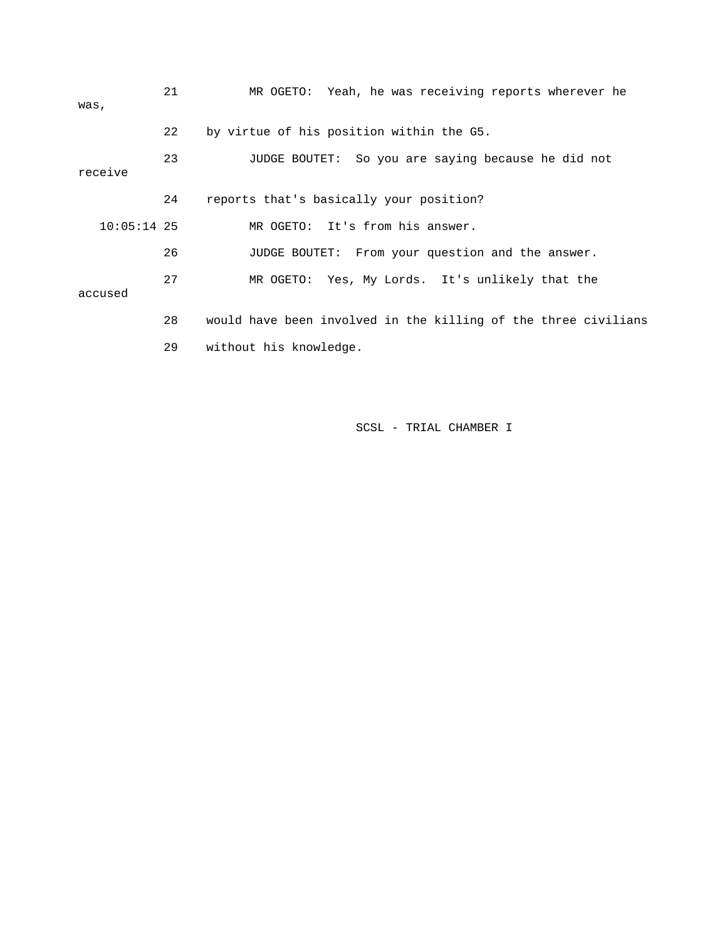| was,          | 21 | MR OGETO: Yeah, he was receiving reports wherever he           |
|---------------|----|----------------------------------------------------------------|
|               | 22 | by virtue of his position within the G5.                       |
| receive       | 23 | JUDGE BOUTET: So you are saying because he did not             |
|               | 24 | reports that's basically your position?                        |
| $10:05:14$ 25 |    | MR OGETO: It's from his answer.                                |
|               | 26 | JUDGE BOUTET: From your question and the answer.               |
| accused       | 27 | MR OGETO: Yes, My Lords. It's unlikely that the                |
|               | 28 | would have been involved in the killing of the three civilians |
|               | 29 | without his knowledge.                                         |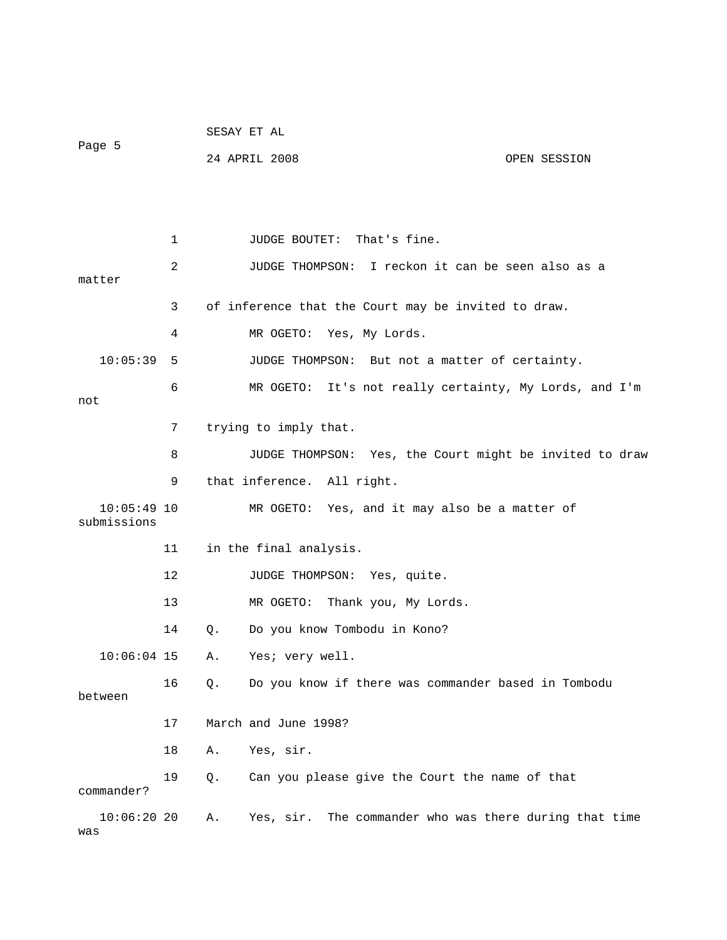|                              |    |       | SESAY ET AL                                             |              |
|------------------------------|----|-------|---------------------------------------------------------|--------------|
| Page 5                       |    |       | 24 APRIL 2008                                           | OPEN SESSION |
|                              |    |       |                                                         |              |
|                              |    |       |                                                         |              |
|                              | 1  |       | That's fine.<br>JUDGE BOUTET:                           |              |
|                              | 2  |       | I reckon it can be seen also as a<br>JUDGE THOMPSON:    |              |
| matter                       | 3  |       | of inference that the Court may be invited to draw.     |              |
|                              |    |       |                                                         |              |
|                              | 4  |       | MR OGETO: Yes, My Lords.                                |              |
| 10:05:39                     | 5  |       | JUDGE THOMPSON: But not a matter of certainty.          |              |
|                              | 6  |       | MR OGETO: It's not really certainty, My Lords, and I'm  |              |
| not                          |    |       |                                                         |              |
|                              | 7  |       | trying to imply that.                                   |              |
|                              | 8  |       | JUDGE THOMPSON: Yes, the Court might be invited to draw |              |
|                              | 9  |       | that inference. All right.                              |              |
| $10:05:49$ 10<br>submissions |    |       | MR OGETO: Yes, and it may also be a matter of           |              |
|                              | 11 |       | in the final analysis.                                  |              |
|                              | 12 |       | JUDGE THOMPSON: Yes, quite.                             |              |
|                              | 13 |       | Thank you, My Lords.<br>MR OGETO:                       |              |
|                              | 14 | $Q$ . | Do you know Tombodu in Kono?                            |              |
| $10:06:04$ 15                |    | Α.    | Yes; very well.                                         |              |
| between                      | 16 | Q.    | Do you know if there was commander based in Tombodu     |              |
|                              | 17 |       | March and June 1998?                                    |              |
|                              | 18 | Α.    | Yes, sir.                                               |              |
| commander?                   | 19 | Q.    | Can you please give the Court the name of that          |              |
| $10:06:20$ 20<br>was         |    | Α.    | Yes, sir. The commander who was there during that time  |              |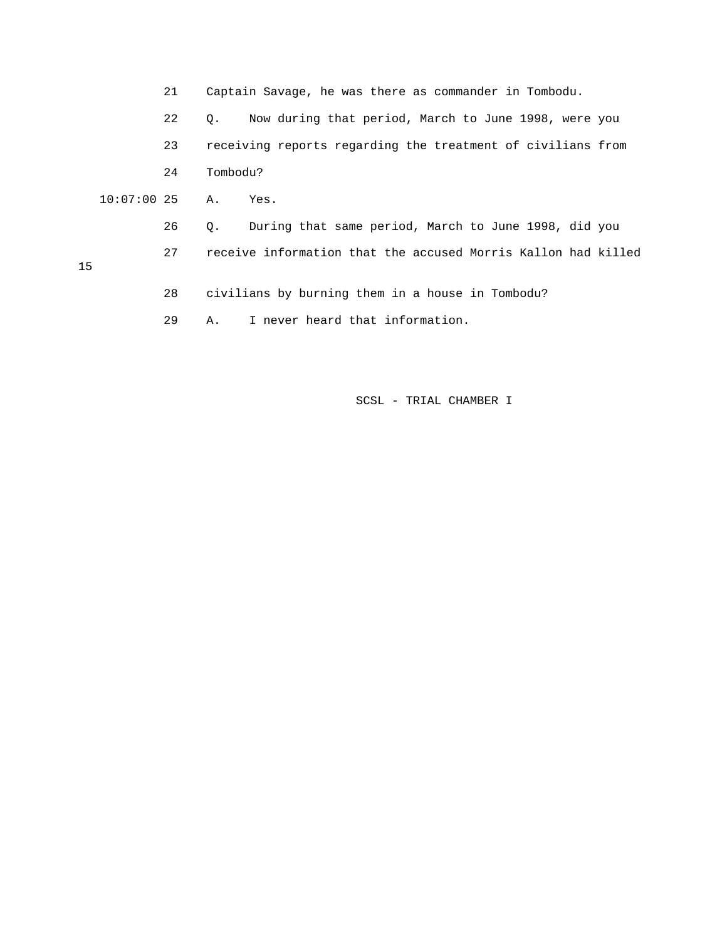21 Captain Savage, he was there as commander in Tombodu.

 22 Q. Now during that period, March to June 1998, were you 23 receiving reports regarding the treatment of civilians from 24 Tombodu?

- 10:07:00 25 A. Yes.
- 15

26 Q. During that same period, March to June 1998, did you

- 27 receive information that the accused Morris Kallon had killed
	- 28 civilians by burning them in a house in Tombodu?
	- 29 A. I never heard that information.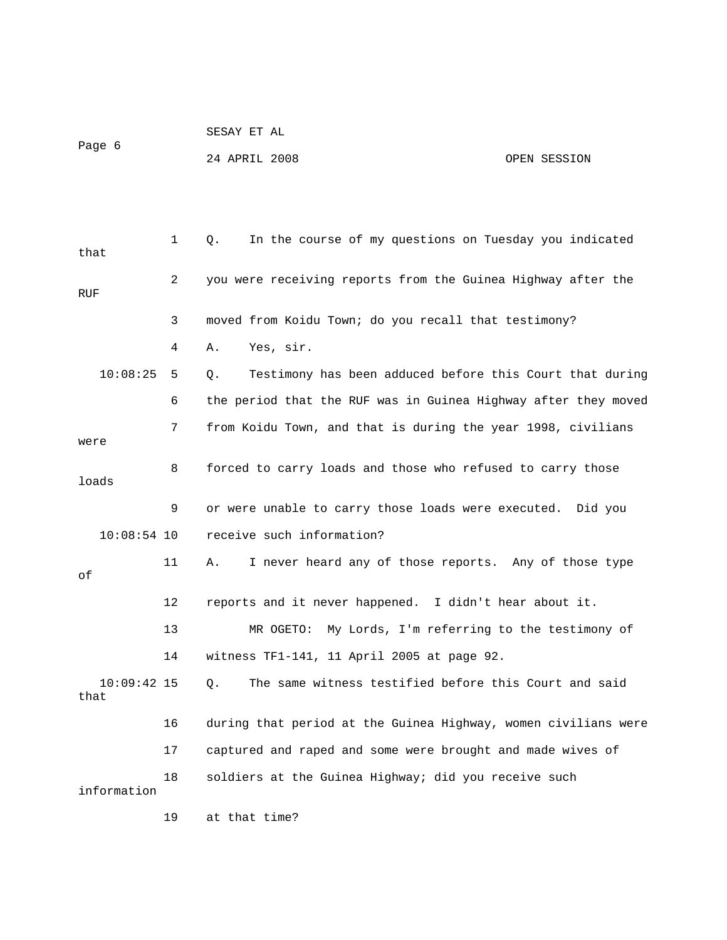Page 6

SESAY ET AL

24 APRIL 2008 OPEN SESSION

| that                  | 1  | In the course of my questions on Tuesday you indicated<br>Q.   |
|-----------------------|----|----------------------------------------------------------------|
| RUF                   | 2  | you were receiving reports from the Guinea Highway after the   |
|                       | 3  | moved from Koidu Town; do you recall that testimony?           |
|                       | 4  | Yes, sir.<br>Α.                                                |
| 10:08:25              | 5  | Testimony has been adduced before this Court that during<br>Q. |
|                       | 6  | the period that the RUF was in Guinea Highway after they moved |
| were                  | 7  | from Koidu Town, and that is during the year 1998, civilians   |
| loads                 | 8  | forced to carry loads and those who refused to carry those     |
|                       | 9  | or were unable to carry those loads were executed. Did you     |
| $10:08:54$ 10         |    | receive such information?                                      |
| οf                    | 11 | I never heard any of those reports. Any of those type<br>Α.    |
|                       | 12 | reports and it never happened. I didn't hear about it.         |
|                       | 13 | My Lords, I'm referring to the testimony of<br>MR OGETO:       |
|                       | 14 | witness TF1-141, 11 April 2005 at page 92.                     |
| $10:09:42$ 15<br>that |    | The same witness testified before this Court and said<br>О.    |
|                       | 16 | during that period at the Guinea Highway, women civilians were |
|                       | 17 | captured and raped and some were brought and made wives of     |
| information           | 18 | soldiers at the Guinea Highway; did you receive such           |
|                       | 19 | at that time?                                                  |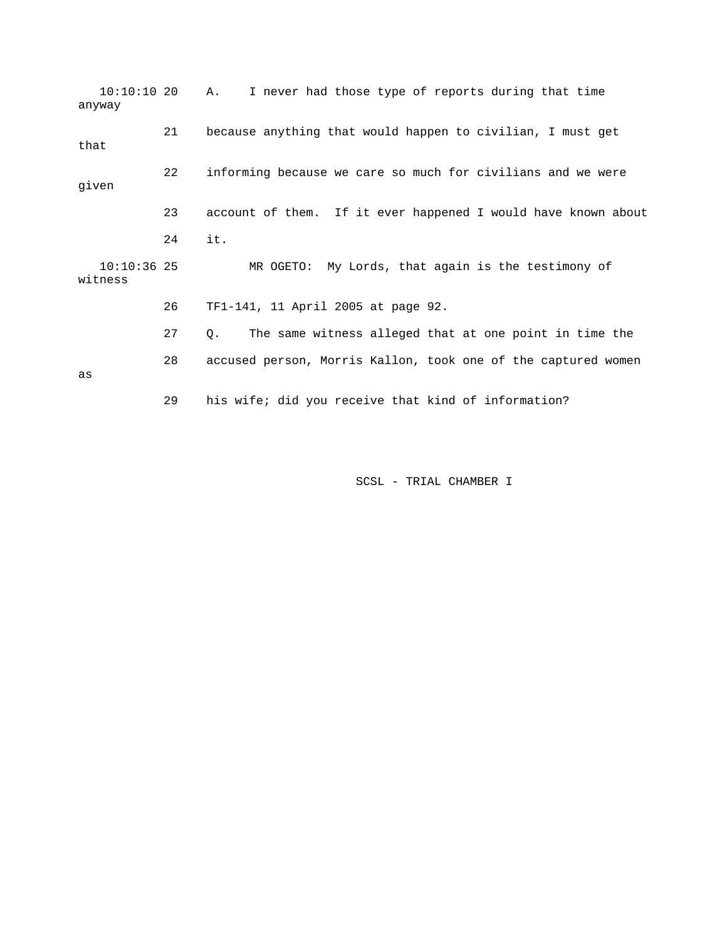10:10:10 20 A. I never had those type of reports during that time anyway 21 because anything that would happen to civilian, I must get that 22 informing because we care so much for civilians and we were given 23 account of them. If it ever happened I would have known about 24 it. 10:10:36 25 MR OGETO: My Lords, that again is the testimony of witness 26 TF1-141, 11 April 2005 at page 92. 27 Q. The same witness alleged that at one point in time the 28 accused person, Morris Kallon, took one of the captured women as 29 his wife; did you receive that kind of information?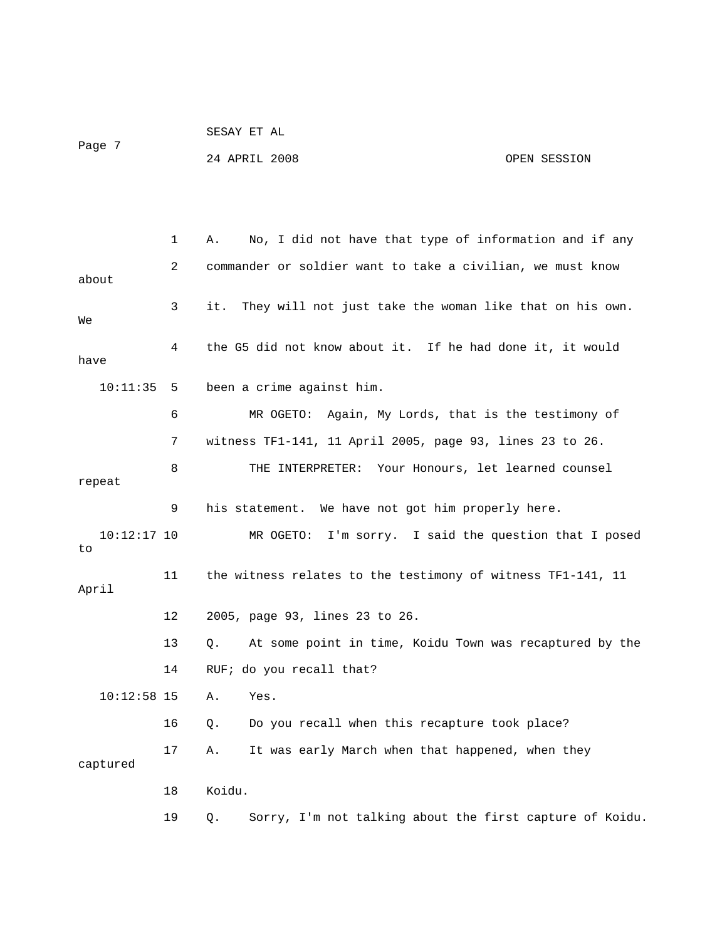SESAY ET AL Page 7 24 APRIL 2008 OPEN SESSION

 1 A. No, I did not have that type of information and if any 2 commander or soldier want to take a civilian, we must know about 3 it. They will not just take the woman like that on his own. We 4 the G5 did not know about it. If he had done it, it would have 10:11:35 5 been a crime against him. 6 MR OGETO: Again, My Lords, that is the testimony of 7 witness TF1-141, 11 April 2005, page 93, lines 23 to 26. 8 THE INTERPRETER: Your Honours, let learned counsel repeat 9 his statement. We have not got him properly here. 10:12:17 10 MR OGETO: I'm sorry. I said the question that I posed to 11 the witness relates to the testimony of witness TF1-141, 11 April 12 2005, page 93, lines 23 to 26. 13 Q. At some point in time, Koidu Town was recaptured by the 14 RUF; do you recall that? 10:12:58 15 A. Yes. 16 Q. Do you recall when this recapture took place? 17 A. It was early March when that happened, when they captured 18 Koidu. 19 Q. Sorry, I'm not talking about the first capture of Koidu.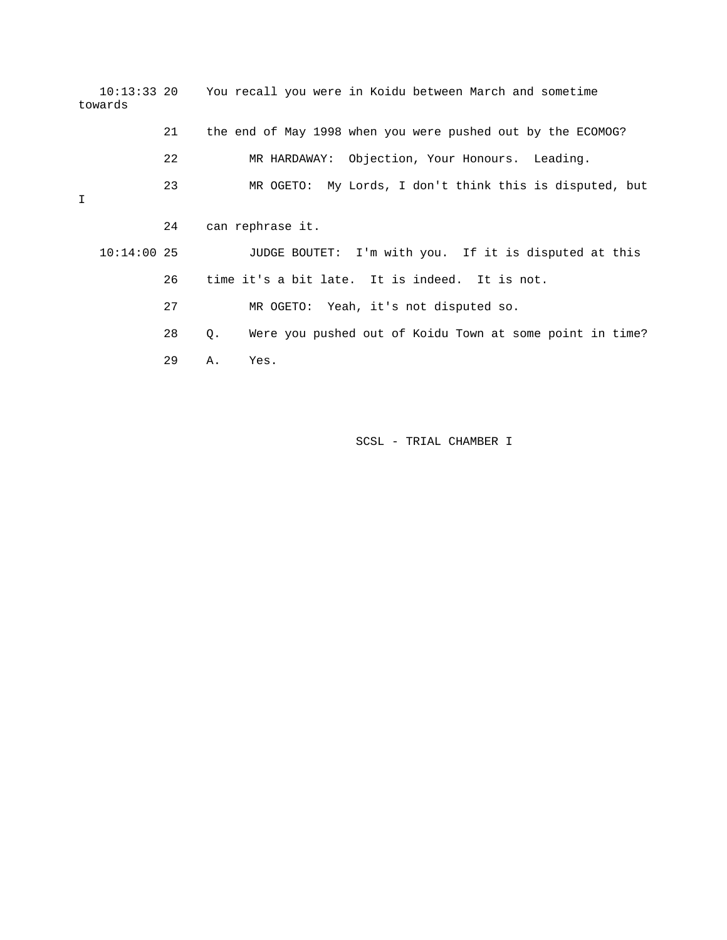10:13:33 20 You recall you were in Koidu between March and sometime towards 21 the end of May 1998 when you were pushed out by the ECOMOG? 22 MR HARDAWAY: Objection, Your Honours. Leading. 23 MR OGETO: My Lords, I don't think this is disputed, but I 24 can rephrase it. 10:14:00 25 JUDGE BOUTET: I'm with you. If it is disputed at this 26 time it's a bit late. It is indeed. It is not. 27 MR OGETO: Yeah, it's not disputed so. 28 Q. Were you pushed out of Koidu Town at some point in time? 29 A. Yes.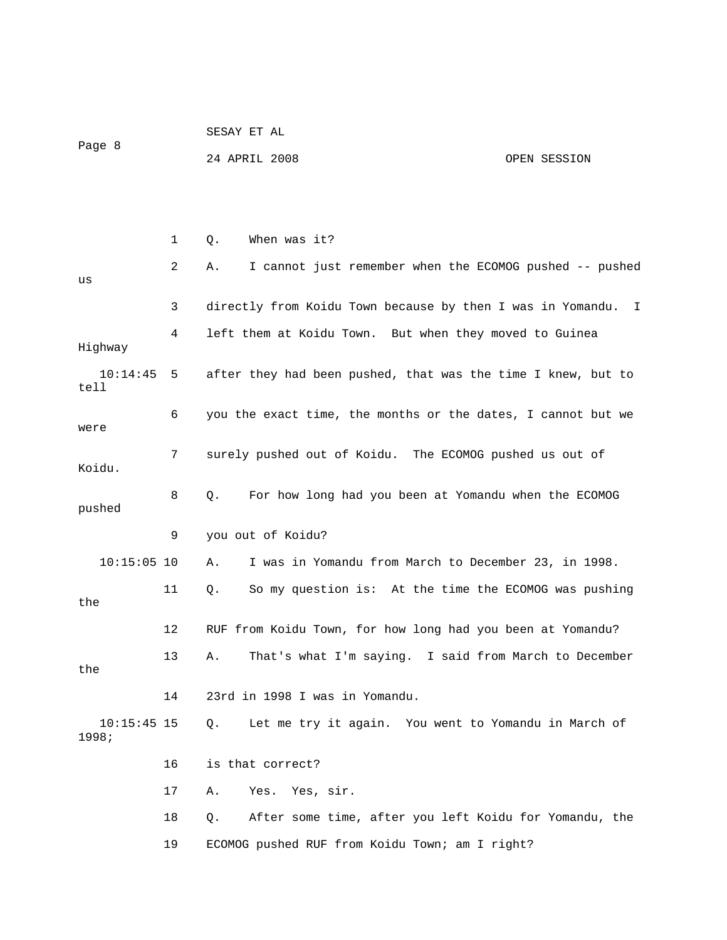|                      |              |    | 24 APRIL 2008                                                | OPEN SESSION |
|----------------------|--------------|----|--------------------------------------------------------------|--------------|
|                      |              |    |                                                              |              |
|                      |              |    |                                                              |              |
|                      | $\mathbf{1}$ | Q. | When was it?                                                 |              |
| us                   | 2            | Α. | I cannot just remember when the ECOMOG pushed -- pushed      |              |
|                      | 3            |    | directly from Koidu Town because by then I was in Yomandu. I |              |
| Highway              | 4            |    | left them at Koidu Town. But when they moved to Guinea       |              |
| $10:14:45$ 5<br>tell |              |    | after they had been pushed, that was the time I knew, but to |              |
| were                 | 6            |    | you the exact time, the months or the dates, I cannot but we |              |
| Koidu.               | 7            |    | surely pushed out of Koidu. The ECOMOG pushed us out of      |              |

SESAY ET AL

9 you out of Koidu?

Page 8

 8 Q. For how long had you been at Yomandu when the ECOMOG pushed

 10:15:05 10 A. I was in Yomandu from March to December 23, in 1998. 11 Q. So my question is: At the time the ECOMOG was pushing the 12 RUF from Koidu Town, for how long had you been at Yomandu? 13 A. That's what I'm saying. I said from March to December the 14 23rd in 1998 I was in Yomandu. 10:15:45 15 Q. Let me try it again. You went to Yomandu in March of 1998;

> 16 is that correct? 17 A. Yes. Yes, sir. 18 Q. After some time, after you left Koidu for Yomandu, the 19 ECOMOG pushed RUF from Koidu Town; am I right?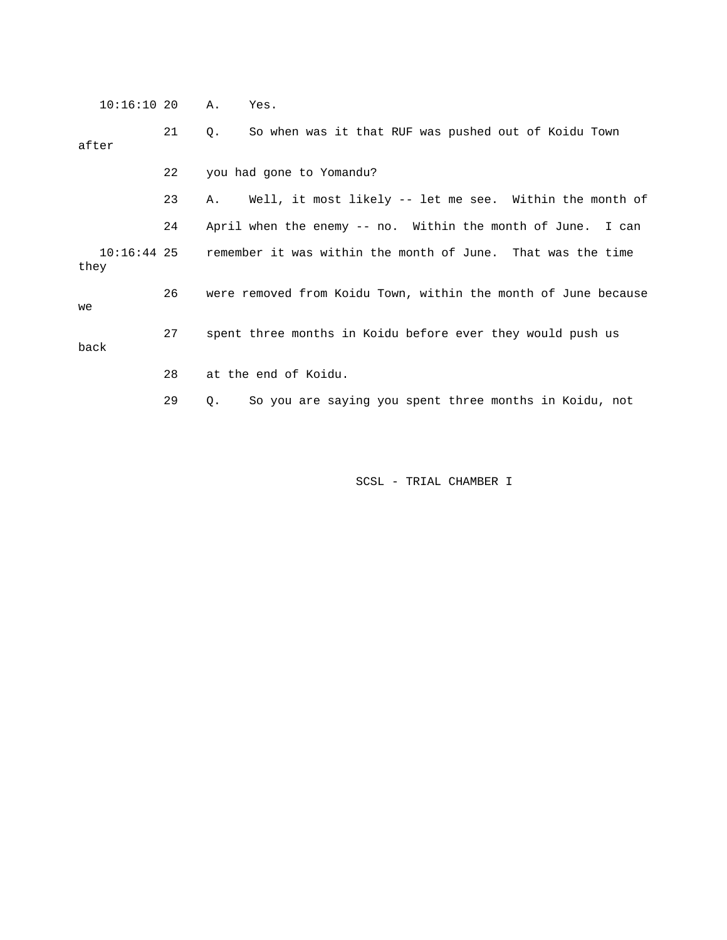10:16:10 20 A. Yes.

 21 Q. So when was it that RUF was pushed out of Koidu Town after

22 you had gone to Yomandu?

 23 A. Well, it most likely -- let me see. Within the month of 24 April when the enemy -- no. Within the month of June. I can

 10:16:44 25 remember it was within the month of June. That was the time they

 26 were removed from Koidu Town, within the month of June because we

back

28 at the end of Koidu.

29 Q. So you are saying you spent three months in Koidu, not

27 spent three months in Koidu before ever they would push us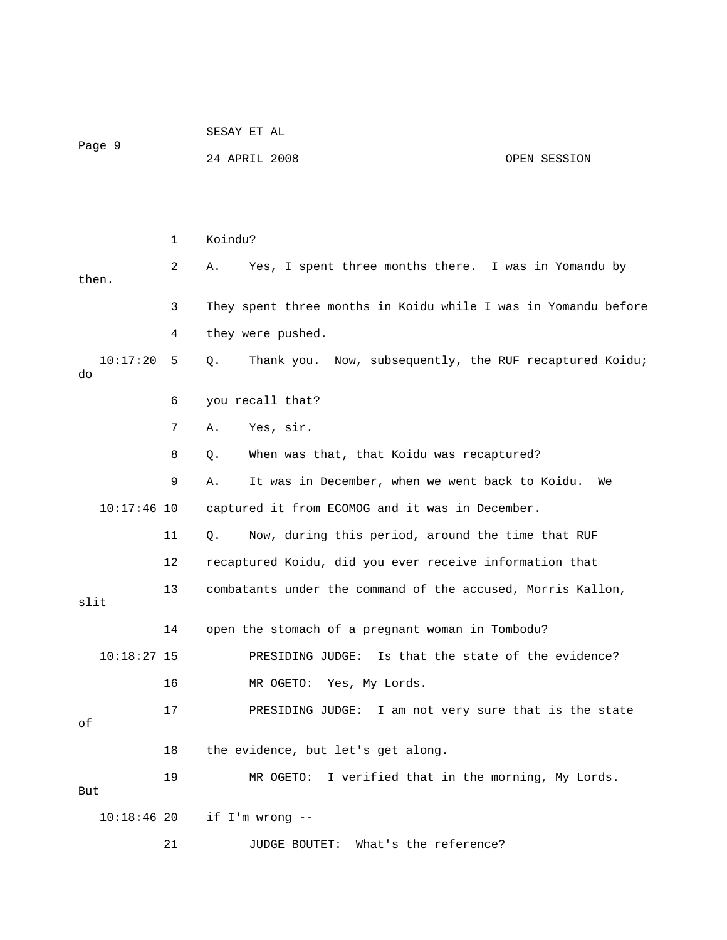| Page 9         |    | SESAY ET AL                                                    |              |  |  |
|----------------|----|----------------------------------------------------------------|--------------|--|--|
|                |    | 24 APRIL 2008                                                  | OPEN SESSION |  |  |
|                |    |                                                                |              |  |  |
|                |    |                                                                |              |  |  |
|                | 1  | Koindu?                                                        |              |  |  |
| then.          | 2  | Yes, I spent three months there. I was in Yomandu by<br>Α.     |              |  |  |
|                | 3  | They spent three months in Koidu while I was in Yomandu before |              |  |  |
|                | 4  | they were pushed.                                              |              |  |  |
| 10:17:20<br>do | 5  | Thank you. Now, subsequently, the RUF recaptured Koidu;<br>Q.  |              |  |  |
|                | 6  | you recall that?                                               |              |  |  |
|                | 7  | Yes, sir.<br>Α.                                                |              |  |  |
|                | 8  | When was that, that Koidu was recaptured?<br>Q.                |              |  |  |
|                | 9  | It was in December, when we went back to Koidu.<br>Α.          | We           |  |  |
| $10:17:46$ 10  |    | captured it from ECOMOG and it was in December.                |              |  |  |
|                | 11 | Now, during this period, around the time that RUF<br>Q.        |              |  |  |
|                | 12 | recaptured Koidu, did you ever receive information that        |              |  |  |
| slit           | 13 | combatants under the command of the accused, Morris Kallon,    |              |  |  |
|                | 14 | open the stomach of a pregnant woman in Tombodu?               |              |  |  |
| $10:18:27$ 15  |    | PRESIDING JUDGE:<br>Is that the state of the evidence?         |              |  |  |
|                | 16 | MR OGETO: Yes, My Lords.                                       |              |  |  |
|                | 17 | PRESIDING JUDGE: I am not very sure that is the state          |              |  |  |
| οf             |    |                                                                |              |  |  |
|                | 18 | the evidence, but let's get along.                             |              |  |  |
| But            | 19 | MR OGETO: I verified that in the morning, My Lords.            |              |  |  |
| $10:18:46$ 20  |    | if I'm wrong --                                                |              |  |  |
|                | 21 | JUDGE BOUTET: What's the reference?                            |              |  |  |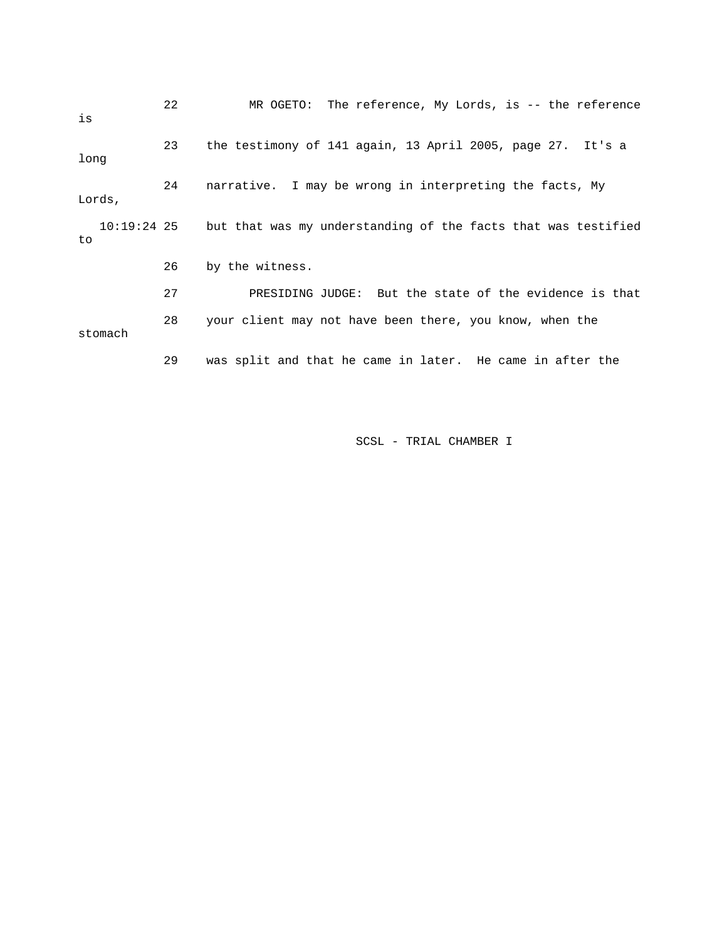| is                  | 22 | MR OGETO: The reference, My Lords, is $-$ - the reference     |
|---------------------|----|---------------------------------------------------------------|
| long                | 23 | the testimony of 141 again, 13 April 2005, page 27. It's a    |
| Lords,              | 24 | narrative. I may be wrong in interpreting the facts, My       |
| $10:19:24$ 25<br>to |    | but that was my understanding of the facts that was testified |
|                     | 26 | by the witness.                                               |
|                     | 27 | PRESIDING JUDGE: But the state of the evidence is that        |
| stomach             | 28 | your client may not have been there, you know, when the       |
|                     | 29 | was split and that he came in later. He came in after the     |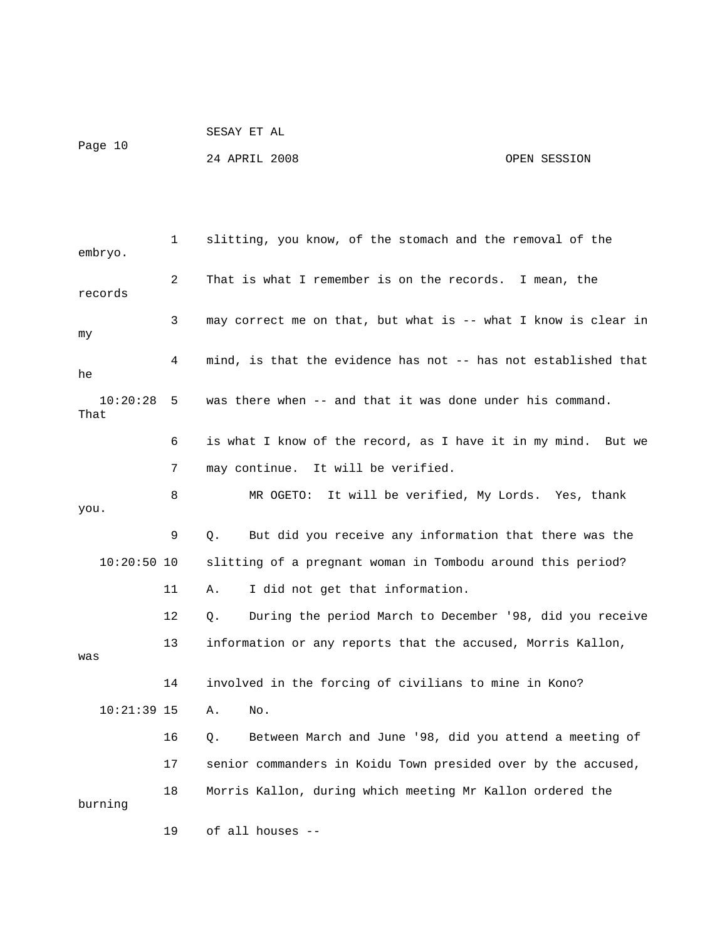SESAY ET AL

Page 10

24 APRIL 2008 OPEN SESSION

 1 slitting, you know, of the stomach and the removal of the embryo. 2 That is what I remember is on the records. I mean, the records 3 may correct me on that, but what is -- what I know is clear in my 4 mind, is that the evidence has not -- has not established that he 10:20:28 5 was there when -- and that it was done under his command. That 6 is what I know of the record, as I have it in my mind. But we 7 may continue. It will be verified. 8 MR OGETO: It will be verified, My Lords. Yes, thank you. 9 Q. But did you receive any information that there was the 10:20:50 10 slitting of a pregnant woman in Tombodu around this period? 11 A. I did not get that information. 12 Q. During the period March to December '98, did you receive 13 information or any reports that the accused, Morris Kallon, was 14 involved in the forcing of civilians to mine in Kono? 10:21:39 15 A. No. 16 Q. Between March and June '98, did you attend a meeting of 17 senior commanders in Koidu Town presided over by the accused, 18 Morris Kallon, during which meeting Mr Kallon ordered the burning 19 of all houses --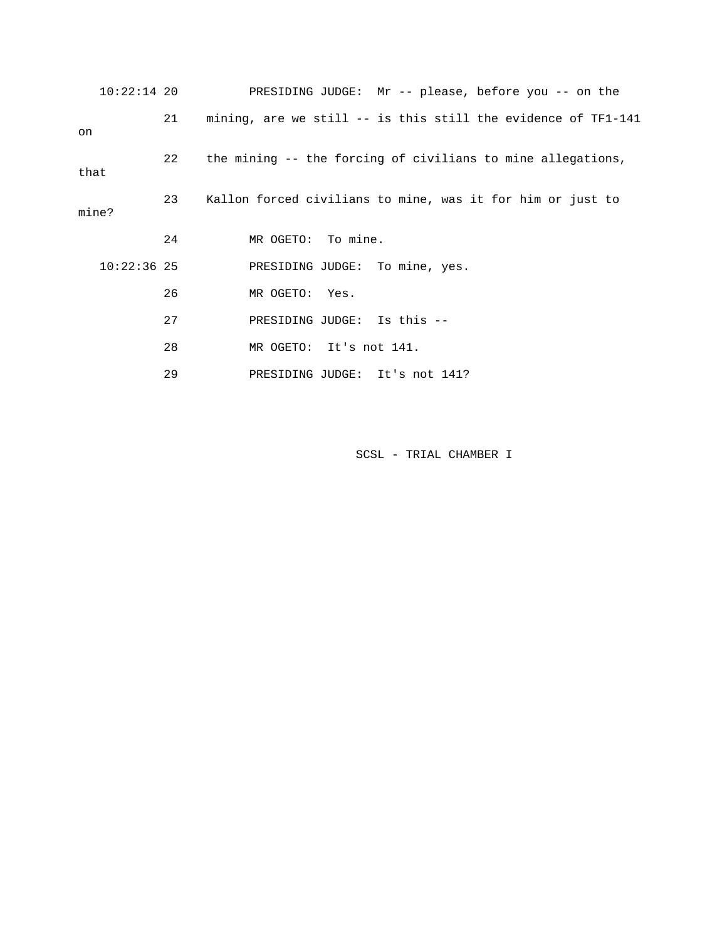|       | $10:22:14$ 20 |    | PRESIDING JUDGE: $Mr - -$ please, before you -- on the        |
|-------|---------------|----|---------------------------------------------------------------|
| on    |               | 21 | mining, are we still -- is this still the evidence of TF1-141 |
| that  |               | 22 | the mining -- the forcing of civilians to mine allegations,   |
| mine? |               | 23 | Kallon forced civilians to mine, was it for him or just to    |
|       |               | 24 | MR OGETO: To mine.                                            |
|       | $10:22:36$ 25 |    | PRESIDING JUDGE: To mine, yes.                                |
|       |               | 26 | MR OGETO: Yes.                                                |
|       |               | 27 | PRESIDING JUDGE: Is this --                                   |
|       |               | 28 | MR OGETO: It's not 141.                                       |
|       |               | 29 | PRESIDING JUDGE: It's not 141?                                |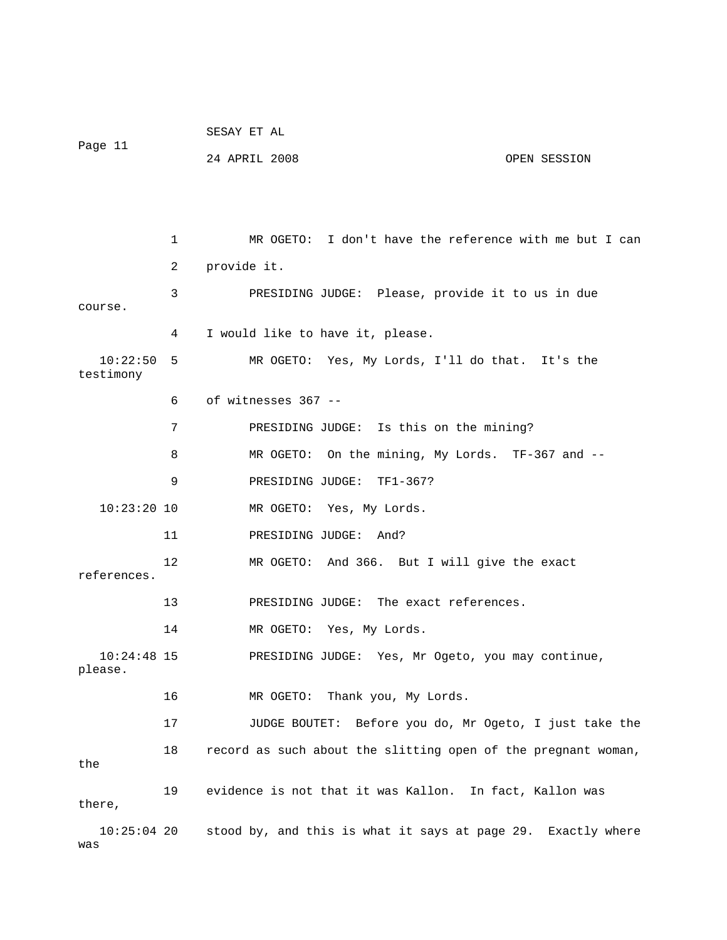|                          |    | SESAY ET AL                                                   |  |
|--------------------------|----|---------------------------------------------------------------|--|
| Page 11                  |    | 24 APRIL 2008<br>OPEN SESSION                                 |  |
|                          |    |                                                               |  |
|                          |    |                                                               |  |
|                          | 1  | MR OGETO: I don't have the reference with me but I can        |  |
|                          | 2  | provide it.                                                   |  |
| course.                  | 3  | PRESIDING JUDGE: Please, provide it to us in due              |  |
|                          | 4  | I would like to have it, please.                              |  |
| 10:22:50<br>testimony    | 5  | MR OGETO: Yes, My Lords, I'll do that. It's the               |  |
|                          | 6  | of witnesses 367 --                                           |  |
|                          | 7  | PRESIDING JUDGE: Is this on the mining?                       |  |
|                          | 8  | MR OGETO: On the mining, My Lords. TF-367 and --              |  |
|                          | 9  | PRESIDING JUDGE: TF1-367?                                     |  |
| $10:23:20$ 10            |    | MR OGETO: Yes, My Lords.                                      |  |
|                          | 11 | PRESIDING JUDGE:<br>And?                                      |  |
| references.              | 12 | MR OGETO: And 366. But I will give the exact                  |  |
|                          | 13 | PRESIDING JUDGE: The exact references.                        |  |
|                          | 14 |                                                               |  |
|                          |    | MR OGETO: Yes, My Lords.                                      |  |
| $10:24:48$ 15<br>please. |    | PRESIDING JUDGE: Yes, Mr Ogeto, you may continue,             |  |
|                          | 16 | Thank you, My Lords.<br>MR OGETO:                             |  |
|                          | 17 | JUDGE BOUTET: Before you do, Mr Ogeto, I just take the        |  |
| the                      | 18 | record as such about the slitting open of the pregnant woman, |  |
| there,                   | 19 | evidence is not that it was Kallon. In fact, Kallon was       |  |
| $10:25:04$ 20<br>was     |    | stood by, and this is what it says at page 29. Exactly where  |  |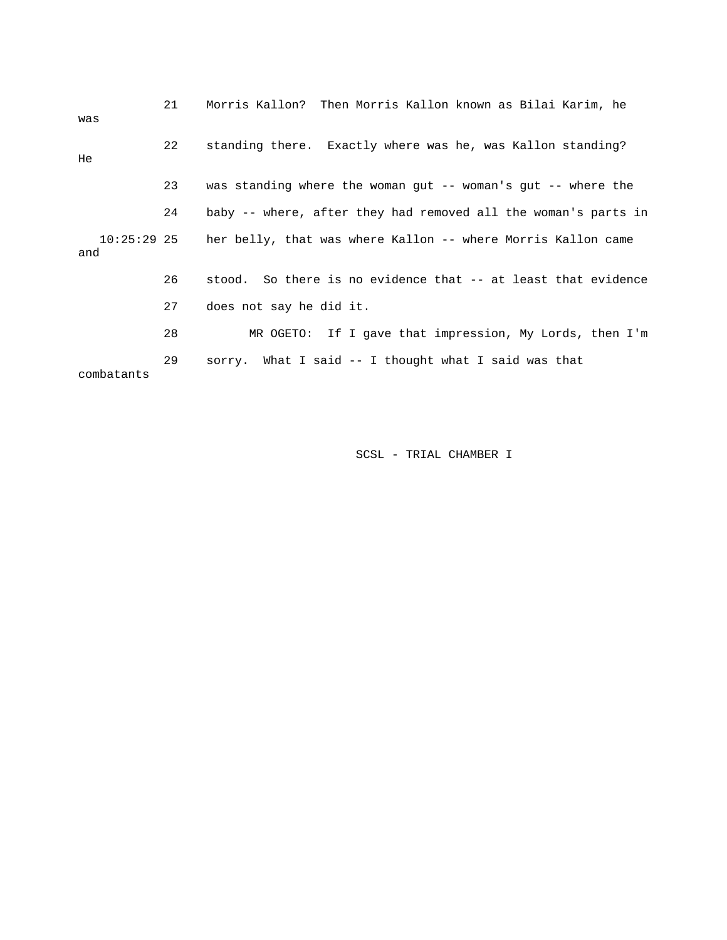| was                  | 21 | Morris Kallon? Then Morris Kallon known as Bilai Karim, he         |
|----------------------|----|--------------------------------------------------------------------|
| He                   | 22 | standing there. Exactly where was he, was Kallon standing?         |
|                      | 23 | was standing where the woman gut $-$ - woman's gut $-$ - where the |
|                      | 24 | baby -- where, after they had removed all the woman's parts in     |
| $10:25:29$ 25<br>and |    | her belly, that was where Kallon -- where Morris Kallon came       |
|                      | 26 | stood. So there is no evidence that -- at least that evidence      |
|                      | 27 | does not say he did it.                                            |
|                      | 28 | MR OGETO: If I gave that impression, My Lords, then I'm            |
| combatants           | 29 | sorry. What I said -- I thought what I said was that               |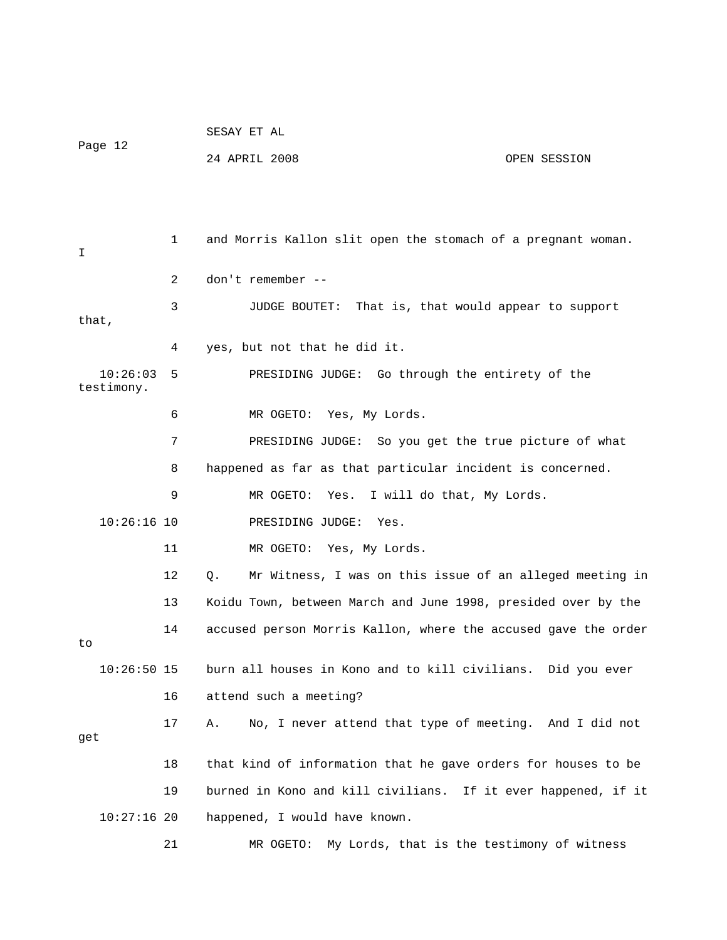|                        |              | SESAY ET AL                                                    |              |  |  |
|------------------------|--------------|----------------------------------------------------------------|--------------|--|--|
| Page 12                |              | 24 APRIL 2008                                                  | OPEN SESSION |  |  |
|                        |              |                                                                |              |  |  |
|                        |              |                                                                |              |  |  |
| I                      | $\mathbf{1}$ | and Morris Kallon slit open the stomach of a pregnant woman.   |              |  |  |
|                        | 2            | don't remember --                                              |              |  |  |
| that,                  | 3            | <b>JUDGE BOUTET:</b><br>That is, that would appear to support  |              |  |  |
|                        | 4            | yes, but not that he did it.                                   |              |  |  |
| 10:26:03<br>testimony. | 5            | PRESIDING JUDGE: Go through the entirety of the                |              |  |  |
|                        | 6            | MR OGETO: Yes, My Lords.                                       |              |  |  |
|                        | 7            | PRESIDING JUDGE: So you get the true picture of what           |              |  |  |
|                        | 8            | happened as far as that particular incident is concerned.      |              |  |  |
|                        | 9            | MR OGETO:<br>Yes. I will do that, My Lords.                    |              |  |  |
| $10:26:16$ 10          |              | PRESIDING JUDGE:<br>Yes.                                       |              |  |  |
|                        | 11           | MR OGETO: Yes, My Lords.                                       |              |  |  |
|                        | 12           | Mr Witness, I was on this issue of an alleged meeting in<br>Q. |              |  |  |
|                        | 13           | Koidu Town, between March and June 1998, presided over by the  |              |  |  |
| to                     | 14           | accused person Morris Kallon, where the accused gave the order |              |  |  |
| $10:26:50$ 15          |              | burn all houses in Kono and to kill civilians. Did you ever    |              |  |  |
|                        | 16           | attend such a meeting?                                         |              |  |  |
|                        | 17           | No, I never attend that type of meeting. And I did not<br>Α.   |              |  |  |
| get                    |              |                                                                |              |  |  |
|                        | 18           | that kind of information that he gave orders for houses to be  |              |  |  |
|                        | 19           | burned in Kono and kill civilians. If it ever happened, if it  |              |  |  |
| $10:27:16$ 20          |              | happened, I would have known.                                  |              |  |  |
|                        | 21           | MR OGETO:<br>My Lords, that is the testimony of witness        |              |  |  |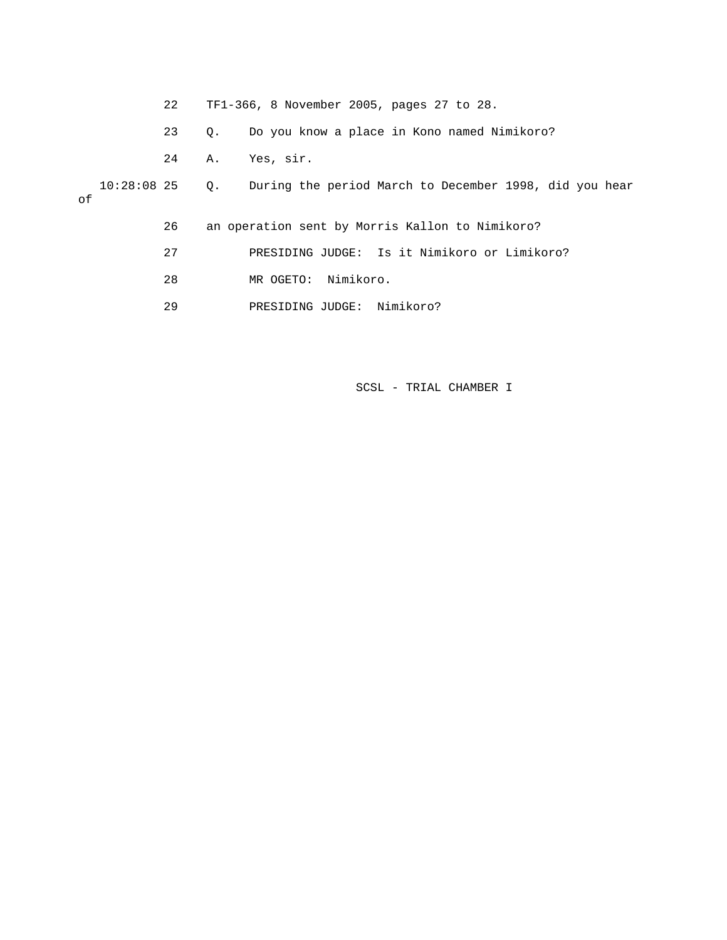|    | 22 |           | TF1-366, 8 November 2005, pages 27 to 28.                             |
|----|----|-----------|-----------------------------------------------------------------------|
|    | 23 | $\circ$ . | Do you know a place in Kono named Nimikoro?                           |
|    | 24 | Α.        | Yes, sir.                                                             |
| оf |    |           | 10:28:08 25 Q. During the period March to December 1998, did you hear |
|    | 26 |           | an operation sent by Morris Kallon to Nimikoro?                       |
|    | 27 |           | PRESIDING JUDGE: Is it Nimikoro or Limikoro?                          |
|    | 28 |           | Nimikoro.<br>MR OGETO:                                                |
|    | 29 |           | Nimikoro?<br>PRESIDING JUDGE:                                         |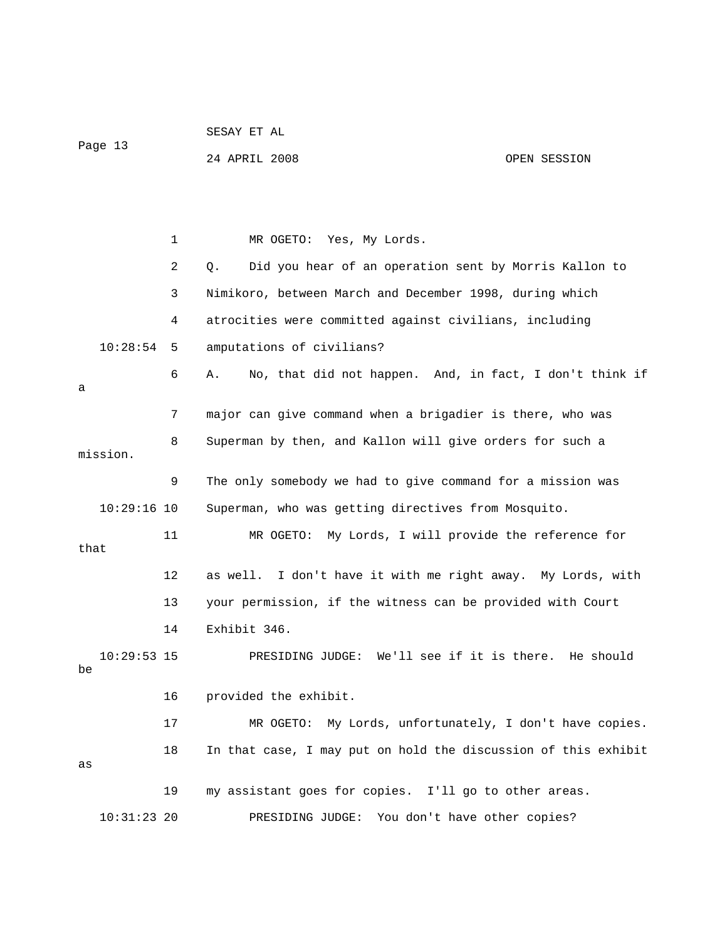| Page 13 |                                                                    |    | 24 APRIL 2008                                                  | OPEN SESSION |
|---------|--------------------------------------------------------------------|----|----------------------------------------------------------------|--------------|
|         |                                                                    |    |                                                                |              |
|         |                                                                    | 1  | MR OGETO: Yes, My Lords.                                       |              |
|         |                                                                    | 2  | Did you hear of an operation sent by Morris Kallon to<br>Q.    |              |
|         |                                                                    | 3  | Nimikoro, between March and December 1998, during which        |              |
|         |                                                                    | 4  | atrocities were committed against civilians, including         |              |
|         | 10:28:54                                                           | 5  | amputations of civilians?                                      |              |
| a       |                                                                    | 6  | No, that did not happen. And, in fact, I don't think if<br>Α.  |              |
|         |                                                                    | 7  | major can give command when a brigadier is there, who was      |              |
|         | mission.                                                           | 8  | Superman by then, and Kallon will give orders for such a       |              |
|         |                                                                    | 9  | The only somebody we had to give command for a mission was     |              |
|         | $10:29:16$ 10                                                      |    | Superman, who was getting directives from Mosquito.            |              |
|         | 11<br>MR OGETO: My Lords, I will provide the reference for<br>that |    |                                                                |              |
|         |                                                                    | 12 | as well. I don't have it with me right away. My Lords, with    |              |
|         |                                                                    | 13 | your permission, if the witness can be provided with Court     |              |
|         |                                                                    | 14 | Exhibit 346.                                                   |              |
| be      | $10:29:53$ 15                                                      |    | PRESIDING JUDGE: We'll see if it is there. He should           |              |
|         |                                                                    | 16 | provided the exhibit.                                          |              |
|         |                                                                    | 17 | My Lords, unfortunately, I don't have copies.<br>MR OGETO:     |              |
| as      |                                                                    | 18 | In that case, I may put on hold the discussion of this exhibit |              |
|         |                                                                    | 19 | my assistant goes for copies. I'll go to other areas.          |              |
|         | $10:31:23$ 20                                                      |    | You don't have other copies?<br>PRESIDING JUDGE:               |              |

SESAY ET AL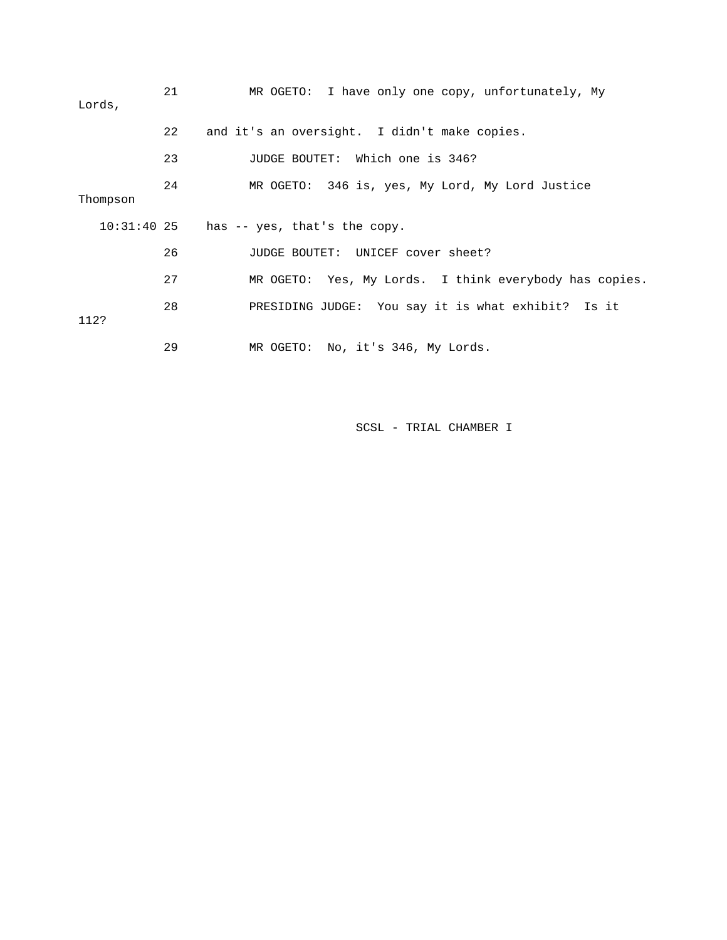| Lords,   | 21 | MR OGETO: I have only one copy, unfortunately, My      |
|----------|----|--------------------------------------------------------|
|          | 22 | and it's an oversight. I didn't make copies.           |
|          | 23 | JUDGE BOUTET: Which one is 346?                        |
| Thompson | 24 | MR OGETO: 346 is, yes, My Lord, My Lord Justice        |
|          |    | $10:31:40$ 25 has -- yes, that's the copy.             |
|          | 26 | JUDGE BOUTET: UNICEF cover sheet?                      |
|          | 27 | MR OGETO: Yes, My Lords. I think everybody has copies. |
| 112?     | 28 | PRESIDING JUDGE: You say it is what exhibit? Is it     |
|          | 29 | MR OGETO: No, it's 346, My Lords.                      |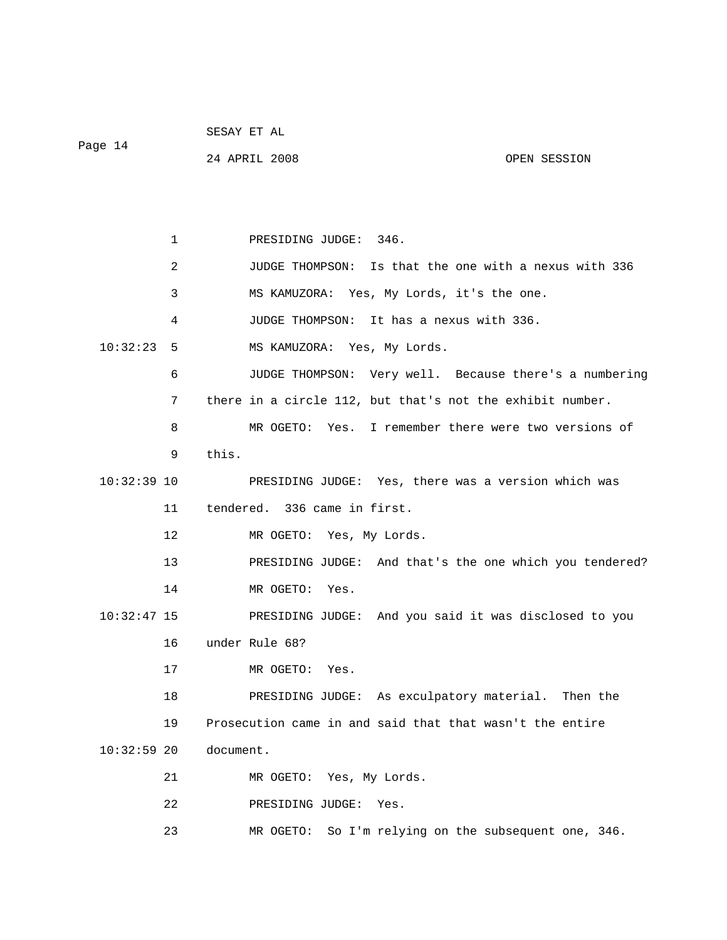| Page 14       |    | 24 APRIL 2008<br>OPEN SESSION                              |
|---------------|----|------------------------------------------------------------|
|               |    |                                                            |
|               | 1  | PRESIDING JUDGE: 346.                                      |
|               | 2  | Is that the one with a nexus with 336<br>JUDGE THOMPSON:   |
|               | 3  | MS KAMUZORA: Yes, My Lords, it's the one.                  |
|               | 4  | It has a nexus with 336.<br>JUDGE THOMPSON:                |
| 10:32:23      | 5  | MS KAMUZORA: Yes, My Lords.                                |
|               | 6  | JUDGE THOMPSON: Very well. Because there's a numbering     |
|               | 7  | there in a circle 112, but that's not the exhibit number.  |
|               | 8  | Yes.<br>I remember there were two versions of<br>MR OGETO: |
|               | 9  | this.                                                      |
| $10:32:39$ 10 |    | PRESIDING JUDGE: Yes, there was a version which was        |
|               | 11 | tendered. 336 came in first.                               |
|               | 12 | MR OGETO: Yes, My Lords.                                   |
|               | 13 | PRESIDING JUDGE: And that's the one which you tendered?    |
|               | 14 | MR OGETO: Yes.                                             |
| $10:32:47$ 15 |    | PRESIDING JUDGE: And you said it was disclosed to you      |
|               | 16 | under Rule 68?                                             |
|               | 17 | MR OGETO:<br>Yes.                                          |
|               | 18 | PRESIDING JUDGE: As exculpatory material. Then the         |
|               | 19 | Prosecution came in and said that that wasn't the entire   |
| $10:32:59$ 20 |    | document.                                                  |
|               | 21 | MR OGETO: Yes, My Lords.                                   |
|               | 22 | PRESIDING JUDGE:<br>Yes.                                   |
|               | 23 | So I'm relying on the subsequent one, 346.<br>MR OGETO:    |

SESAY ET AL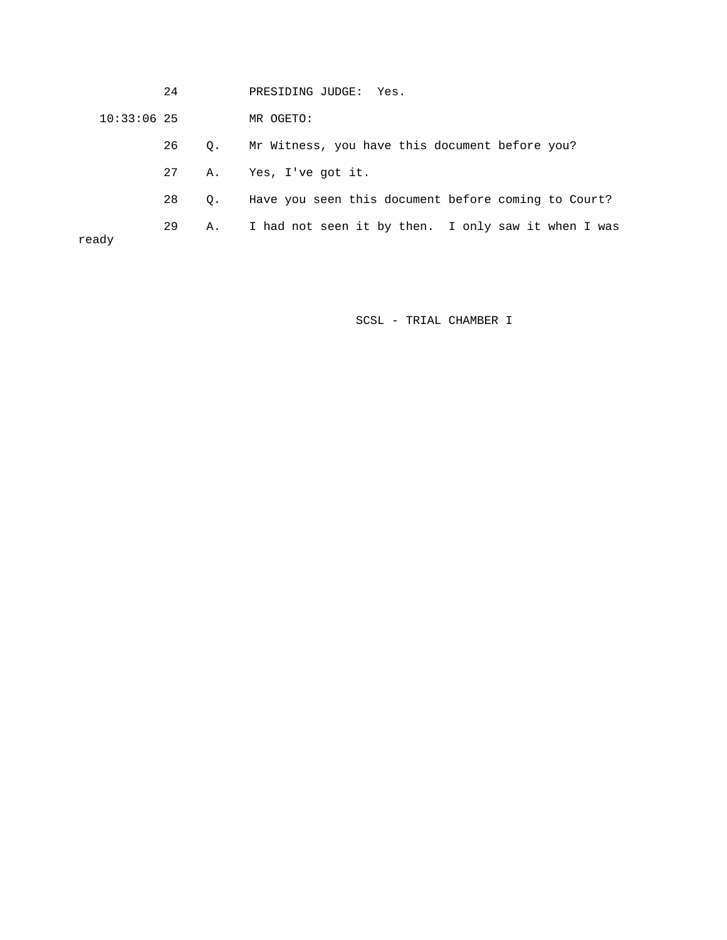24 PRESIDING JUDGE: Yes.

10:33:06 25 MR OGETO:

26 Q. Mr Witness, you have this document before you?

- 27 A. Yes, I've got it.
- 28 Q. Have you seen this document before coming to Court?

29 A. I had not seen it by then. I only saw it when I was

ready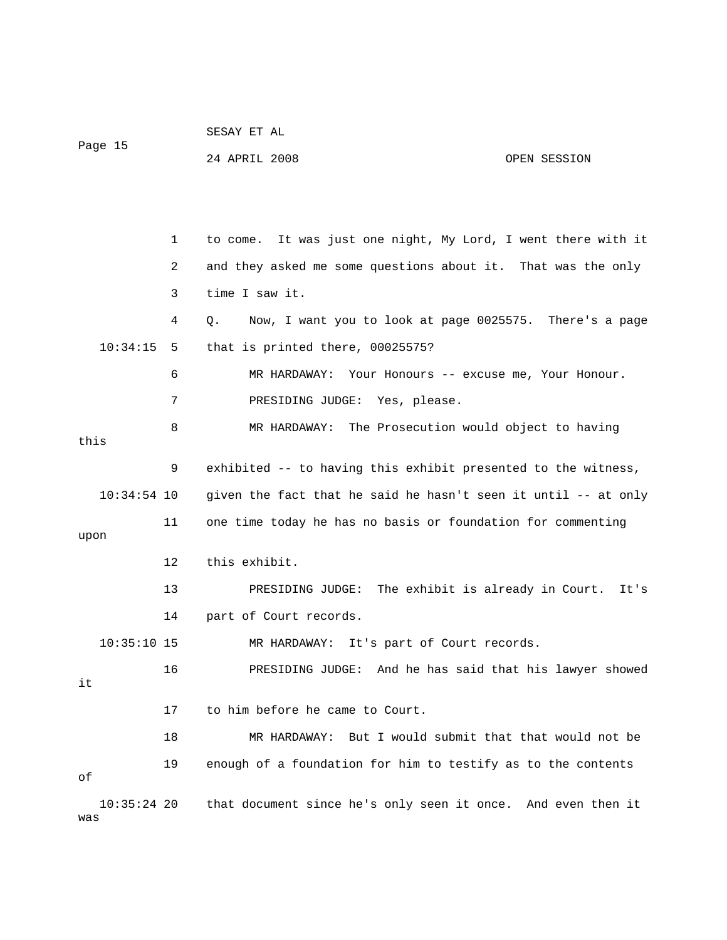| Page 15              |    | SESAY ET AL                                                    |  |  |  |
|----------------------|----|----------------------------------------------------------------|--|--|--|
|                      |    | 24 APRIL 2008<br>OPEN SESSION                                  |  |  |  |
|                      |    |                                                                |  |  |  |
|                      |    |                                                                |  |  |  |
|                      | 1  | to come. It was just one night, My Lord, I went there with it  |  |  |  |
|                      | 2  | and they asked me some questions about it. That was the only   |  |  |  |
|                      | 3  | time I saw it.                                                 |  |  |  |
|                      | 4  | Now, I want you to look at page 0025575. There's a page<br>Q.  |  |  |  |
| 10:34:15             | 5  | that is printed there, 00025575?                               |  |  |  |
|                      | 6  | MR HARDAWAY: Your Honours -- excuse me, Your Honour.           |  |  |  |
|                      | 7  | PRESIDING JUDGE: Yes, please.                                  |  |  |  |
|                      | 8  | MR HARDAWAY: The Prosecution would object to having            |  |  |  |
| this                 |    |                                                                |  |  |  |
|                      | 9  | exhibited -- to having this exhibit presented to the witness,  |  |  |  |
| $10:34:54$ 10        |    | given the fact that he said he hasn't seen it until -- at only |  |  |  |
|                      | 11 | one time today he has no basis or foundation for commenting    |  |  |  |
| upon                 |    |                                                                |  |  |  |
|                      | 12 | this exhibit.                                                  |  |  |  |
|                      | 13 | PRESIDING JUDGE: The exhibit is already in Court. It's         |  |  |  |
|                      | 14 | part of Court records.                                         |  |  |  |
| $10:35:10$ 15        |    | MR HARDAWAY: It's part of Court records.                       |  |  |  |
|                      | 16 | PRESIDING JUDGE: And he has said that his lawyer showed        |  |  |  |
| it                   |    |                                                                |  |  |  |
|                      | 17 | to him before he came to Court.                                |  |  |  |
|                      | 18 | MR HARDAWAY: But I would submit that that would not be         |  |  |  |
| οf                   | 19 | enough of a foundation for him to testify as to the contents   |  |  |  |
| $10:35:24$ 20<br>was |    | that document since he's only seen it once. And even then it   |  |  |  |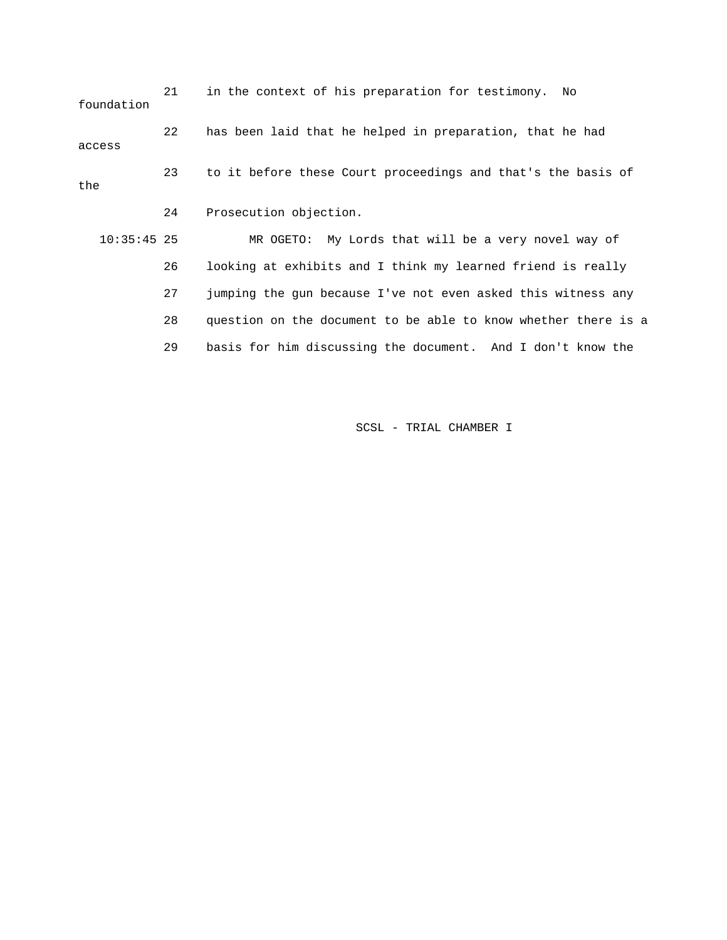21 in the context of his preparation for testimony. No foundation 22 has been laid that he helped in preparation, that he had access 23 to it before these Court proceedings and that's the basis of the 24 Prosecution objection. 10:35:45 25 MR OGETO: My Lords that will be a very novel way of 26 looking at exhibits and I think my learned friend is really 27 jumping the gun because I've not even asked this witness any 28 question on the document to be able to know whether there is a 29 basis for him discussing the document. And I don't know the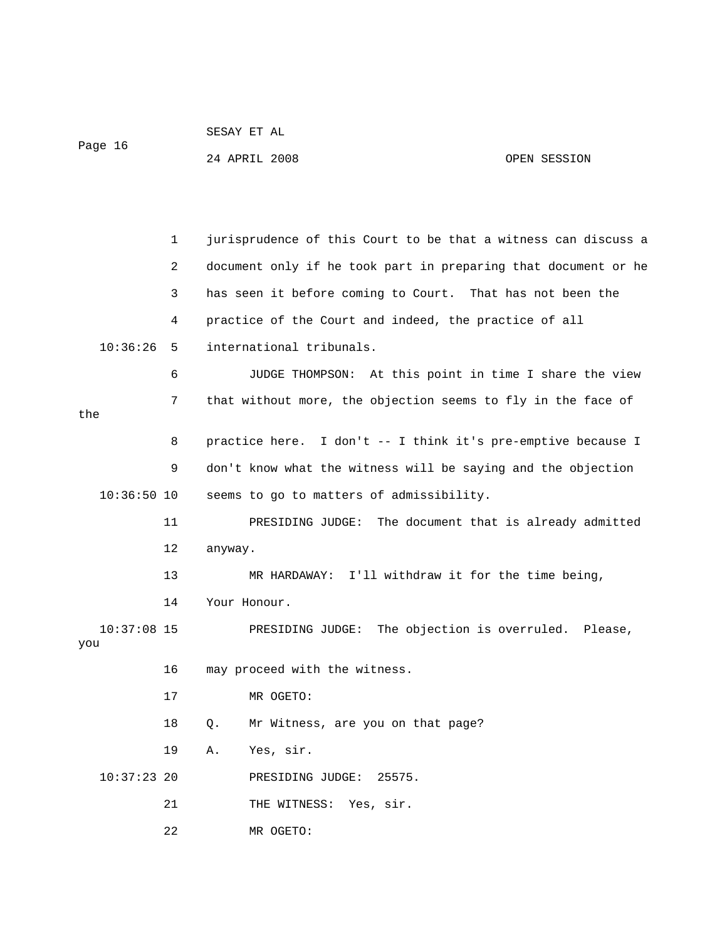|         | SESAY ET AL   |              |
|---------|---------------|--------------|
| Page 16 |               |              |
|         | 24 APRIL 2008 | OPEN SESSION |

 1 jurisprudence of this Court to be that a witness can discuss a 2 document only if he took part in preparing that document or he 3 has seen it before coming to Court. That has not been the 4 practice of the Court and indeed, the practice of all 10:36:26 5 international tribunals. 6 JUDGE THOMPSON: At this point in time I share the view 7 that without more, the objection seems to fly in the face of the 8 practice here. I don't -- I think it's pre-emptive because I 9 don't know what the witness will be saying and the objection 10:36:50 10 seems to go to matters of admissibility. 11 PRESIDING JUDGE: The document that is already admitted 12 anyway. 13 MR HARDAWAY: I'll withdraw it for the time being, 14 Your Honour. 10:37:08 15 PRESIDING JUDGE: The objection is overruled. Please, you 16 may proceed with the witness. 17 MR OGETO: 18 Q. Mr Witness, are you on that page? 19 A. Yes, sir. 10:37:23 20 PRESIDING JUDGE: 25575. 21 THE WITNESS: Yes, sir. 22 MR OGETO: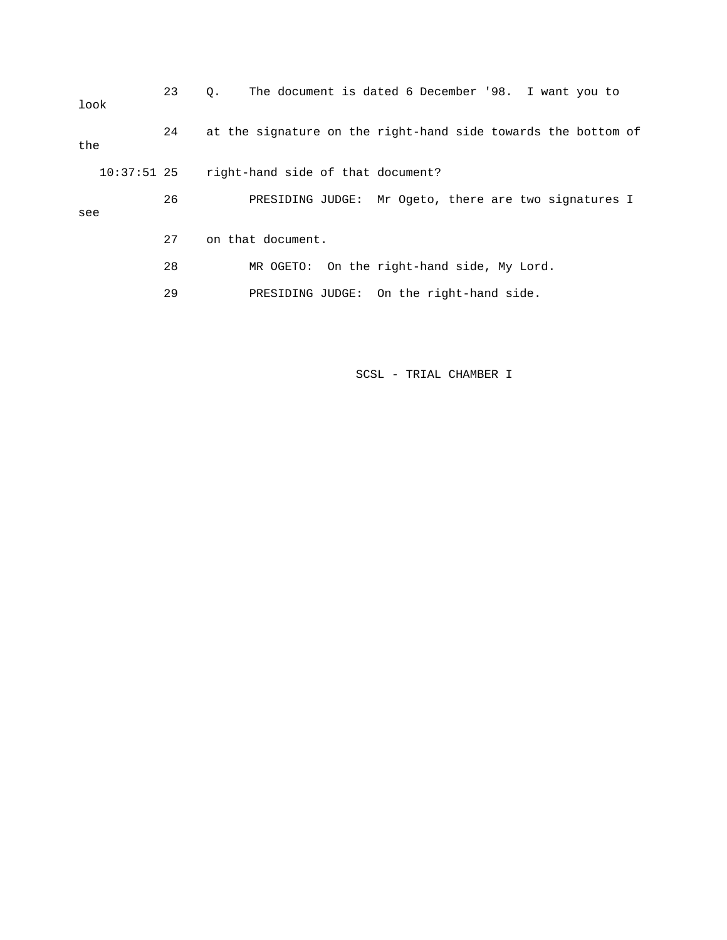| look          | 23  | The document is dated 6 December '98. I want you to<br>0.     |
|---------------|-----|---------------------------------------------------------------|
| the           | 24  | at the signature on the right-hand side towards the bottom of |
| $10:37:51$ 25 |     | right-hand side of that document?                             |
| see           | 26  | PRESIDING JUDGE: Mr Ogeto, there are two signatures I         |
|               | 2.7 | on that document.                                             |
|               | 28  | On the right-hand side, My Lord.<br>MR OGETO:                 |
|               | 29  | PRESIDING JUDGE: On the right-hand side.                      |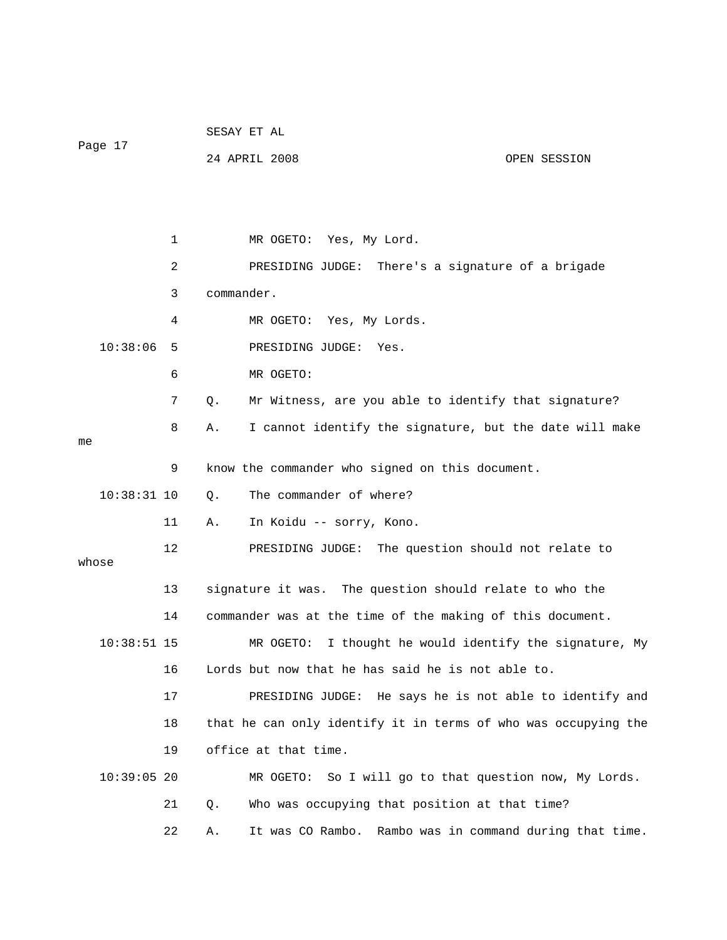| Page 17       |    |    | SESAY ET AL |                                                                |                                        |
|---------------|----|----|-------------|----------------------------------------------------------------|----------------------------------------|
|               |    |    |             | 24 APRIL 2008                                                  | OPEN SESSION                           |
|               |    |    |             |                                                                |                                        |
|               |    |    |             |                                                                |                                        |
|               |    | 1  |             | MR OGETO: Yes, My Lord.                                        |                                        |
|               |    | 2  |             | There's a signature of a brigade<br>PRESIDING JUDGE:           |                                        |
|               |    | 3  | commander.  |                                                                |                                        |
|               |    | 4  |             | MR OGETO: Yes, My Lords.                                       |                                        |
| 10:38:06      |    | 5  |             | PRESIDING JUDGE:<br>Yes.                                       |                                        |
|               |    | 6  |             | MR OGETO:                                                      |                                        |
|               |    | 7  | Q.          | Mr Witness, are you able to identify that signature?           |                                        |
|               |    | 8  | Α.          | I cannot identify the signature, but the date will make        |                                        |
|               | me |    |             |                                                                |                                        |
|               |    | 9  |             | know the commander who signed on this document.                |                                        |
| $10:38:31$ 10 |    |    | Q.          | The commander of where?                                        |                                        |
|               |    | 11 | Α.          | In Koidu -- sorry, Kono.                                       |                                        |
| whose         |    | 12 |             | PRESIDING JUDGE: The question should not relate to             |                                        |
|               |    | 13 |             | signature it was. The question should relate to who the        |                                        |
|               |    | 14 |             | commander was at the time of the making of this document.      |                                        |
| $10:38:51$ 15 |    |    |             | I thought he would identify the signature, My<br>MR OGETO:     |                                        |
|               |    | 16 |             | Lords but now that he has said he is not able to.              |                                        |
|               |    | 17 |             | PRESIDING JUDGE:                                               | He says he is not able to identify and |
|               |    | 18 |             | that he can only identify it in terms of who was occupying the |                                        |
|               |    | 19 |             | office at that time.                                           |                                        |
| $10:39:05$ 20 |    |    |             | So I will go to that question now, My Lords.<br>MR OGETO:      |                                        |
|               |    | 21 |             | Who was occupying that position at that time?                  |                                        |
|               |    |    | Q.          |                                                                |                                        |
|               |    | 22 | Α.          | It was CO Rambo.                                               | Rambo was in command during that time. |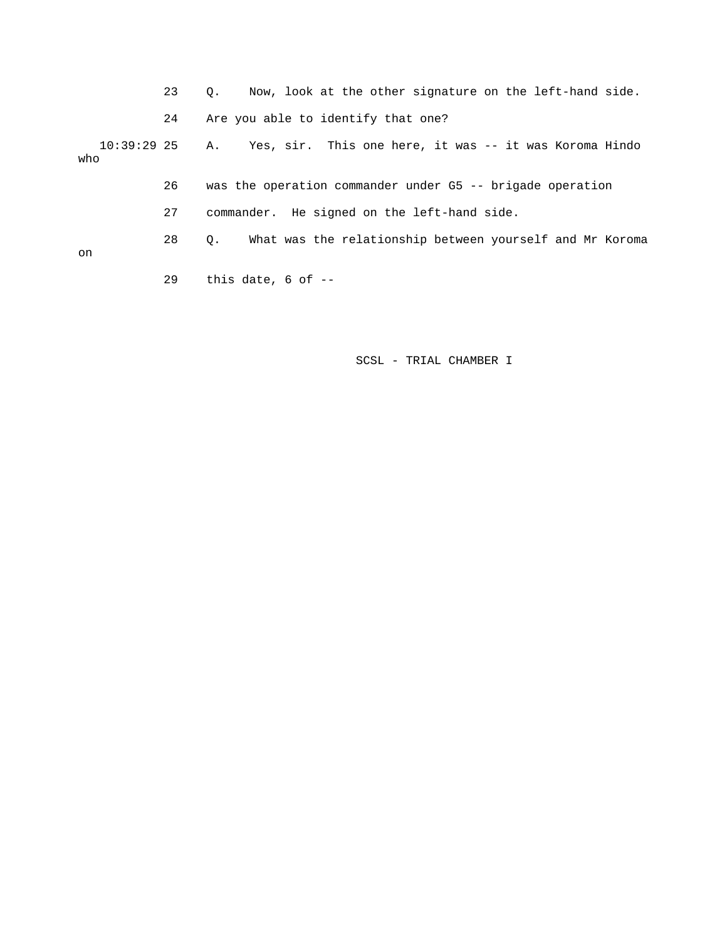|     | 23 | Now, look at the other signature on the left-hand side.<br>0.         |
|-----|----|-----------------------------------------------------------------------|
|     | 24 | Are you able to identify that one?                                    |
| who |    | 10:39:29 25 A. Yes, sir. This one here, it was -- it was Koroma Hindo |
|     | 26 | was the operation commander under G5 -- brigade operation             |
|     | 27 | commander. He signed on the left-hand side.                           |
| on  | 28 | What was the relationship between yourself and Mr Koroma<br>$\circ$ . |
|     | 29 | this date, $6$ of $-$                                                 |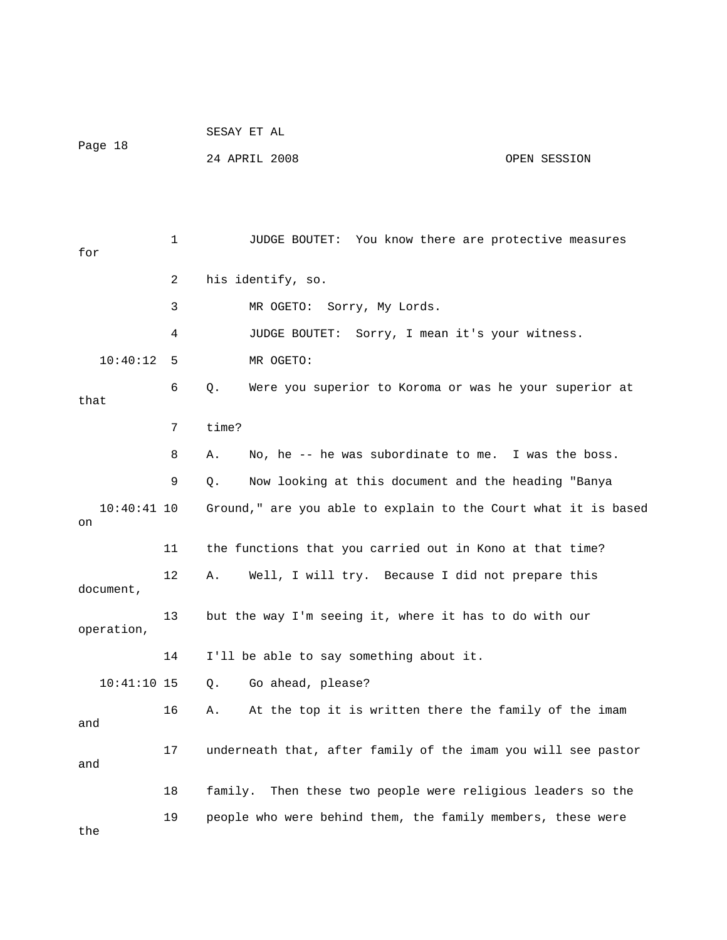|                     |    | SESAY ET AL                                                    |              |
|---------------------|----|----------------------------------------------------------------|--------------|
| Page 18             |    | 24 APRIL 2008                                                  | OPEN SESSION |
|                     |    |                                                                |              |
|                     |    |                                                                |              |
| for                 | 1  | JUDGE BOUTET: You know there are protective measures           |              |
|                     | 2  | his identify, so.                                              |              |
|                     | 3  | MR OGETO:<br>Sorry, My Lords.                                  |              |
|                     | 4  | JUDGE BOUTET: Sorry, I mean it's your witness.                 |              |
| 10:40:12            | 5  | MR OGETO:                                                      |              |
|                     | 6  | Were you superior to Koroma or was he your superior at<br>Q.   |              |
| that                |    |                                                                |              |
|                     | 7  | time?                                                          |              |
|                     | 8  | No, he -- he was subordinate to me. I was the boss.<br>Α.      |              |
|                     | 9  | Now looking at this document and the heading "Banya<br>Q.      |              |
| $10:40:41$ 10<br>on |    | Ground," are you able to explain to the Court what it is based |              |
|                     | 11 | the functions that you carried out in Kono at that time?       |              |
| document,           | 12 | Well, I will try. Because I did not prepare this<br>Α.         |              |
| operation,          | 13 | but the way I'm seeing it, where it has to do with our         |              |
|                     | 14 | I'll be able to say something about it.                        |              |
| $10:41:10$ 15       |    | Go ahead, please?<br>Q.                                        |              |
| and                 | 16 | At the top it is written there the family of the imam<br>Α.    |              |
| and                 | 17 | underneath that, after family of the imam you will see pastor  |              |
|                     | 18 | family. Then these two people were religious leaders so the    |              |
| the                 | 19 | people who were behind them, the family members, these were    |              |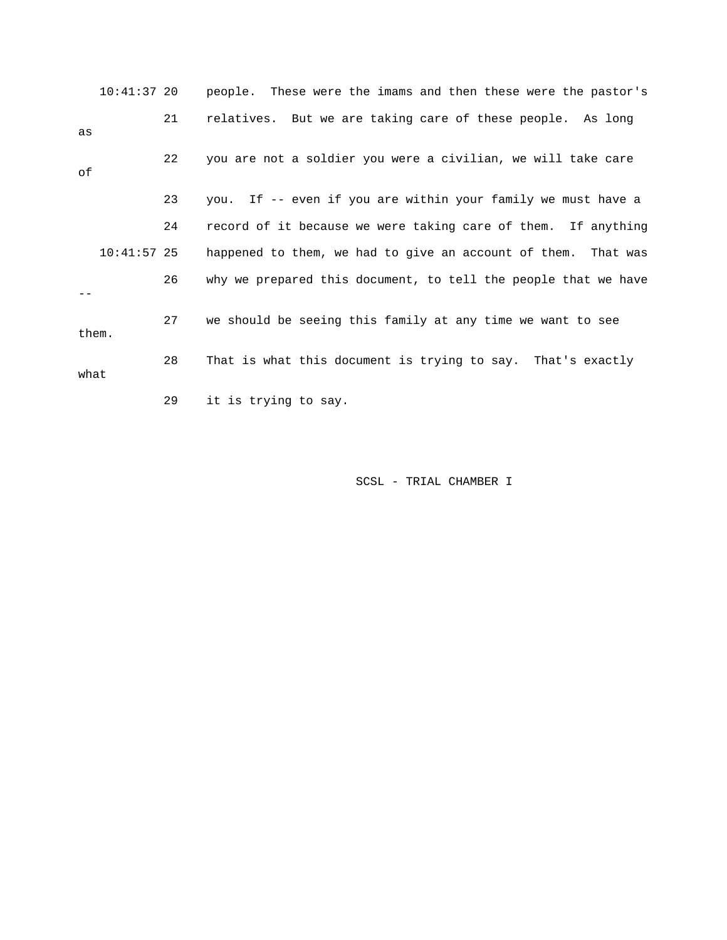|      | $10:41:37$ 20 |    | people. These were the imams and then these were the pastor's  |
|------|---------------|----|----------------------------------------------------------------|
| as   |               | 21 | relatives. But we are taking care of these people. As long     |
| οf   |               | 22 | you are not a soldier you were a civilian, we will take care   |
|      |               | 23 | you. If -- even if you are within your family we must have a   |
|      |               | 24 | record of it because we were taking care of them. If anything  |
|      | $10:41:57$ 25 |    | happened to them, we had to give an account of them. That was  |
|      |               | 26 | why we prepared this document, to tell the people that we have |
|      | them.         | 27 | we should be seeing this family at any time we want to see     |
| what |               | 28 | That is what this document is trying to say. That's exactly    |
|      |               | 29 | it is trying to say.                                           |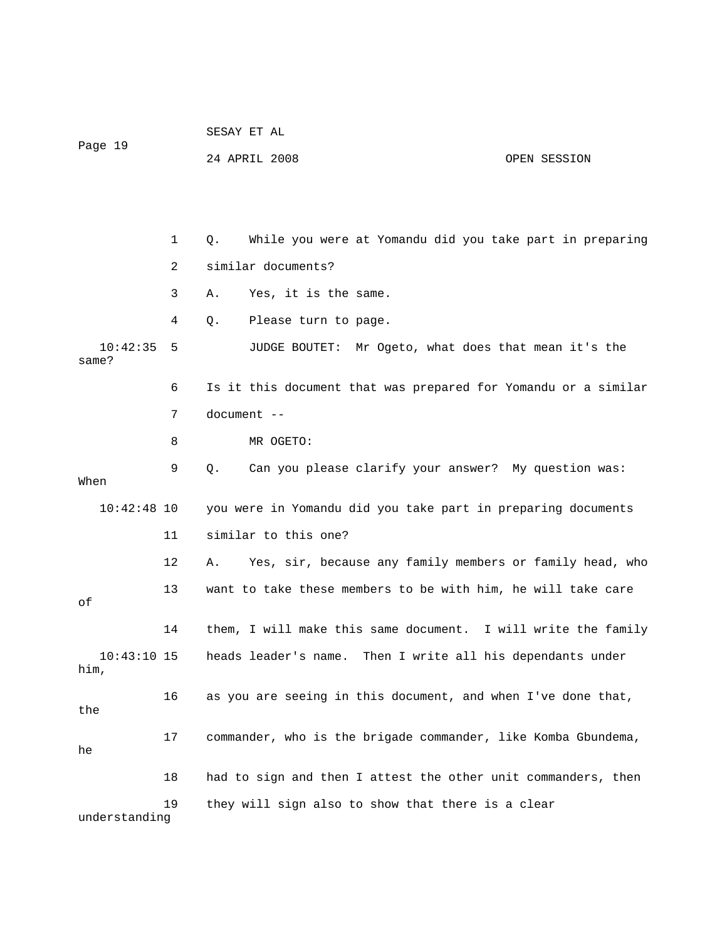| Page 19             |    | SESAY ET AL                                                    |  |  |  |  |  |  |
|---------------------|----|----------------------------------------------------------------|--|--|--|--|--|--|
|                     |    | 24 APRIL 2008<br>OPEN SESSION                                  |  |  |  |  |  |  |
|                     |    |                                                                |  |  |  |  |  |  |
|                     |    |                                                                |  |  |  |  |  |  |
|                     | 1  | While you were at Yomandu did you take part in preparing<br>Q. |  |  |  |  |  |  |
|                     | 2  | similar documents?                                             |  |  |  |  |  |  |
|                     | 3  | Yes, it is the same.<br>Α.                                     |  |  |  |  |  |  |
|                     | 4  | Please turn to page.<br>Q.                                     |  |  |  |  |  |  |
| 10:42:35<br>same?   | 5  | JUDGE BOUTET:<br>Mr Ogeto, what does that mean it's the        |  |  |  |  |  |  |
|                     | 6  | Is it this document that was prepared for Yomandu or a similar |  |  |  |  |  |  |
|                     | 7  | document --                                                    |  |  |  |  |  |  |
|                     | 8  | MR OGETO:                                                      |  |  |  |  |  |  |
| When                | 9  | Can you please clarify your answer? My question was:<br>Q.     |  |  |  |  |  |  |
| $10:42:48$ 10       |    | you were in Yomandu did you take part in preparing documents   |  |  |  |  |  |  |
|                     | 11 | similar to this one?                                           |  |  |  |  |  |  |
|                     | 12 | Yes, sir, because any family members or family head, who<br>Α. |  |  |  |  |  |  |
| οf                  | 13 | want to take these members to be with him, he will take care   |  |  |  |  |  |  |
|                     | 14 | them, I will make this same document. I will write the family  |  |  |  |  |  |  |
| 10:43:10 15<br>him, |    | heads leader's name. Then I write all his dependants under     |  |  |  |  |  |  |
| the                 | 16 | as you are seeing in this document, and when I've done that,   |  |  |  |  |  |  |
| he                  | 17 | commander, who is the brigade commander, like Komba Gbundema,  |  |  |  |  |  |  |
|                     | 18 | had to sign and then I attest the other unit commanders, then  |  |  |  |  |  |  |
| understanding       | 19 | they will sign also to show that there is a clear              |  |  |  |  |  |  |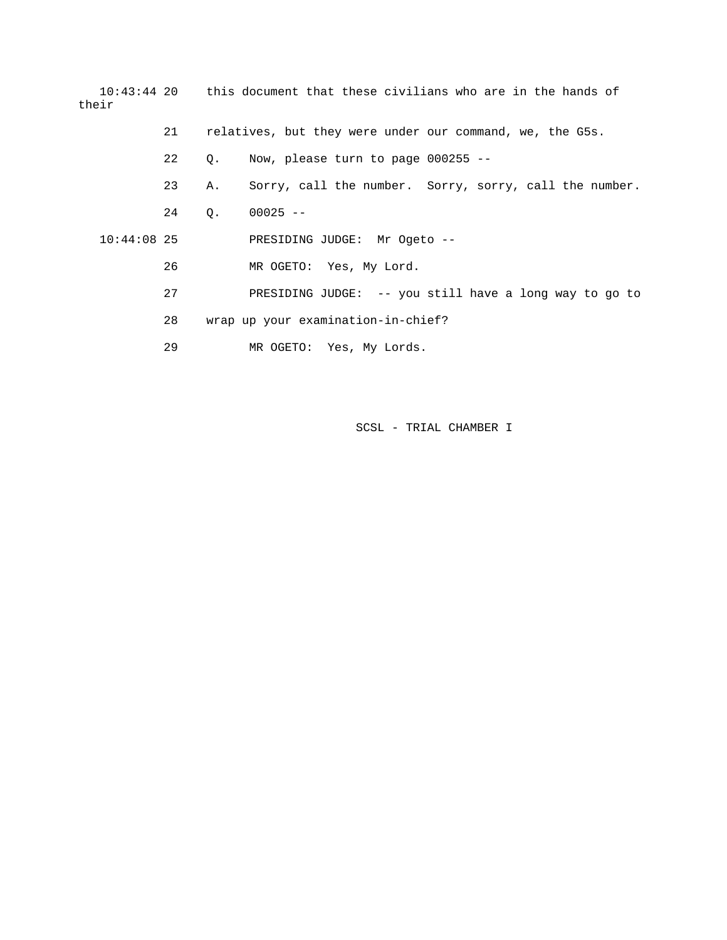| their         |    |           | 10:43:44 20 this document that these civilians who are in the hands of |
|---------------|----|-----------|------------------------------------------------------------------------|
|               | 21 |           | relatives, but they were under our command, we, the G5s.               |
|               | 22 | $\circ$ . | Now, please turn to page $000255$ --                                   |
|               | 23 | Α.        | Sorry, call the number. Sorry, sorry, call the number.                 |
|               | 24 | 0.        | $00025 - -$                                                            |
| $10:44:08$ 25 |    |           | PRESIDING JUDGE: Mr Ogeto --                                           |
|               | 26 |           | MR OGETO: Yes, My Lord.                                                |
|               | 27 |           | PRESIDING JUDGE: $-$ - you still have a long way to go to              |
|               | 28 |           | wrap up your examination-in-chief?                                     |
|               | 29 |           | MR OGETO: Yes, My Lords.                                               |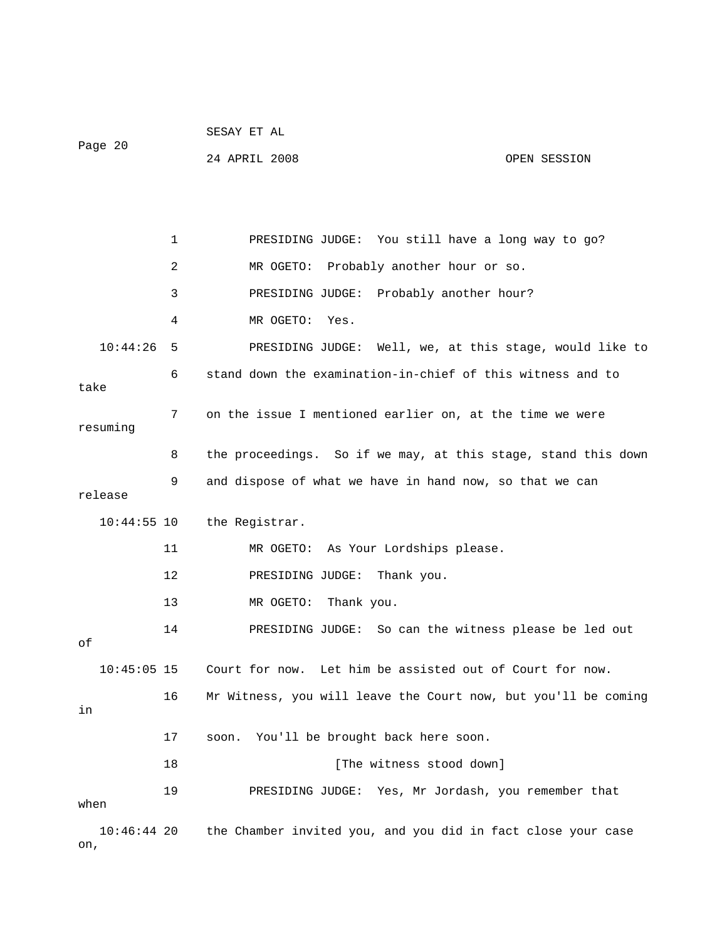| Page 20              |    | SESAY ET AL                                                    |
|----------------------|----|----------------------------------------------------------------|
|                      |    | 24 APRIL 2008<br>OPEN SESSION                                  |
|                      |    |                                                                |
|                      |    |                                                                |
|                      | 1  | PRESIDING JUDGE: You still have a long way to go?              |
|                      | 2  | MR OGETO: Probably another hour or so.                         |
|                      | 3  | PRESIDING JUDGE: Probably another hour?                        |
|                      | 4  | MR OGETO:<br>Yes.                                              |
| 10:44:26             | 5  | PRESIDING JUDGE: Well, we, at this stage, would like to        |
| take                 | 6  | stand down the examination-in-chief of this witness and to     |
| resuming             | 7  | on the issue I mentioned earlier on, at the time we were       |
|                      | 8  | the proceedings. So if we may, at this stage, stand this down  |
| release              | 9  | and dispose of what we have in hand now, so that we can        |
| $10:44:55$ 10        |    | the Registrar.                                                 |
|                      | 11 | MR OGETO:<br>As Your Lordships please.                         |
|                      | 12 | PRESIDING JUDGE:<br>Thank you.                                 |
|                      | 13 | MR OGETO:<br>Thank you.                                        |
| оf                   | 14 | PRESIDING JUDGE: So can the witness please be led out          |
| $10:45:05$ 15        |    | Court for now. Let him be assisted out of Court for now.       |
| in                   | 16 | Mr Witness, you will leave the Court now, but you'll be coming |
|                      | 17 | You'll be brought back here soon.<br>soon.                     |
|                      | 18 | [The witness stood down]                                       |
| when                 | 19 | PRESIDING JUDGE: Yes, Mr Jordash, you remember that            |
| $10:46:44$ 20<br>on, |    | the Chamber invited you, and you did in fact close your case   |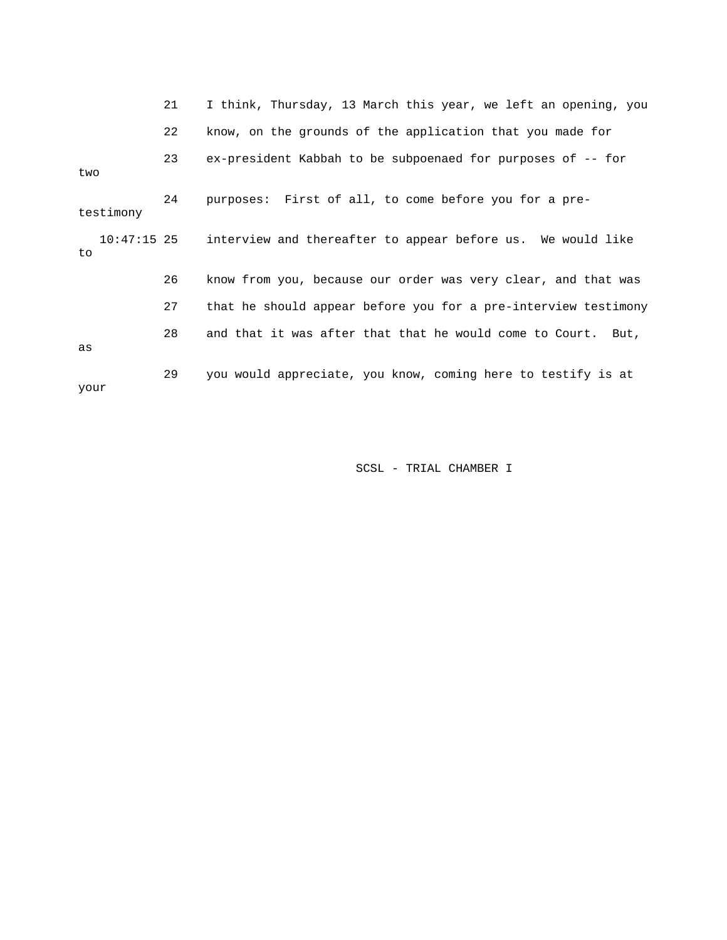|      |               | 21 | I think, Thursday, 13 March this year, we left an opening, you |
|------|---------------|----|----------------------------------------------------------------|
|      |               | 22 | know, on the grounds of the application that you made for      |
| two  |               | 23 | ex-president Kabbah to be subpoenaed for purposes of -- for    |
|      | testimony     | 24 | purposes: First of all, to come before you for a pre-          |
| to   | $10:47:15$ 25 |    | interview and thereafter to appear before us. We would like    |
|      |               | 26 | know from you, because our order was very clear, and that was  |
|      |               | 27 | that he should appear before you for a pre-interview testimony |
| as   |               | 28 | and that it was after that that he would come to Court. But,   |
| your |               | 29 | you would appreciate, you know, coming here to testify is at   |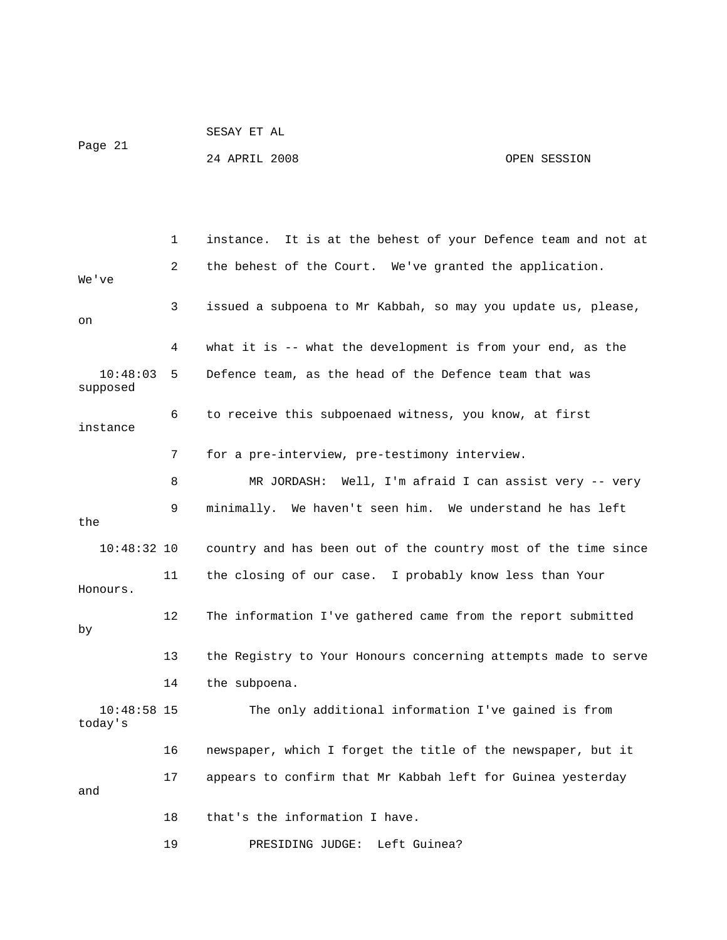| Page 21 | SESAY ET AL   |  |              |
|---------|---------------|--|--------------|
|         | 24 APRIL 2008 |  | OPEN SESSION |

 1 instance. It is at the behest of your Defence team and not at 2 the behest of the Court. We've granted the application. We've 3 issued a subpoena to Mr Kabbah, so may you update us, please, on 4 what it is -- what the development is from your end, as the 10:48:03 5 Defence team, as the head of the Defence team that was supposed 6 to receive this subpoenaed witness, you know, at first instance 7 for a pre-interview, pre-testimony interview. 8 MR JORDASH: Well, I'm afraid I can assist very -- very 9 minimally. We haven't seen him. We understand he has left the 10:48:32 10 country and has been out of the country most of the time since 11 the closing of our case. I probably know less than Your Honours. 12 The information I've gathered came from the report submitted by 13 the Registry to Your Honours concerning attempts made to serve 14 the subpoena. 10:48:58 15 The only additional information I've gained is from today's 16 newspaper, which I forget the title of the newspaper, but it 17 appears to confirm that Mr Kabbah left for Guinea yesterday and 18 that's the information I have. 19 PRESIDING JUDGE: Left Guinea?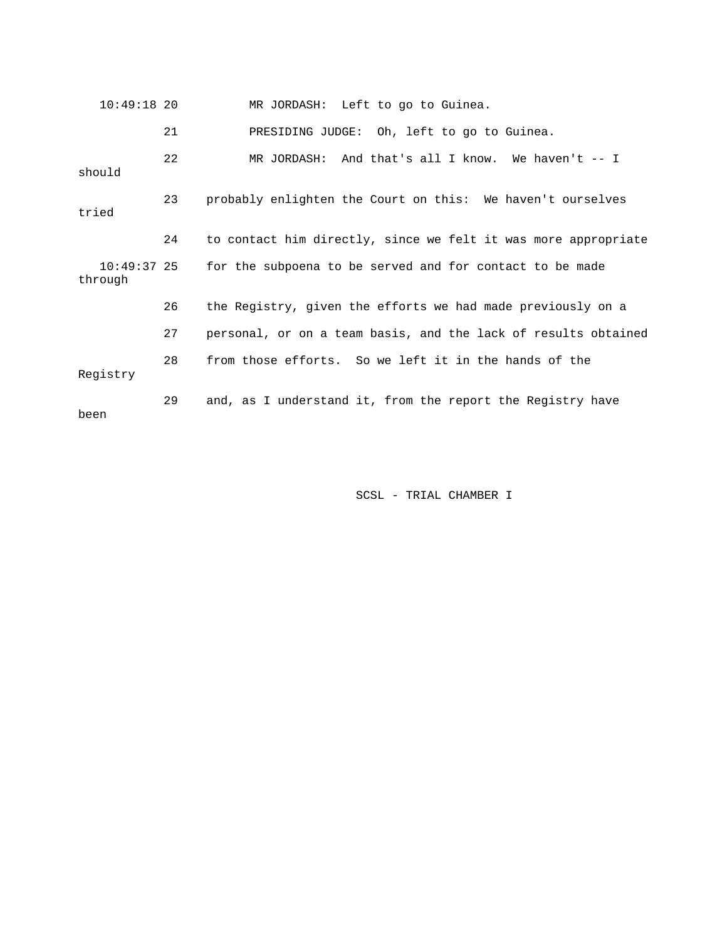| $10:49:18$ 20          |    | MR JORDASH: Left to go to Guinea.                              |
|------------------------|----|----------------------------------------------------------------|
|                        | 21 | PRESIDING JUDGE: Oh, left to go to Guinea.                     |
| should                 | 22 | MR JORDASH: And that's all I know. We haven't $-$ - I          |
| tried                  | 23 | probably enlighten the Court on this: We haven't ourselves     |
|                        | 24 | to contact him directly, since we felt it was more appropriate |
| 10:49:37 25<br>through |    | for the subpoena to be served and for contact to be made       |
|                        | 26 | the Registry, given the efforts we had made previously on a    |
|                        | 27 | personal, or on a team basis, and the lack of results obtained |
| Registry               | 28 | from those efforts. So we left it in the hands of the          |
| been                   | 29 | and, as I understand it, from the report the Registry have     |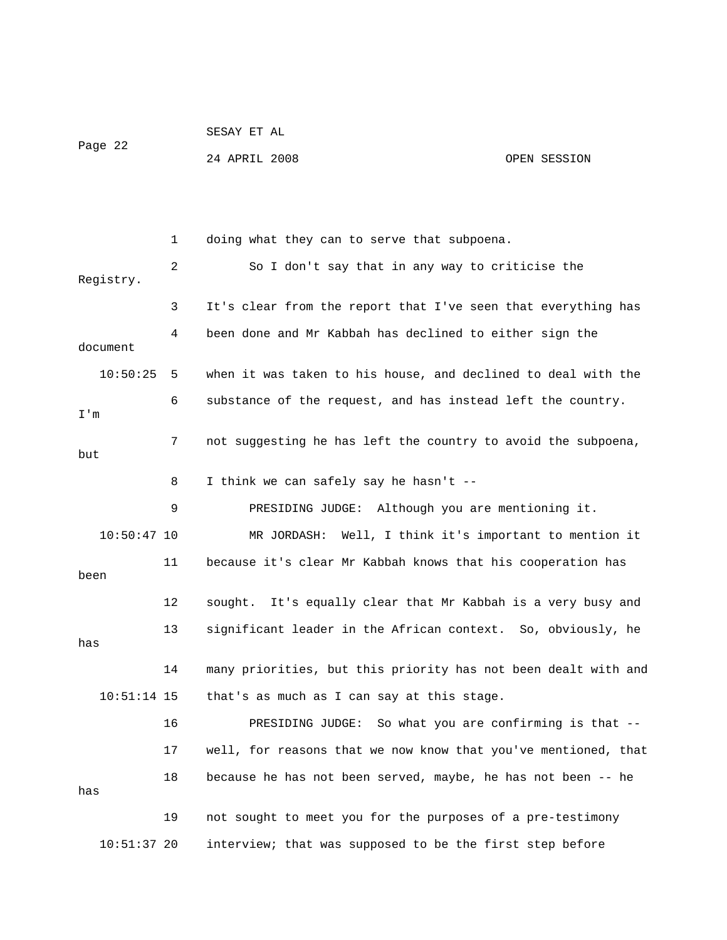| Page 22 | SESAY ET AL   |  |              |
|---------|---------------|--|--------------|
|         | 24 APRIL 2008 |  | OPEN SESSION |

 1 doing what they can to serve that subpoena. 2 So I don't say that in any way to criticise the Registry. 3 It's clear from the report that I've seen that everything has 4 been done and Mr Kabbah has declined to either sign the document 10:50:25 5 when it was taken to his house, and declined to deal with the 6 substance of the request, and has instead left the country. I'm 7 not suggesting he has left the country to avoid the subpoena, but 8 I think we can safely say he hasn't -- 9 PRESIDING JUDGE: Although you are mentioning it. 10:50:47 10 MR JORDASH: Well, I think it's important to mention it 11 because it's clear Mr Kabbah knows that his cooperation has been 12 sought. It's equally clear that Mr Kabbah is a very busy and 13 significant leader in the African context. So, obviously, he has 14 many priorities, but this priority has not been dealt with and 10:51:14 15 that's as much as I can say at this stage. 16 PRESIDING JUDGE: So what you are confirming is that -- 17 well, for reasons that we now know that you've mentioned, that 18 because he has not been served, maybe, he has not been -- he has 19 not sought to meet you for the purposes of a pre-testimony 10:51:37 20 interview; that was supposed to be the first step before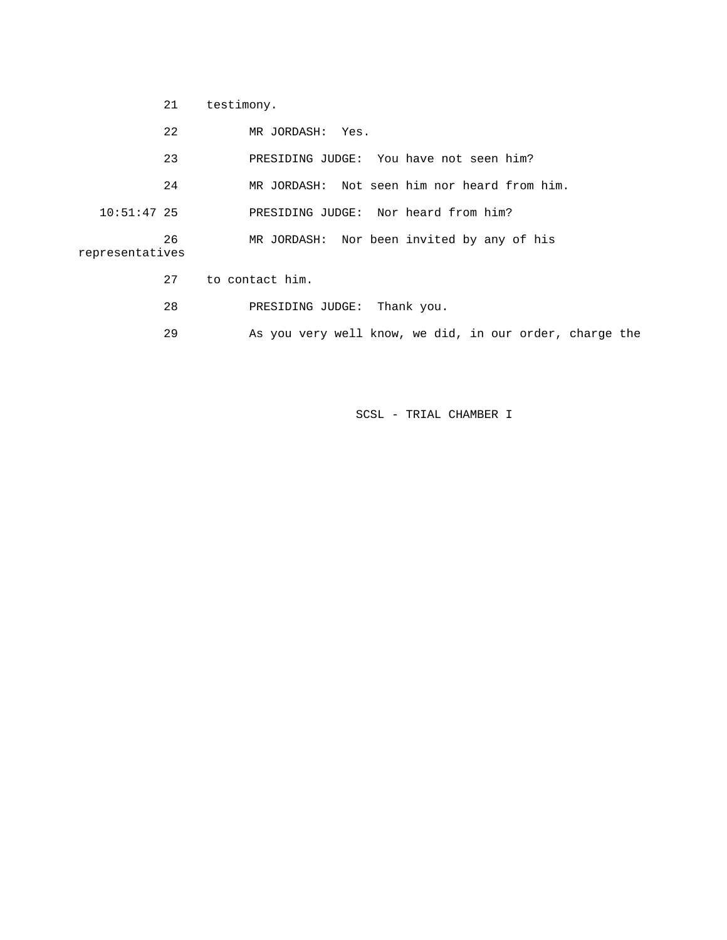| testimony. |
|------------|
|            |

|                 | 22 | MR JORDASH: Yes.                                        |
|-----------------|----|---------------------------------------------------------|
|                 | 23 | PRESIDING JUDGE: You have not seen him?                 |
|                 | 24 | MR JORDASH: Not seen him nor heard from him.            |
| $10:51:47$ 25   |    | PRESIDING JUDGE: Nor heard from him?                    |
| representatives | 26 | MR JORDASH: Nor been invited by any of his              |
|                 | 27 | to contact him.                                         |
|                 | 28 | PRESIDING JUDGE:<br>Thank you.                          |
|                 | 29 | As you very well know, we did, in our order, charge the |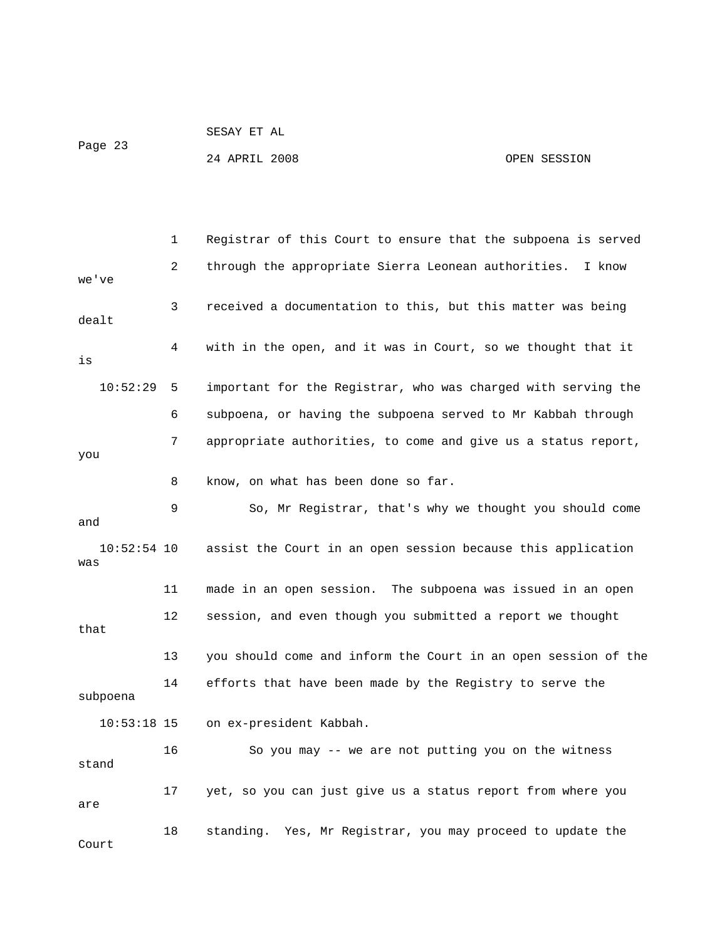```
 SESAY ET AL 
Page 23
```
24 APRIL 2008 OPEN SESSION

 1 Registrar of this Court to ensure that the subpoena is served 2 through the appropriate Sierra Leonean authorities. I know we've 3 received a documentation to this, but this matter was being dealt 4 with in the open, and it was in Court, so we thought that it is 10:52:29 5 important for the Registrar, who was charged with serving the 6 subpoena, or having the subpoena served to Mr Kabbah through 7 appropriate authorities, to come and give us a status report, you 8 know, on what has been done so far. 9 So, Mr Registrar, that's why we thought you should come and 10:52:54 10 assist the Court in an open session because this application was 11 made in an open session. The subpoena was issued in an open 12 session, and even though you submitted a report we thought that 13 you should come and inform the Court in an open session of the 14 efforts that have been made by the Registry to serve the subpoena 10:53:18 15 on ex-president Kabbah. 16 So you may -- we are not putting you on the witness stand 17 yet, so you can just give us a status report from where you are 18 standing. Yes, Mr Registrar, you may proceed to update the Court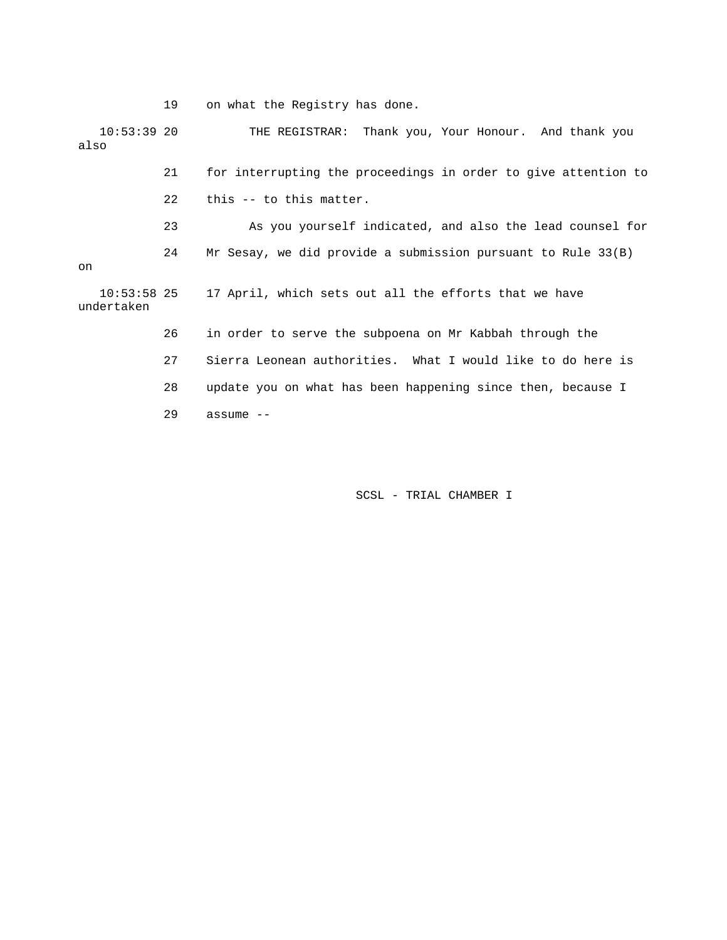19 on what the Registry has done.

 10:53:39 20 THE REGISTRAR: Thank you, Your Honour. And thank you also

> 21 for interrupting the proceedings in order to give attention to 22 this -- to this matter.

 23 As you yourself indicated, and also the lead counsel for 24 Mr Sesay, we did provide a submission pursuant to Rule 33(B) on

 10:53:58 25 17 April, which sets out all the efforts that we have undertaken

26 in order to serve the subpoena on Mr Kabbah through the

27 Sierra Leonean authorities. What I would like to do here is

28 update you on what has been happening since then, because I

29 assume --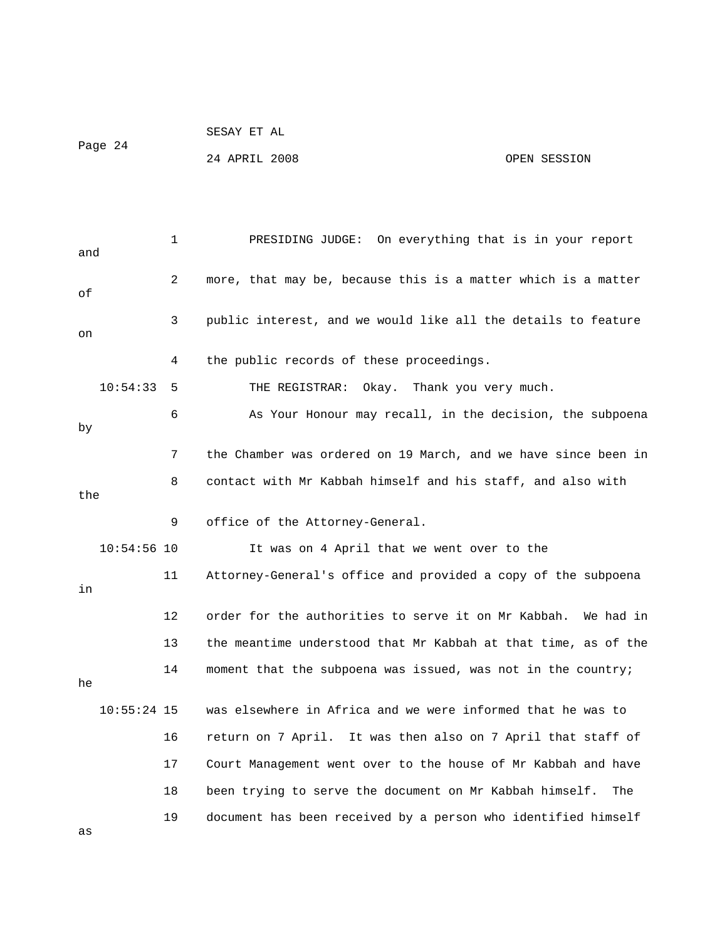| Page 24 | SESAY ET AL   |  |              |
|---------|---------------|--|--------------|
|         | 24 APRIL 2008 |  | OPEN SESSION |

| and |               | 1              | On everything that is in your report<br>PRESIDING JUDGE:         |
|-----|---------------|----------------|------------------------------------------------------------------|
| оf  |               | $\overline{2}$ | more, that may be, because this is a matter which is a matter    |
| on  |               | 3              | public interest, and we would like all the details to feature    |
|     |               | 4              | the public records of these proceedings.                         |
|     | 10:54:33      | 5              | Thank you very much.<br>THE REGISTRAR:<br>Okay.                  |
| by  |               | 6              | As Your Honour may recall, in the decision, the subpoena         |
|     |               | 7              | the Chamber was ordered on 19 March, and we have since been in   |
| the |               | 8              | contact with Mr Kabbah himself and his staff, and also with      |
|     |               | 9              | office of the Attorney-General.                                  |
|     | $10:54:56$ 10 |                | It was on 4 April that we went over to the                       |
| in  |               | 11             | Attorney-General's office and provided a copy of the subpoena    |
|     |               | 12             | order for the authorities to serve it on Mr Kabbah.<br>We had in |
|     |               | 13             | the meantime understood that Mr Kabbah at that time, as of the   |
| he  |               | 14             | moment that the subpoena was issued, was not in the country;     |
|     | $10:55:24$ 15 |                | was elsewhere in Africa and we were informed that he was to      |
|     |               | 16             | return on 7 April. It was then also on 7 April that staff of     |
|     |               | 17             | Court Management went over to the house of Mr Kabbah and have    |
|     |               | 18             | been trying to serve the document on Mr Kabbah himself.<br>The   |
| as  |               | 19             | document has been received by a person who identified himself    |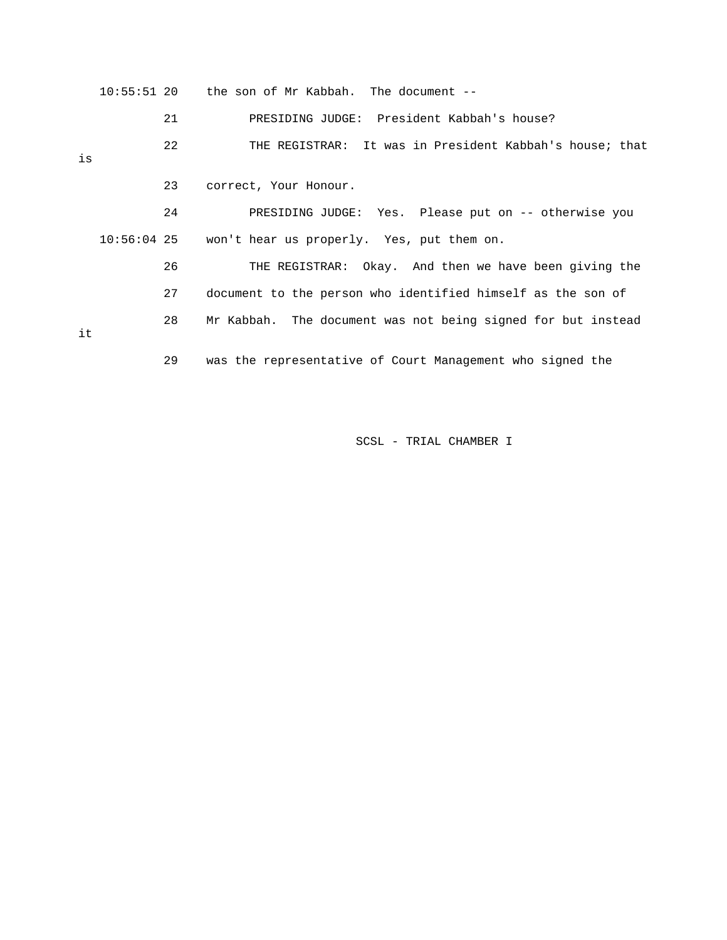|    |    | $10:55:51$ 20 the son of Mr Kabbah. The document $-$         |
|----|----|--------------------------------------------------------------|
|    | 21 | PRESIDING JUDGE: President Kabbah's house?                   |
| is | 22 | THE REGISTRAR: It was in President Kabbah's house; that      |
|    | 23 | correct, Your Honour.                                        |
|    | 24 | PRESIDING JUDGE: Yes. Please put on -- otherwise you         |
|    |    | $10:56:04$ 25 won't hear us properly. Yes, put them on.      |
|    | 26 | THE REGISTRAR: Okay. And then we have been giving the        |
|    | 27 | document to the person who identified himself as the son of  |
| it | 28 | Mr Kabbah. The document was not being signed for but instead |
|    | 29 | was the representative of Court Management who signed the    |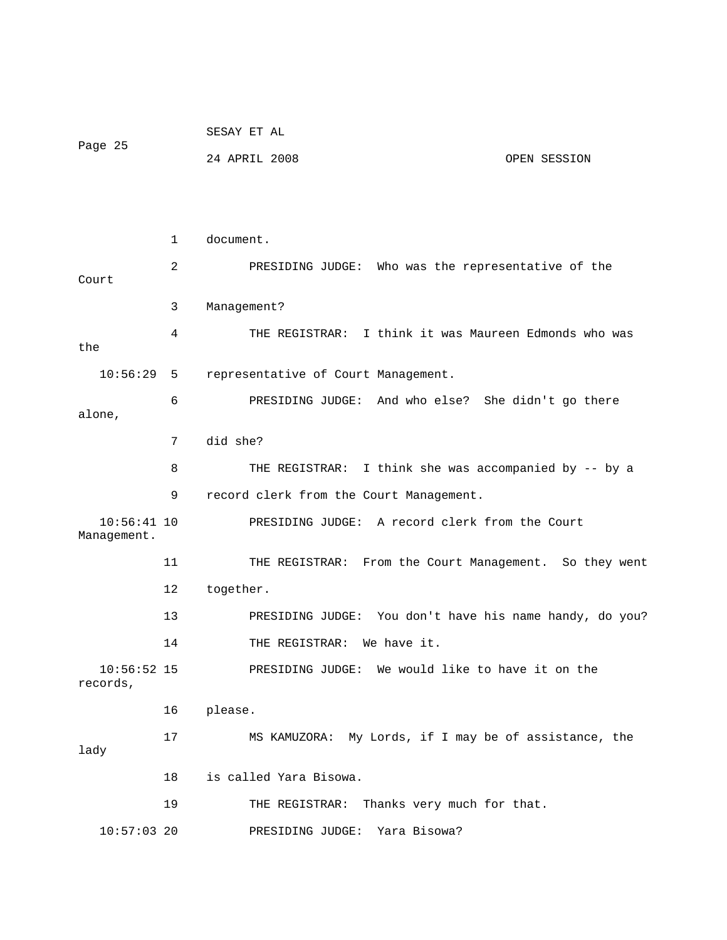|                              |              | SESAY ET AL                                             |  |  |  |
|------------------------------|--------------|---------------------------------------------------------|--|--|--|
| Page 25                      |              | 24 APRIL 2008<br>OPEN SESSION                           |  |  |  |
|                              |              |                                                         |  |  |  |
|                              |              |                                                         |  |  |  |
|                              | $\mathbf{1}$ | document.                                               |  |  |  |
| Court                        | 2            | PRESIDING JUDGE: Who was the representative of the      |  |  |  |
|                              | 3            | Management?                                             |  |  |  |
| the                          | 4            | THE REGISTRAR: I think it was Maureen Edmonds who was   |  |  |  |
| $10:56:29$ 5                 |              | representative of Court Management.                     |  |  |  |
| alone,                       | 6            | PRESIDING JUDGE: And who else? She didn't go there      |  |  |  |
|                              | 7            | did she?                                                |  |  |  |
|                              | 8            | THE REGISTRAR: I think she was accompanied by -- by a   |  |  |  |
|                              | 9            | record clerk from the Court Management.                 |  |  |  |
| $10:56:41$ 10<br>Management. |              | PRESIDING JUDGE: A record clerk from the Court          |  |  |  |
|                              | 11           | THE REGISTRAR: From the Court Management. So they went  |  |  |  |
|                              | 12           | together.                                               |  |  |  |
|                              | 13           | PRESIDING JUDGE: You don't have his name handy, do you? |  |  |  |
|                              | 14           | THE REGISTRAR: We have it.                              |  |  |  |
| $10:56:52$ 15<br>records,    |              | PRESIDING JUDGE: We would like to have it on the        |  |  |  |
|                              | 16           | please.                                                 |  |  |  |
| lady                         | 17           | MS KAMUZORA: My Lords, if I may be of assistance, the   |  |  |  |
| is called Yara Bisowa.<br>18 |              |                                                         |  |  |  |
|                              | 19           | THE REGISTRAR: Thanks very much for that.               |  |  |  |
| $10:57:03$ 20                |              | Yara Bisowa?<br>PRESIDING JUDGE:                        |  |  |  |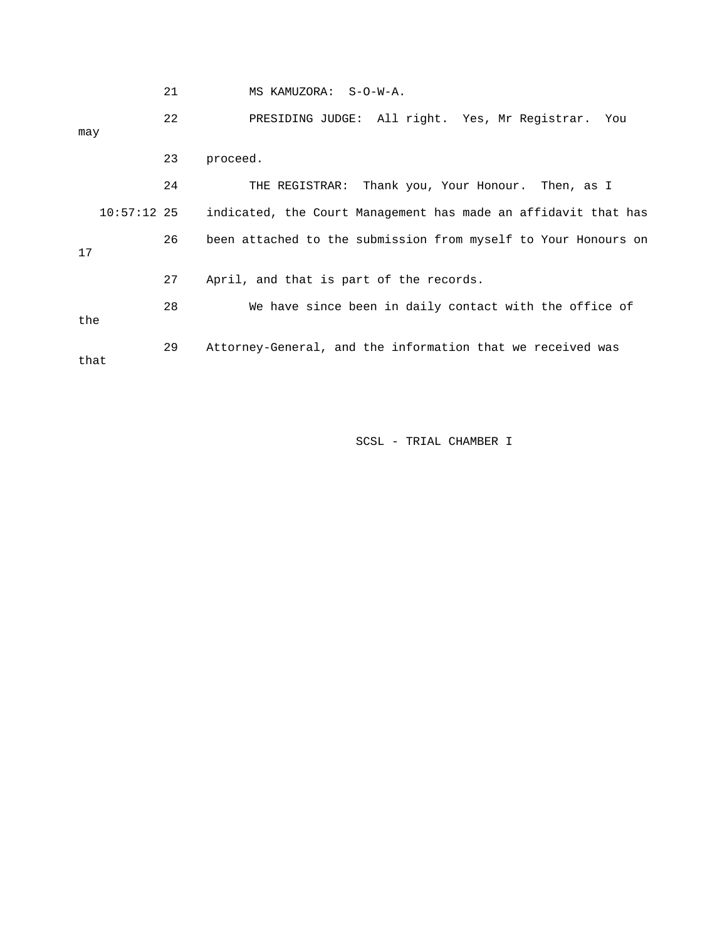|               | 21 | MS KAMUZORA: S-O-W-A.                                          |  |  |  |
|---------------|----|----------------------------------------------------------------|--|--|--|
| may           | 22 | PRESIDING JUDGE: All right. Yes, Mr Registrar. You             |  |  |  |
|               | 23 | proceed.                                                       |  |  |  |
|               | 24 | THE REGISTRAR: Thank you, Your Honour. Then, as I              |  |  |  |
| $10:57:12$ 25 |    | indicated, the Court Management has made an affidavit that has |  |  |  |
| 17            | 26 | been attached to the submission from myself to Your Honours on |  |  |  |
|               | 27 | April, and that is part of the records.                        |  |  |  |
| the           | 28 | We have since been in daily contact with the office of         |  |  |  |
| that          | 29 | Attorney-General, and the information that we received was     |  |  |  |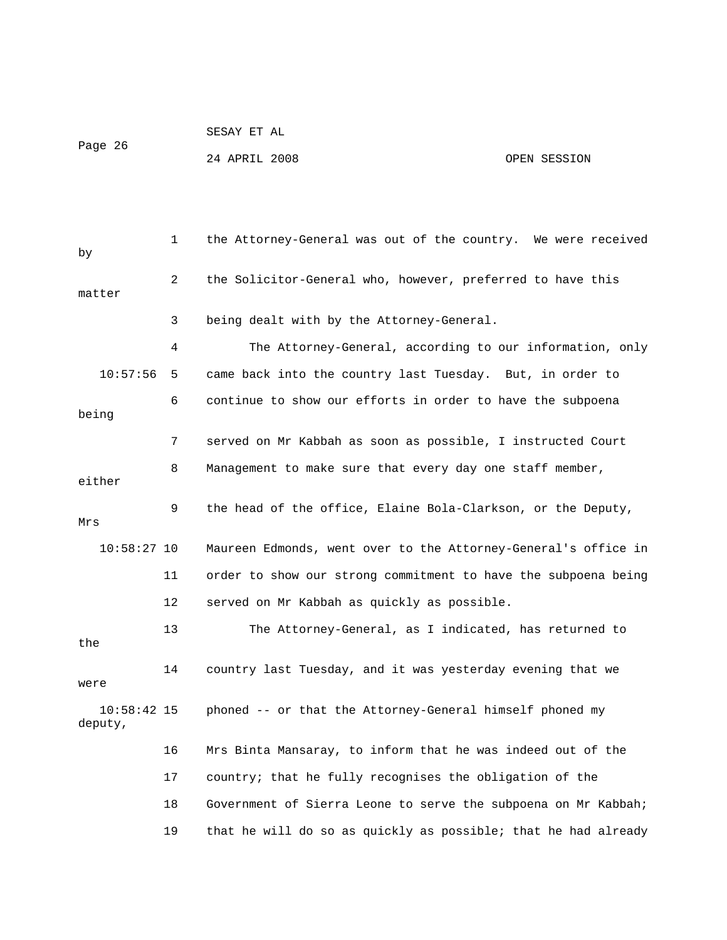```
 SESAY ET AL
```
Page 26

24 APRIL 2008 OPEN SESSION

| by                       | 1       | the Attorney-General was out of the country. We were received  |
|--------------------------|---------|----------------------------------------------------------------|
| matter                   | 2       | the Solicitor-General who, however, preferred to have this     |
|                          | 3       | being dealt with by the Attorney-General.                      |
|                          | 4       | The Attorney-General, according to our information, only       |
| 10:57:56                 | 5       | came back into the country last Tuesday. But, in order to      |
| being                    | 6       | continue to show our efforts in order to have the subpoena     |
|                          | 7       | served on Mr Kabbah as soon as possible, I instructed Court    |
| either                   | 8       | Management to make sure that every day one staff member,       |
| Mrs                      | 9       | the head of the office, Elaine Bola-Clarkson, or the Deputy,   |
| $10:58:27$ 10            |         |                                                                |
|                          |         | Maureen Edmonds, went over to the Attorney-General's office in |
|                          | 11      | order to show our strong commitment to have the subpoena being |
|                          | $12 \,$ | served on Mr Kabbah as quickly as possible.                    |
| the                      | 13      | The Attorney-General, as I indicated, has returned to          |
| were                     | 14      | country last Tuesday, and it was yesterday evening that we     |
| $10:58:42$ 15<br>deputy, |         | phoned -- or that the Attorney-General himself phoned my       |
|                          | 16      | Mrs Binta Mansaray, to inform that he was indeed out of the    |
|                          | 17      | country; that he fully recognises the obligation of the        |
|                          | 18      | Government of Sierra Leone to serve the subpoena on Mr Kabbah; |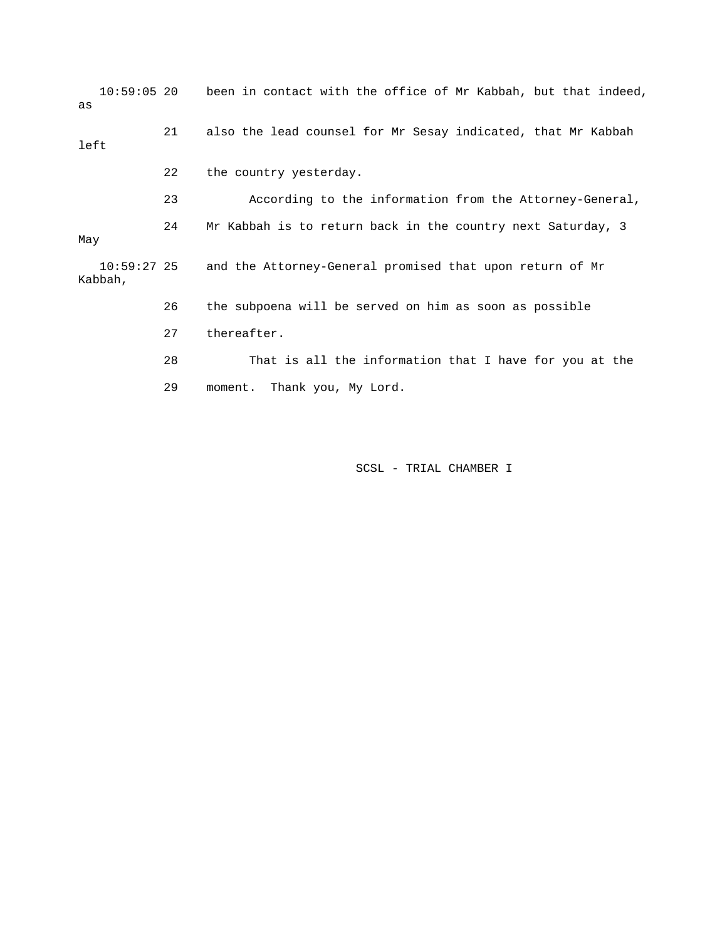10:59:05 20 been in contact with the office of Mr Kabbah, but that indeed, as 21 also the lead counsel for Mr Sesay indicated, that Mr Kabbah left 22 the country yesterday. 23 According to the information from the Attorney-General, 24 Mr Kabbah is to return back in the country next Saturday, 3 May 10:59:27 25 and the Attorney-General promised that upon return of Mr Kabbah, 26 the subpoena will be served on him as soon as possible 27 thereafter. 28 That is all the information that I have for you at the 29 moment. Thank you, My Lord.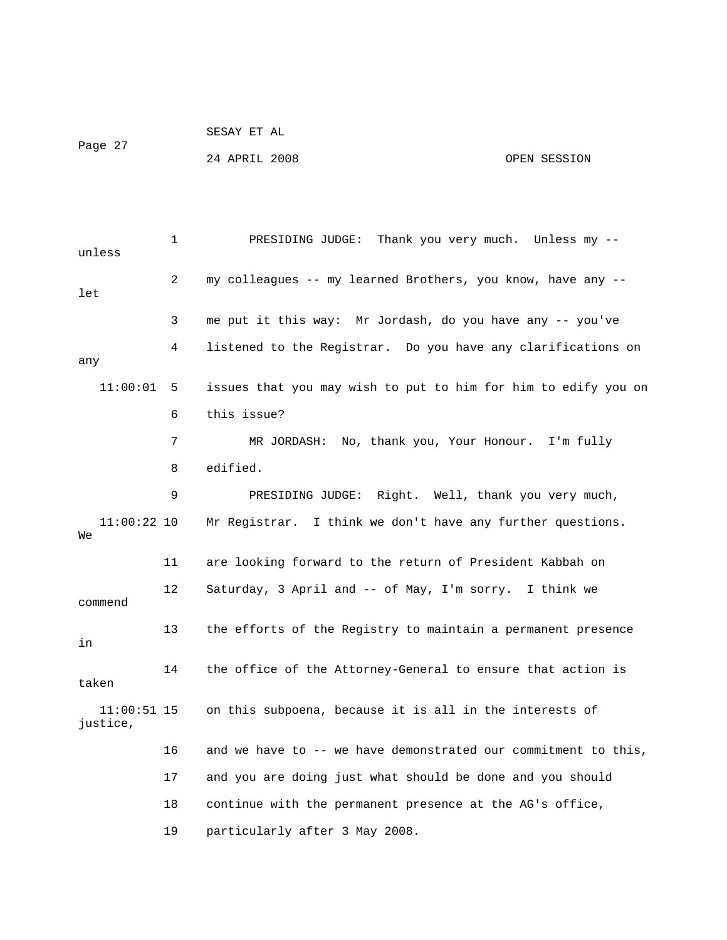SESAY ET AL Page 27 24 APRIL 2008 OPEN SESSION

 1 PRESIDING JUDGE: Thank you very much. Unless my - unless 2 my colleagues -- my learned Brothers, you know, have any - let 3 me put it this way: Mr Jordash, do you have any -- you've 4 listened to the Registrar. Do you have any clarifications on any 11:00:01 5 issues that you may wish to put to him for him to edify you on 6 this issue? 7 MR JORDASH: No, thank you, Your Honour. I'm fully 8 edified. 9 PRESIDING JUDGE: Right. Well, thank you very much, 11:00:22 10 Mr Registrar. I think we don't have any further questions. We 11 are looking forward to the return of President Kabbah on 12 Saturday, 3 April and -- of May, I'm sorry. I think we commend 13 the efforts of the Registry to maintain a permanent presence in 14 the office of the Attorney-General to ensure that action is taken 11:00:51 15 on this subpoena, because it is all in the interests of justice, 16 and we have to -- we have demonstrated our commitment to this, 17 and you are doing just what should be done and you should 18 continue with the permanent presence at the AG's office, 19 particularly after 3 May 2008.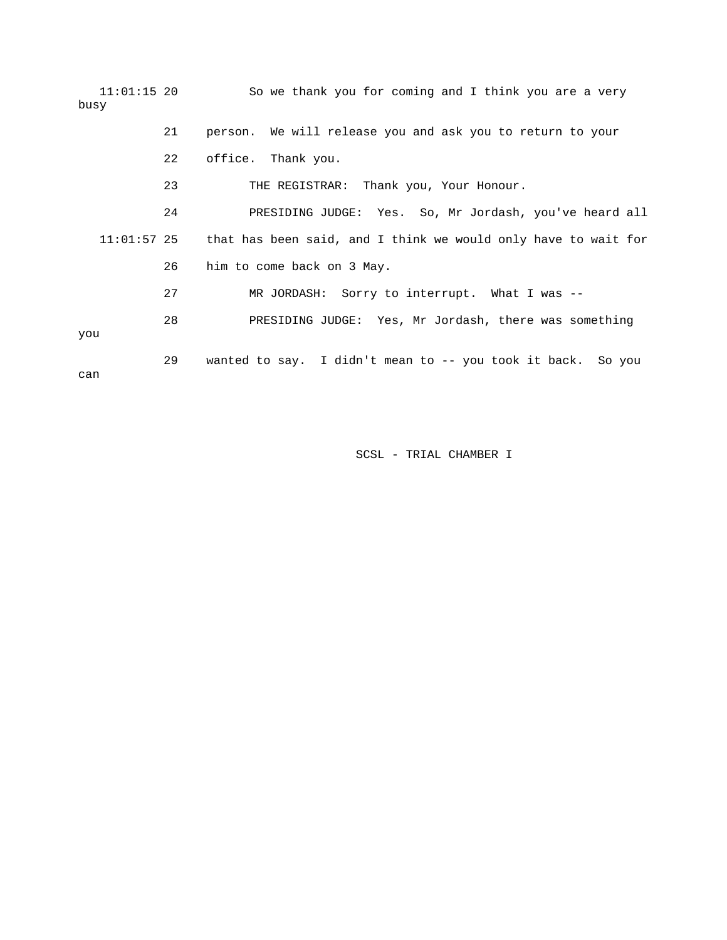| $11:01:15$ 20<br>busy |    | So we thank you for coming and I think you are a very          |
|-----------------------|----|----------------------------------------------------------------|
|                       | 21 | person. We will release you and ask you to return to your      |
|                       | 22 | office. Thank you.                                             |
|                       | 23 | THE REGISTRAR: Thank you, Your Honour.                         |
|                       | 24 | PRESIDING JUDGE: Yes. So, Mr Jordash, you've heard all         |
| $11:01:57$ 25         |    | that has been said, and I think we would only have to wait for |
|                       | 26 | him to come back on 3 May.                                     |
|                       | 27 | MR JORDASH: Sorry to interrupt. What I was --                  |
| vou                   | 28 | PRESIDING JUDGE: Yes, Mr Jordash, there was something          |
| can                   | 29 | wanted to say. I didn't mean to -- you took it back. So you    |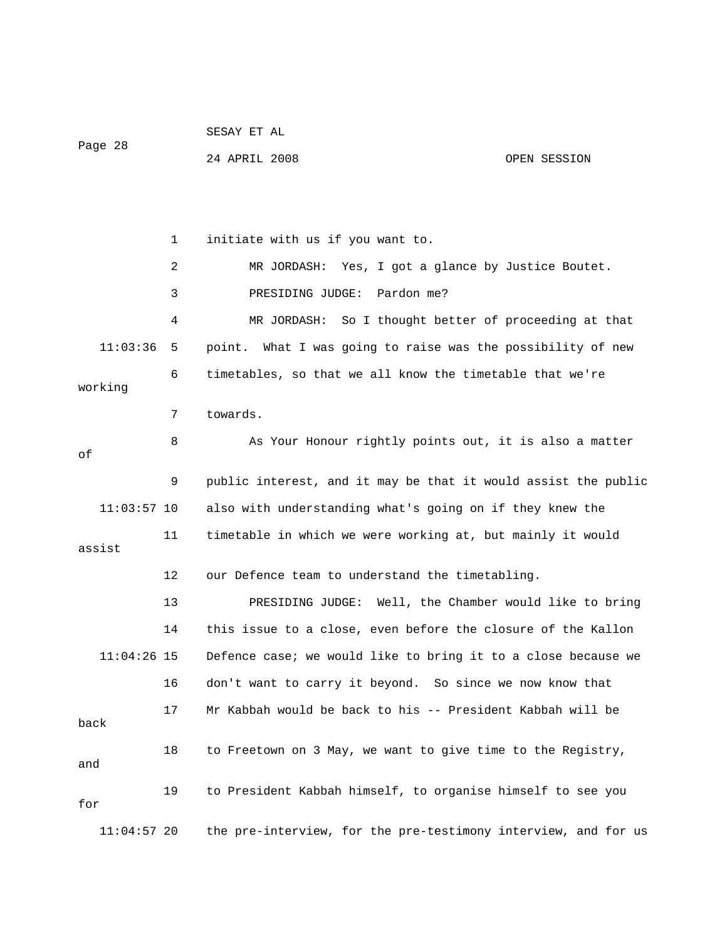| Page 28       |    | SESAY ET AL                                                    |              |  |  |
|---------------|----|----------------------------------------------------------------|--------------|--|--|
|               |    | 24 APRIL 2008                                                  | OPEN SESSION |  |  |
|               |    |                                                                |              |  |  |
|               |    |                                                                |              |  |  |
|               | 1  | initiate with us if you want to.                               |              |  |  |
|               | 2  | MR JORDASH: Yes, I got a glance by Justice Boutet.             |              |  |  |
|               | 3  | PRESIDING JUDGE:<br>Pardon me?                                 |              |  |  |
|               | 4  | So I thought better of proceeding at that<br>MR JORDASH:       |              |  |  |
| 11:03:36      | 5. | point. What I was going to raise was the possibility of new    |              |  |  |
| working       | 6  | timetables, so that we all know the timetable that we're       |              |  |  |
|               | 7  | towards.                                                       |              |  |  |
|               |    |                                                                |              |  |  |
| оf            | 8  | As Your Honour rightly points out, it is also a matter         |              |  |  |
|               | 9  | public interest, and it may be that it would assist the public |              |  |  |
| $11:03:57$ 10 |    | also with understanding what's going on if they knew the       |              |  |  |
| assist        | 11 | timetable in which we were working at, but mainly it would     |              |  |  |
|               | 12 | our Defence team to understand the timetabling.                |              |  |  |
|               |    |                                                                |              |  |  |
|               | 13 | PRESIDING JUDGE: Well, the Chamber would like to bring         |              |  |  |
|               | 14 | this issue to a close, even before the closure of the Kallon   |              |  |  |
| $11:04:26$ 15 |    | Defence case; we would like to bring it to a close because we  |              |  |  |
|               | 16 | don't want to carry it beyond. So since we now know that       |              |  |  |
| back          | 17 | Mr Kabbah would be back to his -- President Kabbah will be     |              |  |  |
| and           | 18 | to Freetown on 3 May, we want to give time to the Registry,    |              |  |  |
| for           | 19 | to President Kabbah himself, to organise himself to see you    |              |  |  |
| $11:04:57$ 20 |    | the pre-interview, for the pre-testimony interview, and for us |              |  |  |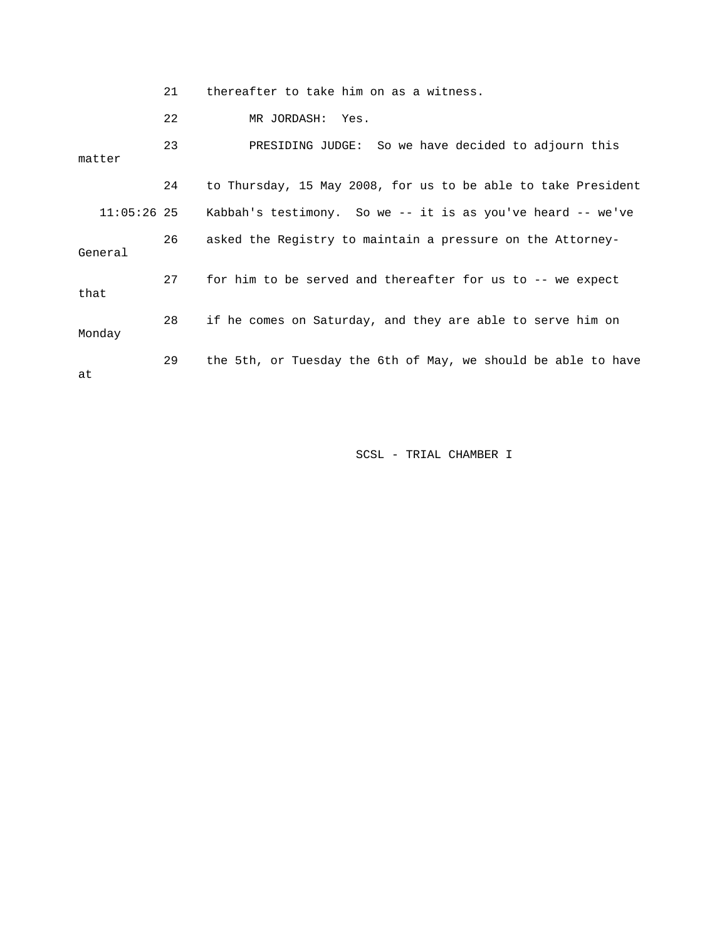21 thereafter to take him on as a witness.

22 MR JORDASH: Yes.

 23 PRESIDING JUDGE: So we have decided to adjourn this matter 24 to Thursday, 15 May 2008, for us to be able to take President 11:05:26 25 Kabbah's testimony. So we -- it is as you've heard -- we've 26 asked the Registry to maintain a pressure on the Attorney-General 27 for him to be served and thereafter for us to -- we expect that 28 if he comes on Saturday, and they are able to serve him on Monday 29 the 5th, or Tuesday the 6th of May, we should be able to have at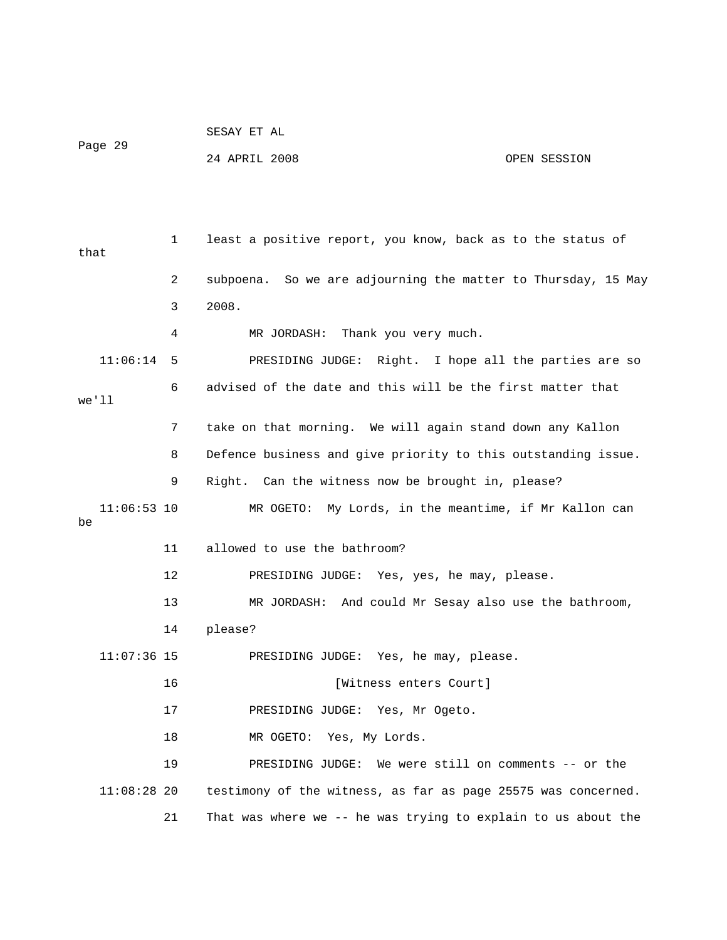| Page 29             |              | 24 APRIL 2008                                                 | OPEN SESSION |
|---------------------|--------------|---------------------------------------------------------------|--------------|
|                     |              |                                                               |              |
|                     |              |                                                               |              |
| that                | $\mathbf{1}$ | least a positive report, you know, back as to the status of   |              |
|                     | 2            | subpoena. So we are adjourning the matter to Thursday, 15 May |              |
|                     | 3            | 2008.                                                         |              |
|                     | 4            | Thank you very much.<br>MR JORDASH:                           |              |
| 11:06:14            | 5            | PRESIDING JUDGE: Right. I hope all the parties are so         |              |
|                     | 6            | advised of the date and this will be the first matter that    |              |
| we'll               |              |                                                               |              |
|                     | 7            | take on that morning. We will again stand down any Kallon     |              |
|                     | 8            | Defence business and give priority to this outstanding issue. |              |
|                     | 9            | Right. Can the witness now be brought in, please?             |              |
| $11:06:53$ 10<br>be |              | MR OGETO: My Lords, in the meantime, if Mr Kallon can         |              |
|                     | 11           | allowed to use the bathroom?                                  |              |
|                     | 12           | PRESIDING JUDGE: Yes, yes, he may, please.                    |              |
|                     | 13           | MR JORDASH: And could Mr Sesay also use the bathroom,         |              |
|                     | 14           | please?                                                       |              |
| $11:07:36$ 15       |              | PRESIDING JUDGE: Yes, he may, please.                         |              |
|                     | 16           | [Witness enters Court]                                        |              |
|                     | 17           | PRESIDING JUDGE: Yes, Mr Ogeto.                               |              |
|                     | 18           | Yes, My Lords.<br>MR OGETO:                                   |              |
|                     | 19           | We were still on comments -- or the<br>PRESIDING JUDGE:       |              |
| $11:08:28$ 20       |              | testimony of the witness, as far as page 25575 was concerned. |              |
|                     | 21           | That was where we -- he was trying to explain to us about the |              |

SESAY ET AL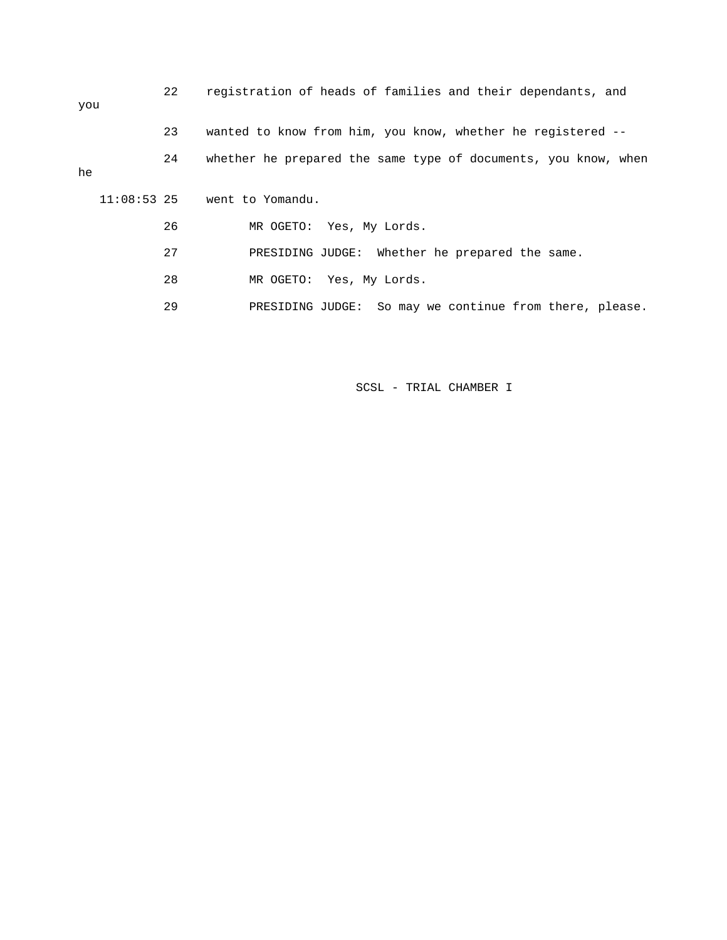| you           | 22 | registration of heads of families and their dependants, and    |
|---------------|----|----------------------------------------------------------------|
|               | 23 | wanted to know from him, you know, whether he registered --    |
| he            | 24 | whether he prepared the same type of documents, you know, when |
| $11:08:53$ 25 |    | went to Yomandu.                                               |
|               | 26 | MR OGETO: Yes, My Lords.                                       |
|               | 27 | PRESIDING JUDGE: Whether he prepared the same.                 |
|               | 28 | MR OGETO: Yes, My Lords.                                       |
|               | 29 | PRESIDING JUDGE: So may we continue from there, please.        |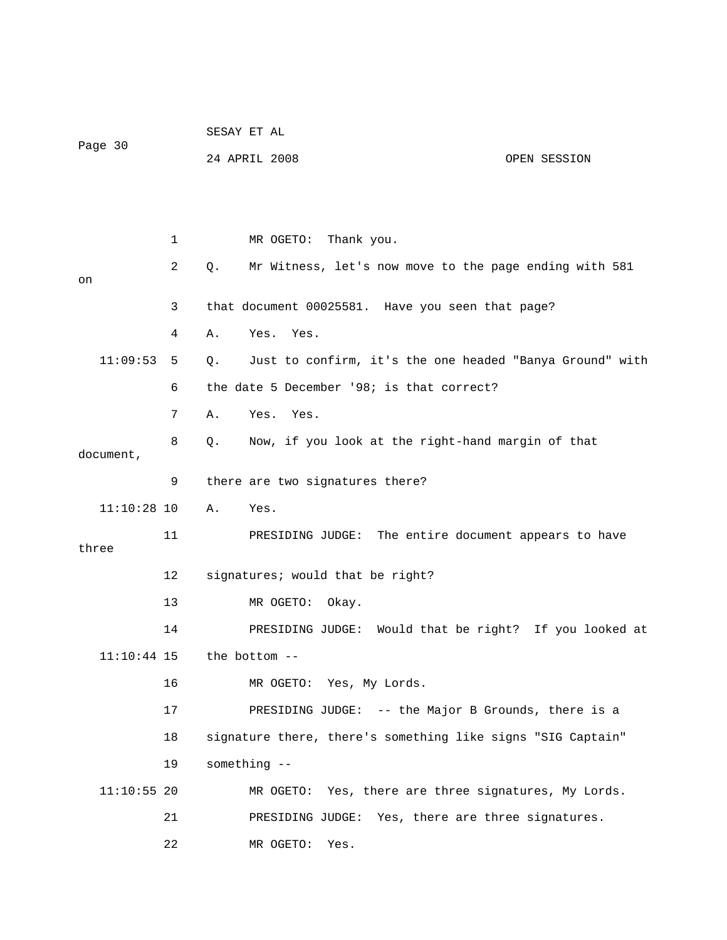|               |    | SESAY ET AL                                                    |
|---------------|----|----------------------------------------------------------------|
| Page 30       |    | 24 APRIL 2008<br>OPEN SESSION                                  |
|               |    |                                                                |
|               |    |                                                                |
|               | 1  | MR OGETO:<br>Thank you.                                        |
| on            | 2  | Mr Witness, let's now move to the page ending with 581<br>Q.   |
|               | 3  | that document 00025581. Have you seen that page?               |
|               | 4  | Yes. Yes.<br>Α.                                                |
| 11:09:53      | 5  | Just to confirm, it's the one headed "Banya Ground" with<br>Q. |
|               | 6  | the date 5 December '98; is that correct?                      |
|               | 7  | Α.<br>Yes. Yes.                                                |
| document,     | 8  | Now, if you look at the right-hand margin of that<br>Q.        |
|               | 9  | there are two signatures there?                                |
| $11:10:28$ 10 |    | Α.<br>Yes.                                                     |
| three         | 11 | PRESIDING JUDGE: The entire document appears to have           |
|               | 12 | signatures; would that be right?                               |
|               | 13 | MR OGETO:<br>Okay.                                             |
|               | 14 | PRESIDING JUDGE: Would that be right? If you looked at         |
| $11:10:44$ 15 |    | the bottom --                                                  |
|               | 16 | MR OGETO: Yes, My Lords.                                       |
|               | 17 | PRESIDING JUDGE: -- the Major B Grounds, there is a            |
|               | 18 | signature there, there's something like signs "SIG Captain"    |
|               | 19 | something --                                                   |
| $11:10:55$ 20 |    | MR OGETO: Yes, there are three signatures, My Lords.           |
|               | 21 | PRESIDING JUDGE: Yes, there are three signatures.              |
|               | 22 | MR OGETO:<br>Yes.                                              |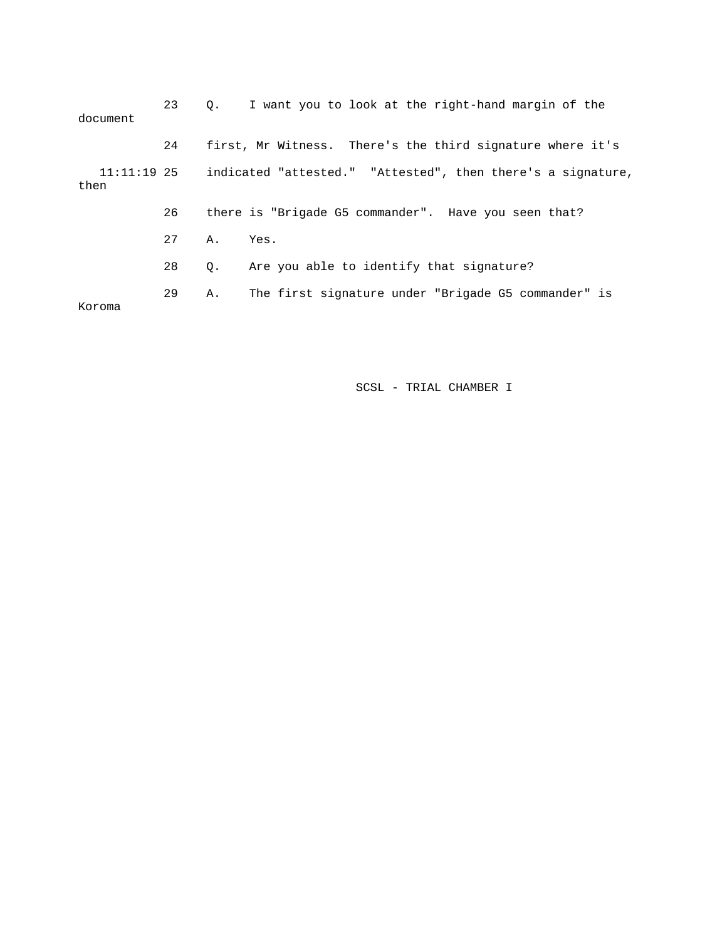| document              | 23 |           | 0. I want you to look at the right-hand margin of the       |
|-----------------------|----|-----------|-------------------------------------------------------------|
|                       | 24 |           | first, Mr Witness. There's the third signature where it's   |
| $11:11:19$ 25<br>then |    |           | indicated "attested." "Attested", then there's a signature, |
|                       | 26 |           | there is "Brigade G5 commander". Have you seen that?        |
|                       | 27 | A.,       | Yes.                                                        |
|                       | 28 | $\circ$ . | Are you able to identify that signature?                    |
| Koroma                | 29 | Α.        | The first signature under "Brigade G5 commander" is         |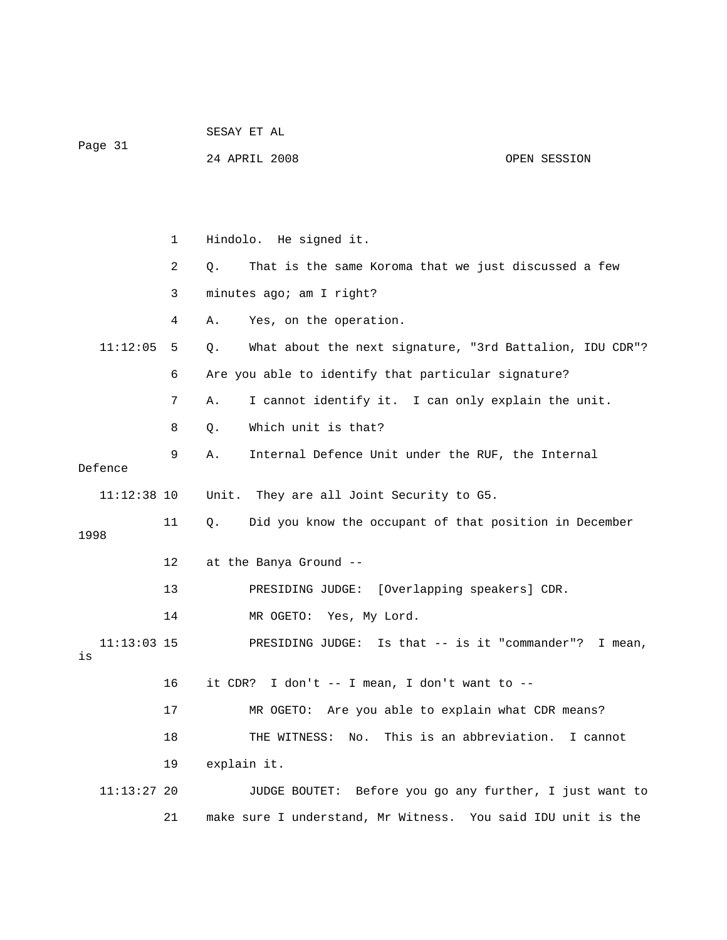| Page 31       |    | SESAY ET AL                                                    |              |
|---------------|----|----------------------------------------------------------------|--------------|
|               |    | 24 APRIL 2008                                                  | OPEN SESSION |
|               |    |                                                                |              |
|               |    |                                                                |              |
|               | 1  | Hindolo. He signed it.                                         |              |
|               | 2  | That is the same Koroma that we just discussed a few<br>Q.     |              |
|               | 3  | minutes ago; am I right?                                       |              |
|               | 4  | Yes, on the operation.<br>Α.                                   |              |
| 11:12:05      | 5  | What about the next signature, "3rd Battalion, IDU CDR"?<br>Q. |              |
|               | 6  | Are you able to identify that particular signature?            |              |
|               | 7  | I cannot identify it. I can only explain the unit.<br>Α.       |              |
|               | 8  | Which unit is that?<br>$Q$ .                                   |              |
|               | 9  | Internal Defence Unit under the RUF, the Internal<br>Α.        |              |
| Defence       |    |                                                                |              |
| $11:12:38$ 10 |    | Unit. They are all Joint Security to G5.                       |              |
| 1998          | 11 | Did you know the occupant of that position in December<br>Q.   |              |
|               | 12 | at the Banya Ground --                                         |              |
|               | 13 | PRESIDING JUDGE: [Overlapping speakers] CDR.                   |              |
|               | 14 | MR OGETO: Yes, My Lord.                                        |              |
| $11:13:03$ 15 |    | PRESIDING JUDGE: Is that $--$ is it "commander"?               | I mean,      |
| is            |    |                                                                |              |
|               | 16 | it CDR? I don't $--$ I mean, I don't want to $--$              |              |
|               | 17 | MR OGETO: Are you able to explain what CDR means?              |              |
|               | 18 | This is an abbreviation.<br>THE WITNESS:<br>No.                | I cannot     |
|               | 19 | explain it.                                                    |              |
| $11:13:27$ 20 |    | JUDGE BOUTET: Before you go any further, I just want to        |              |
|               | 21 | make sure I understand, Mr Witness. You said IDU unit is the   |              |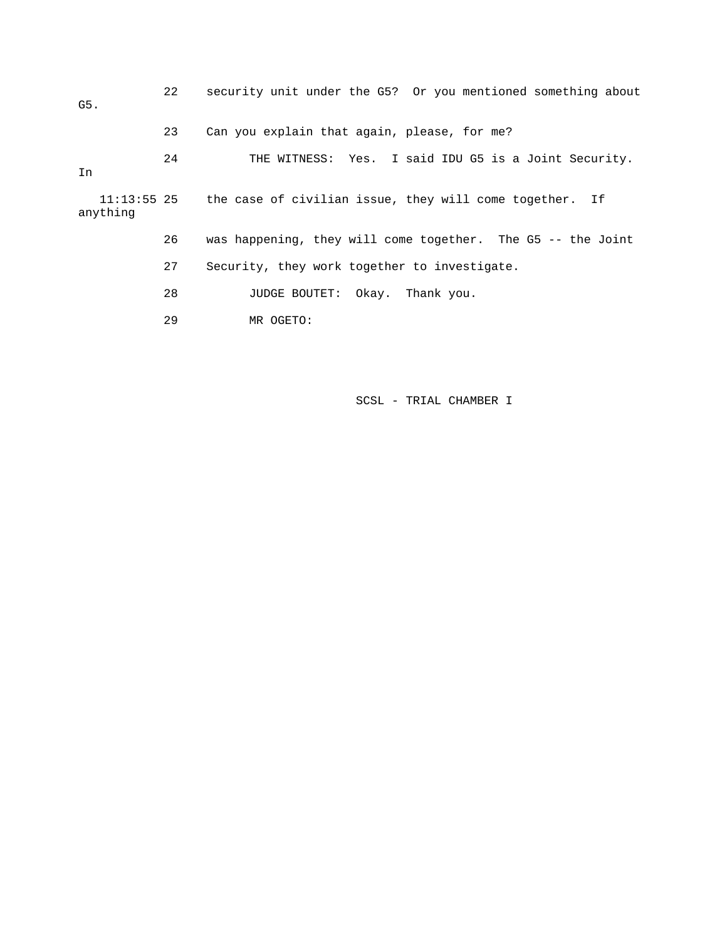22 security unit under the G5? Or you mentioned something about G5. 23 Can you explain that again, please, for me? 24 THE WITNESS: Yes. I said IDU G5 is a Joint Security. In 11:13:55 25 the case of civilian issue, they will come together. If anything 26 was happening, they will come together. The G5 -- the Joint 27 Security, they work together to investigate. 28 JUDGE BOUTET: Okay. Thank you. 29 MR OGETO: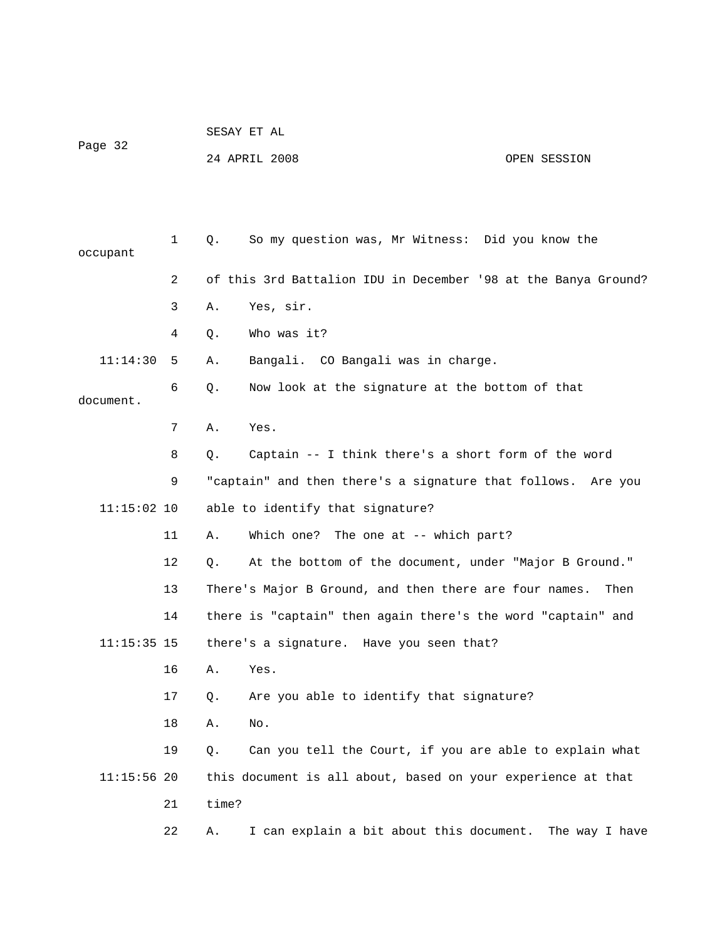|               |              |             | 24 APRIL 2008                                                  | OPEN SESSION |
|---------------|--------------|-------------|----------------------------------------------------------------|--------------|
|               |              |             |                                                                |              |
| occupant      | $\mathbf{1}$ | $Q_{\star}$ | So my question was, Mr Witness: Did you know the               |              |
|               | 2            |             | of this 3rd Battalion IDU in December '98 at the Banya Ground? |              |
|               | 3            | Α.          | Yes, sir.                                                      |              |
|               | 4            | Q.          | Who was it?                                                    |              |
| 11:14:30      | 5            | Α.          | Bangali. CO Bangali was in charge.                             |              |
| document.     | 6            | Q.          | Now look at the signature at the bottom of that                |              |
|               | 7            | Α.          | Yes.                                                           |              |
|               | 8            | Q.          | Captain -- I think there's a short form of the word            |              |
|               | 9            |             | "captain" and then there's a signature that follows. Are you   |              |
| $11:15:02$ 10 |              |             | able to identify that signature?                               |              |
|               | 11           | Α.          | Which one? The one at -- which part?                           |              |
|               | 12           | Q.          | At the bottom of the document, under "Major B Ground."         |              |
|               | 13           |             | There's Major B Ground, and then there are four names.         | Then         |
|               | 14           |             | there is "captain" then again there's the word "captain" and   |              |
| $11:15:35$ 15 |              |             | there's a signature. Have you seen that?                       |              |
|               | 16           | Α.          | Yes.                                                           |              |
|               | 17           | Q.          | Are you able to identify that signature?                       |              |
|               | 18           | Α.          | No.                                                            |              |
|               | 19           | Q.          | Can you tell the Court, if you are able to explain what        |              |
| $11:15:56$ 20 |              |             | this document is all about, based on your experience at that   |              |
|               | 21           | time?       |                                                                |              |
|               | 22           | Α.          | I can explain a bit about this document. The way I have        |              |
|               |              |             |                                                                |              |

SESAY ET AL

Page 32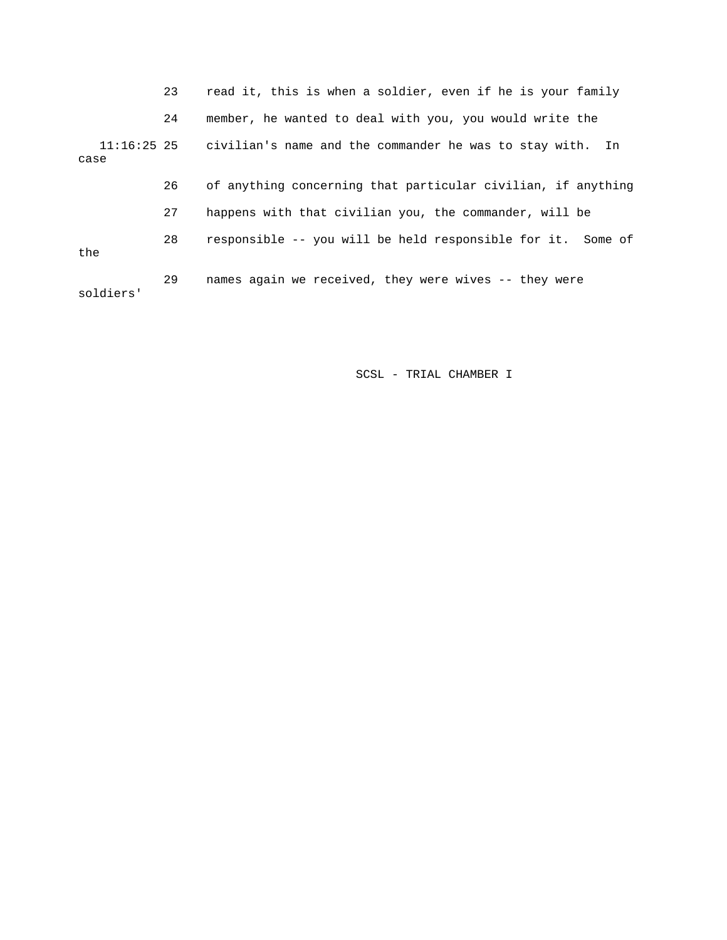23 read it, this is when a soldier, even if he is your family 24 member, he wanted to deal with you, you would write the 11:16:25 25 civilian's name and the commander he was to stay with. In case 26 of anything concerning that particular civilian, if anything 27 happens with that civilian you, the commander, will be 28 responsible -- you will be held responsible for it. Some of the 29 names again we received, they were wives -- they were soldiers'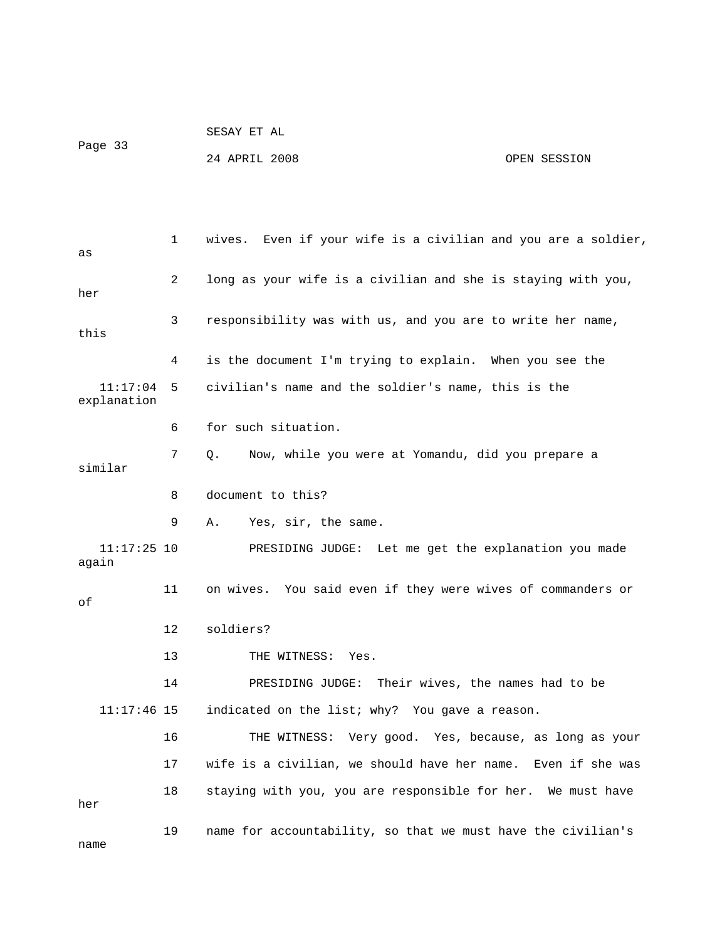| Page 33 | SESAY ET AL   |              |
|---------|---------------|--------------|
|         | 24 APRIL 2008 | OPEN SESSION |

 1 wives. Even if your wife is a civilian and you are a soldier, as 2 long as your wife is a civilian and she is staying with you, her 3 responsibility was with us, and you are to write her name, this 4 is the document I'm trying to explain. When you see the 11:17:04 5 civilian's name and the soldier's name, this is the explanation 6 for such situation. 7 Q. Now, while you were at Yomandu, did you prepare a similar 8 document to this? 9 A. Yes, sir, the same. 11:17:25 10 PRESIDING JUDGE: Let me get the explanation you made again 11 on wives. You said even if they were wives of commanders or of 12 soldiers? 13 THE WITNESS: Yes. 14 PRESIDING JUDGE: Their wives, the names had to be

11:17:46 15 indicated on the list; why? You gave a reason.

16 THE WITNESS: Very good. Yes, because, as long as your

17 wife is a civilian, we should have her name. Even if she was

18 staying with you, you are responsible for her. We must have

19 name for accountability, so that we must have the civilian's

name

her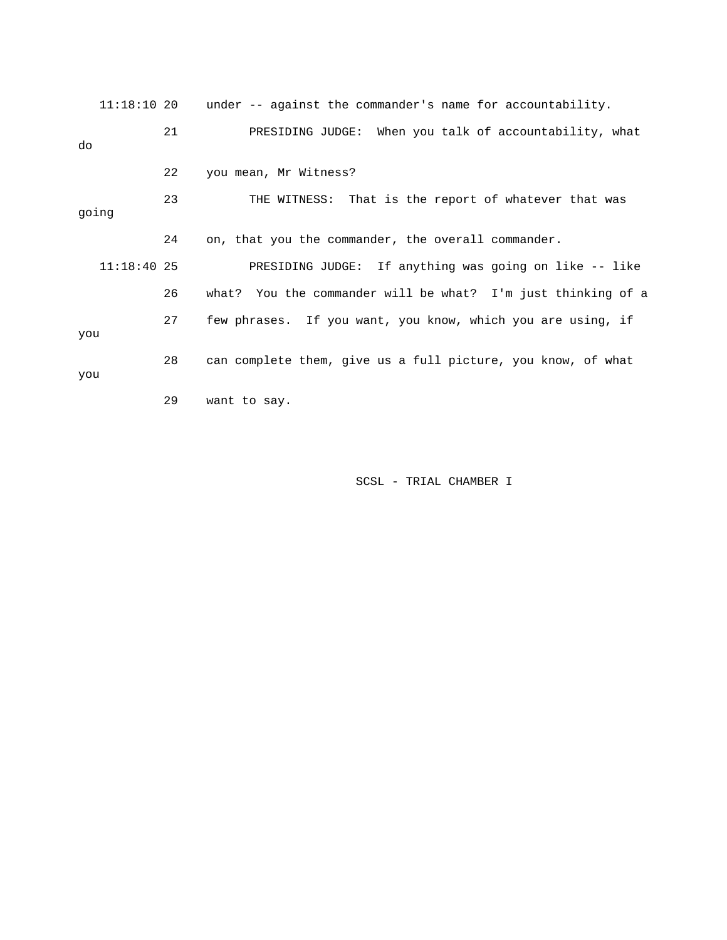| 11:18:1020    |    | under -- against the commander's name for accountability.    |
|---------------|----|--------------------------------------------------------------|
| do            | 21 | PRESIDING JUDGE: When you talk of accountability, what       |
|               | 22 | you mean, Mr Witness?                                        |
| going         | 23 | THE WITNESS: That is the report of whatever that was         |
|               | 24 | on, that you the commander, the overall commander.           |
| $11:18:40$ 25 |    | PRESIDING JUDGE: If anything was going on like -- like       |
|               | 26 | what? You the commander will be what? I'm just thinking of a |
| you           | 27 | few phrases. If you want, you know, which you are using, if  |
| you           | 28 | can complete them, give us a full picture, you know, of what |
|               | 29 | want to say.                                                 |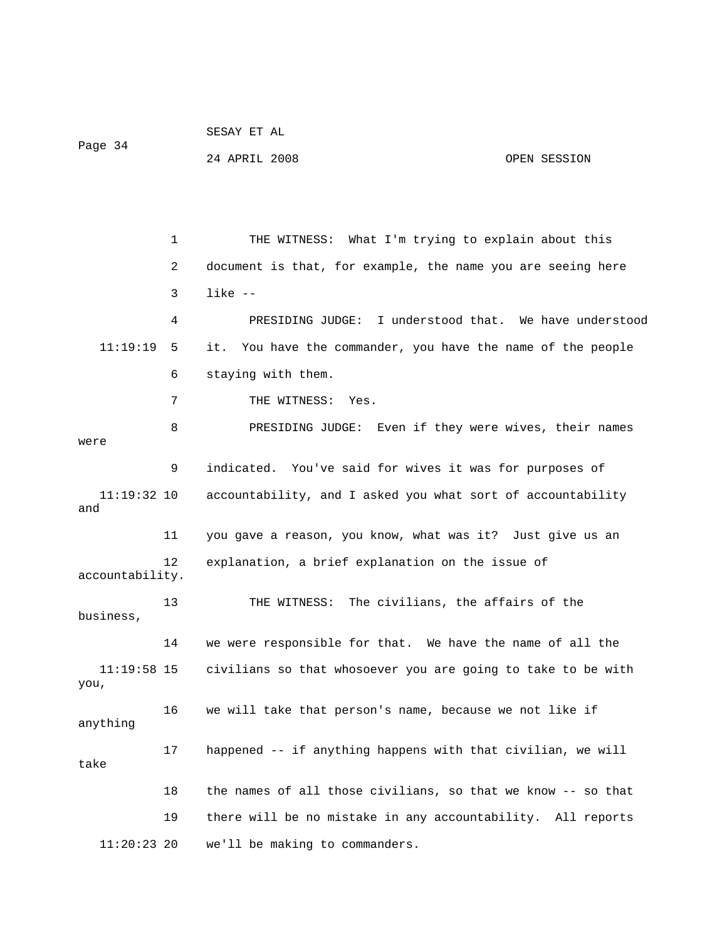```
 24 APRIL 2008 OPEN SESSION 
             1 THE WITNESS: What I'm trying to explain about this 
             2 document is that, for example, the name you are seeing here 
             3 like -- 
             4 PRESIDING JUDGE: I understood that. We have understood 
   11:19:19 5 it. You have the commander, you have the name of the people 
             6 staying with them. 
             7 THE WITNESS: Yes. 
             8 PRESIDING JUDGE: Even if they were wives, their names 
were 
             9 indicated. You've said for wives it was for purposes of 
   11:19:32 10 accountability, and I asked you what sort of accountability 
and 
            11 you gave a reason, you know, what was it? Just give us an 
            12 explanation, a brief explanation on the issue of 
accountability. 
            13 THE WITNESS: The civilians, the affairs of the 
business, 
            14 we were responsible for that. We have the name of all the 
   11:19:58 15 civilians so that whosoever you are going to take to be with 
you, 
            16 we will take that person's name, because we not like if 
anything 
            17 happened -- if anything happens with that civilian, we will 
take 
            18 the names of all those civilians, so that we know -- so that 
            19 there will be no mistake in any accountability. All reports 
   11:20:23 20 we'll be making to commanders.
```
SESAY ET AL

Page 34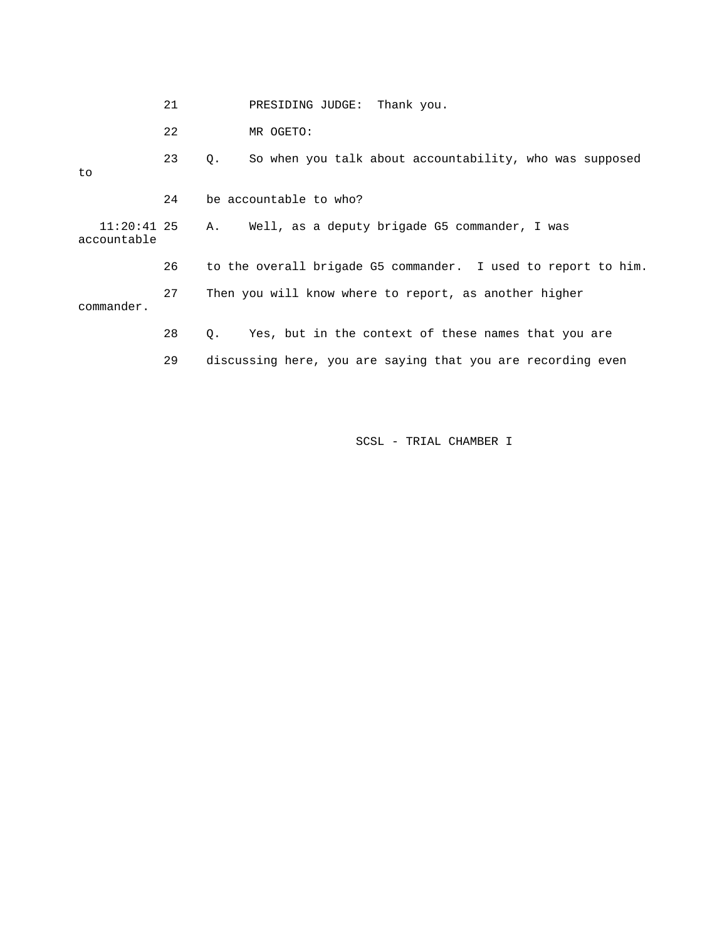|                              | 21 | PRESIDING JUDGE: Thank you.                                   |
|------------------------------|----|---------------------------------------------------------------|
|                              | 22 | MR OGETO:                                                     |
| to                           | 23 | So when you talk about accountability, who was supposed<br>Q. |
|                              | 24 | be accountable to who?                                        |
| $11:20:41$ 25<br>accountable |    | Well, as a deputy brigade G5 commander, I was<br>A.           |
|                              | 26 | to the overall brigade G5 commander. I used to report to him. |
| commander.                   | 27 | Then you will know where to report, as another higher         |
|                              | 28 | Yes, but in the context of these names that you are<br>Q.     |
|                              | 29 | discussing here, you are saying that you are recording even   |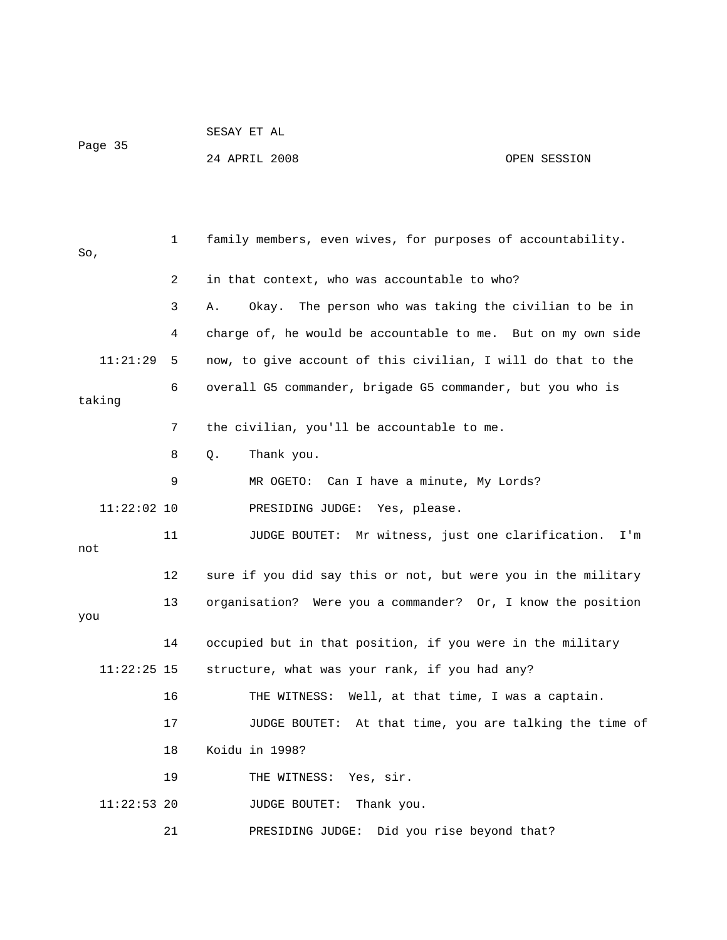|         | SESAY ET AL |  |
|---------|-------------|--|
| Page 35 |             |  |

24 APRIL 2008 OPEN SESSION

| So,           | 1              | family members, even wives, for purposes of accountability.    |
|---------------|----------------|----------------------------------------------------------------|
|               | $\overline{2}$ | in that context, who was accountable to who?                   |
|               | 3              | The person who was taking the civilian to be in<br>Α.<br>Okay. |
|               | 4              | charge of, he would be accountable to me. But on my own side   |
| 11:21:29      | 5              | now, to give account of this civilian, I will do that to the   |
| taking        | 6              | overall G5 commander, brigade G5 commander, but you who is     |
|               | 7              | the civilian, you'll be accountable to me.                     |
|               | 8              | Thank you.<br>Q.                                               |
|               | 9              | MR OGETO: Can I have a minute, My Lords?                       |
| $11:22:02$ 10 |                | PRESIDING JUDGE: Yes, please.                                  |
| not           | 11             | JUDGE BOUTET: Mr witness, just one clarification.<br>I'm       |
|               | 12             | sure if you did say this or not, but were you in the military  |
| you           | 13             | organisation? Were you a commander? Or, I know the position    |
|               | 14             | occupied but in that position, if you were in the military     |
| $11:22:25$ 15 |                | structure, what was your rank, if you had any?                 |
|               | 16             | Well, at that time, I was a captain.<br>THE WITNESS:           |
|               | 17             | JUDGE BOUTET: At that time, you are talking the time of        |
|               | 18             | Koidu in 1998?                                                 |
|               | 19             | THE WITNESS: Yes, sir.                                         |
| $11:22:53$ 20 |                | Thank you.<br>JUDGE BOUTET:                                    |
|               | 21             | Did you rise beyond that?<br>PRESIDING JUDGE:                  |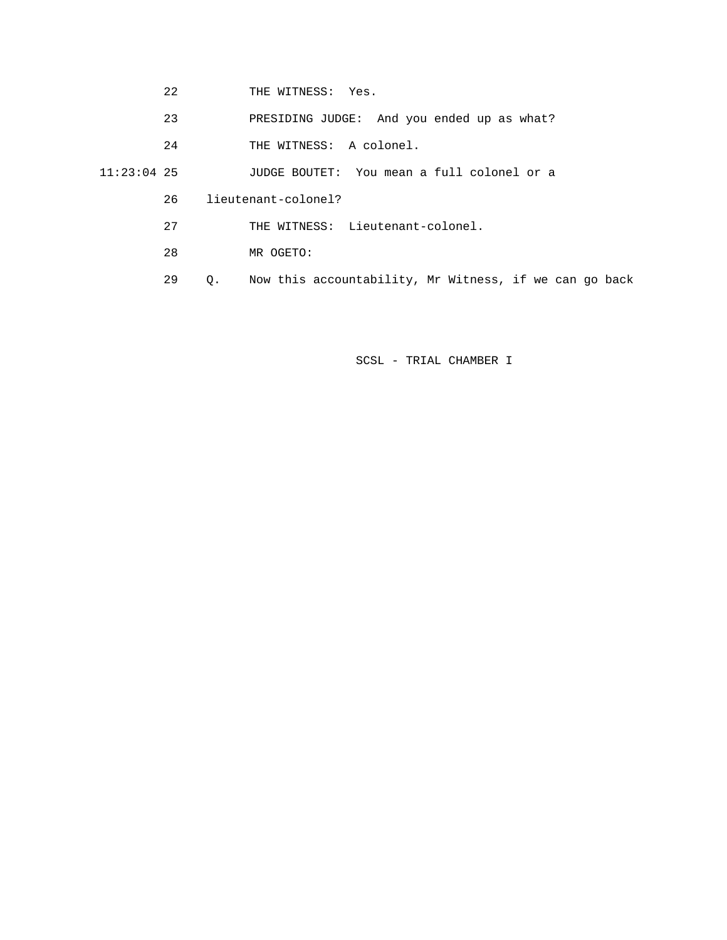- 22 THE WITNESS: Yes.
- 23 PRESIDING JUDGE: And you ended up as what?
- 24 THE WITNESS: A colonel.
- 11:23:04 25 JUDGE BOUTET: You mean a full colonel or a
	- 26 lieutenant-colonel?
	- 27 THE WITNESS: Lieutenant-colonel.
	- 28 MR OGETO:
	- 29 Q. Now this accountability, Mr Witness, if we can go back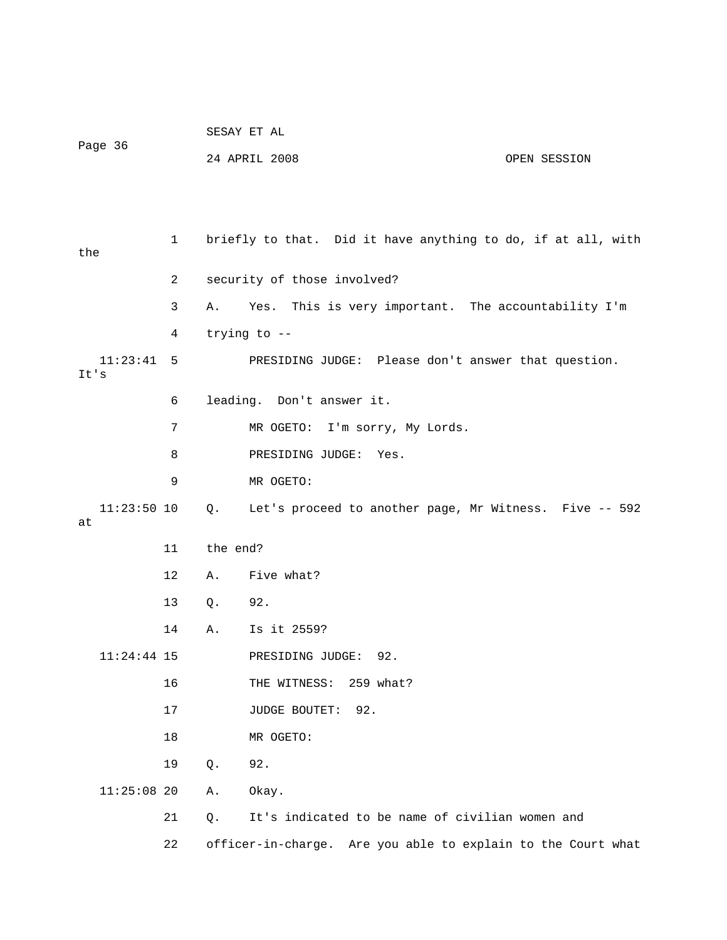| Page 36 |               |              | SESAY ET AL   |                                                              |  |  |  |
|---------|---------------|--------------|---------------|--------------------------------------------------------------|--|--|--|
|         |               |              | 24 APRIL 2008 | OPEN SESSION                                                 |  |  |  |
|         |               |              |               |                                                              |  |  |  |
|         |               |              |               |                                                              |  |  |  |
| the     |               | $\mathbf{1}$ |               | briefly to that. Did it have anything to do, if at all, with |  |  |  |
|         |               | 2            |               | security of those involved?                                  |  |  |  |
|         |               | 3            | Α.            | Yes. This is very important. The accountability I'm          |  |  |  |
|         |               | 4            | trying to --  |                                                              |  |  |  |
| It's    | 11:23:41      | 5            |               | PRESIDING JUDGE: Please don't answer that question.          |  |  |  |
|         |               | 6            |               | leading. Don't answer it.                                    |  |  |  |
|         |               | 7            |               | MR OGETO: I'm sorry, My Lords.                               |  |  |  |
|         |               | 8            |               | PRESIDING JUDGE:<br>Yes.                                     |  |  |  |
|         |               | 9            |               | MR OGETO:                                                    |  |  |  |
| at      | $11:23:50$ 10 |              | Q.            | Let's proceed to another page, Mr Witness. Five -- 592       |  |  |  |
|         |               | 11           | the end?      |                                                              |  |  |  |
|         |               | 12           | Α.            | Five what?                                                   |  |  |  |
|         |               | 13           | Q.            | 92.                                                          |  |  |  |
|         |               | 14           | Α.            | Is it 2559?                                                  |  |  |  |
|         | $11:24:44$ 15 |              |               | PRESIDING JUDGE:<br>92.                                      |  |  |  |
|         |               | 16           |               | THE WITNESS: 259 what?                                       |  |  |  |
|         |               | 17           |               | JUDGE BOUTET: 92.                                            |  |  |  |
|         |               | 18           |               | MR OGETO:                                                    |  |  |  |
|         |               | 19           | Q.            | 92.                                                          |  |  |  |
|         | $11:25:08$ 20 |              | Α.            | Okay.                                                        |  |  |  |
|         |               | 21           | Q.            | It's indicated to be name of civilian women and              |  |  |  |
|         |               | 22           |               | officer-in-charge. Are you able to explain to the Court what |  |  |  |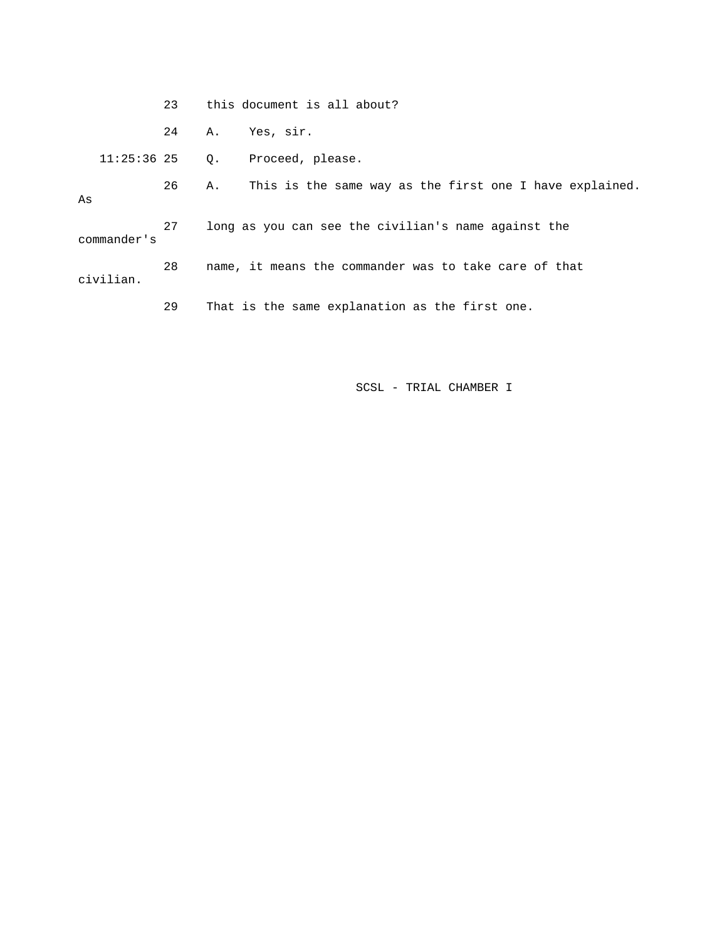|           |               | 23 | this document is all about?                           |                                                         |  |
|-----------|---------------|----|-------------------------------------------------------|---------------------------------------------------------|--|
|           |               | 24 | А.                                                    | Yes, sir.                                               |  |
|           | $11:25:36$ 25 |    | $\circ$ .                                             | Proceed, please.                                        |  |
| As        |               | 26 | Α.                                                    | This is the same way as the first one I have explained. |  |
|           | commander's   | 27 |                                                       | long as you can see the civilian's name against the     |  |
| civilian. |               | 28 | name, it means the commander was to take care of that |                                                         |  |
|           |               | 29 |                                                       | That is the same explanation as the first one.          |  |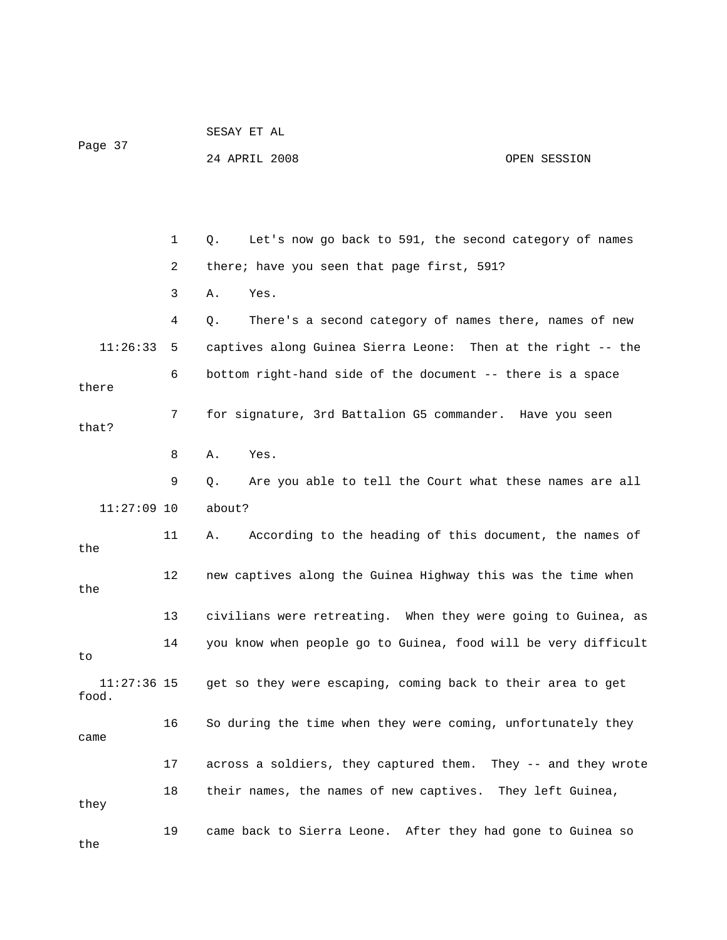|                      |    | SESAY ET AL                                                    |              |
|----------------------|----|----------------------------------------------------------------|--------------|
| Page 37              |    | 24 APRIL 2008                                                  | OPEN SESSION |
|                      |    |                                                                |              |
|                      |    |                                                                |              |
|                      | 1  | Let's now go back to 591, the second category of names<br>Q.   |              |
|                      | 2  | there; have you seen that page first, 591?                     |              |
|                      | 3  | Yes.<br>Α.                                                     |              |
|                      | 4  | There's a second category of names there, names of new<br>Q.   |              |
| 11:26:33             | 5  | captives along Guinea Sierra Leone: Then at the right -- the   |              |
| there                | 6  | bottom right-hand side of the document -- there is a space     |              |
| that?                | 7  | for signature, 3rd Battalion G5 commander. Have you seen       |              |
|                      | 8  | Yes.<br>Α.                                                     |              |
|                      | 9  | Are you able to tell the Court what these names are all<br>Q.  |              |
| $11:27:09$ 10        |    | about?                                                         |              |
| the                  | 11 | According to the heading of this document, the names of<br>Α.  |              |
| the                  | 12 | new captives along the Guinea Highway this was the time when   |              |
|                      | 13 | civilians were retreating. When they were going to Guinea, as  |              |
| to                   | 14 | you know when people go to Guinea, food will be very difficult |              |
| 11:27:36 15<br>food. |    | get so they were escaping, coming back to their area to get    |              |
| came                 | 16 | So during the time when they were coming, unfortunately they   |              |
|                      | 17 | across a soldiers, they captured them. They -- and they wrote  |              |
| they                 | 18 | their names, the names of new captives. They left Guinea,      |              |
| the                  | 19 | came back to Sierra Leone. After they had gone to Guinea so    |              |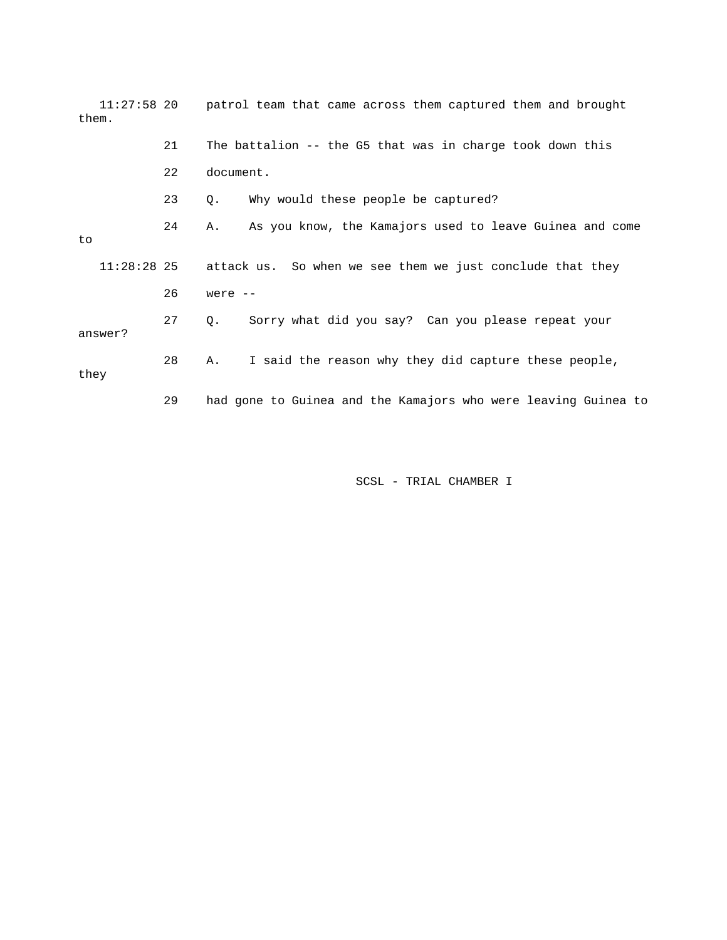| $11:27:58$ 20<br>them. |    | patrol team that came across them captured them and brought    |
|------------------------|----|----------------------------------------------------------------|
|                        | 21 | The battalion -- the G5 that was in charge took down this      |
|                        | 22 | document.                                                      |
|                        | 23 | Why would these people be captured?<br>Q.                      |
| to.                    | 24 | As you know, the Kamajors used to leave Guinea and come<br>Α.  |
| $11:28:28$ 25          |    | attack us. So when we see them we just conclude that they      |
|                        | 26 | were $--$                                                      |
| answer?                | 27 | Sorry what did you say? Can you please repeat your<br>Q.       |
| they                   | 28 | I said the reason why they did capture these people,<br>Α.     |
|                        | 29 | had gone to Guinea and the Kamajors who were leaving Guinea to |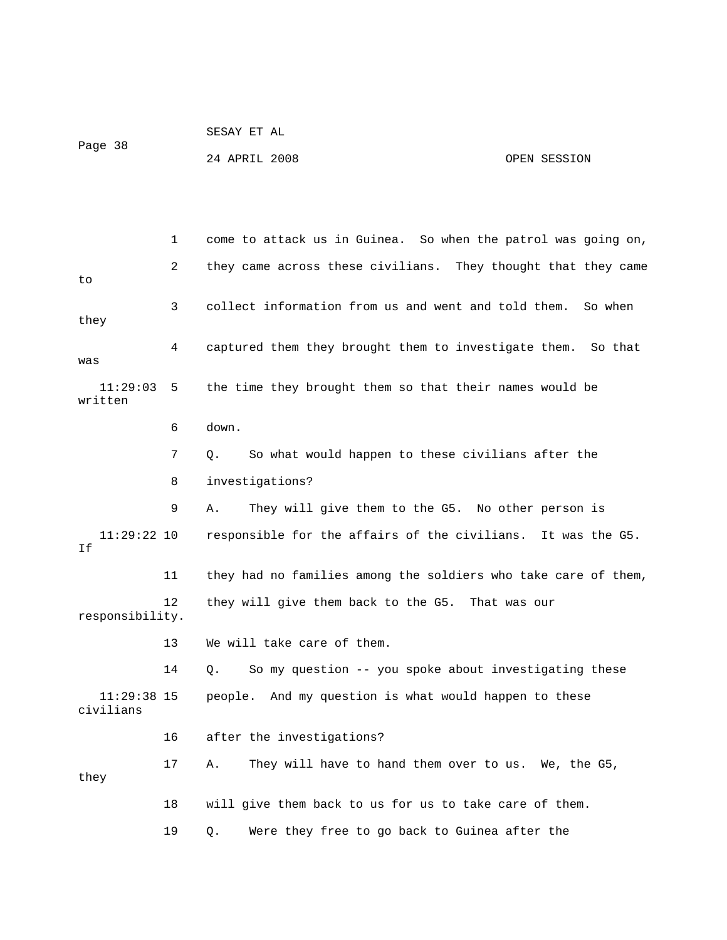SESAY ET AL Page 38

24 APRIL 2008 OPEN SESSION

 1 come to attack us in Guinea. So when the patrol was going on, 2 they came across these civilians. They thought that they came to 3 collect information from us and went and told them. So when they 4 captured them they brought them to investigate them. So that was 11:29:03 5 the time they brought them so that their names would be written 6 down. 7 Q. So what would happen to these civilians after the 8 investigations? 9 A. They will give them to the G5. No other person is 11:29:22 10 responsible for the affairs of the civilians. It was the G5. If 11 they had no families among the soldiers who take care of them, 12 they will give them back to the G5. That was our responsibility. 13 We will take care of them. 14 Q. So my question -- you spoke about investigating these 11:29:38 15 people. And my question is what would happen to these civilians 16 after the investigations? 17 A. They will have to hand them over to us. We, the G5, they 18 will give them back to us for us to take care of them. 19 Q. Were they free to go back to Guinea after the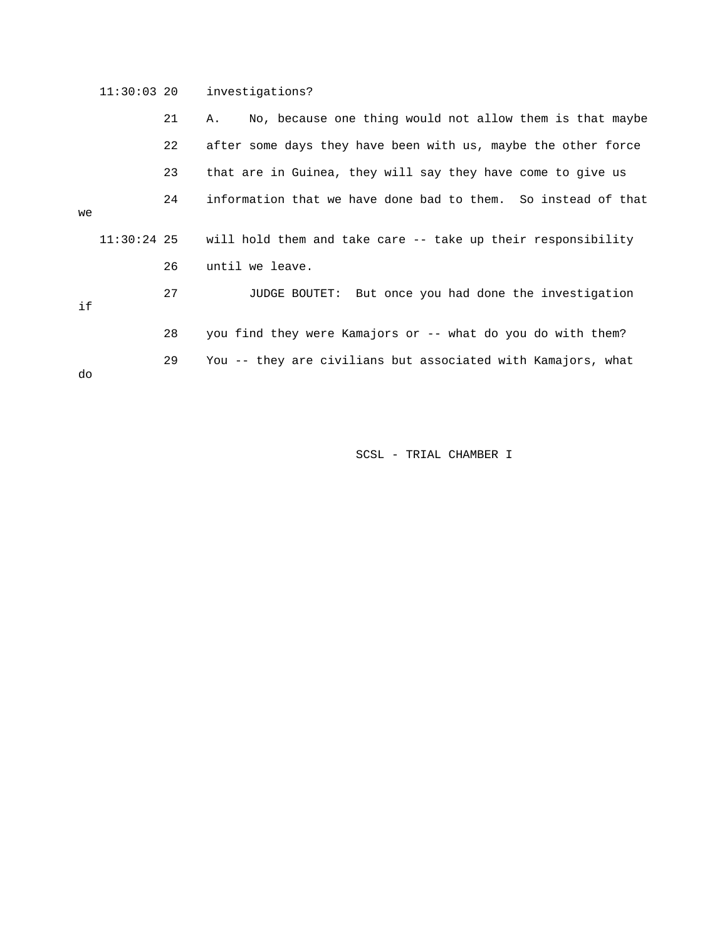11:30:03 20 investigations? 21 A. No, because one thing would not allow them is that maybe 22 after some days they have been with us, maybe the other force 23 that are in Guinea, they will say they have come to give us 24 information that we have done bad to them. So instead of that we 11:30:24 25 will hold them and take care -- take up their responsibility 26 until we leave. 27 JUDGE BOUTET: But once you had done the investigation if 28 you find they were Kamajors or -- what do you do with them? 29 You -- they are civilians but associated with Kamajors, what do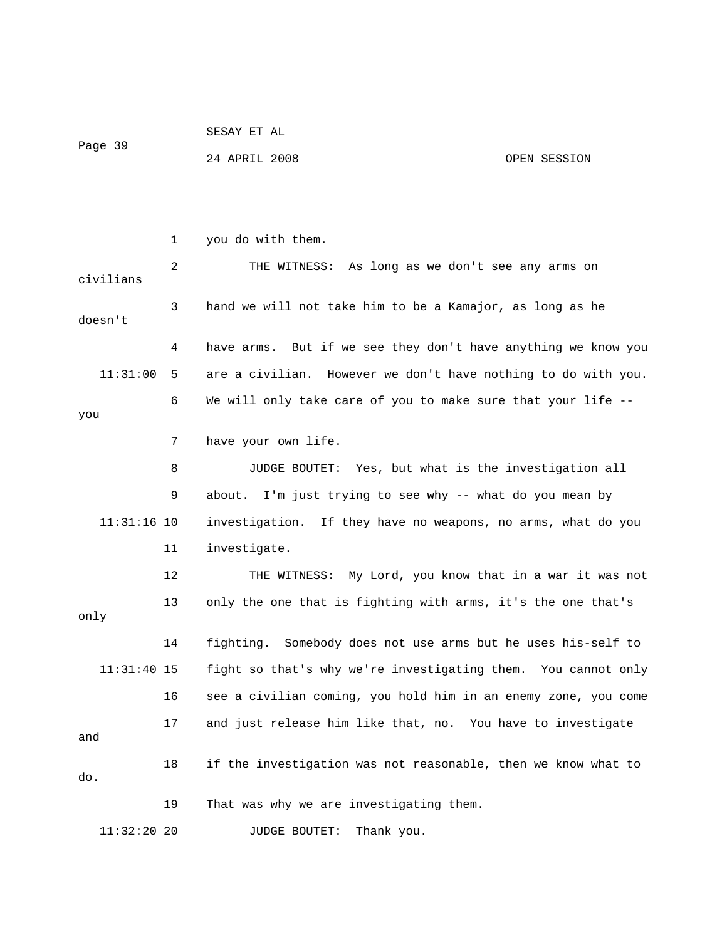| Page 39 | SESAY ET AL   |              |
|---------|---------------|--------------|
|         | 24 APRIL 2008 | OPEN SESSION |

|               | $\mathbf 1$ | you do with them.                                                |
|---------------|-------------|------------------------------------------------------------------|
| civilians     | 2           | THE WITNESS: As long as we don't see any arms on                 |
| doesn't       | 3           | hand we will not take him to be a Kamajor, as long as he         |
|               | 4           | But if we see they don't have anything we know you<br>have arms. |
| 11:31:00      | 5           | are a civilian. However we don't have nothing to do with you.    |
| you           | 6           | We will only take care of you to make sure that your life --     |
|               | 7           | have your own life.                                              |
|               | 8           | JUDGE BOUTET: Yes, but what is the investigation all             |
|               | 9           | about. I'm just trying to see why -- what do you mean by         |
| $11:31:16$ 10 |             | investigation. If they have no weapons, no arms, what do you     |
|               | 11          | investigate.                                                     |
|               | 12          | THE WITNESS: My Lord, you know that in a war it was not          |
| only          | 13          | only the one that is fighting with arms, it's the one that's     |
|               | 14          | fighting. Somebody does not use arms but he uses his-self to     |
| $11:31:40$ 15 |             | fight so that's why we're investigating them. You cannot only    |
|               | 16          | see a civilian coming, you hold him in an enemy zone, you come   |
| and           | 17          | and just release him like that, no. You have to investigate      |
| do.           | 18          | if the investigation was not reasonable, then we know what to    |
|               | 19          | That was why we are investigating them.                          |
| $11:32:20$ 20 |             | Thank you.<br>JUDGE BOUTET:                                      |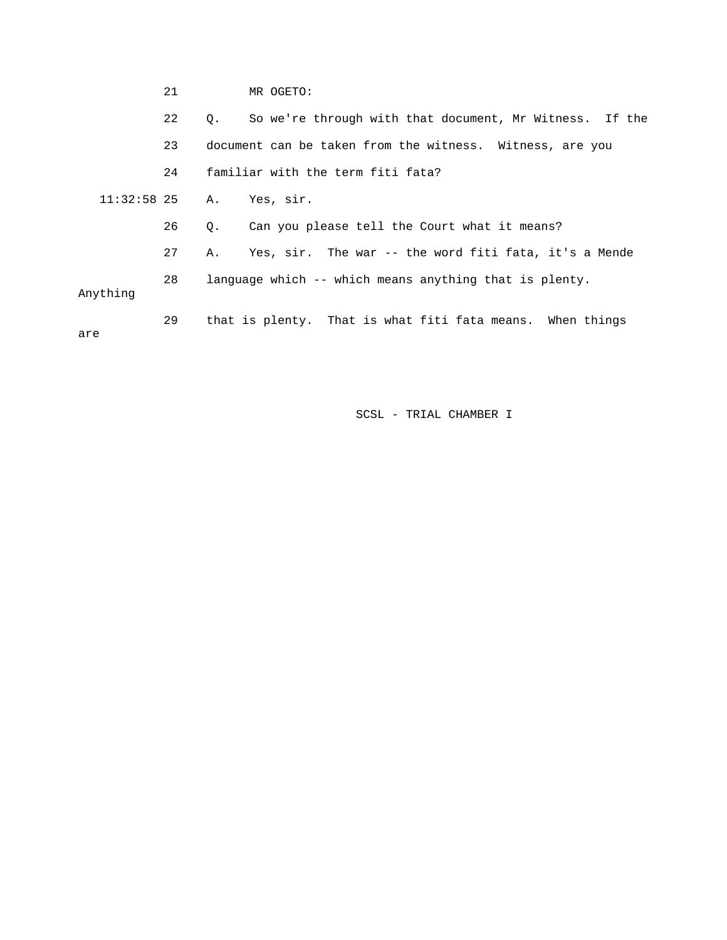|          | 21 |             | MR OGETO:                                                 |
|----------|----|-------------|-----------------------------------------------------------|
|          | 22 | $\circ$ .   | So we're through with that document, Mr Witness. If the   |
|          | 23 |             | document can be taken from the witness. Witness, are you  |
|          | 24 |             | familiar with the term fiti fata?                         |
|          |    |             | $11:32:58$ 25 A. Yes, sir.                                |
|          | 26 | $Q_{\star}$ | Can you please tell the Court what it means?              |
|          | 27 | Α.          | Yes, sir. The war -- the word fiti fata, it's a Mende     |
| Anything | 28 |             | language which -- which means anything that is plenty.    |
| are      | 29 |             | that is plenty. That is what fiti fata means. When things |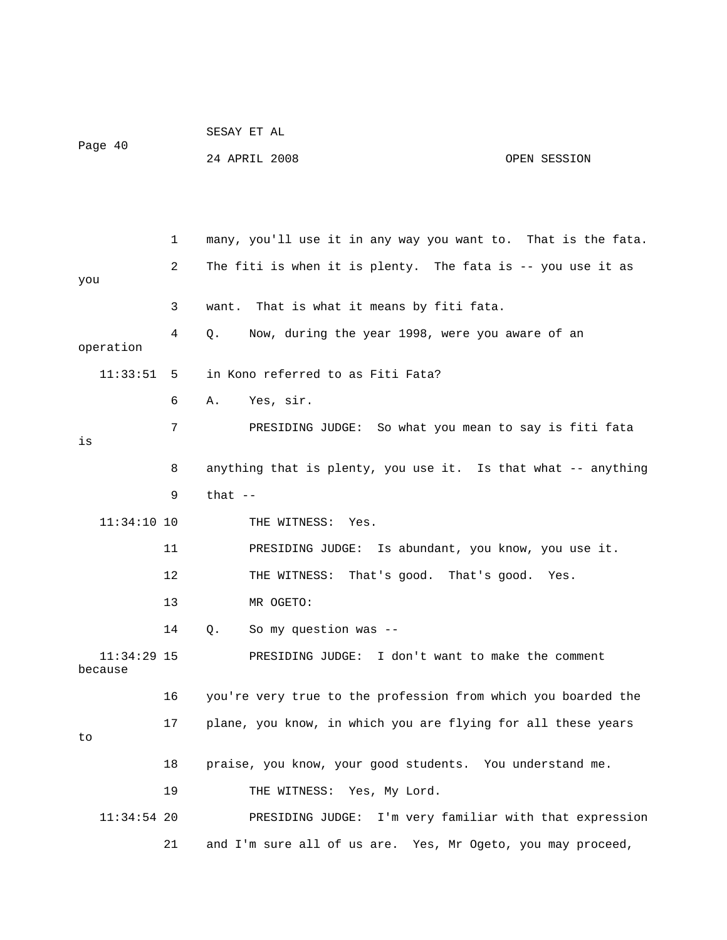|                        |    | SESAY ET AL                                                   |
|------------------------|----|---------------------------------------------------------------|
| Page 40                |    | 24 APRIL 2008<br>OPEN SESSION                                 |
|                        |    |                                                               |
|                        |    |                                                               |
|                        | 1  | many, you'll use it in any way you want to. That is the fata. |
| you                    | 2  | The fiti is when it is plenty. The fata is -- you use it as   |
|                        | 3  | That is what it means by fiti fata.<br>want.                  |
| operation              | 4  | Now, during the year 1998, were you aware of an<br>Q.         |
| 11:33:51               | 5  | in Kono referred to as Fiti Fata?                             |
|                        | 6  | Yes, sir.<br>Α.                                               |
| is                     | 7  | PRESIDING JUDGE: So what you mean to say is fiti fata         |
|                        | 8  | anything that is plenty, you use it. Is that what -- anything |
|                        | 9  | that $--$                                                     |
| $11:34:10$ 10          |    | THE WITNESS: Yes.                                             |
|                        | 11 | PRESIDING JUDGE: Is abundant, you know, you use it.           |
|                        | 12 | THE WITNESS:<br>That's good. That's good. Yes.                |
|                        | 13 | MR OGETO:                                                     |
|                        | 14 | So my question was --<br>Q.                                   |
| 11:34:29 15<br>because |    | PRESIDING JUDGE: I don't want to make the comment             |
|                        | 16 | you're very true to the profession from which you boarded the |
| to                     | 17 | plane, you know, in which you are flying for all these years  |
|                        | 18 | praise, you know, your good students. You understand me.      |
|                        | 19 | THE WITNESS: Yes, My Lord.                                    |
| $11:34:54$ 20          |    | PRESIDING JUDGE: I'm very familiar with that expression       |
|                        | 21 | and I'm sure all of us are. Yes, Mr Ogeto, you may proceed,   |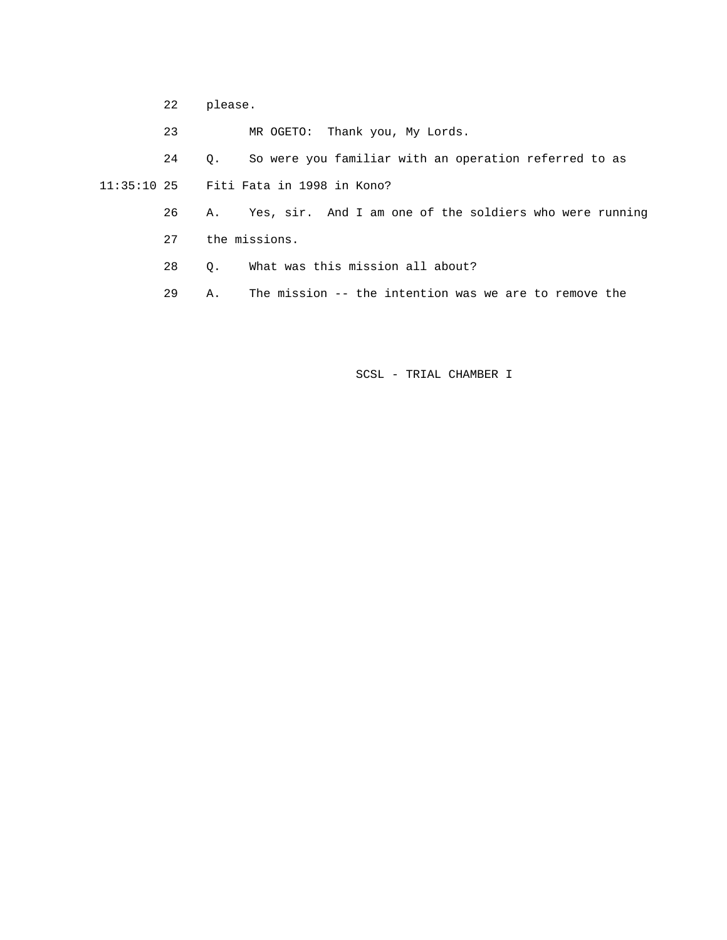22 please.

23 MR OGETO: Thank you, My Lords.

24 Q. So were you familiar with an operation referred to as

11:35:10 25 Fiti Fata in 1998 in Kono?

 26 A. Yes, sir. And I am one of the soldiers who were running 27 the missions.

28 Q. What was this mission all about?

29 A. The mission -- the intention was we are to remove the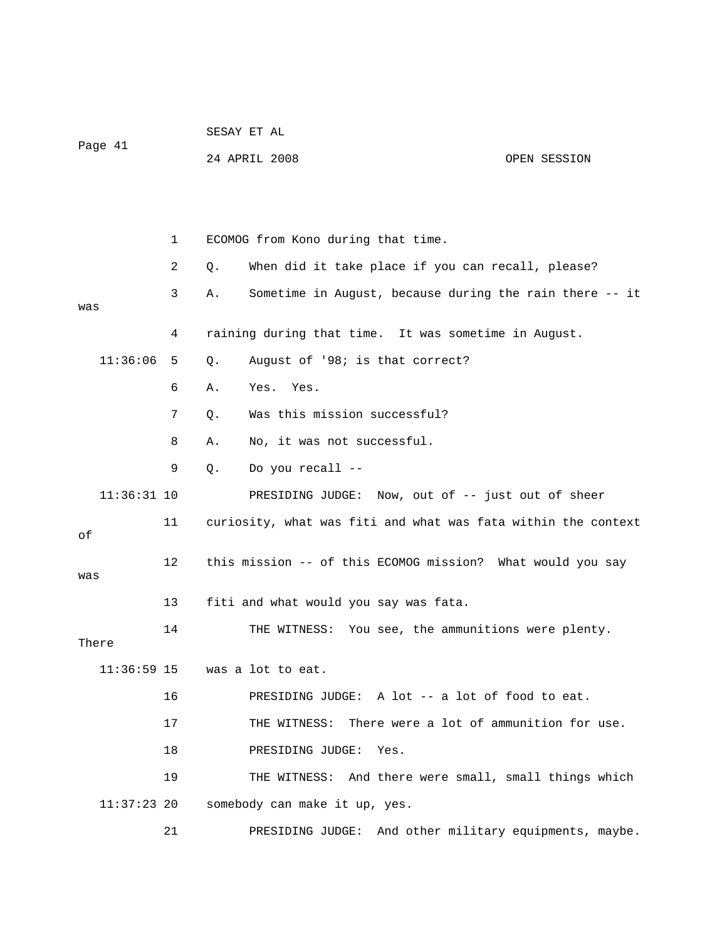| Page 41         |    | SESAY ET AL                                                   |              |  |  |
|-----------------|----|---------------------------------------------------------------|--------------|--|--|
|                 |    | 24 APRIL 2008                                                 | OPEN SESSION |  |  |
|                 |    |                                                               |              |  |  |
|                 |    |                                                               |              |  |  |
|                 | 1  | ECOMOG from Kono during that time.                            |              |  |  |
|                 | 2  | When did it take place if you can recall, please?<br>Q.       |              |  |  |
|                 | 3  | Sometime in August, because during the rain there -- it<br>Α. |              |  |  |
| was             |    |                                                               |              |  |  |
|                 | 4  | raining during that time. It was sometime in August.          |              |  |  |
| 11:36:06        | 5  | August of '98; is that correct?<br>Q.                         |              |  |  |
|                 | 6  | Yes.<br>Yes.<br>Α.                                            |              |  |  |
|                 | 7  | Was this mission successful?<br>Q.                            |              |  |  |
|                 | 8  | No, it was not successful.<br>Α.                              |              |  |  |
|                 | 9  | Do you recall --<br>$Q$ .                                     |              |  |  |
| $11:36:31$ 10   |    | PRESIDING JUDGE: Now, out of -- just out of sheer             |              |  |  |
| 11<br>оf        |    | curiosity, what was fiti and what was fata within the context |              |  |  |
| 12<br>was<br>13 |    | this mission -- of this ECOMOG mission? What would you say    |              |  |  |
|                 |    | fiti and what would you say was fata.                         |              |  |  |
| There           | 14 | THE WITNESS: You see, the ammunitions were plenty.            |              |  |  |
|                 |    |                                                               |              |  |  |
| $11:36:59$ 15   |    | was a lot to eat.                                             |              |  |  |
|                 | 16 | PRESIDING JUDGE: A lot -- a lot of food to eat.               |              |  |  |
|                 | 17 | There were a lot of ammunition for use.<br>THE WITNESS:       |              |  |  |
|                 | 18 | PRESIDING JUDGE:<br>Yes.                                      |              |  |  |
|                 | 19 | THE WITNESS: And there were small, small things which         |              |  |  |
| $11:37:23$ 20   |    | somebody can make it up, yes.                                 |              |  |  |
|                 | 21 | PRESIDING JUDGE: And other military equipments, maybe.        |              |  |  |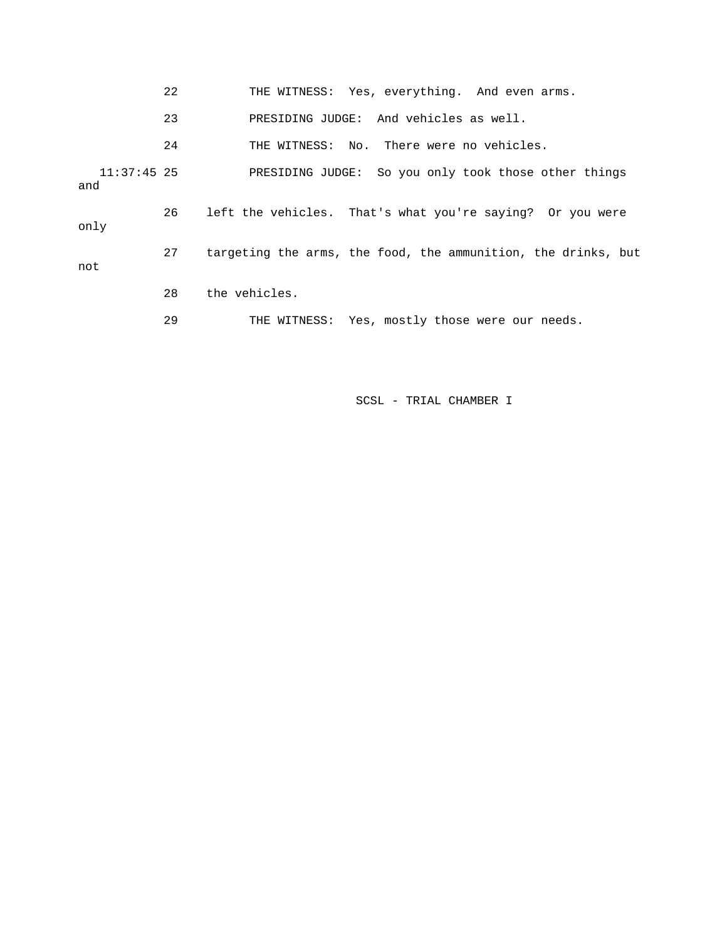|                      | 22 | THE WITNESS: Yes, everything. And even arms.                  |
|----------------------|----|---------------------------------------------------------------|
|                      | 23 | PRESIDING JUDGE: And vehicles as well.                        |
|                      | 24 | THE WITNESS: No. There were no vehicles.                      |
| $11:37:45$ 25<br>and |    | PRESIDING JUDGE: So you only took those other things          |
| only                 | 26 | left the vehicles. That's what you're saying? Or you were     |
| not                  | 27 | targeting the arms, the food, the ammunition, the drinks, but |
|                      | 28 | the vehicles.                                                 |
|                      | 29 | THE WITNESS: Yes, mostly those were our needs.                |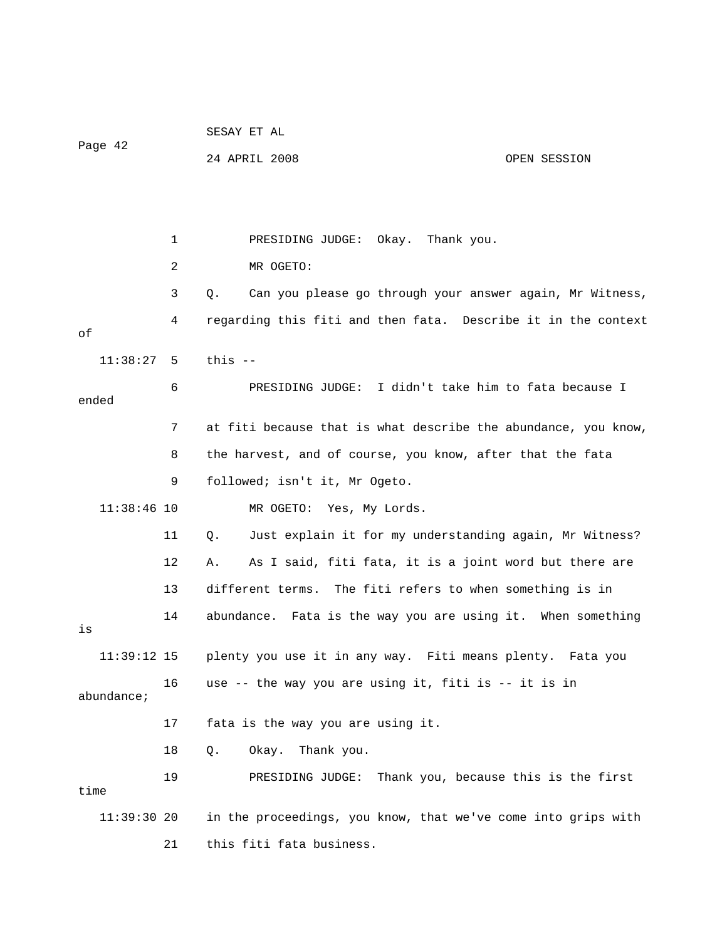|               |    | SESAY ET AL                                                    |
|---------------|----|----------------------------------------------------------------|
| Page 42       |    | 24 APRIL 2008<br>OPEN SESSION                                  |
|               |    |                                                                |
|               |    |                                                                |
|               | 1  | Okay.<br>Thank you.<br>PRESIDING JUDGE:                        |
|               | 2  | MR OGETO:                                                      |
|               | 3  | Can you please go through your answer again, Mr Witness,<br>Q. |
| оf            | 4  | regarding this fiti and then fata. Describe it in the context  |
| 11:38:27      | 5  | this $-$                                                       |
| ended         | 6  | PRESIDING JUDGE: I didn't take him to fata because I           |
|               | 7  | at fiti because that is what describe the abundance, you know, |
|               | 8  | the harvest, and of course, you know, after that the fata      |
|               | 9  | followed; isn't it, Mr Ogeto.                                  |
| $11:38:46$ 10 |    | MR OGETO:<br>Yes, My Lords.                                    |
|               | 11 | Just explain it for my understanding again, Mr Witness?<br>Q.  |
|               | 12 | As I said, fiti fata, it is a joint word but there are<br>Α.   |
|               | 13 | different terms. The fiti refers to when something is in       |
| is            | 14 | abundance. Fata is the way you are using it. When something    |
| $11:39:12$ 15 |    | plenty you use it in any way. Fiti means plenty. Fata you      |
| abundance;    | 16 | use -- the way you are using it, fiti is -- it is in           |
|               | 17 | fata is the way you are using it.                              |
|               | 18 | $Q$ .<br>Okay. Thank you.                                      |
| time          | 19 | Thank you, because this is the first<br>PRESIDING JUDGE:       |
| 11:39:30 20   |    | in the proceedings, you know, that we've come into grips with  |
|               | 21 | this fiti fata business.                                       |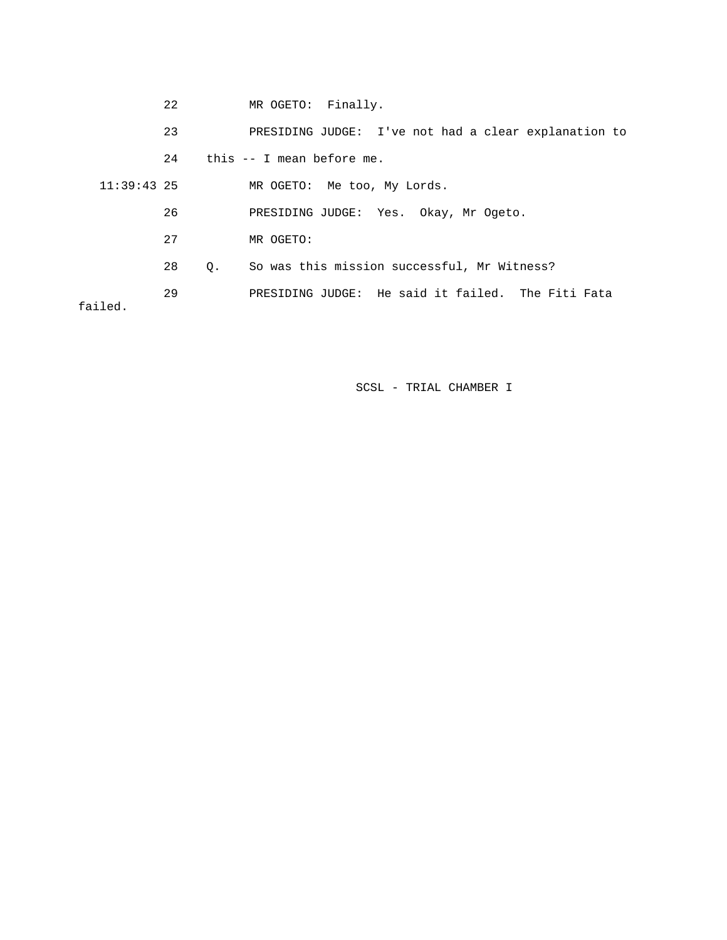|               | 22 |    | MR OGETO: Finally.                                   |
|---------------|----|----|------------------------------------------------------|
|               | 23 |    | PRESIDING JUDGE: I've not had a clear explanation to |
|               | 24 |    | this -- I mean before me.                            |
| $11:39:43$ 25 |    |    | MR OGETO: Me too, My Lords.                          |
|               | 26 |    | PRESIDING JUDGE: Yes. Okay, Mr Ogeto.                |
|               | 27 |    | MR OGETO:                                            |
|               | 28 | О. | So was this mission successful, Mr Witness?          |
| failed.       | 29 |    | PRESIDING JUDGE: He said it failed. The Fiti Fata    |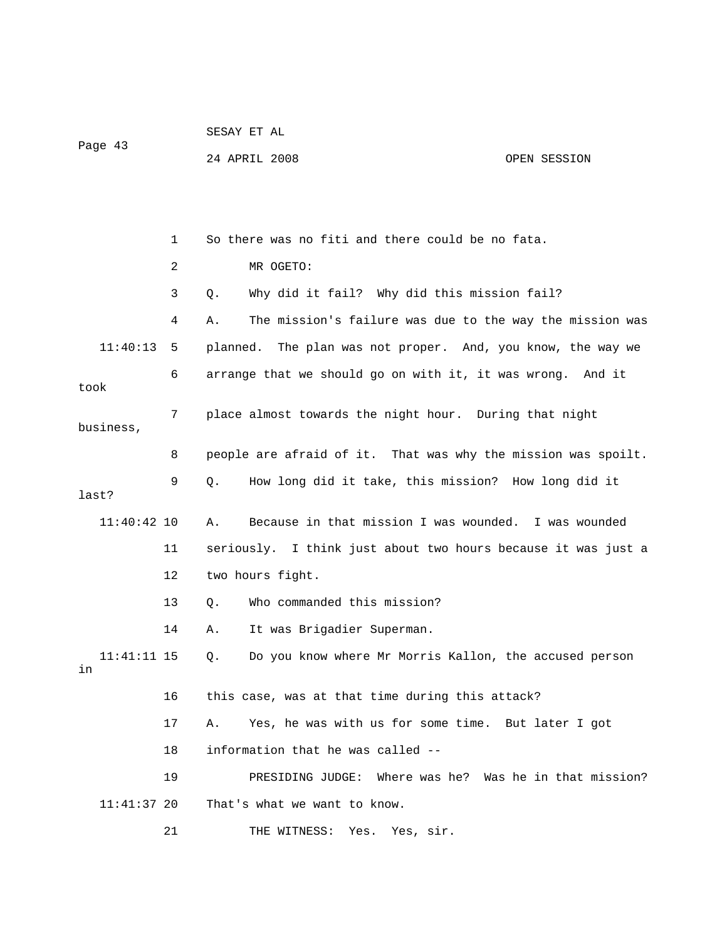| Page 43             |    | 24 APRIL 2008                                    | OPEN SESSION                                                  |
|---------------------|----|--------------------------------------------------|---------------------------------------------------------------|
|                     |    |                                                  |                                                               |
|                     | 1  | So there was no fiti and there could be no fata. |                                                               |
|                     | 2  | MR OGETO:                                        |                                                               |
|                     | 3  | Q.                                               | Why did it fail? Why did this mission fail?                   |
|                     | 4  | Α.                                               | The mission's failure was due to the way the mission was      |
| 11:40:13            | 5  |                                                  | planned. The plan was not proper. And, you know, the way we   |
| took                | 6  |                                                  | arrange that we should go on with it, it was wrong. And it    |
| business,           | 7  |                                                  | place almost towards the night hour. During that night        |
|                     | 8  |                                                  | people are afraid of it. That was why the mission was spoilt. |
| last?               | 9  | Q.                                               | How long did it take, this mission? How long did it           |
| $11:40:42$ 10       |    | Α.                                               | Because in that mission I was wounded. I was wounded          |
|                     | 11 |                                                  | seriously. I think just about two hours because it was just a |
|                     | 12 | two hours fight.                                 |                                                               |
|                     | 13 | Who commanded this mission?<br>Q.                |                                                               |
|                     | 14 | It was Brigadier Superman.<br>Α.                 |                                                               |
| $11:41:11$ 15<br>in |    | Q.                                               | Do you know where Mr Morris Kallon, the accused person        |
|                     | 16 | this case, was at that time during this attack?  |                                                               |
|                     | 17 | Α.                                               | Yes, he was with us for some time. But later I got            |
|                     | 18 | information that he was called --                |                                                               |
|                     | 19 | PRESIDING JUDGE:                                 | Where was he? Was he in that mission?                         |
| 11:41:37 20         |    | That's what we want to know.                     |                                                               |
|                     | 21 | THE WITNESS:<br>Yes.                             | Yes, sir.                                                     |

SESAY ET AL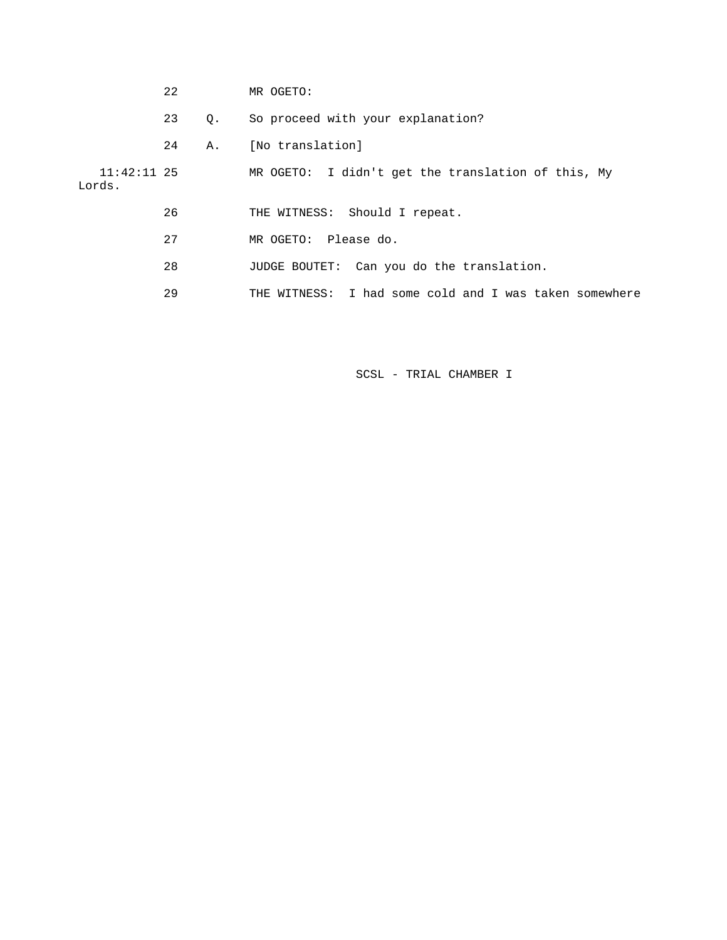|                         | 22 |    | MR OGETO:                                                 |
|-------------------------|----|----|-----------------------------------------------------------|
|                         | 23 | 0. | So proceed with your explanation?                         |
|                         | 24 | Α. | [No translation]                                          |
| $11:42:11$ 25<br>Lords. |    |    | MR OGETO: I didn't get the translation of this, My        |
|                         | 26 |    | THE WITNESS: Should I repeat.                             |
|                         | 27 |    | MR OGETO: Please do.                                      |
|                         | 28 |    | JUDGE BOUTET: Can you do the translation.                 |
|                         | 29 |    | I had some cold and I was taken somewhere<br>THE WITNESS: |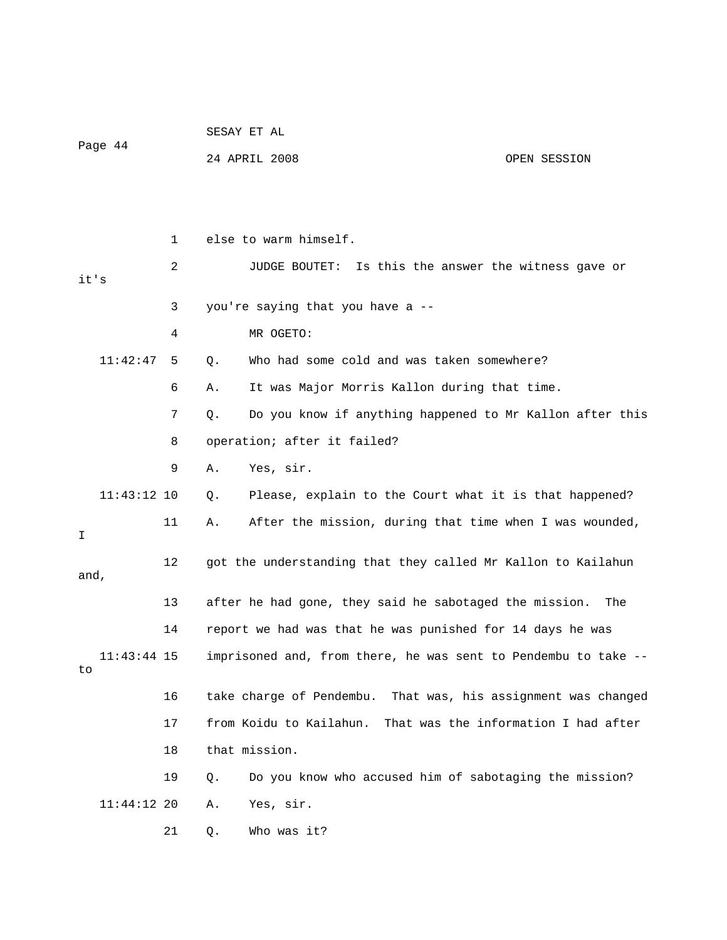|         |               |    | SESAY ET AL                                                     |                                        |  |  |
|---------|---------------|----|-----------------------------------------------------------------|----------------------------------------|--|--|
| Page 44 |               |    | 24 APRIL 2008                                                   | OPEN SESSION                           |  |  |
|         |               |    |                                                                 |                                        |  |  |
|         |               |    |                                                                 |                                        |  |  |
|         |               | 1  | else to warm himself.                                           |                                        |  |  |
|         |               | 2  | JUDGE BOUTET:                                                   | Is this the answer the witness gave or |  |  |
| it's    |               |    |                                                                 |                                        |  |  |
|         |               | 3  | you're saying that you have a --                                |                                        |  |  |
|         |               | 4  | MR OGETO:                                                       |                                        |  |  |
|         | 11:42:47      | 5  | Who had some cold and was taken somewhere?<br>Q.                |                                        |  |  |
|         |               | 6  | It was Major Morris Kallon during that time.<br>Α.              |                                        |  |  |
|         |               | 7  | Do you know if anything happened to Mr Kallon after this<br>Q.  |                                        |  |  |
|         |               | 8  | operation; after it failed?                                     |                                        |  |  |
|         |               | 9  | Yes, sir.<br>Α.                                                 |                                        |  |  |
|         | $11:43:12$ 10 |    | Please, explain to the Court what it is that happened?<br>Q.    |                                        |  |  |
| I       |               | 11 | After the mission, during that time when I was wounded,<br>Α.   |                                        |  |  |
| and,    |               | 12 | got the understanding that they called Mr Kallon to Kailahun    |                                        |  |  |
|         |               | 13 | after he had gone, they said he sabotaged the mission.          | The                                    |  |  |
|         |               | 14 | report we had was that he was punished for 14 days he was       |                                        |  |  |
| to      | $11:43:44$ 15 |    | imprisoned and, from there, he was sent to Pendembu to take --  |                                        |  |  |
|         |               | 16 | take charge of Pendembu. That was, his assignment was changed   |                                        |  |  |
|         |               | 17 | from Koidu to Kailahun.                                         | That was the information I had after   |  |  |
|         |               | 18 | that mission.                                                   |                                        |  |  |
|         |               | 19 | Do you know who accused him of sabotaging the mission?<br>$Q$ . |                                        |  |  |
|         | 11:44:12 20   |    | Yes, sir.<br>Α.                                                 |                                        |  |  |
|         |               | 21 | Who was it?<br>Q.                                               |                                        |  |  |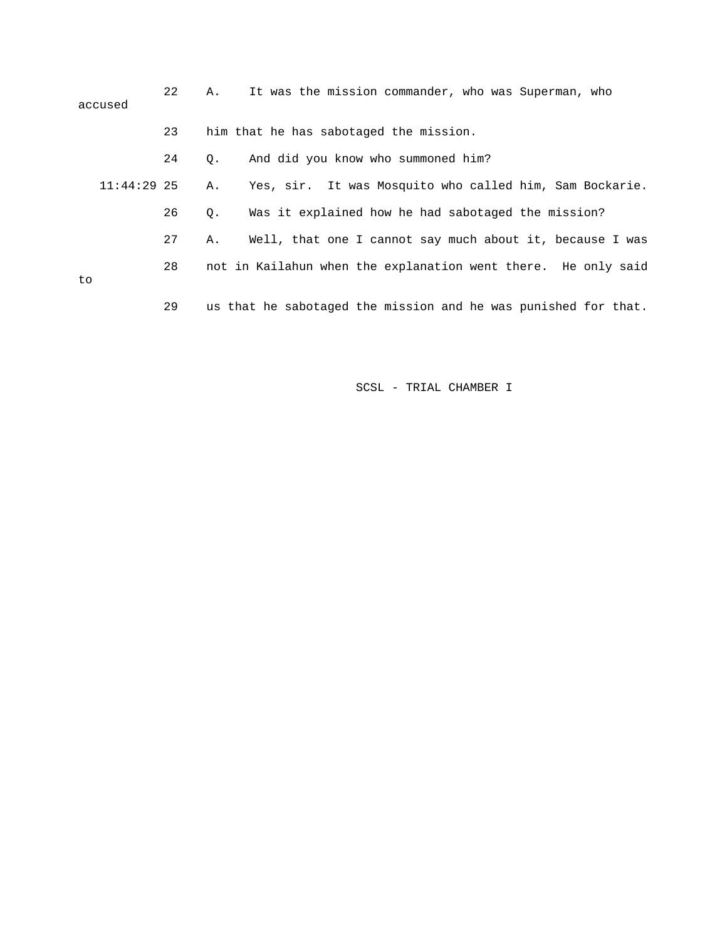|    | accused       | 22 | Α. | It was the mission commander, who was Superman, who            |
|----|---------------|----|----|----------------------------------------------------------------|
|    |               | 23 |    | him that he has sabotaged the mission.                         |
|    |               | 24 | Q. | And did you know who summoned him?                             |
|    | $11:44:29$ 25 |    | Α. | Yes, sir. It was Mosquito who called him, Sam Bockarie.        |
|    |               | 26 | Q. | Was it explained how he had sabotaged the mission?             |
|    |               | 27 | Α. | Well, that one I cannot say much about it, because I was       |
| to |               | 28 |    | not in Kailahun when the explanation went there. He only said  |
|    |               |    |    |                                                                |
|    |               | 29 |    | us that he sabotaged the mission and he was punished for that. |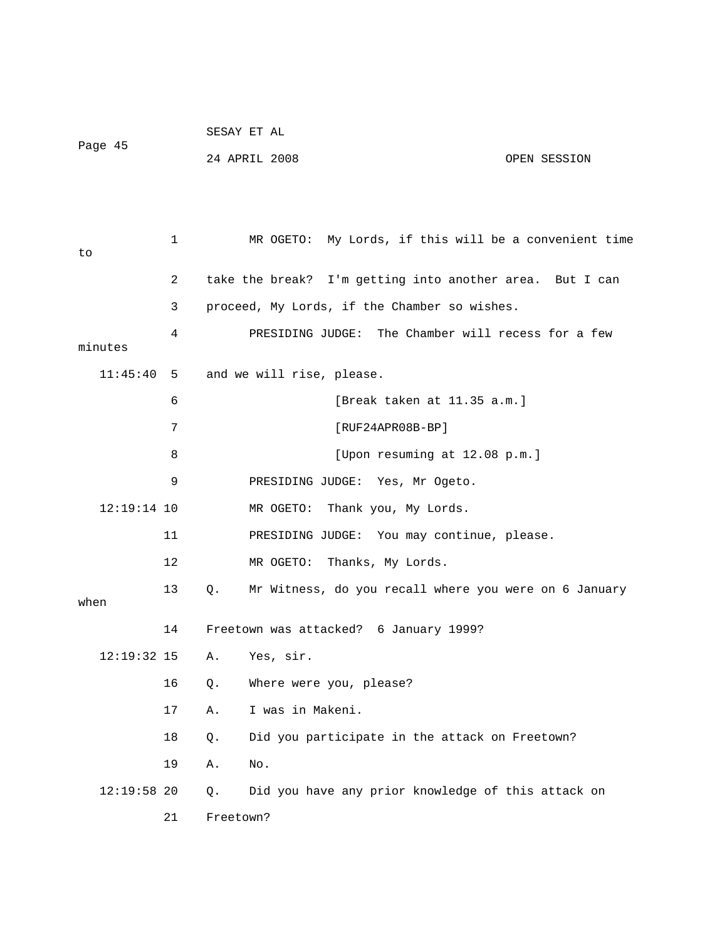|         | SESAY ET AL   |              |
|---------|---------------|--------------|
| Page 45 | 24 APRIL 2008 | OPEN SESSION |
|         |               |              |
|         |               |              |

| to            | $\mathbf 1$ | My Lords, if this will be a convenient time<br>MR OGETO:    |
|---------------|-------------|-------------------------------------------------------------|
|               | 2           | take the break? I'm getting into another area. But I can    |
|               | 3           | proceed, My Lords, if the Chamber so wishes.                |
| minutes       | 4           | PRESIDING JUDGE: The Chamber will recess for a few          |
| 11:45:40      | 5           | and we will rise, please.                                   |
|               | 6           | [Break taken at 11.35 a.m.]                                 |
|               | 7           | $[RUF24APR08B-BP]$                                          |
|               | 8           | [Upon resuming at 12.08 p.m.]                               |
|               | 9           | PRESIDING JUDGE:<br>Yes, Mr Ogeto.                          |
| 12:19:14 10   |             | MR OGETO:<br>Thank you, My Lords.                           |
|               | 11          | PRESIDING JUDGE: You may continue, please.                  |
|               | 12          | MR OGETO:<br>Thanks, My Lords.                              |
| when          | 13          | Mr Witness, do you recall where you were on 6 January<br>Q. |
|               | 14          | Freetown was attacked? 6 January 1999?                      |
| $12:19:32$ 15 |             | Yes, sir.<br>Α.                                             |
|               | 16          | Where were you, please?<br>О.                               |
|               | 17          | I was in Makeni.<br>Α.                                      |
|               | 18          | Did you participate in the attack on Freetown?<br>Q.        |
|               | 19          | Α.<br>No.                                                   |
| $12:19:58$ 20 |             | Did you have any prior knowledge of this attack on<br>Q.    |
|               | 21          | Freetown?                                                   |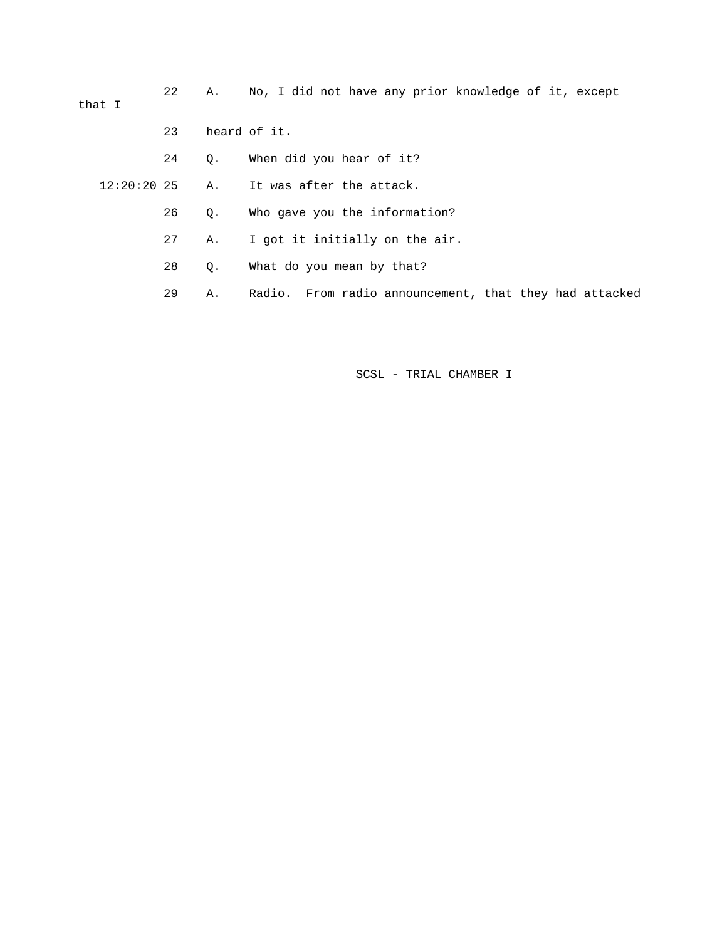22 A. No, I did not have any prior knowledge of it, except that I 23 heard of it.

24 Q. When did you hear of it?

12:20:20 25 A. It was after the attack.

26 Q. Who gave you the information?

27 A. I got it initially on the air.

28 Q. What do you mean by that?

29 A. Radio. From radio announcement, that they had attacked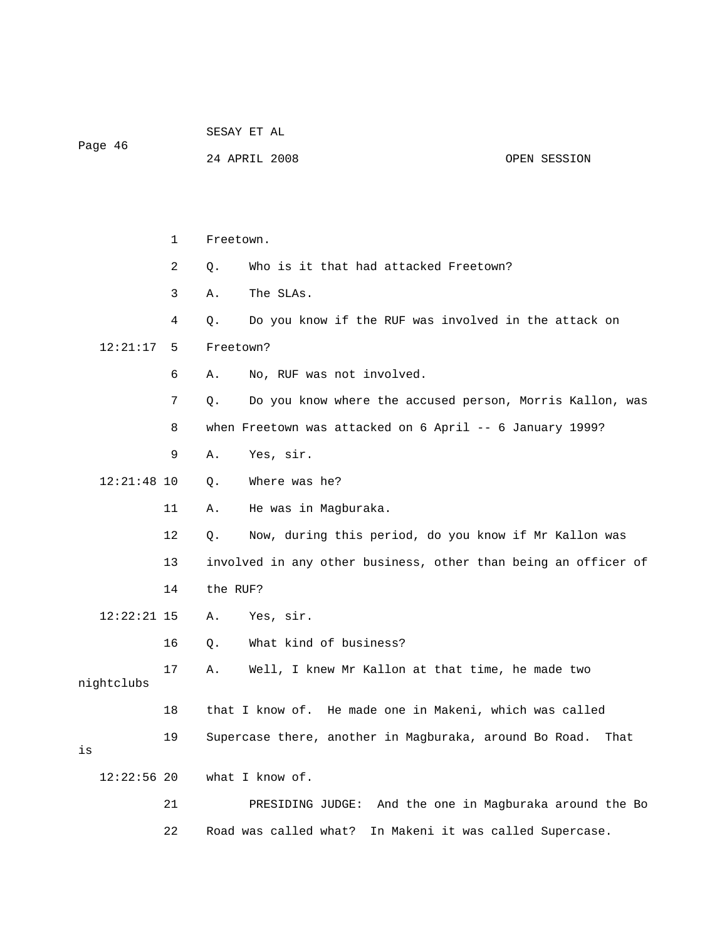|               |    | SESAY ET AL                                                    |      |  |  |
|---------------|----|----------------------------------------------------------------|------|--|--|
| Page 46       |    | 24 APRIL 2008<br>OPEN SESSION                                  |      |  |  |
|               |    |                                                                |      |  |  |
|               |    |                                                                |      |  |  |
|               | 1  | Freetown.                                                      |      |  |  |
|               | 2  | Who is it that had attacked Freetown?<br>Q.                    |      |  |  |
|               | 3  | The SLAs.<br>Α.                                                |      |  |  |
|               | 4  | Do you know if the RUF was involved in the attack on<br>Q.     |      |  |  |
| 12:21:17      | 5  | Freetown?                                                      |      |  |  |
|               | 6  | No, RUF was not involved.<br>Α.                                |      |  |  |
|               | 7  | Do you know where the accused person, Morris Kallon, was<br>Q. |      |  |  |
|               | 8  | when Freetown was attacked on 6 April -- 6 January 1999?       |      |  |  |
|               | 9  | Α.<br>Yes, sir.                                                |      |  |  |
| $12:21:48$ 10 |    | Where was he?<br>Q.                                            |      |  |  |
|               | 11 | He was in Magburaka.<br>Α.                                     |      |  |  |
|               | 12 | Q.<br>Now, during this period, do you know if Mr Kallon was    |      |  |  |
|               | 13 | involved in any other business, other than being an officer of |      |  |  |
|               | 14 | the RUF?                                                       |      |  |  |
| $12:22:21$ 15 |    | Yes, sir.<br>Α.                                                |      |  |  |
|               | 16 | What kind of business?<br>Q.                                   |      |  |  |
| nightclubs    | 17 | Well, I knew Mr Kallon at that time, he made two<br>Α.         |      |  |  |
|               | 18 | He made one in Makeni, which was called<br>that I know of.     |      |  |  |
| is            | 19 | Supercase there, another in Magburaka, around Bo Road.         | That |  |  |
| $12:22:56$ 20 |    | what I know of.                                                |      |  |  |
|               | 21 | PRESIDING JUDGE: And the one in Magburaka around the Bo        |      |  |  |
|               | 22 | Road was called what?<br>In Makeni it was called Supercase.    |      |  |  |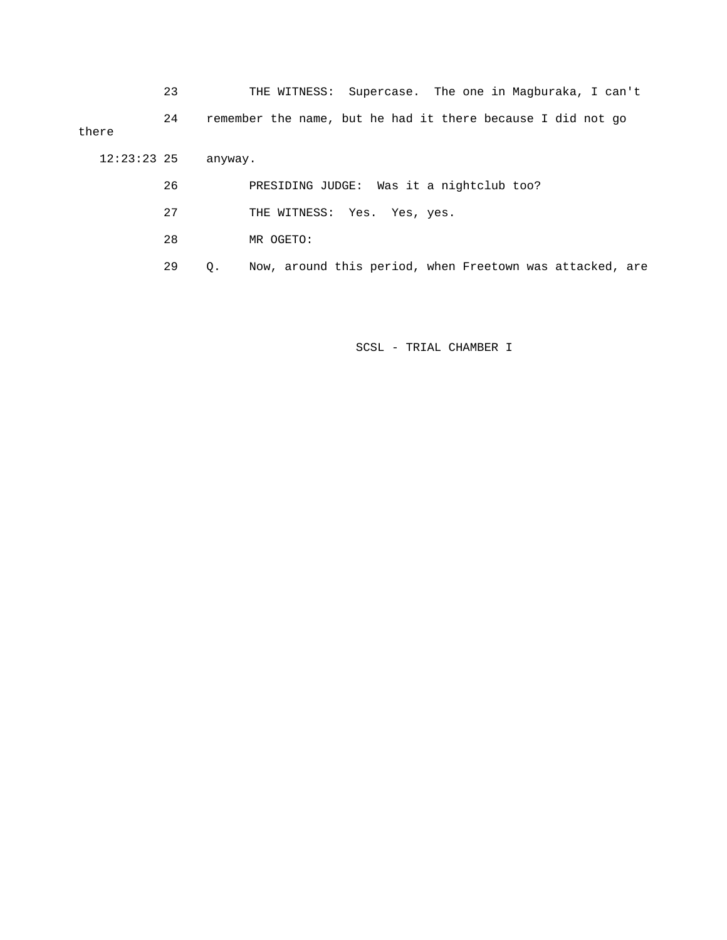23 THE WITNESS: Supercase. The one in Magburaka, I can't 24 remember the name, but he had it there because I did not go there 12:23:23 25 anyway.

- 26 PRESIDING JUDGE: Was it a nightclub too?
- 27 THE WITNESS: Yes. Yes, yes.
- 28 MR OGETO:
- 29 Q. Now, around this period, when Freetown was attacked, are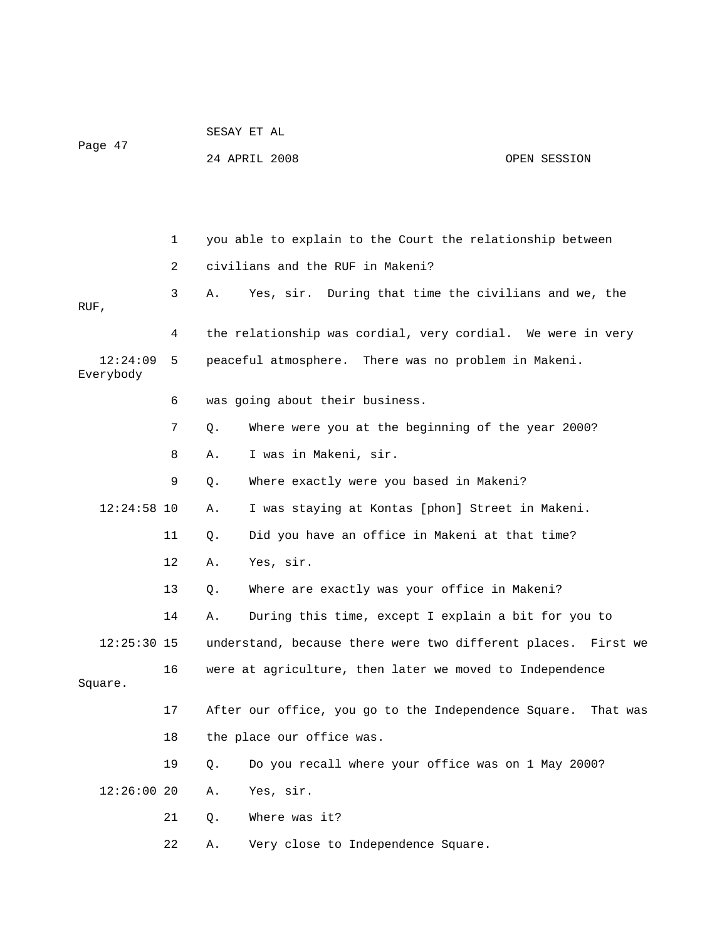|                       |    | SESAY ET AL |                                                               |              |
|-----------------------|----|-------------|---------------------------------------------------------------|--------------|
| Page 47               |    |             | 24 APRIL 2008                                                 | OPEN SESSION |
|                       |    |             |                                                               |              |
|                       |    |             |                                                               |              |
|                       | 1  |             | you able to explain to the Court the relationship between     |              |
|                       | 2  |             | civilians and the RUF in Makeni?                              |              |
| RUF,                  | 3  | Α.          | Yes, sir. During that time the civilians and we, the          |              |
|                       | 4  |             | the relationship was cordial, very cordial. We were in very   |              |
| 12:24:09<br>Everybody | 5  |             | peaceful atmosphere. There was no problem in Makeni.          |              |
|                       | 6  |             | was going about their business.                               |              |
|                       | 7  | Q.          | Where were you at the beginning of the year 2000?             |              |
|                       | 8  | Α.          | I was in Makeni, sir.                                         |              |
|                       | 9  | Q.          | Where exactly were you based in Makeni?                       |              |
| $12:24:58$ 10         |    | Α.          | I was staying at Kontas [phon] Street in Makeni.              |              |
|                       | 11 | Q.          | Did you have an office in Makeni at that time?                |              |
|                       | 12 | Α.          | Yes, sir.                                                     |              |
|                       | 13 | Q.          | Where are exactly was your office in Makeni?                  |              |
|                       | 14 | Α.          | During this time, except I explain a bit for you to           |              |
| $12:25:30$ 15         |    |             | understand, because there were two different places. First we |              |
| Square.               | 16 |             | were at agriculture, then later we moved to Independence      |              |
|                       | 17 |             | After our office, you go to the Independence Square.          | That was     |
|                       | 18 |             | the place our office was.                                     |              |
|                       | 19 | $Q$ .       | Do you recall where your office was on 1 May 2000?            |              |
| 12:26:0020            |    | Α.          | Yes, sir.                                                     |              |
|                       | 21 | Q.          | Where was it?                                                 |              |
|                       | 22 | Α.          | Very close to Independence Square.                            |              |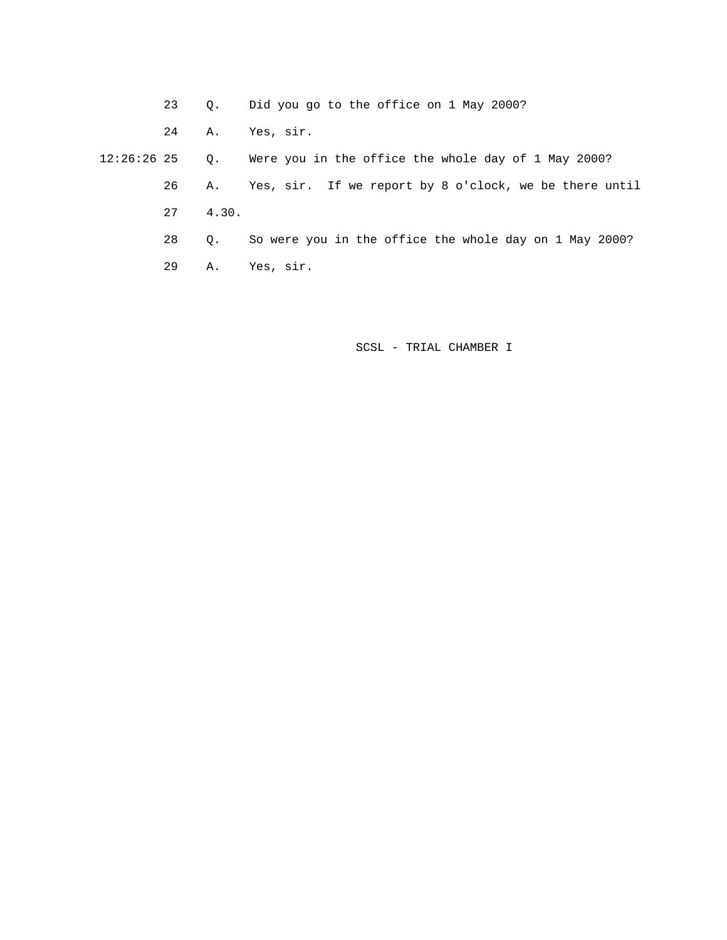23 Q. Did you go to the office on 1 May 2000?

24 A. Yes, sir.

 12:26:26 25 Q. Were you in the office the whole day of 1 May 2000? 26 A. Yes, sir. If we report by 8 o'clock, we be there until 27 4.30.

28 Q. So were you in the office the whole day on 1 May 2000?

29 A. Yes, sir.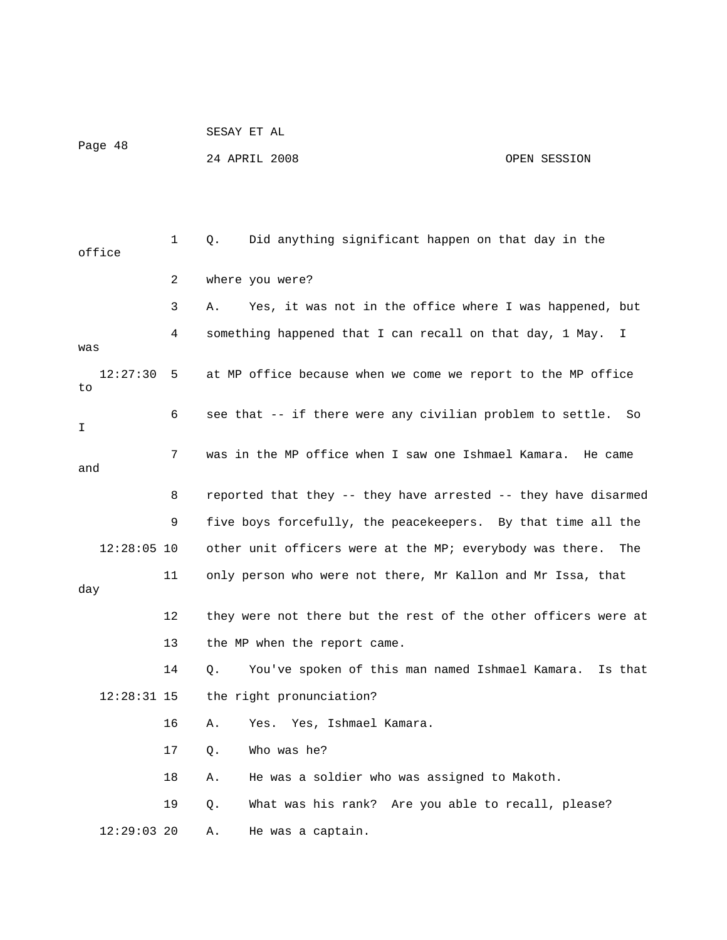|        |               |     |    | 24 APRIL 2008                                                  | OPEN SESSION                    |
|--------|---------------|-----|----|----------------------------------------------------------------|---------------------------------|
|        |               |     |    |                                                                |                                 |
|        |               |     |    |                                                                |                                 |
|        |               | 1   | Q. | Did anything significant happen on that day in the             |                                 |
| office |               |     |    |                                                                |                                 |
|        |               | 2   |    | where you were?                                                |                                 |
|        |               | 3   | Α. | Yes, it was not in the office where I was happened, but        |                                 |
| was    |               | 4   |    | something happened that I can recall on that day, 1 May. I     |                                 |
|        | 12:27:30      | - 5 |    | at MP office because when we come we report to the MP office   |                                 |
| to     |               |     |    |                                                                |                                 |
|        |               | 6   |    | see that -- if there were any civilian problem to settle.      | So                              |
| I      |               |     |    |                                                                |                                 |
| and    |               | 7   |    | was in the MP office when I saw one Ishmael Kamara.            | He came                         |
|        |               | 8   |    | reported that they -- they have arrested -- they have disarmed |                                 |
|        |               | 9   |    | five boys forcefully, the peacekeepers. By that time all the   |                                 |
|        | $12:28:05$ 10 |     |    | other unit officers were at the MP; everybody was there.       | The                             |
|        |               | 11  |    | only person who were not there, Mr Kallon and Mr Issa, that    |                                 |
| day    |               |     |    |                                                                |                                 |
|        |               | 12  |    | they were not there but the rest of the other officers were at |                                 |
|        |               | 13  |    | the MP when the report came.                                   |                                 |
|        |               | 14  | Q. | You've spoken of this man named Ishmael Kamara.                | Is that                         |
|        | $12:28:31$ 15 |     |    | the right pronunciation?                                       |                                 |
|        |               | 16  | Α. | Yes, Ishmael Kamara.<br>Yes.                                   |                                 |
|        |               | 17  | Q. | Who was he?                                                    |                                 |
|        |               | 18  | Α. | He was a soldier who was assigned to Makoth.                   |                                 |
|        |               | 19  | Q. | What was his rank?                                             | Are you able to recall, please? |
|        | $12:29:03$ 20 |     | Α. | He was a captain.                                              |                                 |
|        |               |     |    |                                                                |                                 |

SESAY ET AL

Page 48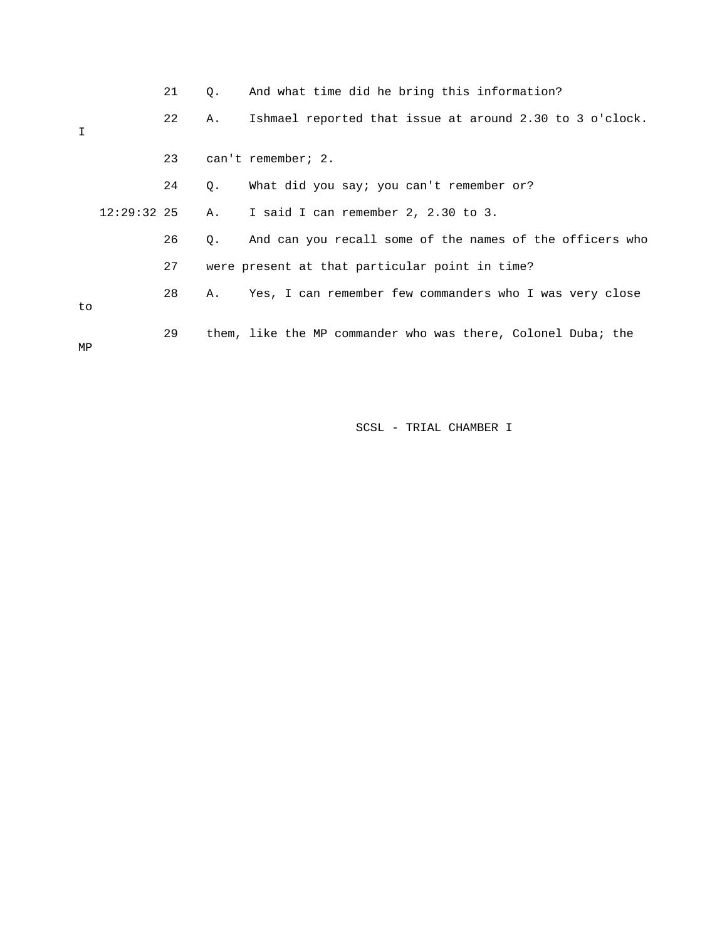|    |               | 21 | О.        | And what time did he bring this information?                 |
|----|---------------|----|-----------|--------------------------------------------------------------|
| I  |               | 22 | Α.        | Ishmael reported that issue at around 2.30 to 3 o'clock.     |
|    |               | 23 |           | can't remember; 2.                                           |
|    |               | 24 | Q.        | What did you say; you can't remember or?                     |
|    | $12:29:32$ 25 |    | $A$ .     | I said I can remember 2, 2.30 to 3.                          |
|    |               | 26 | $\circ$ . | And can you recall some of the names of the officers who     |
|    |               | 27 |           | were present at that particular point in time?               |
| to |               | 28 | A.,       | Yes, I can remember few commanders who I was very close      |
| MP |               | 29 |           | them, like the MP commander who was there, Colonel Duba; the |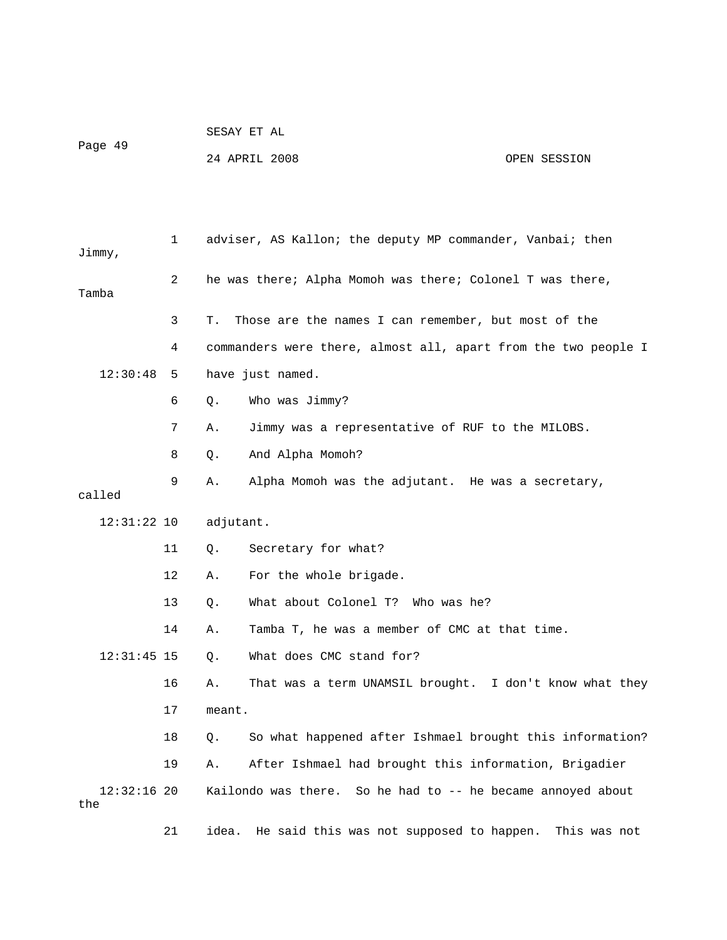| Page 49 | SESAY ET AL   |  |              |
|---------|---------------|--|--------------|
|         | 24 APRIL 2008 |  | OPEN SESSION |

 1 adviser, AS Kallon; the deputy MP commander, Vanbai; then Jimmy, 2 he was there; Alpha Momoh was there; Colonel T was there, Tamba 3 T. Those are the names I can remember, but most of the 4 commanders were there, almost all, apart from the two people I 12:30:48 5 have just named. 6 Q. Who was Jimmy? 7 A. Jimmy was a representative of RUF to the MILOBS. 8 Q. And Alpha Momoh? 9 A. Alpha Momoh was the adjutant. He was a secretary, called 12:31:22 10 adjutant. 11 Q. Secretary for what? 12 A. For the whole brigade. 13 Q. What about Colonel T? Who was he? 14 A. Tamba T, he was a member of CMC at that time. 12:31:45 15 Q. What does CMC stand for? 16 A. That was a term UNAMSIL brought. I don't know what they 17 meant. 18 Q. So what happened after Ishmael brought this information? 19 A. After Ishmael had brought this information, Brigadier 12:32:16 20 Kailondo was there. So he had to -- he became annoyed about the 21 idea. He said this was not supposed to happen. This was not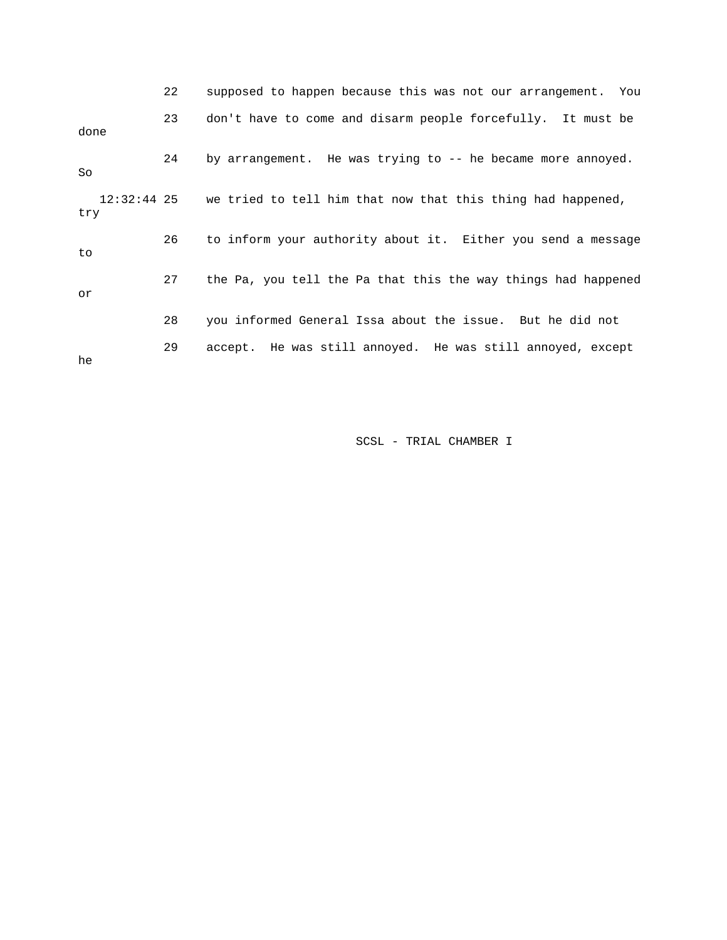|      | 22 | supposed to happen because this was not our arrangement. You            |
|------|----|-------------------------------------------------------------------------|
| done | 23 | don't have to come and disarm people forcefully. It must be             |
| So   | 24 | by arrangement. He was trying to -- he became more annoyed.             |
| try  |    | 12:32:44 25 we tried to tell him that now that this thing had happened, |
| to   | 26 | to inform your authority about it. Either you send a message            |
| or   | 27 | the Pa, you tell the Pa that this the way things had happened           |
|      | 28 | you informed General Issa about the issue. But he did not               |
| he   | 29 | accept. He was still annoyed. He was still annoyed, except              |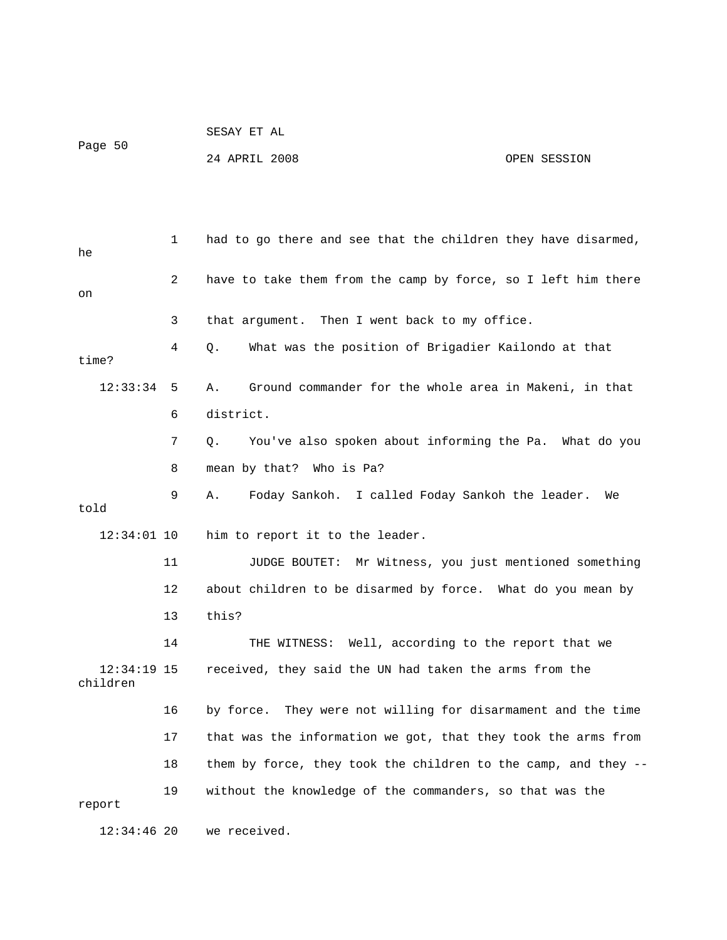|         | PEPAI FI UT   |              |
|---------|---------------|--------------|
| Page 50 |               |              |
|         | 24 APRIL 2008 | OPEN SESSION |

 $GROAY$   $E = 3I$ 

 1 had to go there and see that the children they have disarmed, he 2 have to take them from the camp by force, so I left him there on 3 that argument. Then I went back to my office. 4 Q. What was the position of Brigadier Kailondo at that time? 12:33:34 5 A. Ground commander for the whole area in Makeni, in that 6 district. 7 Q. You've also spoken about informing the Pa. What do you 8 mean by that? Who is Pa? 9 A. Foday Sankoh. I called Foday Sankoh the leader. We told 12:34:01 10 him to report it to the leader. 11 JUDGE BOUTET: Mr Witness, you just mentioned something 12 about children to be disarmed by force. What do you mean by 13 this? 14 THE WITNESS: Well, according to the report that we 12:34:19 15 received, they said the UN had taken the arms from the children 16 by force. They were not willing for disarmament and the time 17 that was the information we got, that they took the arms from 18 them by force, they took the children to the camp, and they -- 19 without the knowledge of the commanders, so that was the report 12:34:46 20 we received.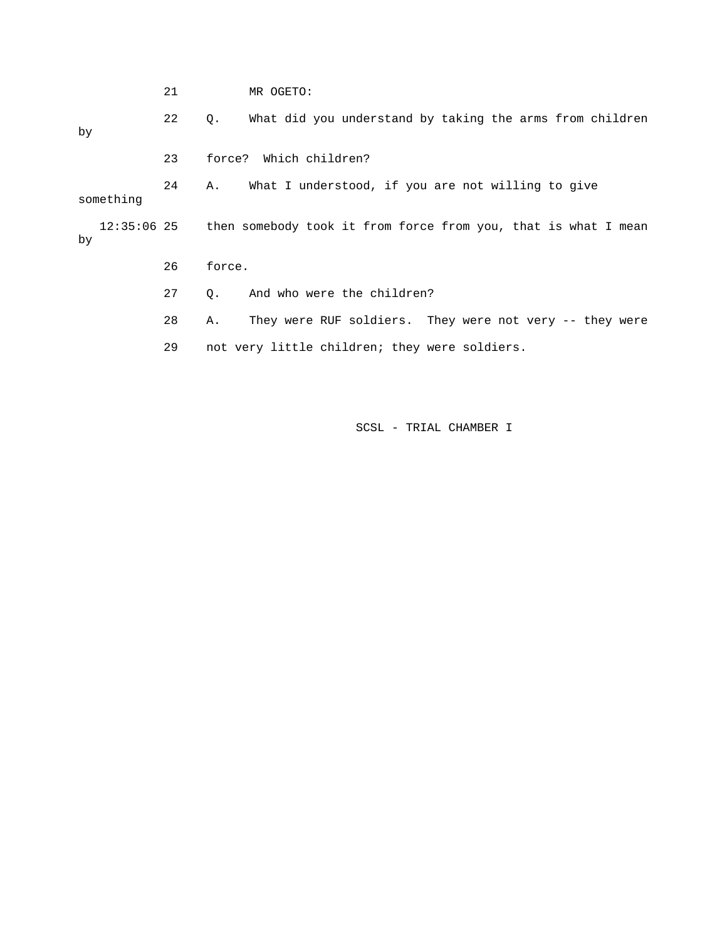|    |           | 21 |           | MR OGETO:                                                                  |
|----|-----------|----|-----------|----------------------------------------------------------------------------|
| by |           | 22 | $\circ$ . | What did you understand by taking the arms from children                   |
|    |           | 23 | force?    | Which children?                                                            |
|    | something | 24 | A.        | What I understood, if you are not willing to give                          |
| by |           |    |           | 12:35:06 25 then somebody took it from force from you, that is what I mean |
|    |           | 26 | force.    |                                                                            |
|    |           | 27 | $\circ$ . | And who were the children?                                                 |
|    |           | 28 | Α.        | They were RUF soldiers. They were not very -- they were                    |
|    |           | 29 |           | not very little children; they were soldiers.                              |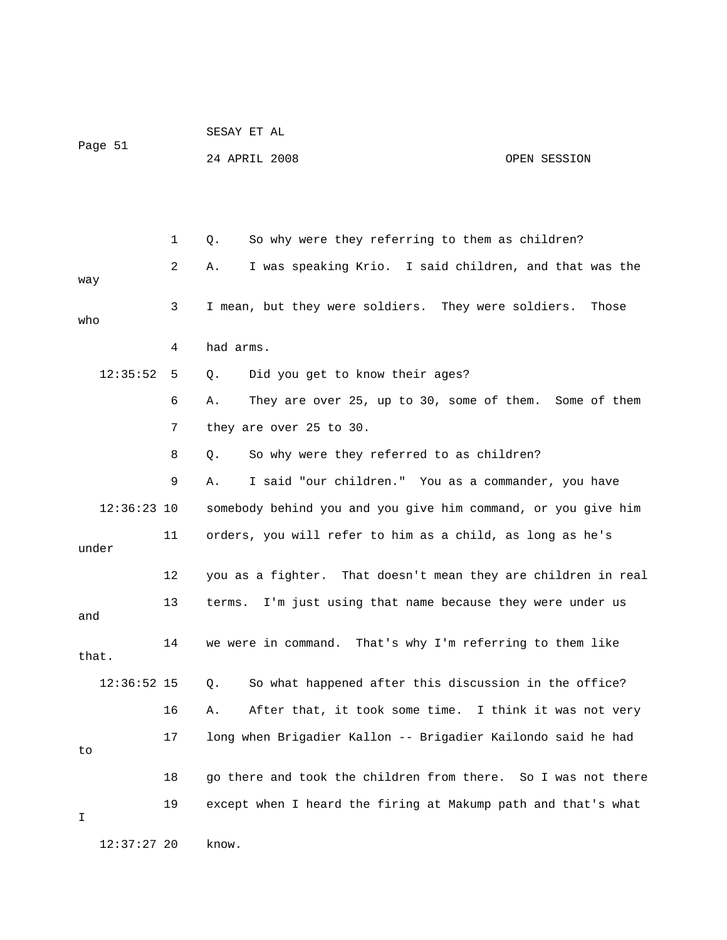|               |    | SESAY ET AL                                                   |  |  |  |  |
|---------------|----|---------------------------------------------------------------|--|--|--|--|
| Page 51       |    | 24 APRIL 2008<br>OPEN SESSION                                 |  |  |  |  |
|               |    |                                                               |  |  |  |  |
|               |    |                                                               |  |  |  |  |
|               | 1  | So why were they referring to them as children?<br>Q.         |  |  |  |  |
| way           | 2  | I was speaking Krio. I said children, and that was the<br>Α.  |  |  |  |  |
| who           | 3  | I mean, but they were soldiers. They were soldiers.<br>Those  |  |  |  |  |
|               | 4  | had arms.                                                     |  |  |  |  |
| 12:35:52      | 5  | Did you get to know their ages?<br>Q.                         |  |  |  |  |
|               | 6  | They are over 25, up to 30, some of them. Some of them<br>Α.  |  |  |  |  |
|               | 7  | they are over 25 to 30.                                       |  |  |  |  |
|               | 8  | So why were they referred to as children?<br>Q.               |  |  |  |  |
|               | 9  | I said "our children." You as a commander, you have<br>Α.     |  |  |  |  |
| $12:36:23$ 10 |    | somebody behind you and you give him command, or you give him |  |  |  |  |
| under         | 11 | orders, you will refer to him as a child, as long as he's     |  |  |  |  |
|               | 12 | you as a fighter. That doesn't mean they are children in real |  |  |  |  |
| and           | 13 | I'm just using that name because they were under us<br>terms. |  |  |  |  |
| that.         | 14 | we were in command. That's why I'm referring to them like     |  |  |  |  |
| $12:36:52$ 15 |    | So what happened after this discussion in the office?<br>Q.   |  |  |  |  |
|               | 16 | After that, it took some time. I think it was not very<br>Α.  |  |  |  |  |
| to            | 17 | long when Brigadier Kallon -- Brigadier Kailondo said he had  |  |  |  |  |
|               | 18 | go there and took the children from there. So I was not there |  |  |  |  |
| I             | 19 | except when I heard the firing at Makump path and that's what |  |  |  |  |
| $12:37:27$ 20 |    | know.                                                         |  |  |  |  |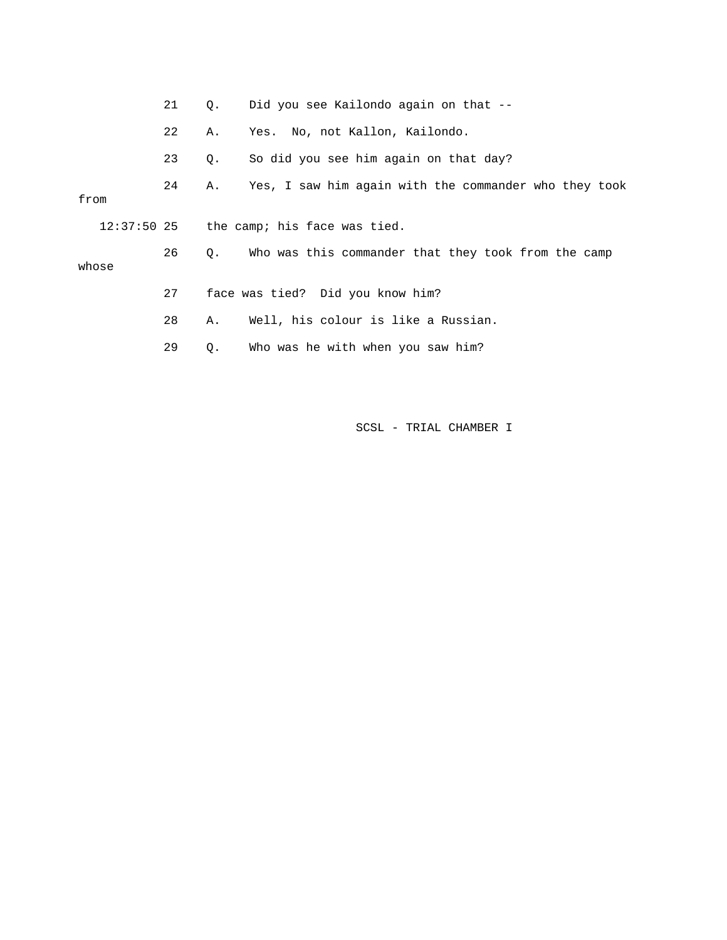|                                |  | 21 | $\circ$ .                                  | Did you see Kailondo again on that --                 |  |
|--------------------------------|--|----|--------------------------------------------|-------------------------------------------------------|--|
|                                |  | 22 | Α.                                         | Yes. No, not Kallon, Kailondo.                        |  |
|                                |  | 23 | $\circ$ .                                  | So did you see him again on that day?                 |  |
| from                           |  | 24 | Α.                                         | Yes, I saw him again with the commander who they took |  |
|                                |  |    | $12:37:50$ 25 the camp; his face was tied. |                                                       |  |
| 26<br>$\circ$ .<br>whose<br>27 |  |    |                                            | Who was this commander that they took from the camp   |  |
|                                |  |    | face was tied? Did you know him?           |                                                       |  |
|                                |  | 28 | Α.                                         | Well, his colour is like a Russian.                   |  |
|                                |  | 29 | $\circ$ .                                  | Who was he with when you saw him?                     |  |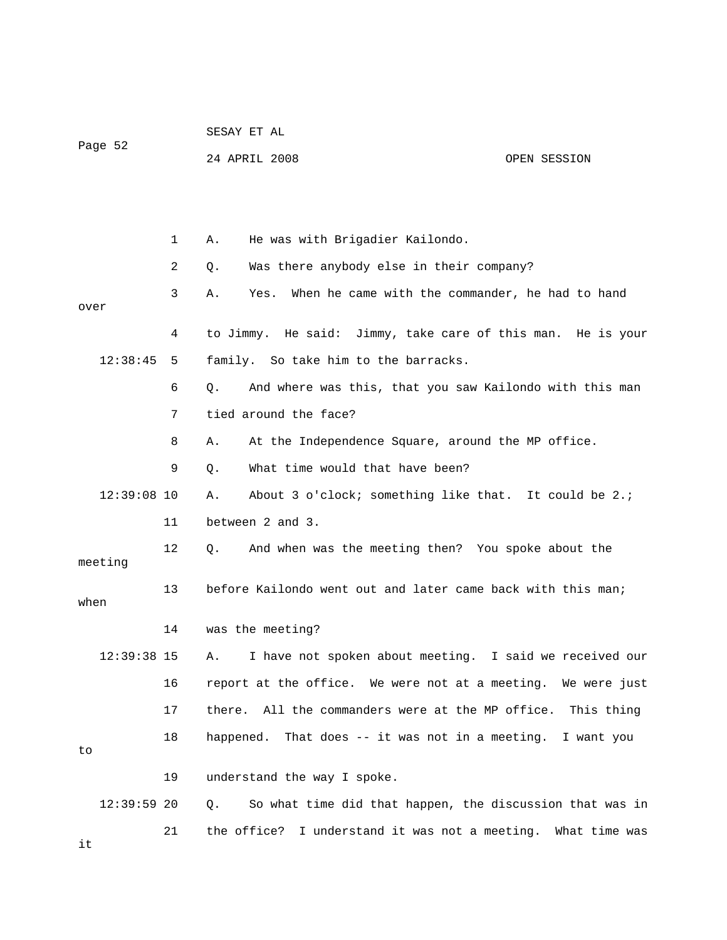|               |    | SESAY ET AL                                                 |                                                              |  |  |  |  |
|---------------|----|-------------------------------------------------------------|--------------------------------------------------------------|--|--|--|--|
| Page 52       |    | 24 APRIL 2008                                               | OPEN SESSION                                                 |  |  |  |  |
|               |    |                                                             |                                                              |  |  |  |  |
|               |    |                                                             |                                                              |  |  |  |  |
|               | 1  | He was with Brigadier Kailondo.<br>Α.                       |                                                              |  |  |  |  |
|               | 2  | Was there anybody else in their company?<br>Q.              |                                                              |  |  |  |  |
| over          | 3  | Yes.<br>Α.                                                  | When he came with the commander, he had to hand              |  |  |  |  |
|               | 4  | to Jimmy. He said: Jimmy, take care of this man. He is your |                                                              |  |  |  |  |
| 12:38:45      | 5  | family. So take him to the barracks.                        |                                                              |  |  |  |  |
|               | 6  | Q.                                                          | And where was this, that you saw Kailondo with this man      |  |  |  |  |
|               | 7  | tied around the face?                                       |                                                              |  |  |  |  |
|               | 8  | Α.                                                          | At the Independence Square, around the MP office.            |  |  |  |  |
|               | 9  | What time would that have been?<br>Q.                       |                                                              |  |  |  |  |
| $12:39:08$ 10 |    | Α.                                                          | About 3 o'clock; something like that. It could be 2.;        |  |  |  |  |
|               | 11 | between 2 and 3.                                            |                                                              |  |  |  |  |
| meeting       | 12 | Q.                                                          | And when was the meeting then? You spoke about the           |  |  |  |  |
| when          | 13 |                                                             | before Kailondo went out and later came back with this man;  |  |  |  |  |
|               | 14 | was the meeting?                                            |                                                              |  |  |  |  |
| 12:39:38 15   |    |                                                             | A. I have not spoken about meeting. I said we received our   |  |  |  |  |
|               | 16 |                                                             | report at the office. We were not at a meeting. We were just |  |  |  |  |
|               | 17 |                                                             | there. All the commanders were at the MP office. This thing  |  |  |  |  |
| to            | 18 |                                                             | happened. That does -- it was not in a meeting. I want you   |  |  |  |  |
|               | 19 | understand the way I spoke.                                 |                                                              |  |  |  |  |
| $12:39:59$ 20 |    | Q.                                                          | So what time did that happen, the discussion that was in     |  |  |  |  |
| it            | 21 |                                                             | the office? I understand it was not a meeting. What time was |  |  |  |  |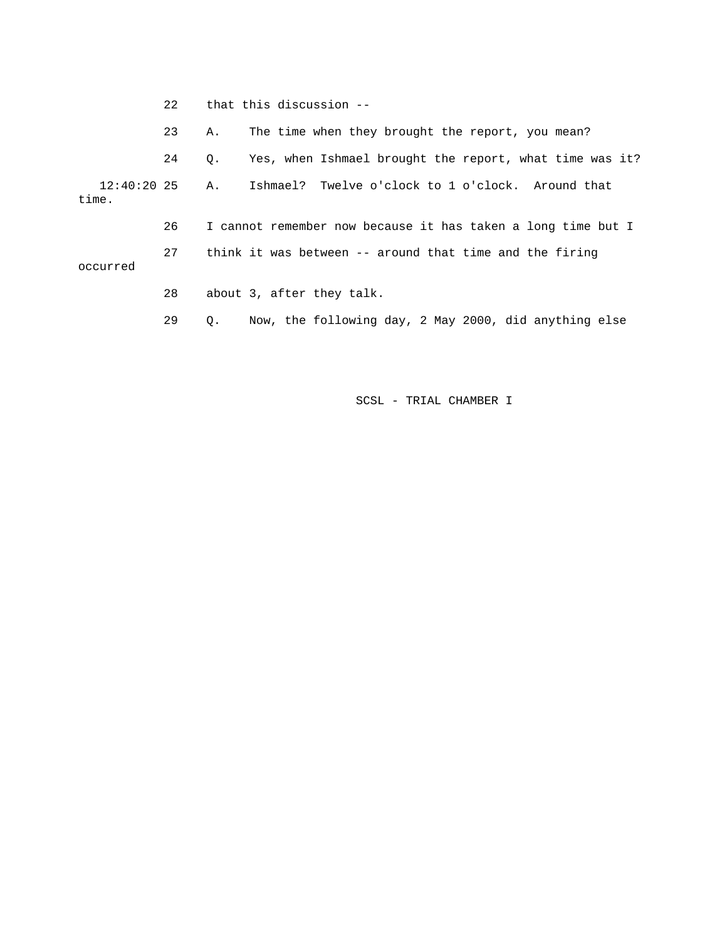|                                                                            | 22 <sub>1</sub> | that this discussion --                                      |                                                         |  |  |
|----------------------------------------------------------------------------|-----------------|--------------------------------------------------------------|---------------------------------------------------------|--|--|
|                                                                            | 23              | Α.                                                           | The time when they brought the report, you mean?        |  |  |
|                                                                            | 24              | $\circ$ .                                                    | Yes, when Ishmael brought the report, what time was it? |  |  |
| $12:40:20$ 25 A.<br>time.                                                  |                 |                                                              | Ishmael? Twelve o'clock to 1 o'clock. Around that       |  |  |
|                                                                            | 26              | I cannot remember now because it has taken a long time but I |                                                         |  |  |
| 27<br>think it was between $-$ around that time and the firing<br>occurred |                 |                                                              |                                                         |  |  |
|                                                                            | 28              |                                                              | about 3, after they talk.                               |  |  |
|                                                                            | 29              | $\circ$ .                                                    | Now, the following day, 2 May 2000, did anything else   |  |  |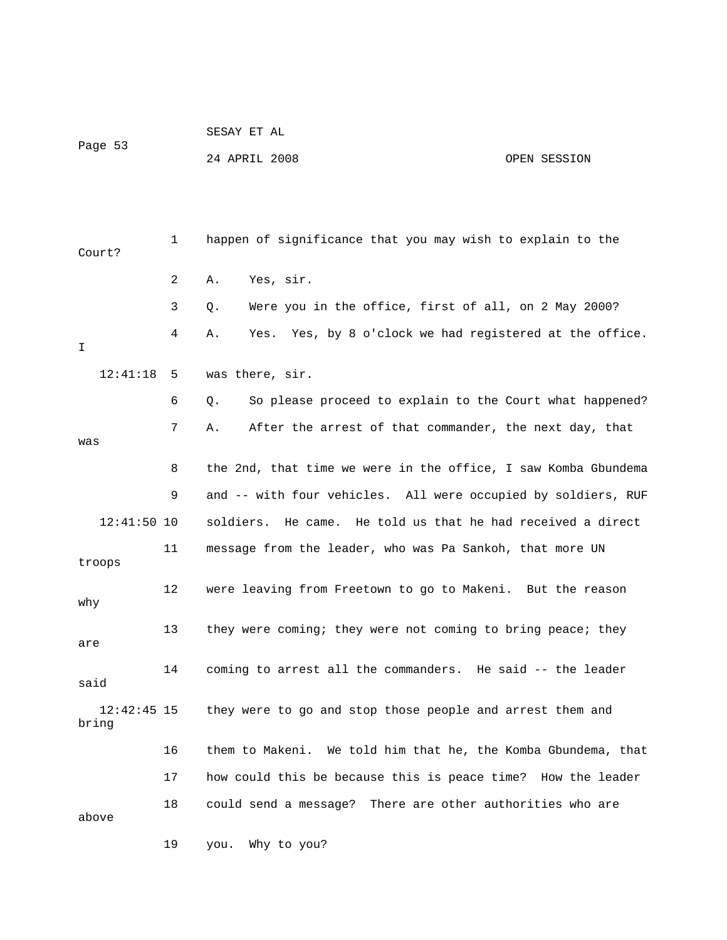| Page 53                |    | 24 APRIL 2008<br>OPEN SESSION                                  |
|------------------------|----|----------------------------------------------------------------|
|                        |    |                                                                |
| Court?                 | 1  | happen of significance that you may wish to explain to the     |
|                        | 2  | Yes, sir.<br>Α.                                                |
|                        | 3  | Were you in the office, first of all, on 2 May 2000?<br>Q.     |
| I                      | 4  | Yes. Yes, by 8 o'clock we had registered at the office.<br>Α.  |
| 12:41:18               | 5  | was there, sir.                                                |
|                        | 6  | So please proceed to explain to the Court what happened?<br>Q. |
| was                    | 7  | After the arrest of that commander, the next day, that<br>Α.   |
|                        | 8  | the 2nd, that time we were in the office, I saw Komba Gbundema |
|                        | 9  | and -- with four vehicles. All were occupied by soldiers, RUF  |
| $12:41:50$ 10          |    | He came. He told us that he had received a direct<br>soldiers. |
| troops                 | 11 | message from the leader, who was Pa Sankoh, that more UN       |
| why                    | 12 | were leaving from Freetown to go to Makeni. But the reason     |
| are                    | 13 | they were coming; they were not coming to bring peace; they    |
| said                   |    | coming to arrest all the commanders. He said -- the leader     |
| $12:42:45$ 15<br>bring |    | they were to go and stop those people and arrest them and      |
|                        | 16 | them to Makeni. We told him that he, the Komba Gbundema, that  |
|                        | 17 | how could this be because this is peace time? How the leader   |
| above                  | 18 | could send a message? There are other authorities who are      |
|                        | 19 | Why to you?<br>you.                                            |

SESAY ET AL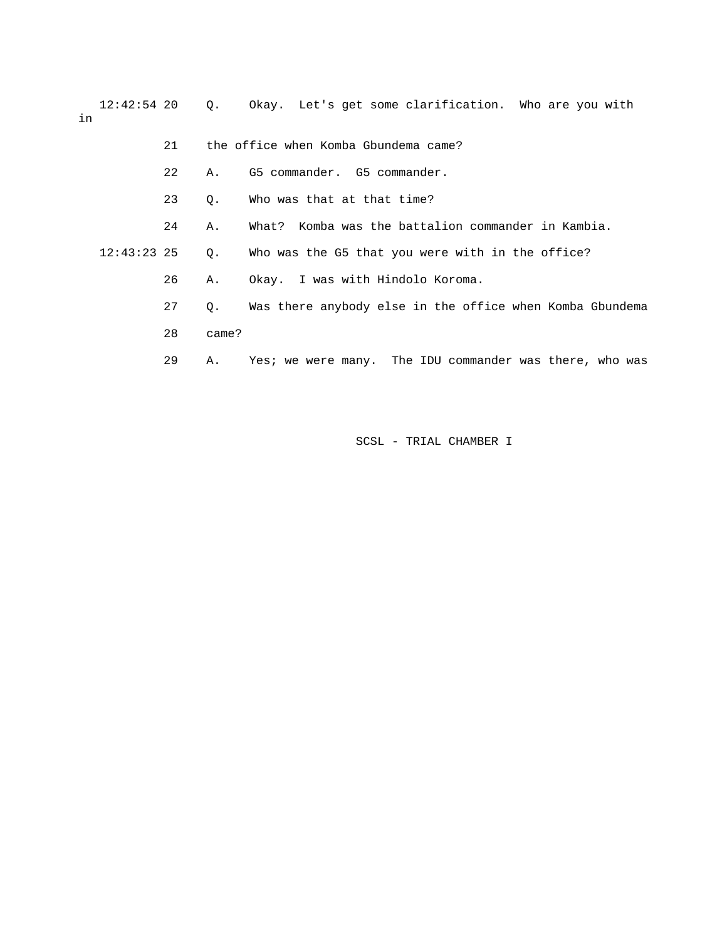12:42:54 20 Q. Okay. Let's get some clarification. Who are you with in

 21 the office when Komba Gbundema came? 22 A. G5 commander. G5 commander. 23 Q. Who was that at that time? 24 A. What? Komba was the battalion commander in Kambia. 12:43:23 25 Q. Who was the G5 that you were with in the office? 26 A. Okay. I was with Hindolo Koroma. 27 Q. Was there anybody else in the office when Komba Gbundema 28 came? 29 A. Yes; we were many. The IDU commander was there, who was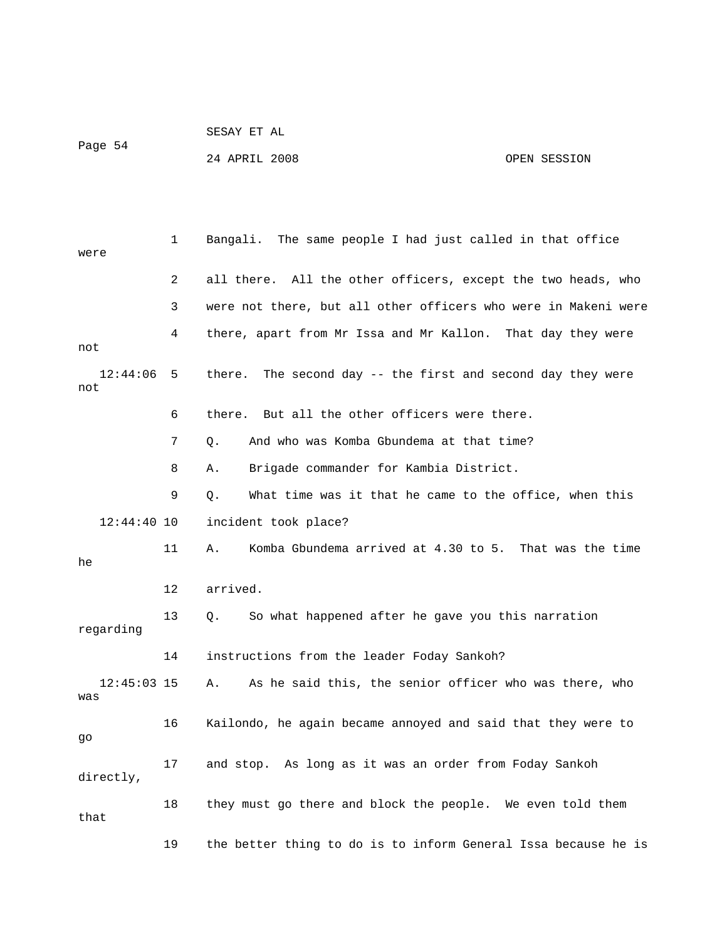| Page 54 | SESAY ET AL   |  |              |
|---------|---------------|--|--------------|
|         | 24 APRIL 2008 |  | OPEN SESSION |

 1 Bangali. The same people I had just called in that office were 2 all there. All the other officers, except the two heads, who 3 were not there, but all other officers who were in Makeni were 4 there, apart from Mr Issa and Mr Kallon. That day they were not 12:44:06 5 there. The second day -- the first and second day they were not 6 there. But all the other officers were there. 7 Q. And who was Komba Gbundema at that time? 8 A. Brigade commander for Kambia District. 9 Q. What time was it that he came to the office, when this 12:44:40 10 incident took place? 11 A. Komba Gbundema arrived at 4.30 to 5. That was the time he 12 arrived. 13 Q. So what happened after he gave you this narration regarding 14 instructions from the leader Foday Sankoh? 12:45:03 15 A. As he said this, the senior officer who was there, who was 16 Kailondo, he again became annoyed and said that they were to go 17 and stop. As long as it was an order from Foday Sankoh directly, 18 they must go there and block the people. We even told them that 19 the better thing to do is to inform General Issa because he is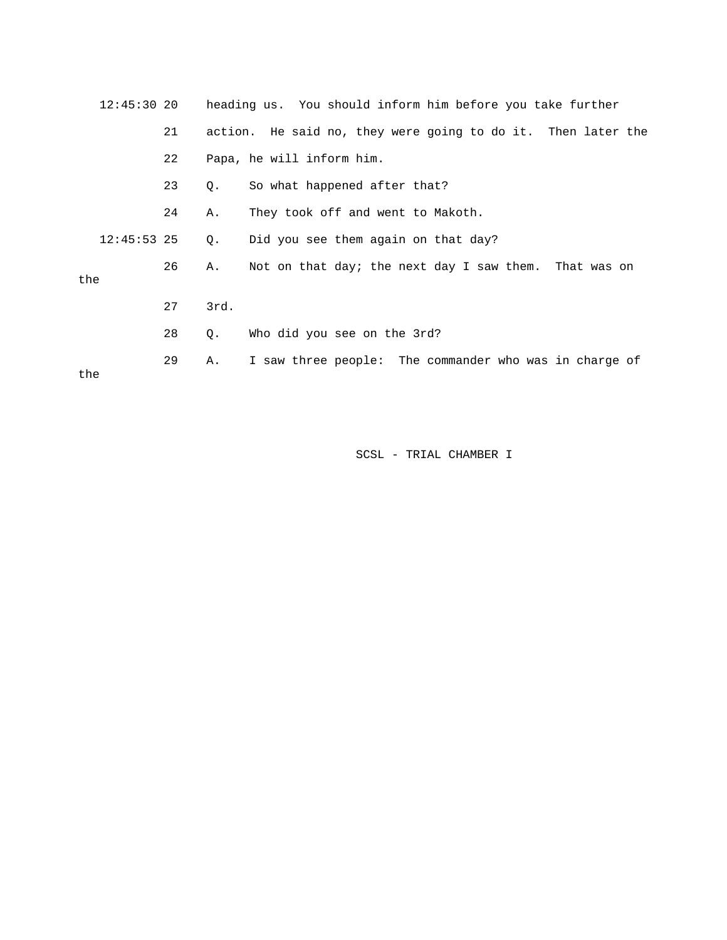| $12:45:30$ 20 |    |      | heading us. You should inform him before you take further    |
|---------------|----|------|--------------------------------------------------------------|
|               | 21 |      | action. He said no, they were going to do it. Then later the |
|               | 22 |      | Papa, he will inform him.                                    |
|               | 23 | Q.   | So what happened after that?                                 |
|               | 24 | Α.   | They took off and went to Makoth.                            |
| $12:45:53$ 25 |    | Q.   | Did you see them again on that day?                          |
| the           | 26 | Α.   | Not on that day; the next day I saw them. That was on        |
|               | 27 | 3rd. |                                                              |
|               | 28 | Q.   | Who did you see on the 3rd?                                  |
| the           | 29 | Α.   | I saw three people: The commander who was in charge of       |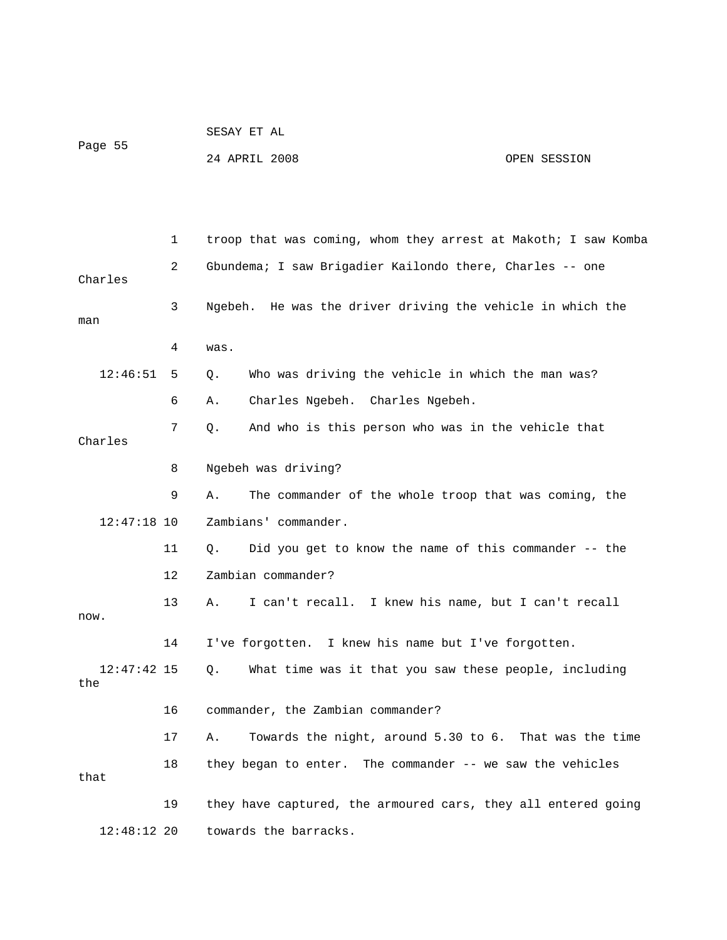| Page 55 | SESAY ET AL   |              |
|---------|---------------|--------------|
|         | 24 APRIL 2008 | OPEN SESSION |

|                      | 1               | troop that was coming, whom they arrest at Makoth; I saw Komba |
|----------------------|-----------------|----------------------------------------------------------------|
| Charles              | 2               | Gbundema; I saw Brigadier Kailondo there, Charles -- one       |
| man                  | 3               | Ngebeh. He was the driver driving the vehicle in which the     |
|                      | 4               | was.                                                           |
| 12:46:51             | 5               | Who was driving the vehicle in which the man was?<br>Q.        |
|                      | 6               | Charles Ngebeh. Charles Ngebeh.<br>Α.                          |
| Charles              | 7               | And who is this person who was in the vehicle that<br>Q.       |
|                      | 8               | Ngebeh was driving?                                            |
|                      | 9               | The commander of the whole troop that was coming, the<br>Α.    |
| $12:47:18$ 10        |                 | Zambians' commander.                                           |
|                      | 11              | Did you get to know the name of this commander -- the<br>О.    |
|                      | 12 <sup>°</sup> | Zambian commander?                                             |
| now.                 | 13              | I can't recall. I knew his name, but I can't recall<br>Α.      |
|                      | 14              | I've forgotten. I knew his name but I've forgotten.            |
| $12:47:42$ 15<br>the |                 | What time was it that you saw these people, including<br>Q.    |
|                      | 16              | commander, the Zambian commander?                              |
|                      | 17              | Towards the night, around 5.30 to 6. That was the time<br>Α.   |
| that                 | 18              | they began to enter. The commander -- we saw the vehicles      |
|                      | 19              | they have captured, the armoured cars, they all entered going  |
| $12:48:12$ 20        |                 | towards the barracks.                                          |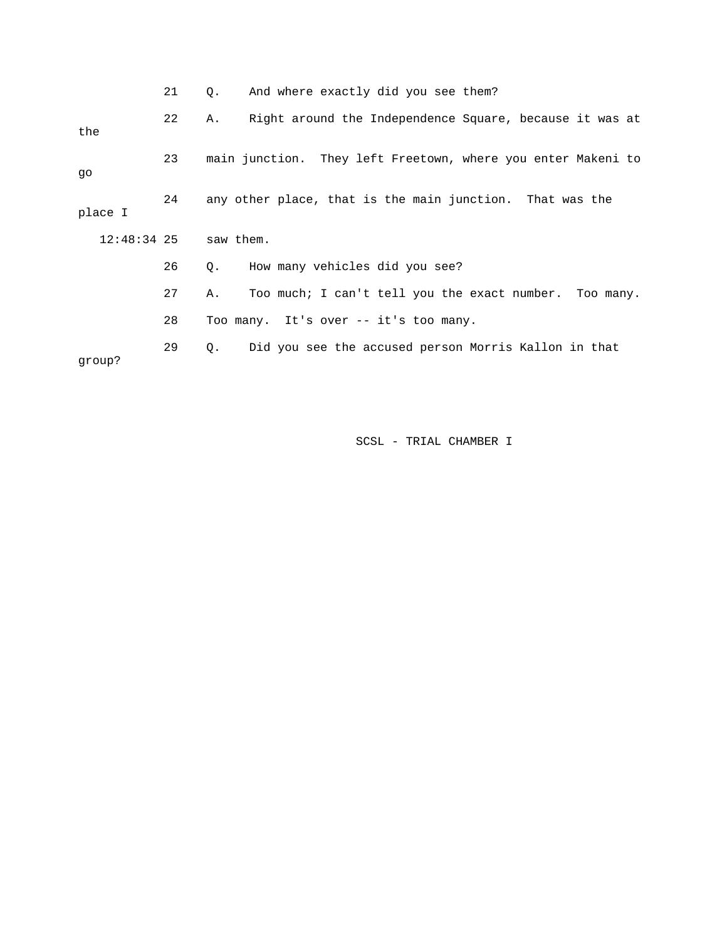|               | 21 | And where exactly did you see them?<br>О.                     |
|---------------|----|---------------------------------------------------------------|
| the           | 22 | Right around the Independence Square, because it was at<br>Α. |
| qo            | 23 | main junction. They left Freetown, where you enter Makeni to  |
| place I       | 24 | any other place, that is the main junction. That was the      |
| $12:48:34$ 25 |    | saw them.                                                     |
|               | 26 | How many vehicles did you see?<br>Q.                          |
|               | 27 | Too much; I can't tell you the exact number. Too many.<br>Α.  |
|               | 28 | Too many. It's over -- it's too many.                         |
| qroup?        | 29 | Did you see the accused person Morris Kallon in that<br>0.    |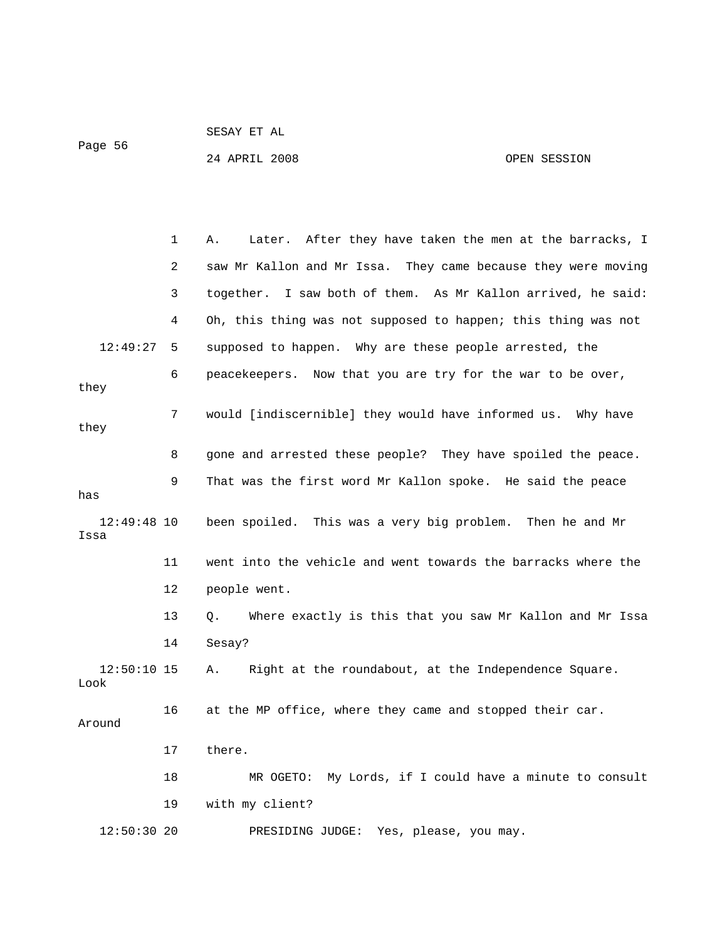SESAY ET AL

Page 56

24 APRIL 2008 OPEN SESSION

 1 A. Later. After they have taken the men at the barracks, I 2 saw Mr Kallon and Mr Issa. They came because they were moving 3 together. I saw both of them. As Mr Kallon arrived, he said: 4 Oh, this thing was not supposed to happen; this thing was not 12:49:27 5 supposed to happen. Why are these people arrested, the 6 peacekeepers. Now that you are try for the war to be over, they 7 would [indiscernible] they would have informed us. Why have they 8 gone and arrested these people? They have spoiled the peace. 9 That was the first word Mr Kallon spoke. He said the peace has 12:49:48 10 been spoiled. This was a very big problem. Then he and Mr Issa 11 went into the vehicle and went towards the barracks where the 12 people went. 13 Q. Where exactly is this that you saw Mr Kallon and Mr Issa 14 Sesay? 12:50:10 15 A. Right at the roundabout, at the Independence Square. Look 16 at the MP office, where they came and stopped their car. Around 17 there. 18 MR OGETO: My Lords, if I could have a minute to consult 19 with my client? 12:50:30 20 PRESIDING JUDGE: Yes, please, you may.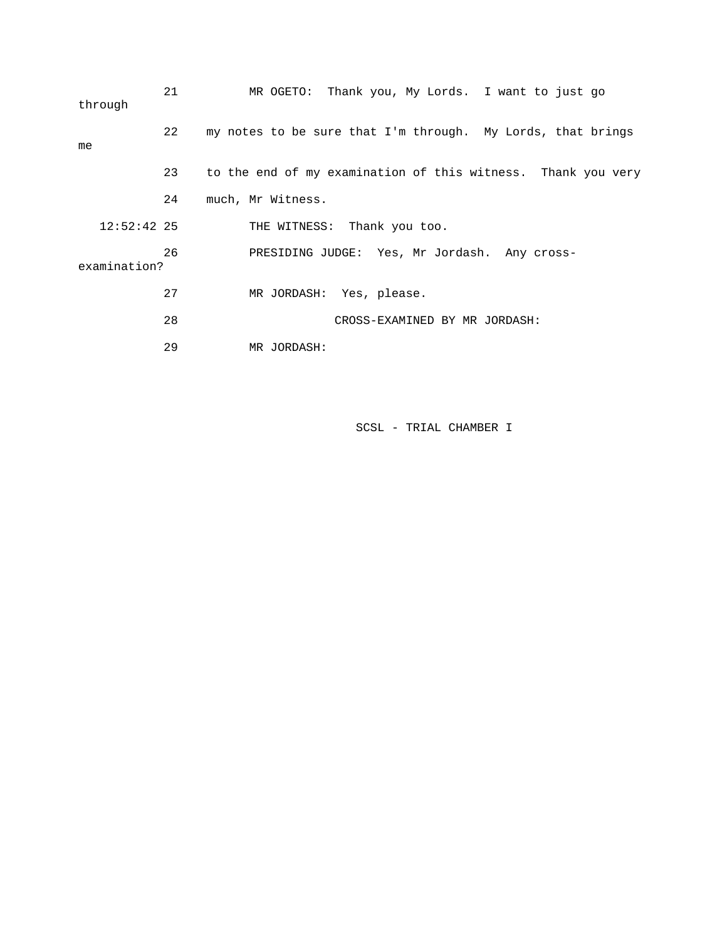| through       | 21 | MR OGETO: Thank you, My Lords. I want to just go             |
|---------------|----|--------------------------------------------------------------|
| me            | 22 | my notes to be sure that I'm through. My Lords, that brings  |
|               | 23 | to the end of my examination of this witness. Thank you very |
|               | 24 | much, Mr Witness.                                            |
| $12:52:42$ 25 |    | THE WITNESS: Thank you too.                                  |
| examination?  | 26 | PRESIDING JUDGE: Yes, Mr Jordash. Any cross-                 |
|               | 27 | MR JORDASH: Yes, please.                                     |
|               | 28 | CROSS-EXAMINED BY MR JORDASH:                                |
|               | 29 | MR JORDASH:                                                  |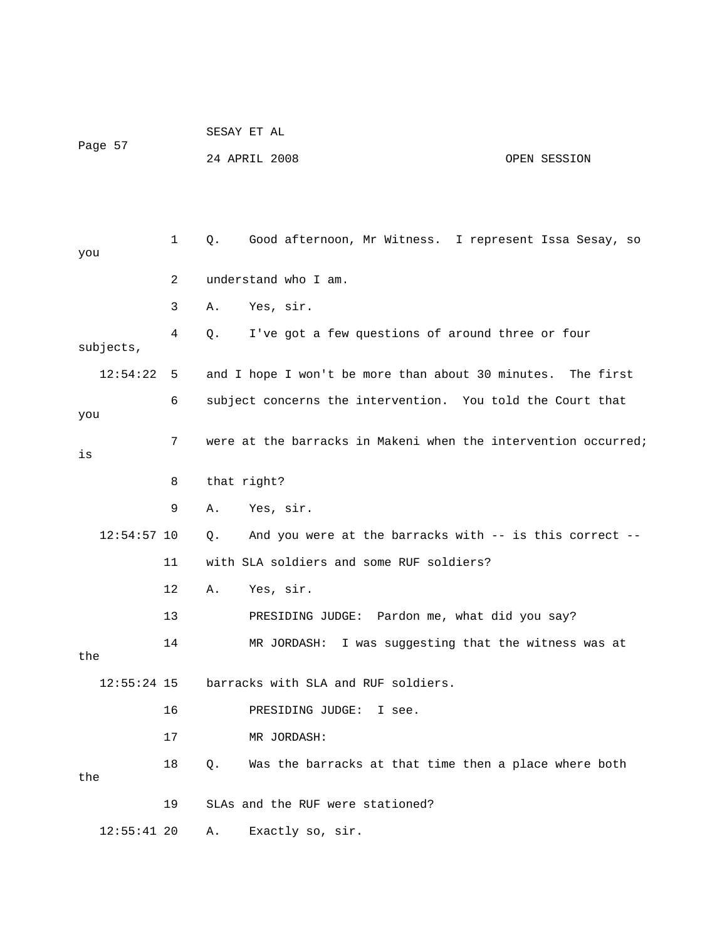| Page 57       |              |       | SESAY ET AL                                                    |              |
|---------------|--------------|-------|----------------------------------------------------------------|--------------|
|               |              |       | 24 APRIL 2008                                                  | OPEN SESSION |
|               |              |       |                                                                |              |
|               |              |       |                                                                |              |
| you           | $\mathbf{1}$ | $Q$ . | Good afternoon, Mr Witness. I represent Issa Sesay, so         |              |
|               | 2            |       | understand who I am.                                           |              |
|               | 3            | Α.    | Yes, sir.                                                      |              |
| subjects,     | 4            | Q.    | I've got a few questions of around three or four               |              |
| 12:54:22      | 5            |       | and I hope I won't be more than about 30 minutes.              | The first    |
| you           | 6            |       | subject concerns the intervention. You told the Court that     |              |
| is            | 7            |       | were at the barracks in Makeni when the intervention occurred; |              |
|               | 8            |       | that right?                                                    |              |
|               | 9            | Α.    | Yes, sir.                                                      |              |
| $12:54:57$ 10 |              | Q.    | And you were at the barracks with -- is this correct --        |              |
|               | 11           |       | with SLA soldiers and some RUF soldiers?                       |              |
|               | 12           | Α.    | Yes, sir.                                                      |              |
|               | 13           |       | PRESIDING JUDGE: Pardon me, what did you say?                  |              |
| the           | 14           |       | I was suggesting that the witness was at<br>MR JORDASH:        |              |
| $12:55:24$ 15 |              |       | barracks with SLA and RUF soldiers.                            |              |
|               | 16           |       | PRESIDING JUDGE:<br>I see.                                     |              |
|               | 17           |       | MR JORDASH:                                                    |              |
| the           | 18           | $Q$ . | Was the barracks at that time then a place where both          |              |
|               | 19           |       | SLAs and the RUF were stationed?                               |              |
| $12:55:41$ 20 |              | Α.    | Exactly so, sir.                                               |              |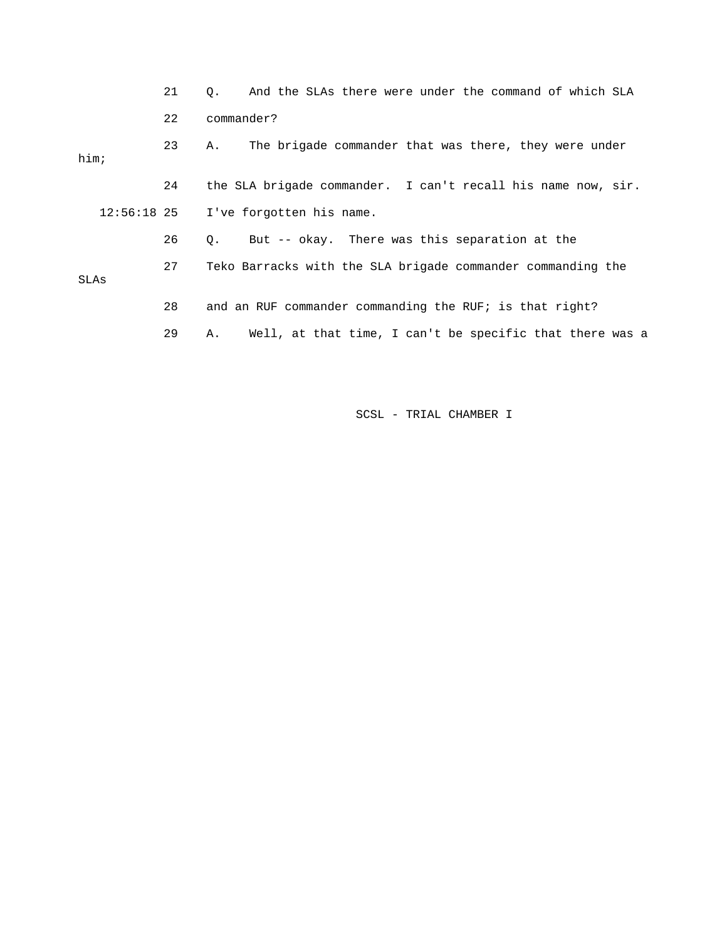|             | 21 | And the SLAs there were under the command of which SLA<br>О.   |
|-------------|----|----------------------------------------------------------------|
|             | 22 | commander?                                                     |
| him;        | 23 | The brigade commander that was there, they were under<br>Α.    |
|             | 24 | the SLA brigade commander. I can't recall his name now, sir.   |
| 12:56:18 25 |    | I've forgotten his name.                                       |
|             | 26 | But -- okay. There was this separation at the<br>$\circ$ .     |
| SLAs        | 27 | Teko Barracks with the SLA brigade commander commanding the    |
|             | 28 | and an RUF commander commanding the RUF; is that right?        |
|             | 29 | Well, at that time, I can't be specific that there was a<br>Α. |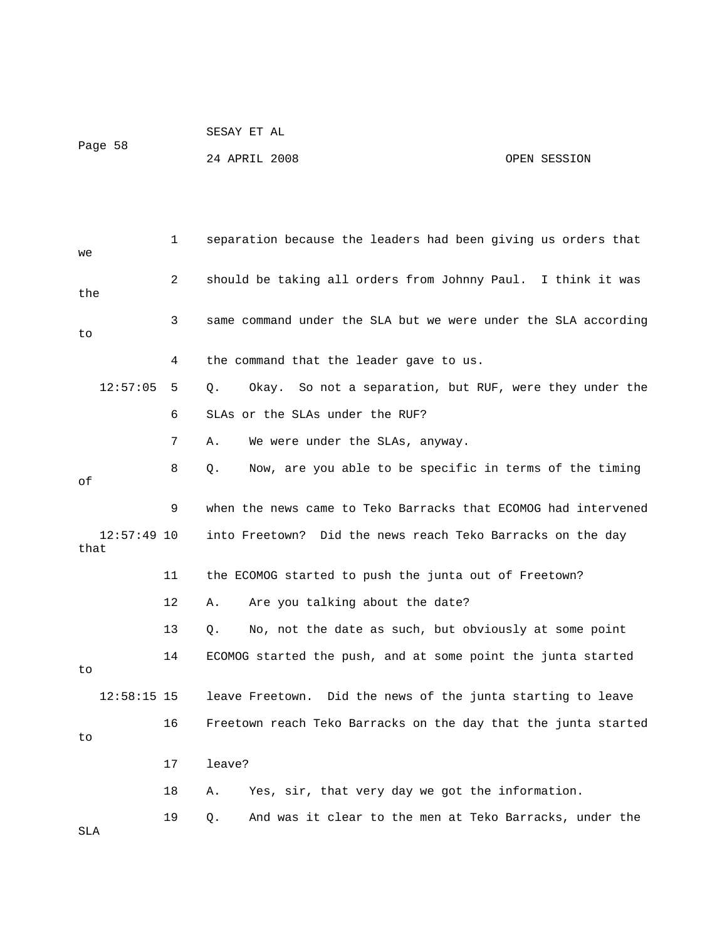|         |  |  | SESAY ET AL |  |
|---------|--|--|-------------|--|
| Page 58 |  |  |             |  |

24 APRIL 2008 OPEN SESSION

| we                    | $\mathbf 1$ | separation because the leaders had been giving us orders that  |
|-----------------------|-------------|----------------------------------------------------------------|
| the                   | 2           | should be taking all orders from Johnny Paul. I think it was   |
| to                    | 3           | same command under the SLA but we were under the SLA according |
|                       | 4           | the command that the leader gave to us.                        |
| 12:57:05              | 5.          | Okay. So not a separation, but RUF, were they under the<br>Q.  |
|                       | 6           | SLAs or the SLAs under the RUF?                                |
|                       | 7           | Α.<br>We were under the SLAs, anyway.                          |
| оf                    | 8           | Now, are you able to be specific in terms of the timing<br>Q.  |
|                       | 9           | when the news came to Teko Barracks that ECOMOG had intervened |
| $12:57:49$ 10<br>that |             | into Freetown? Did the news reach Teko Barracks on the day     |
|                       | 11          | the ECOMOG started to push the junta out of Freetown?          |
|                       | 12          | Are you talking about the date?<br>Α.                          |
|                       | 13          | No, not the date as such, but obviously at some point<br>Q.    |
| to                    | 14          | ECOMOG started the push, and at some point the junta started   |
| $12:58:15$ 15         |             | leave Freetown. Did the news of the junta starting to leave    |
| to                    | 16          | Freetown reach Teko Barracks on the day that the junta started |
|                       | 17          | leave?                                                         |
|                       | 18          | Yes, sir, that very day we got the information.<br>Α.          |
| SLA                   | 19          | And was it clear to the men at Teko Barracks, under the<br>О.  |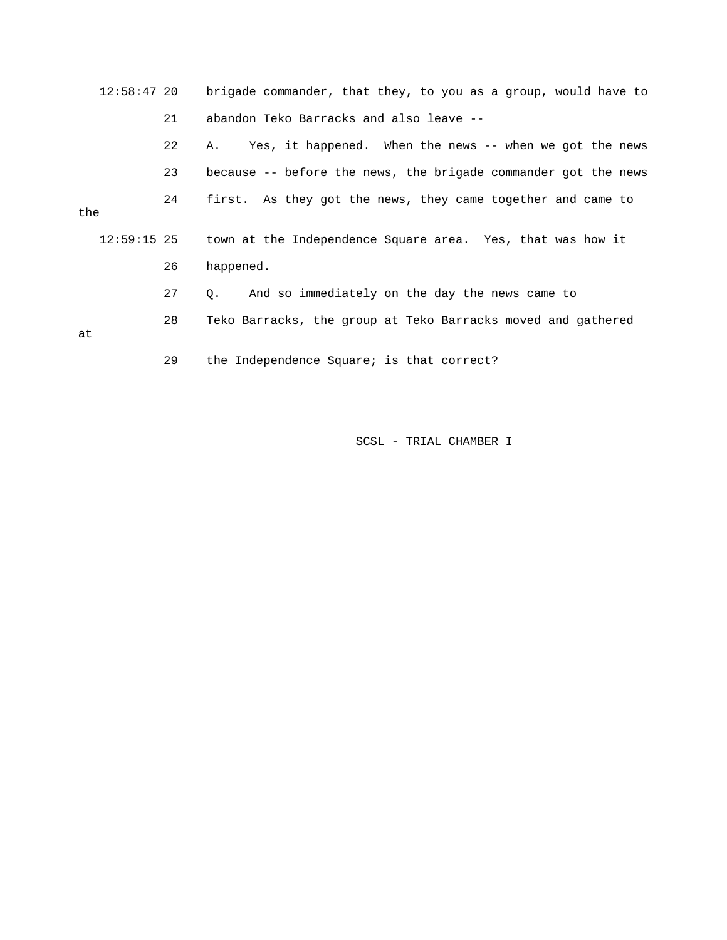|     | $12:58:47$ 20 |    | brigade commander, that they, to you as a group, would have to |
|-----|---------------|----|----------------------------------------------------------------|
|     |               | 21 | abandon Teko Barracks and also leave --                        |
|     |               | 22 | Yes, it happened. When the news -- when we got the news<br>Α.  |
|     |               | 23 | because -- before the news, the brigade commander got the news |
| the |               | 24 | first. As they got the news, they came together and came to    |
|     | $12:59:15$ 25 |    | town at the Independence Square area. Yes, that was how it     |
|     |               | 26 | happened.                                                      |
|     |               | 27 | And so immediately on the day the news came to<br>0.           |
| at  |               | 28 | Teko Barracks, the group at Teko Barracks moved and gathered   |
|     |               | 29 | the Independence Square; is that correct?                      |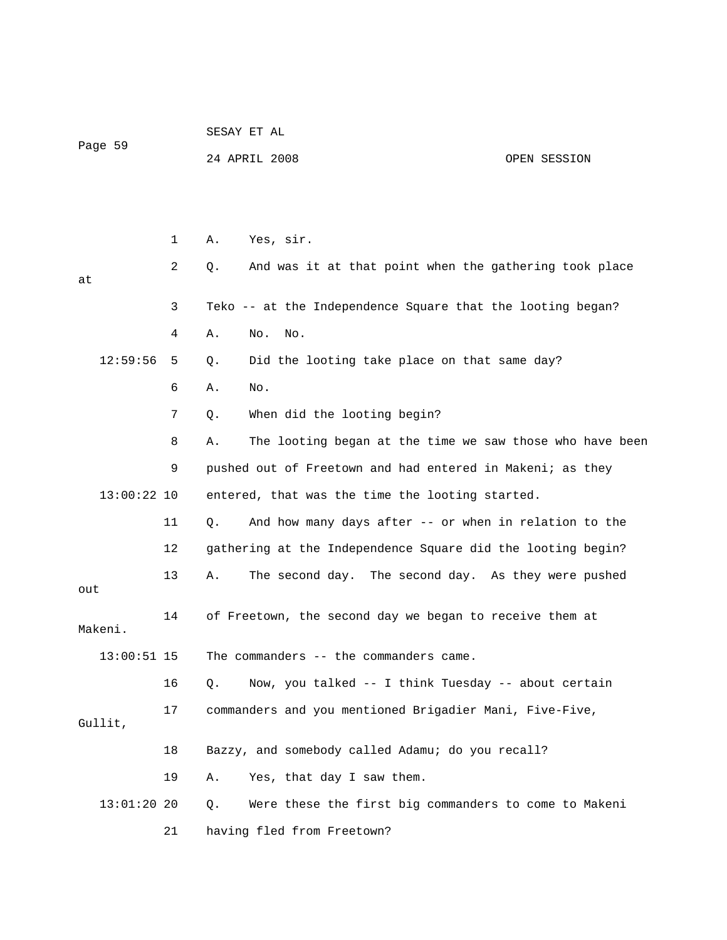| Page 59       |    | SESAY ET AL                                                    |
|---------------|----|----------------------------------------------------------------|
|               |    | 24 APRIL 2008<br>OPEN SESSION                                  |
|               |    |                                                                |
|               |    |                                                                |
|               | 1  | Yes, sir.<br>Α.                                                |
| at            | 2  | And was it at that point when the gathering took place<br>Q.   |
|               | 3  | Teko -- at the Independence Square that the looting began?     |
|               | 4  | No.<br>No.<br>Α.                                               |
| 12:59:56      | 5  | Did the looting take place on that same day?<br>Q.             |
|               | 6  | No.<br>Α.                                                      |
|               | 7  | When did the looting begin?<br>Q.                              |
|               | 8  | The looting began at the time we saw those who have been<br>Α. |
|               | 9  | pushed out of Freetown and had entered in Makeni; as they      |
| $13:00:22$ 10 |    | entered, that was the time the looting started.                |
|               | 11 | And how many days after -- or when in relation to the<br>Q.    |
|               | 12 | gathering at the Independence Square did the looting begin?    |
| out           | 13 | The second day. The second day. As they were pushed<br>Α.      |
| Makeni.       | 14 | of Freetown, the second day we began to receive them at        |
| $13:00:51$ 15 |    | The commanders -- the commanders came.                         |
|               | 16 | Now, you talked -- I think Tuesday -- about certain<br>Q.      |
| Gullit,       | 17 | commanders and you mentioned Brigadier Mani, Five-Five,        |
|               | 18 | Bazzy, and somebody called Adamu; do you recall?               |
|               | 19 | Yes, that day I saw them.<br>Α.                                |
| $13:01:20$ 20 |    | Were these the first big commanders to come to Makeni<br>Q.    |
|               | 21 | having fled from Freetown?                                     |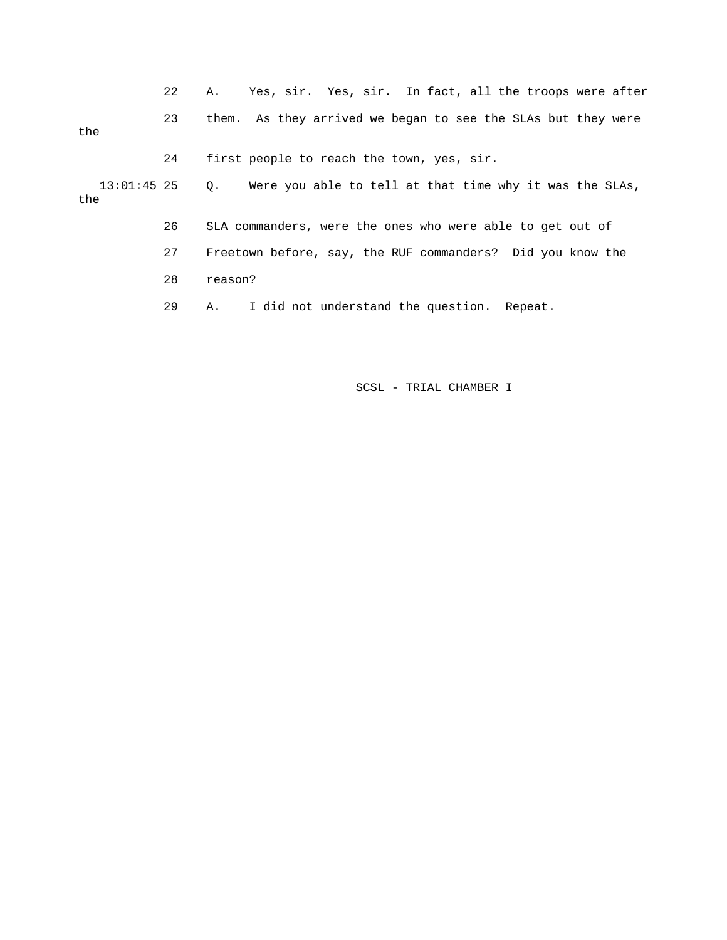|                    | 22 | Yes, sir. Yes, sir. In fact, all the troops were after<br>А. |
|--------------------|----|--------------------------------------------------------------|
| the                | 23 | them. As they arrived we began to see the SLAs but they were |
|                    | 24 | first people to reach the town, yes, sir.                    |
| 13:01:45 25<br>the |    | Q. Were you able to tell at that time why it was the SLAs,   |
|                    | 26 | SLA commanders, were the ones who were able to get out of    |
|                    | 27 | Freetown before, say, the RUF commanders? Did you know the   |
|                    | 28 | reason?                                                      |
|                    | 29 | A. I did not understand the question. Repeat.                |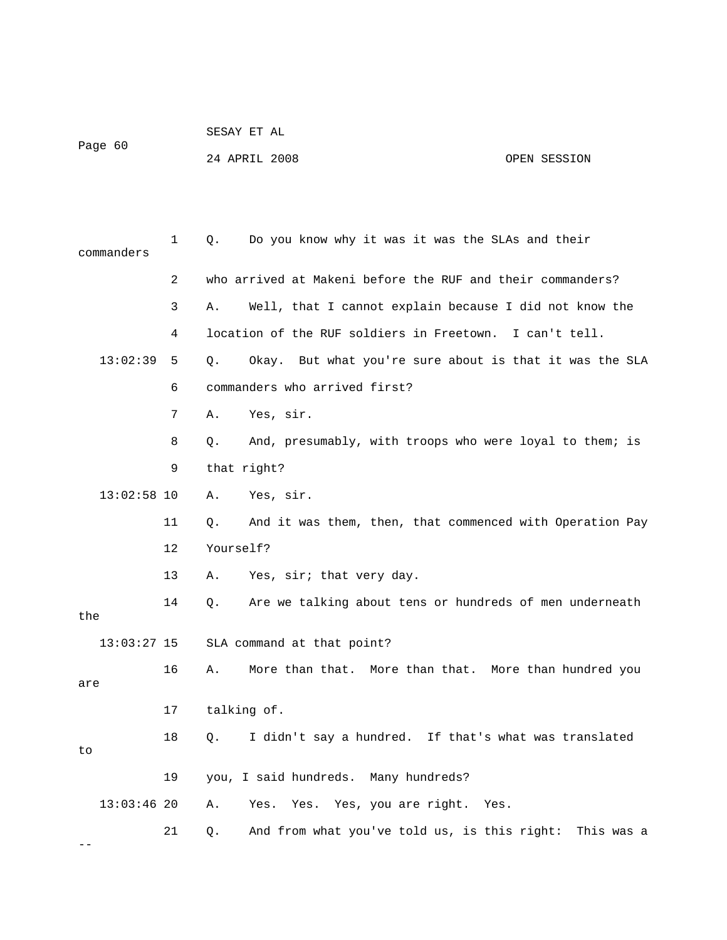| SESAY ET AL |  |
|-------------|--|
|             |  |

Page 60

24 APRIL 2008 OPEN SESSION

| commanders      | 1  | Do you know why it was it was the SLAs and their<br>Q.           |
|-----------------|----|------------------------------------------------------------------|
|                 | 2  | who arrived at Makeni before the RUF and their commanders?       |
|                 | 3  | Well, that I cannot explain because I did not know the<br>Α.     |
|                 | 4  | location of the RUF soldiers in Freetown. I can't tell.          |
| 13:02:39        | 5  | Okay. But what you're sure about is that it was the SLA<br>Q.    |
|                 | 6  | commanders who arrived first?                                    |
|                 | 7  | Yes, sir.<br>Α.                                                  |
|                 | 8  | And, presumably, with troops who were loyal to them; is<br>Q.    |
|                 | 9  | that right?                                                      |
| $13:02:58$ 10   |    | Yes, sir.<br>Α.                                                  |
|                 | 11 | And it was them, then, that commenced with Operation Pay<br>Q.   |
| Yourself?<br>12 |    |                                                                  |
|                 | 13 | Yes, sir; that very day.<br>Α.                                   |
| the             | 14 | Are we talking about tens or hundreds of men underneath<br>$Q$ . |
| $13:03:27$ 15   |    | SLA command at that point?                                       |
| are             | 16 | More than that. More than that. More than hundred you<br>Α.      |
|                 | 17 | talking of.                                                      |
| to              | 18 | I didn't say a hundred. If that's what was translated<br>Q.      |
|                 | 19 | you, I said hundreds. Many hundreds?                             |
| $13:03:46$ 20   |    | Yes. Yes, you are right.<br>Yes.<br>Α.<br>Yes.                   |
|                 | 21 | And from what you've told us, is this right:<br>This was a<br>Q. |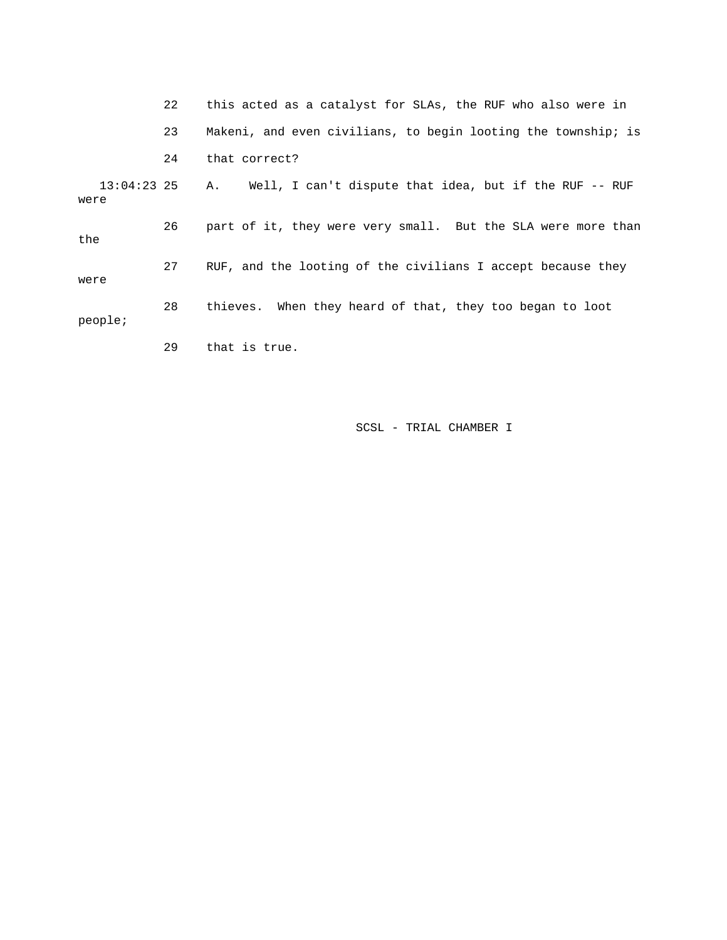|                     | 22 | this acted as a catalyst for SLAs, the RUF who also were in   |
|---------------------|----|---------------------------------------------------------------|
|                     | 23 | Makeni, and even civilians, to begin looting the township; is |
|                     | 24 | that correct?                                                 |
| 13:04:23 25<br>were |    | Well, I can't dispute that idea, but if the RUF -- RUF<br>Α.  |
| the                 | 26 | part of it, they were very small. But the SLA were more than  |
| were                | 27 | RUF, and the looting of the civilians I accept because they   |
| people;             | 28 | thieves. When they heard of that, they too began to loot      |
|                     | 29 | that is true.                                                 |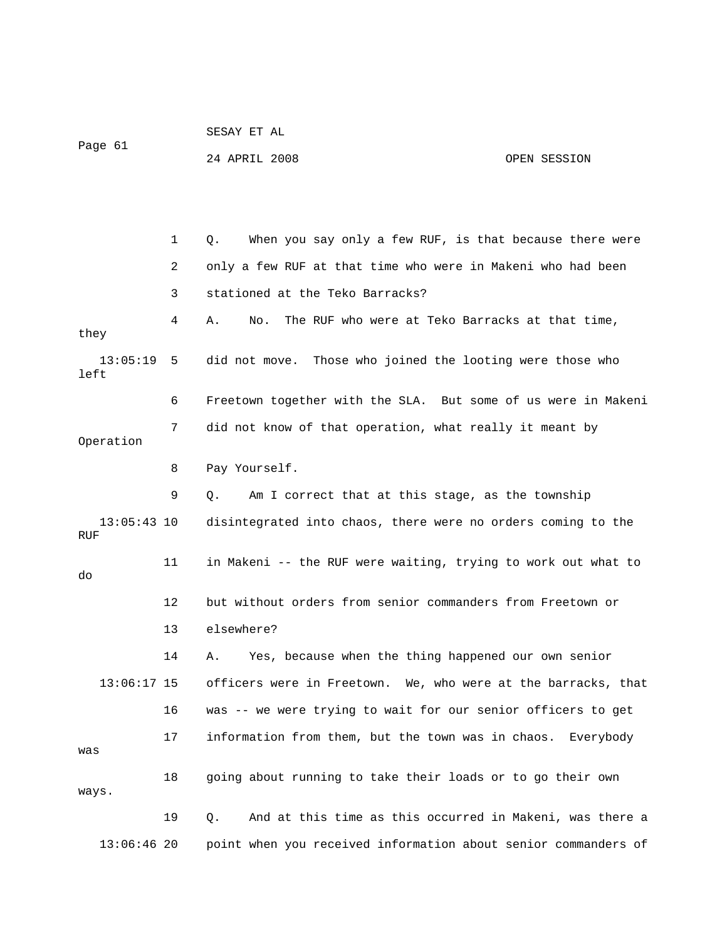| Page 61              |              | 24 APRIL 2008                                                  | OPEN SESSION |
|----------------------|--------------|----------------------------------------------------------------|--------------|
|                      |              |                                                                |              |
|                      | $\mathbf{1}$ | When you say only a few RUF, is that because there were<br>Q.  |              |
|                      | 2            | only a few RUF at that time who were in Makeni who had been    |              |
|                      | 3            | stationed at the Teko Barracks?                                |              |
| they                 | 4            | The RUF who were at Teko Barracks at that time,<br>Α.<br>No.   |              |
| $13:05:19$ 5<br>left |              | did not move. Those who joined the looting were those who      |              |
|                      | 6            | Freetown together with the SLA. But some of us were in Makeni  |              |
| Operation            | 7            | did not know of that operation, what really it meant by        |              |
|                      | 8            | Pay Yourself.                                                  |              |
|                      | 9            | Am I correct that at this stage, as the township<br>Q.         |              |
| $13:05:43$ 10<br>RUF |              | disintegrated into chaos, there were no orders coming to the   |              |
| do                   | 11           | in Makeni -- the RUF were waiting, trying to work out what to  |              |
|                      | 12           | but without orders from senior commanders from Freetown or     |              |
|                      | 13           | elsewhere?                                                     |              |
|                      | 14           | Yes, because when the thing happened our own senior<br>Α.      |              |
| $13:06:17$ 15        |              | officers were in Freetown. We, who were at the barracks, that  |              |
|                      | 16           | was -- we were trying to wait for our senior officers to get   |              |
| was                  | 17           | information from them, but the town was in chaos.              | Everybody    |
| ways.                | 18           | going about running to take their loads or to go their own     |              |
|                      | 19           | And at this time as this occurred in Makeni, was there a<br>Q. |              |
| $13:06:46$ 20        |              | point when you received information about senior commanders of |              |

SESAY ET AL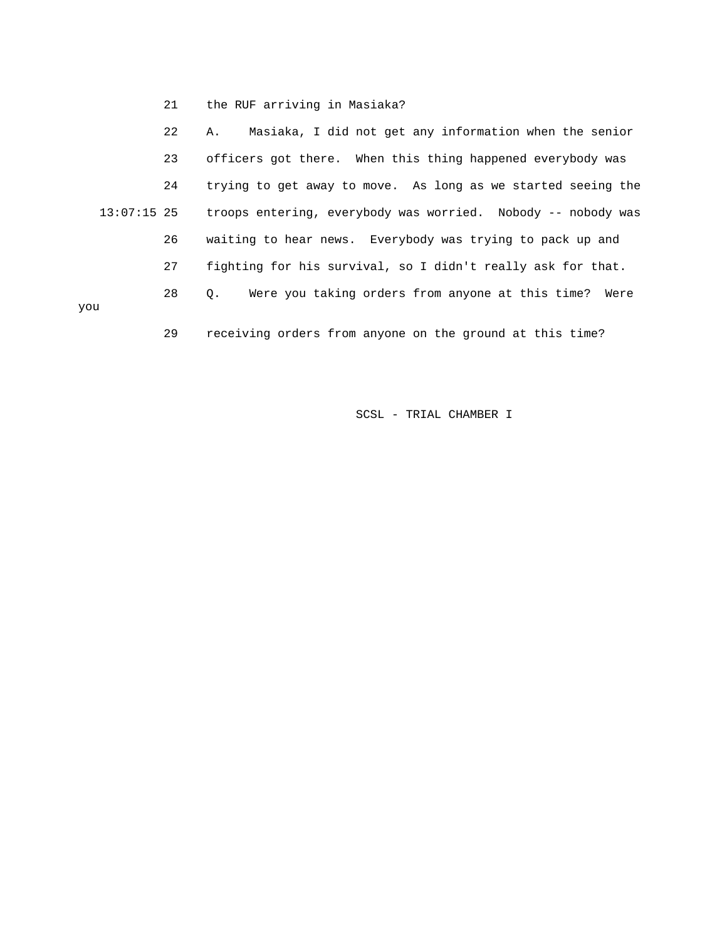21 the RUF arriving in Masiaka?

 22 A. Masiaka, I did not get any information when the senior 23 officers got there. When this thing happened everybody was 24 trying to get away to move. As long as we started seeing the 13:07:15 25 troops entering, everybody was worried. Nobody -- nobody was 26 waiting to hear news. Everybody was trying to pack up and 27 fighting for his survival, so I didn't really ask for that. 28 Q. Were you taking orders from anyone at this time? Were you 29 receiving orders from anyone on the ground at this time?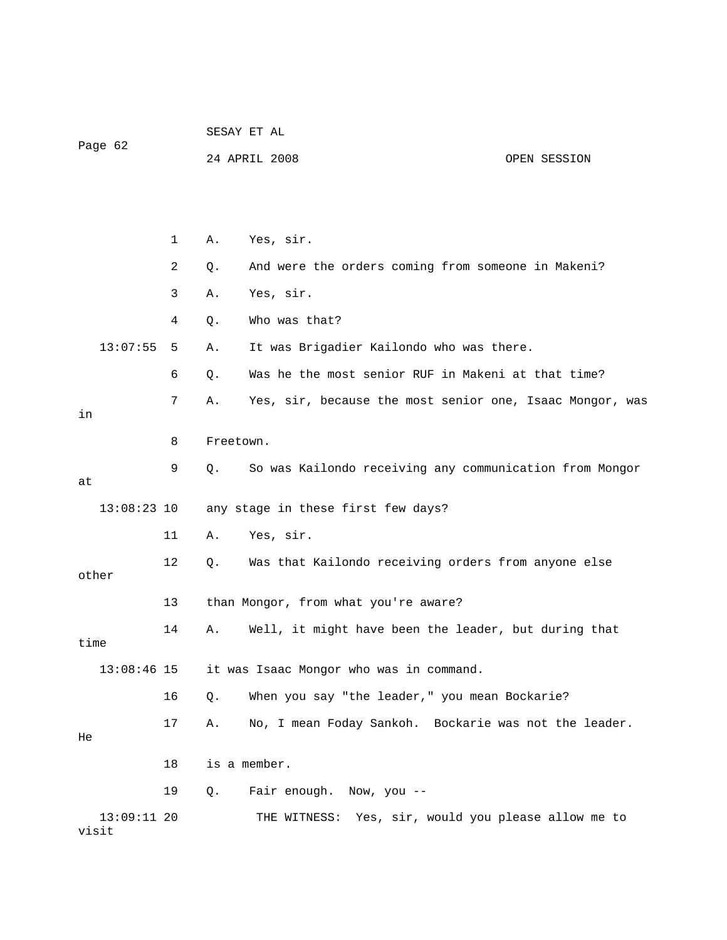|                        |    | SESAY ET AL                          |                                                          |              |  |
|------------------------|----|--------------------------------------|----------------------------------------------------------|--------------|--|
| Page 62                |    | 24 APRIL 2008                        |                                                          | OPEN SESSION |  |
|                        |    |                                      |                                                          |              |  |
|                        |    |                                      |                                                          |              |  |
|                        | 1  | Α.                                   | Yes, sir.                                                |              |  |
|                        | 2  | Q.                                   | And were the orders coming from someone in Makeni?       |              |  |
|                        | 3  | Α.                                   | Yes, sir.                                                |              |  |
|                        | 4  | Q.                                   | Who was that?                                            |              |  |
| 13:07:55               | 5  | Α.                                   | It was Brigadier Kailondo who was there.                 |              |  |
|                        | 6  | Q.                                   | Was he the most senior RUF in Makeni at that time?       |              |  |
| in                     | 7  | Α.                                   | Yes, sir, because the most senior one, Isaac Mongor, was |              |  |
|                        | 8  | Freetown.                            |                                                          |              |  |
|                        |    |                                      |                                                          |              |  |
| at                     | 9  | Q.                                   | So was Kailondo receiving any communication from Mongor  |              |  |
| $13:08:23$ 10          |    |                                      | any stage in these first few days?                       |              |  |
|                        | 11 | Α.                                   | Yes, sir.                                                |              |  |
| other                  | 12 | Q.                                   | Was that Kailondo receiving orders from anyone else      |              |  |
|                        | 13 | than Mongor, from what you're aware? |                                                          |              |  |
|                        | 14 | Α.                                   | Well, it might have been the leader, but during that     |              |  |
| time                   |    |                                      |                                                          |              |  |
| $13:08:46$ 15          |    |                                      | it was Isaac Mongor who was in command.                  |              |  |
|                        | 16 | $Q$ .                                | When you say "the leader," you mean Bockarie?            |              |  |
| He                     | 17 | Α.                                   | No, I mean Foday Sankoh. Bockarie was not the leader.    |              |  |
|                        | 18 |                                      | is a member.                                             |              |  |
|                        | 19 | Q.                                   | Fair enough. Now, you --                                 |              |  |
| $13:09:11$ 20<br>visit |    |                                      | THE WITNESS: Yes, sir, would you please allow me to      |              |  |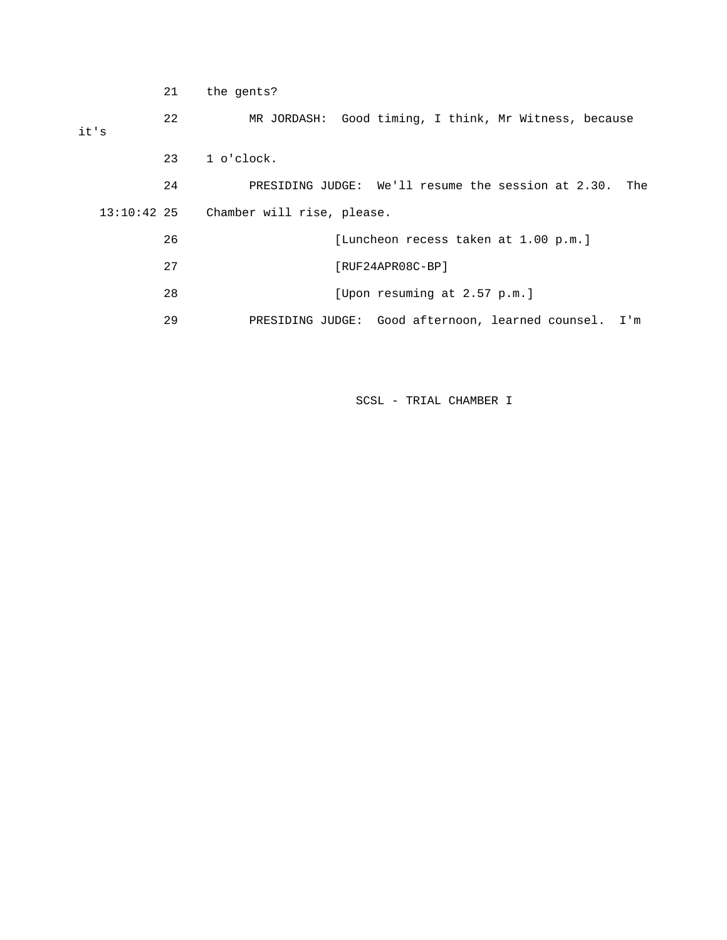|               | 21 | the gents?                                                |
|---------------|----|-----------------------------------------------------------|
| it's          | 22 | MR JORDASH: Good timing, I think, Mr Witness, because     |
|               | 23 | $1$ o'clock.                                              |
|               | 24 | PRESIDING JUDGE: We'll resume the session at 2.30.<br>The |
| $13:10:42$ 25 |    | Chamber will rise, please.                                |
|               | 26 | [Luncheon recess taken at 1.00 p.m.]                      |
|               | 27 | [RUF24APR08C-BP]                                          |
|               | 28 | [Upon resuming at 2.57 p.m.]                              |
|               | 29 | PRESIDING JUDGE: Good afternoon, learned counsel. I'm     |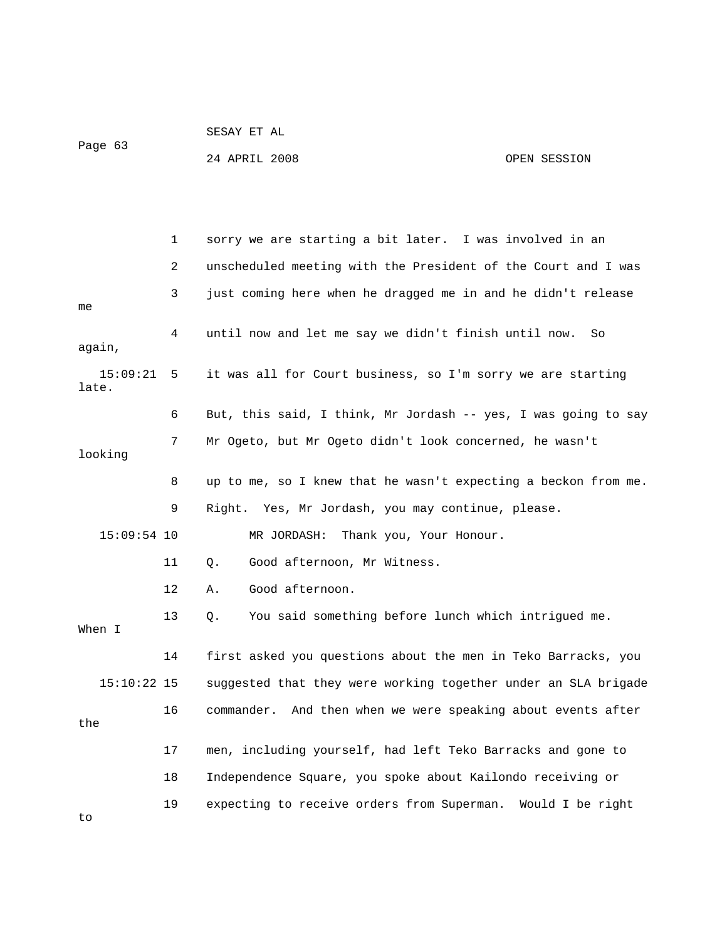Page 63

SESAY ET AL

24 APRIL 2008 OPEN SESSION

|                   | 1  | sorry we are starting a bit later. I was involved in an         |
|-------------------|----|-----------------------------------------------------------------|
|                   | 2  | unscheduled meeting with the President of the Court and I was   |
| me                | 3  | just coming here when he dragged me in and he didn't release    |
| again,            | 4  | until now and let me say we didn't finish until now.<br>So      |
| 15:09:21<br>late. | 5  | it was all for Court business, so I'm sorry we are starting     |
|                   | 6  | But, this said, I think, Mr Jordash -- yes, I was going to say  |
| looking           | 7  | Mr Ogeto, but Mr Ogeto didn't look concerned, he wasn't         |
|                   | 8  | up to me, so I knew that he wasn't expecting a beckon from me.  |
|                   | 9  | Right. Yes, Mr Jordash, you may continue, please.               |
| $15:09:54$ 10     |    | Thank you, Your Honour.<br>MR JORDASH:                          |
|                   | 11 | Good afternoon, Mr Witness.<br>Q.                               |
|                   | 12 | Good afternoon.<br>Α.                                           |
| When I            | 13 | You said something before lunch which intrigued me.<br>Q.       |
|                   | 14 | first asked you questions about the men in Teko Barracks, you   |
| $15:10:22$ 15     |    | suggested that they were working together under an SLA brigade  |
| the               | 16 | And then when we were speaking about events after<br>commander. |
|                   | 17 | men, including yourself, had left Teko Barracks and gone to     |
|                   | 18 | Independence Square, you spoke about Kailondo receiving or      |
| to                | 19 | expecting to receive orders from Superman. Would I be right     |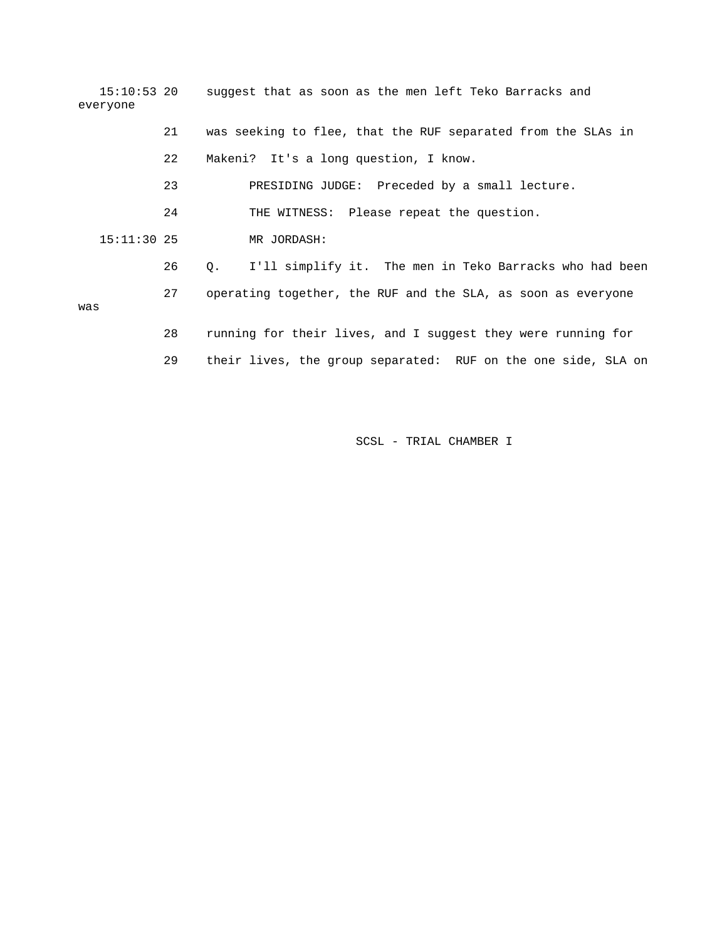| everyone      |    | 15:10:53 20 suggest that as soon as the men left Teko Barracks and   |
|---------------|----|----------------------------------------------------------------------|
|               | 21 | was seeking to flee, that the RUF separated from the SLAs in         |
|               | 22 | Makeni? It's a long question, I know.                                |
|               | 23 | PRESIDING JUDGE: Preceded by a small lecture.                        |
|               | 24 | THE WITNESS: Please repeat the question.                             |
| $15:11:30$ 25 |    | MR JORDASH:                                                          |
|               | 26 | I'll simplify it. The men in Teko Barracks who had been<br>$\circ$ . |
| was           | 27 | operating together, the RUF and the SLA, as soon as everyone         |
|               | 28 | running for their lives, and I suggest they were running for         |

29 their lives, the group separated: RUF on the one side, SLA on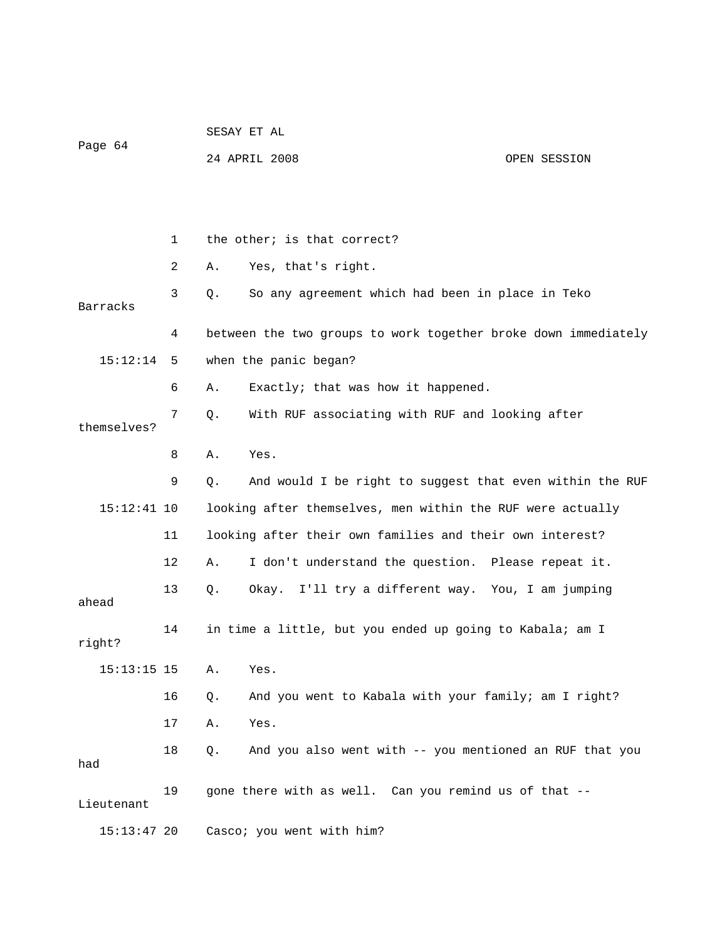| Page 64       |    | SESAY ET AL |                                                                |              |  |
|---------------|----|-------------|----------------------------------------------------------------|--------------|--|
|               |    |             | 24 APRIL 2008                                                  | OPEN SESSION |  |
|               |    |             |                                                                |              |  |
|               |    |             |                                                                |              |  |
|               | 1  |             | the other; is that correct?                                    |              |  |
|               | 2  | Α.          | Yes, that's right.                                             |              |  |
| Barracks      | 3  | Q.          | So any agreement which had been in place in Teko               |              |  |
|               | 4  |             | between the two groups to work together broke down immediately |              |  |
| 15:12:14      | 5  |             | when the panic began?                                          |              |  |
|               | 6  | Α.          | Exactly; that was how it happened.                             |              |  |
| themselves?   | 7  | Q.          | With RUF associating with RUF and looking after                |              |  |
|               | 8  | Α.          | Yes.                                                           |              |  |
|               | 9  | $Q$ .       | And would I be right to suggest that even within the RUF       |              |  |
| $15:12:41$ 10 |    |             | looking after themselves, men within the RUF were actually     |              |  |
|               | 11 |             | looking after their own families and their own interest?       |              |  |
|               | 12 | Α.          | I don't understand the question. Please repeat it.             |              |  |
| ahead         | 13 | Q.          | Okay. I'll try a different way. You, I am jumping              |              |  |
| right?        | 14 |             | in time a little, but you ended up going to Kabala; am I       |              |  |
| $15:13:15$ 15 |    | Α.          | Yes.                                                           |              |  |
|               | 16 | Q.          | And you went to Kabala with your family; am I right?           |              |  |
|               | 17 | Α.          | Yes.                                                           |              |  |
| had           | 18 | Q.          | And you also went with -- you mentioned an RUF that you        |              |  |
| Lieutenant    | 19 |             | gone there with as well. Can you remind us of that --          |              |  |
| $15:13:47$ 20 |    |             | Casco; you went with him?                                      |              |  |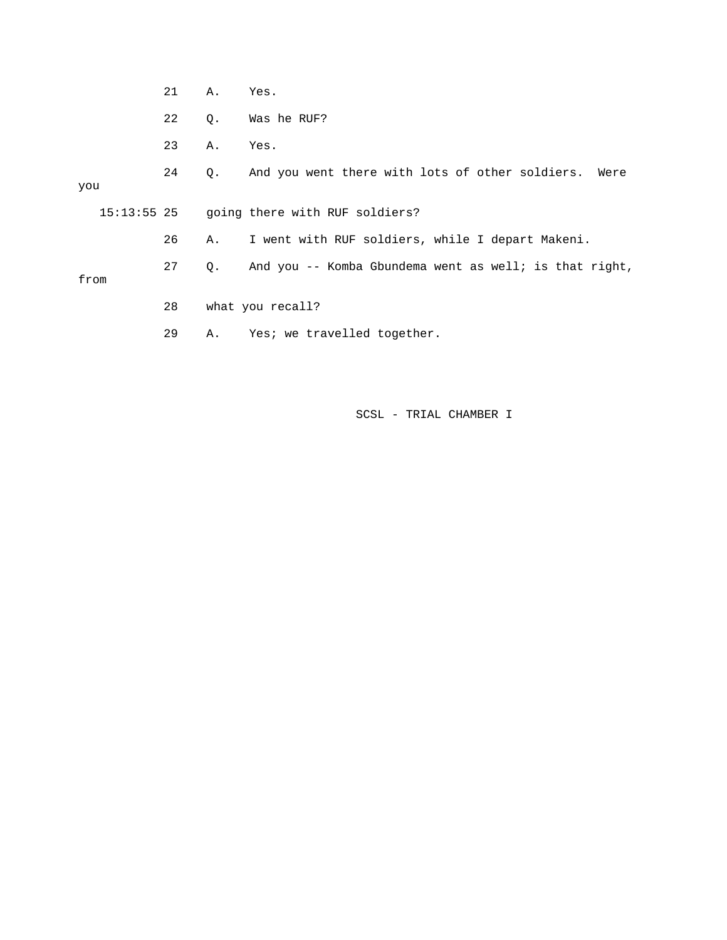|      | 21 | Α.        | Yes.                                                      |
|------|----|-----------|-----------------------------------------------------------|
|      | 22 | $\circ$ . | Was he RUF?                                               |
|      | 23 | Α.        | Yes.                                                      |
| you  | 24 |           | Q. And you went there with lots of other soldiers. Were   |
|      |    |           | 15:13:55 25 going there with RUF soldiers?                |
|      | 26 | Α.        | I went with RUF soldiers, while I depart Makeni.          |
| from | 27 |           | Q. And you -- Komba Gbundema went as well; is that right, |
|      | 28 |           | what you recall?                                          |
|      | 29 |           | A. Yes; we travelled together.                            |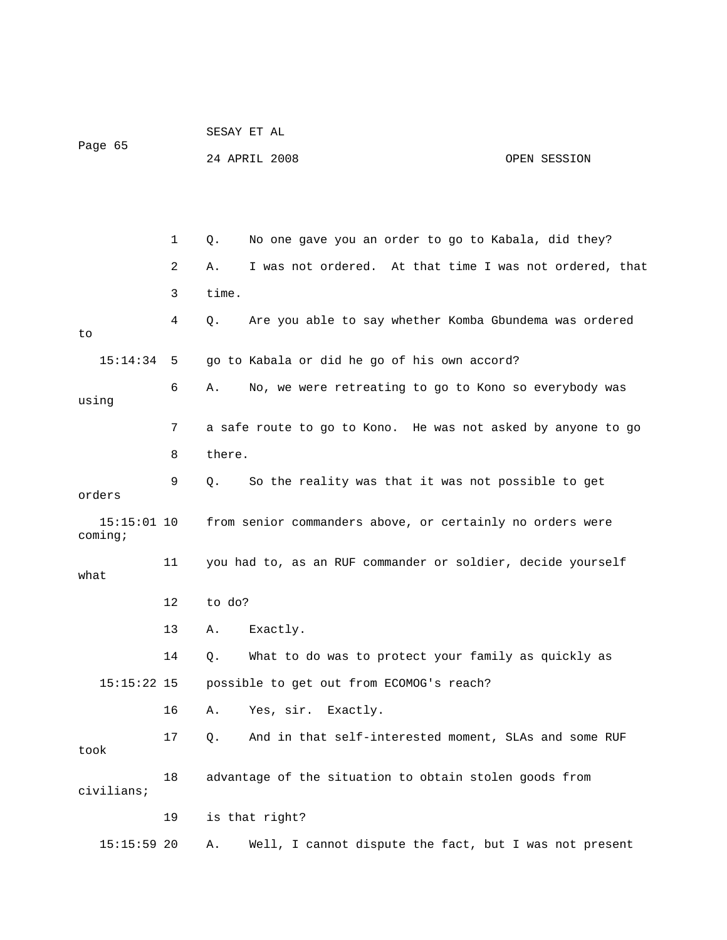|                          |                                                              | SESAY ET AL                                                  |                                                         |              |
|--------------------------|--------------------------------------------------------------|--------------------------------------------------------------|---------------------------------------------------------|--------------|
| Page 65                  |                                                              |                                                              | 24 APRIL 2008                                           | OPEN SESSION |
|                          |                                                              |                                                              |                                                         |              |
|                          |                                                              |                                                              |                                                         |              |
|                          | 1                                                            | Q.                                                           | No one gave you an order to go to Kabala, did they?     |              |
|                          | 2                                                            | Α.                                                           | I was not ordered. At that time I was not ordered, that |              |
|                          | 3                                                            | time.                                                        |                                                         |              |
| to                       | 4                                                            | Q.                                                           | Are you able to say whether Komba Gbundema was ordered  |              |
| 15:14:34                 | 5                                                            |                                                              | go to Kabala or did he go of his own accord?            |              |
| using                    | 6                                                            | Α.                                                           | No, we were retreating to go to Kono so everybody was   |              |
| 7                        |                                                              | a safe route to go to Kono. He was not asked by anyone to go |                                                         |              |
|                          | 8                                                            | there.                                                       |                                                         |              |
| orders                   | 9                                                            | Q.                                                           | So the reality was that it was not possible to get      |              |
| $15:15:01$ 10<br>coming; |                                                              | from senior commanders above, or certainly no orders were    |                                                         |              |
| what                     | 11                                                           | you had to, as an RUF commander or soldier, decide yourself  |                                                         |              |
|                          | 12                                                           | to do?                                                       |                                                         |              |
|                          | 13                                                           | Α.                                                           | Exactly.                                                |              |
|                          | 14                                                           | Q.                                                           | What to do was to protect your family as quickly as     |              |
| $15:15:22$ 15            |                                                              |                                                              | possible to get out from ECOMOG's reach?                |              |
|                          | 16                                                           | Α.                                                           | Yes, sir.<br>Exactly.                                   |              |
| took                     | 17                                                           | Q.                                                           | And in that self-interested moment, SLAs and some RUF   |              |
| civilians;               | 18<br>advantage of the situation to obtain stolen goods from |                                                              |                                                         |              |
|                          | 19                                                           |                                                              | is that right?                                          |              |
| 15:15:59 20              |                                                              | Α.                                                           | Well, I cannot dispute the fact, but I was not present  |              |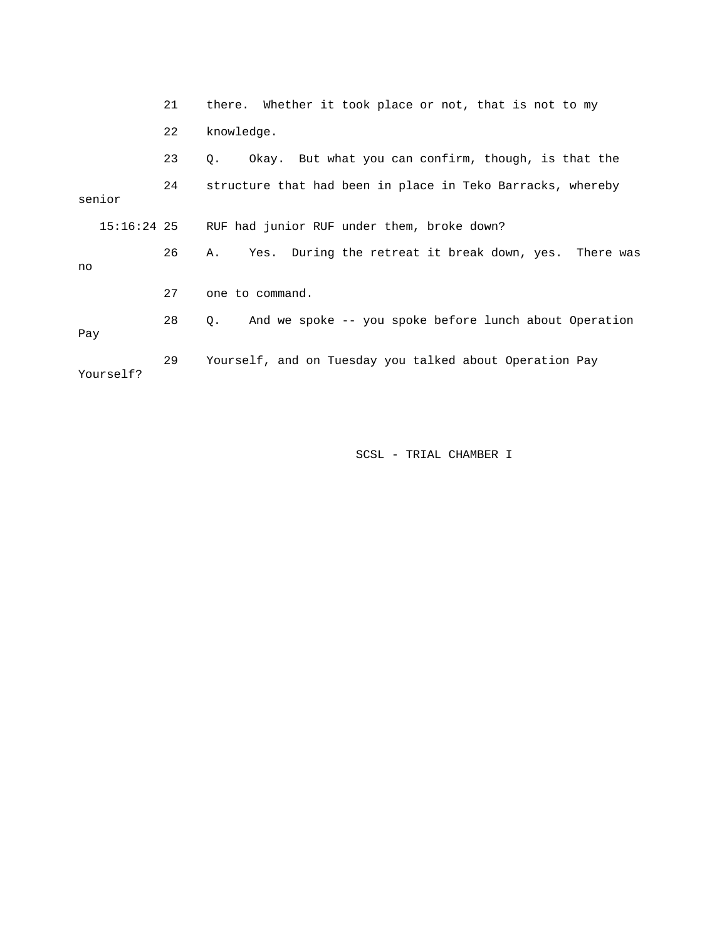|             | 21 | there. Whether it took place or not, that is not to my       |  |  |  |
|-------------|----|--------------------------------------------------------------|--|--|--|
|             | 22 | knowledge.                                                   |  |  |  |
|             | 23 | Okay. But what you can confirm, though, is that the<br>0.    |  |  |  |
| senior      | 24 | structure that had been in place in Teko Barracks, whereby   |  |  |  |
| 15:16:24 25 |    | RUF had junior RUF under them, broke down?                   |  |  |  |
| no          | 26 | Yes. During the retreat it break down, yes. There was<br>Α.  |  |  |  |
|             | 27 | one to command.                                              |  |  |  |
| Pay         | 28 | And we spoke -- you spoke before lunch about Operation<br>О. |  |  |  |
| Yourself?   | 29 | Yourself, and on Tuesday you talked about Operation Pay      |  |  |  |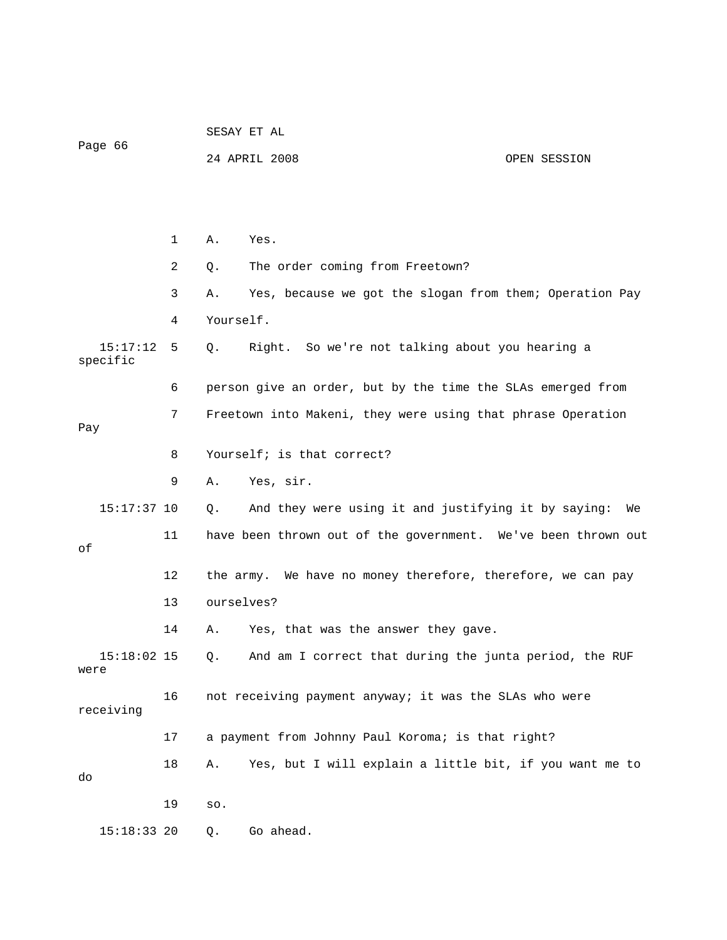| Page 66               |    | SESAY ET AL |                                                               |              |  |
|-----------------------|----|-------------|---------------------------------------------------------------|--------------|--|
|                       |    |             | 24 APRIL 2008                                                 | OPEN SESSION |  |
|                       |    |             |                                                               |              |  |
|                       |    |             |                                                               |              |  |
|                       | 1  | Α.          | Yes.                                                          |              |  |
|                       | 2  | Q.          | The order coming from Freetown?                               |              |  |
|                       | 3  | Α.          | Yes, because we got the slogan from them; Operation Pay       |              |  |
|                       | 4  | Yourself.   |                                                               |              |  |
| 15:17:12<br>specific  | 5  | Q.          | Right. So we're not talking about you hearing a               |              |  |
|                       | 6  |             | person give an order, but by the time the SLAs emerged from   |              |  |
| Pay                   | 7  |             | Freetown into Makeni, they were using that phrase Operation   |              |  |
|                       | 8  |             | Yourself; is that correct?                                    |              |  |
|                       | 9  | Α.          | Yes, sir.                                                     |              |  |
| $15:17:37$ 10         |    | Q.          | And they were using it and justifying it by saying:           | We           |  |
| οf                    | 11 |             | have been thrown out of the government. We've been thrown out |              |  |
|                       | 12 |             | the army. We have no money therefore, therefore, we can pay   |              |  |
|                       | 13 | ourselves?  |                                                               |              |  |
|                       | 14 | Α.          | Yes, that was the answer they gave.                           |              |  |
| $15:18:02$ 15<br>were |    | Q.          | And am I correct that during the junta period, the RUF        |              |  |
| receiving             | 16 |             | not receiving payment anyway; it was the SLAs who were        |              |  |
|                       | 17 |             | a payment from Johnny Paul Koroma; is that right?             |              |  |
| do                    | 18 | Α.          | Yes, but I will explain a little bit, if you want me to       |              |  |
|                       | 19 | SO.         |                                                               |              |  |
| 15:18:33 20           |    | Q.          | Go ahead.                                                     |              |  |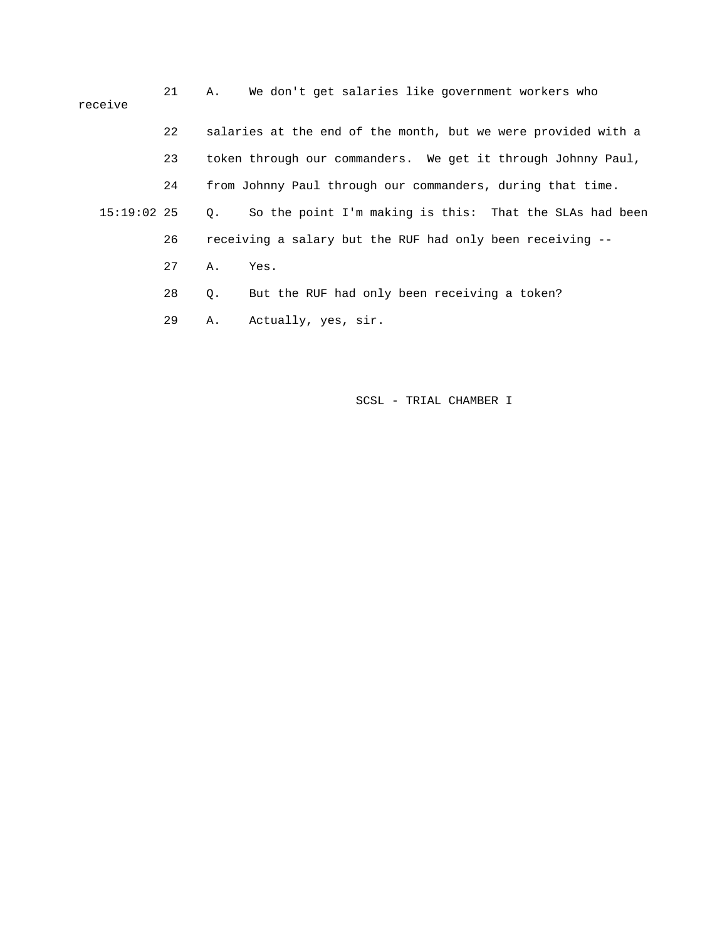| receive       | 21 | А.        | We don't get salaries like government workers who             |
|---------------|----|-----------|---------------------------------------------------------------|
|               | 22 |           | salaries at the end of the month, but we were provided with a |
|               | 23 |           | token through our commanders. We get it through Johnny Paul,  |
|               | 24 |           | from Johnny Paul through our commanders, during that time.    |
| $15:19:02$ 25 |    | $\circ$ . | So the point I'm making is this: That the SLAs had been       |
|               | 26 |           | receiving a salary but the RUF had only been receiving --     |
|               | 27 | Α.        | Yes.                                                          |
|               | 28 | Q.        | But the RUF had only been receiving a token?                  |
|               |    |           |                                                               |

29 A. Actually, yes, sir.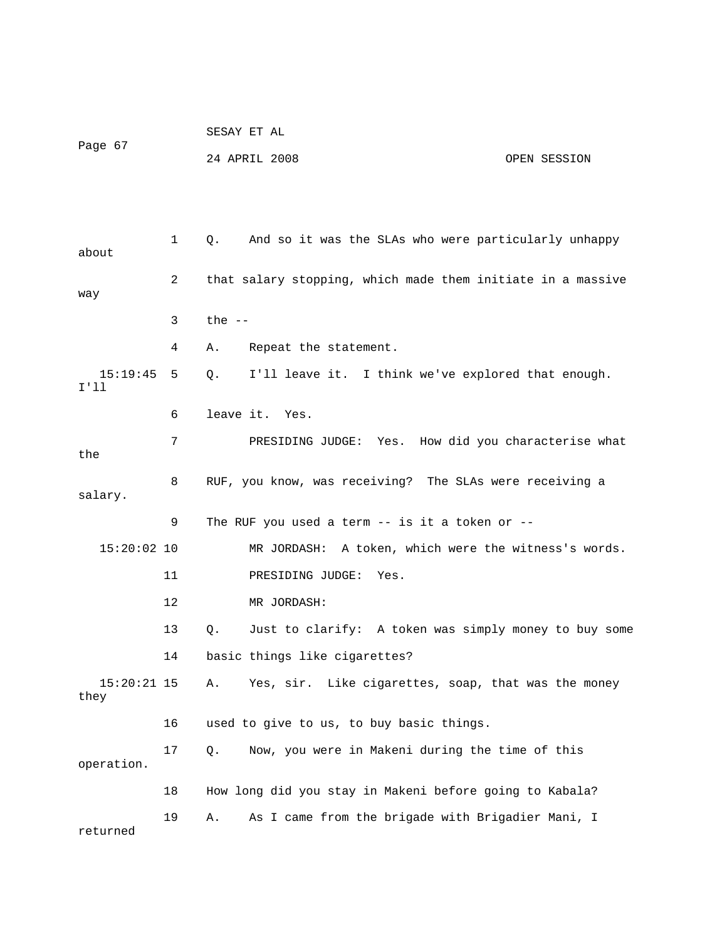| Page 67 | SESAY ET AL   |              |
|---------|---------------|--------------|
|         | 24 APRIL 2008 | OPEN SESSION |

 1 Q. And so it was the SLAs who were particularly unhappy about 2 that salary stopping, which made them initiate in a massive way 3 the -- 4 A. Repeat the statement. 15:19:45 5 Q. I'll leave it. I think we've explored that enough. I'll 6 leave it. Yes. 7 PRESIDING JUDGE: Yes. How did you characterise what the 8 RUF, you know, was receiving? The SLAs were receiving a salary. 9 The RUF you used a term -- is it a token or -- 15:20:02 10 MR JORDASH: A token, which were the witness's words. 11 PRESIDING JUDGE: Yes. 12 MR JORDASH: 13 Q. Just to clarify: A token was simply money to buy some 14 basic things like cigarettes? 15:20:21 15 A. Yes, sir. Like cigarettes, soap, that was the money they 16 used to give to us, to buy basic things. 17 Q. Now, you were in Makeni during the time of this operation. 18 How long did you stay in Makeni before going to Kabala? 19 A. As I came from the brigade with Brigadier Mani, I returned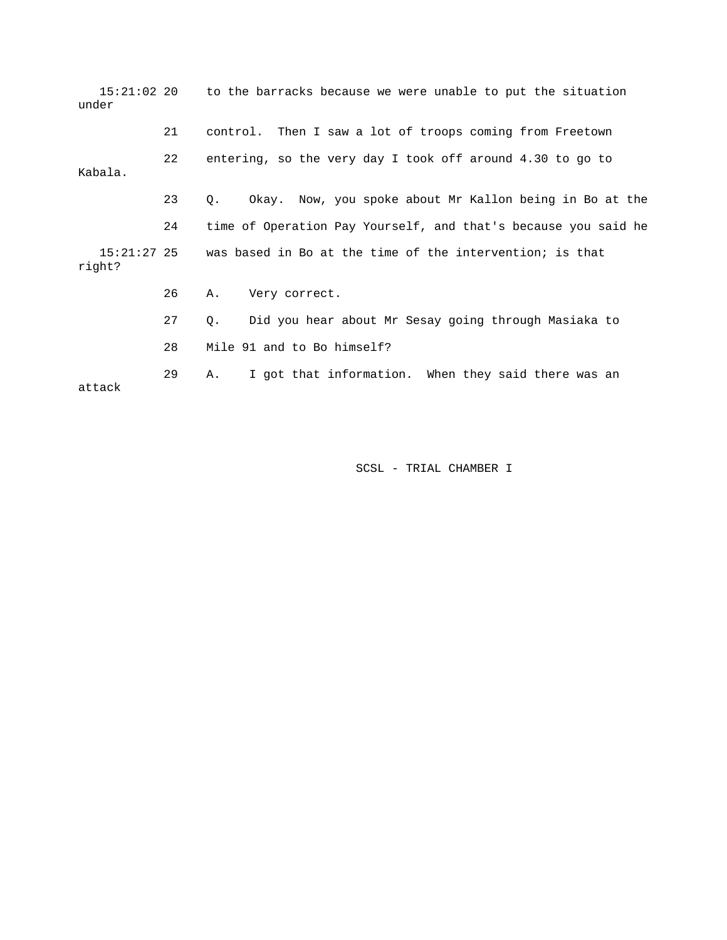| $15:21:02$ 20<br>under |    | to the barracks because we were unable to put the situation            |
|------------------------|----|------------------------------------------------------------------------|
|                        | 21 | control. Then I saw a lot of troops coming from Freetown               |
| Kabala.                | 22 | entering, so the very day I took off around 4.30 to go to              |
|                        | 23 | Okay. Now, you spoke about Mr Kallon being in Bo at the<br>$Q_{\star}$ |
|                        | 24 | time of Operation Pay Yourself, and that's because you said he         |
| right?                 |    | 15:21:27 25 was based in Bo at the time of the intervention; is that   |
|                        | 26 | Very correct.<br>Α.                                                    |
|                        | 27 | Did you hear about Mr Sesay going through Masiaka to<br>Q.             |
|                        | 28 | Mile 91 and to Bo himself?                                             |
| attack                 | 29 | I got that information. When they said there was an<br>Α.              |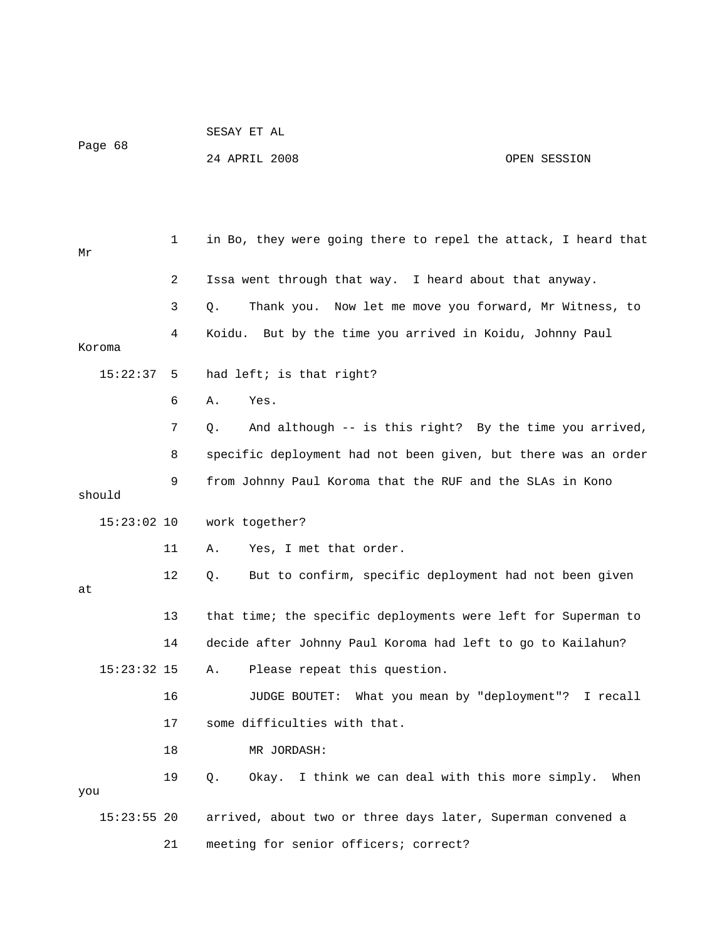|         | SESAY ET AL   |              |
|---------|---------------|--------------|
| Page 68 | 24 APRIL 2008 | OPEN SESSION |

 1 in Bo, they were going there to repel the attack, I heard that Mr 2 Issa went through that way. I heard about that anyway. 3 Q. Thank you. Now let me move you forward, Mr Witness, to 4 Koidu. But by the time you arrived in Koidu, Johnny Paul Koroma 15:22:37 5 had left; is that right? 6 A. Yes. 7 Q. And although -- is this right? By the time you arrived, 8 specific deployment had not been given, but there was an order 9 from Johnny Paul Koroma that the RUF and the SLAs in Kono should 15:23:02 10 work together? 11 A. Yes, I met that order. 12 Q. But to confirm, specific deployment had not been given at 13 that time; the specific deployments were left for Superman to 14 decide after Johnny Paul Koroma had left to go to Kailahun? 15:23:32 15 A. Please repeat this question. 16 JUDGE BOUTET: What you mean by "deployment"? I recall 17 some difficulties with that. 18 MR JORDASH: 19 Q. Okay. I think we can deal with this more simply. When you 15:23:55 20 arrived, about two or three days later, Superman convened a 21 meeting for senior officers; correct?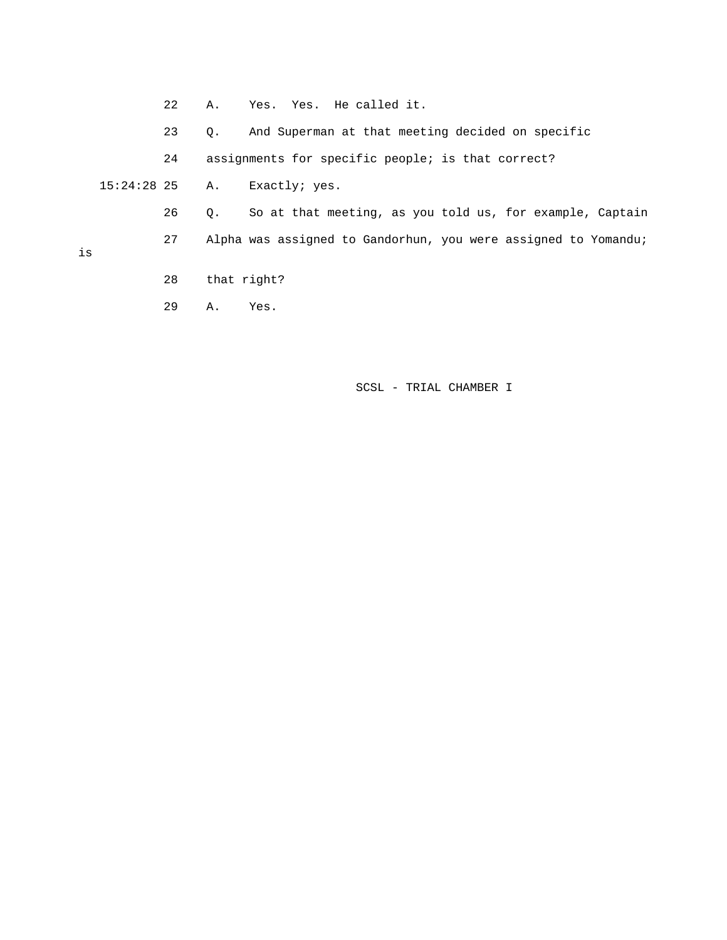22 A. Yes. Yes. He called it. 23 Q. And Superman at that meeting decided on specific 24 assignments for specific people; is that correct? 15:24:28 25 A. Exactly; yes. 26 Q. So at that meeting, as you told us, for example, Captain 27 Alpha was assigned to Gandorhun, you were assigned to Yomandu; is 28 that right?

29 A. Yes.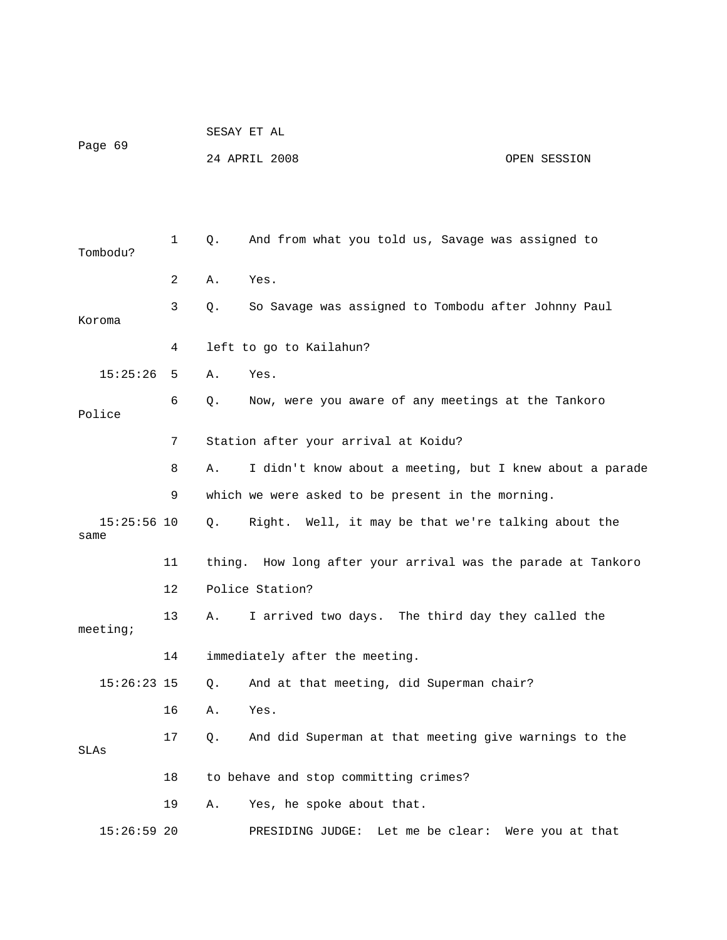|                       |                | PEPAI EI AT |                                                              |              |  |  |  |
|-----------------------|----------------|-------------|--------------------------------------------------------------|--------------|--|--|--|
| Page 69               |                |             | 24 APRIL 2008                                                | OPEN SESSION |  |  |  |
|                       |                |             |                                                              |              |  |  |  |
| Tombodu?              | 1              | Q.          | And from what you told us, Savage was assigned to            |              |  |  |  |
|                       | $\overline{2}$ | Α.          | Yes.                                                         |              |  |  |  |
| Koroma                | 3              | $Q$ .       | So Savage was assigned to Tombodu after Johnny Paul          |              |  |  |  |
|                       | 4              |             | left to go to Kailahun?                                      |              |  |  |  |
| 15:25:26              | 5              | Α.          | Yes.                                                         |              |  |  |  |
| Police                | 6              | Q.          | Now, were you aware of any meetings at the Tankoro           |              |  |  |  |
|                       | 7              |             | Station after your arrival at Koidu?                         |              |  |  |  |
|                       | 8              | Α.          | I didn't know about a meeting, but I knew about a parade     |              |  |  |  |
|                       | 9              |             | which we were asked to be present in the morning.            |              |  |  |  |
| $15:25:56$ 10<br>same |                | $Q_{\star}$ | Right. Well, it may be that we're talking about the          |              |  |  |  |
|                       | 11             |             | thing. How long after your arrival was the parade at Tankoro |              |  |  |  |
|                       | 12             |             | Police Station?                                              |              |  |  |  |
| meeting;              | 13             | Α.          | I arrived two days. The third day they called the            |              |  |  |  |
|                       | 14             |             | immediately after the meeting.                               |              |  |  |  |
| $15:26:23$ 15         |                | Q.          | And at that meeting, did Superman chair?                     |              |  |  |  |
|                       | 16             | Α.          | Yes.                                                         |              |  |  |  |
| SLAs                  | 17             | Q.          | And did Superman at that meeting give warnings to the        |              |  |  |  |
|                       | 18             |             | to behave and stop committing crimes?                        |              |  |  |  |
|                       | 19             | Α.          | Yes, he spoke about that.                                    |              |  |  |  |
| $15:26:59$ 20         |                |             | PRESIDING JUDGE:<br>Let me be clear: Were you at that        |              |  |  |  |

SESAY ET AL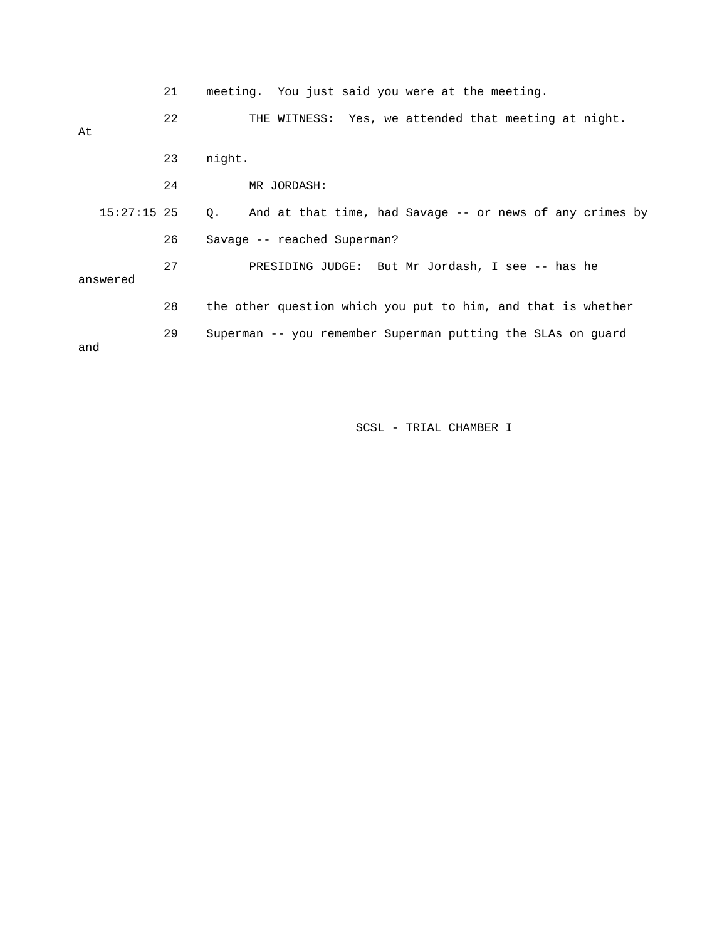|          |               | 21 |        |             | meeting. You just said you were at the meeting.              |  |  |  |  |
|----------|---------------|----|--------|-------------|--------------------------------------------------------------|--|--|--|--|
| At       |               | 22 |        |             | THE WITNESS: Yes, we attended that meeting at night.         |  |  |  |  |
|          |               | 23 | night. |             |                                                              |  |  |  |  |
|          |               | 24 |        | MR JORDASH: |                                                              |  |  |  |  |
|          | $15:27:15$ 25 |    |        |             | Q. And at that time, had Savage -- or news of any crimes by  |  |  |  |  |
|          |               | 26 |        |             | Savage -- reached Superman?                                  |  |  |  |  |
| answered |               | 27 |        |             | PRESIDING JUDGE: But Mr Jordash, I see -- has he             |  |  |  |  |
|          |               | 28 |        |             | the other question which you put to him, and that is whether |  |  |  |  |
| and      |               | 29 |        |             | Superman -- you remember Superman putting the SLAs on guard  |  |  |  |  |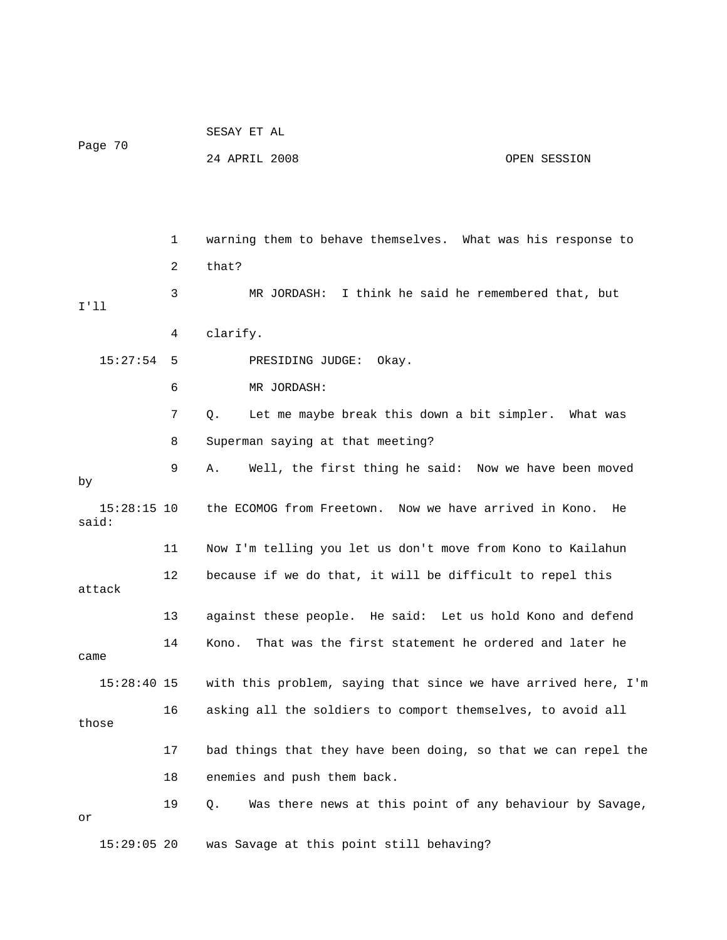| Page 70                |    | SESAY ET AL                                                    |  |  |  |  |  |
|------------------------|----|----------------------------------------------------------------|--|--|--|--|--|
|                        |    | 24 APRIL 2008<br>OPEN SESSION                                  |  |  |  |  |  |
|                        |    |                                                                |  |  |  |  |  |
|                        |    |                                                                |  |  |  |  |  |
|                        | 1  | warning them to behave themselves. What was his response to    |  |  |  |  |  |
|                        | 2  | that?                                                          |  |  |  |  |  |
| I'11                   | 3  | MR JORDASH: I think he said he remembered that, but            |  |  |  |  |  |
|                        | 4  | clarify.                                                       |  |  |  |  |  |
| 15:27:54               | 5  | PRESIDING JUDGE:<br>Okay.                                      |  |  |  |  |  |
|                        | 6  | MR JORDASH:                                                    |  |  |  |  |  |
|                        | 7  | Let me maybe break this down a bit simpler. What was<br>$Q$ .  |  |  |  |  |  |
|                        | 8  | Superman saying at that meeting?                               |  |  |  |  |  |
| by                     | 9  | Well, the first thing he said: Now we have been moved<br>Α.    |  |  |  |  |  |
| $15:28:15$ 10<br>said: |    | the ECOMOG from Freetown. Now we have arrived in Kono. He      |  |  |  |  |  |
|                        | 11 | Now I'm telling you let us don't move from Kono to Kailahun    |  |  |  |  |  |
| attack                 | 12 | because if we do that, it will be difficult to repel this      |  |  |  |  |  |
|                        | 13 | against these people. He said: Let us hold Kono and defend     |  |  |  |  |  |
| came                   | 14 | That was the first statement he ordered and later he<br>Kono.  |  |  |  |  |  |
| $15:28:40$ 15          |    | with this problem, saying that since we have arrived here, I'm |  |  |  |  |  |
| those                  | 16 | asking all the soldiers to comport themselves, to avoid all    |  |  |  |  |  |
|                        | 17 | bad things that they have been doing, so that we can repel the |  |  |  |  |  |
|                        | 18 | enemies and push them back.                                    |  |  |  |  |  |
| or                     | 19 | Was there news at this point of any behaviour by Savage,<br>Q. |  |  |  |  |  |
| $15:29:05$ 20          |    | was Savage at this point still behaving?                       |  |  |  |  |  |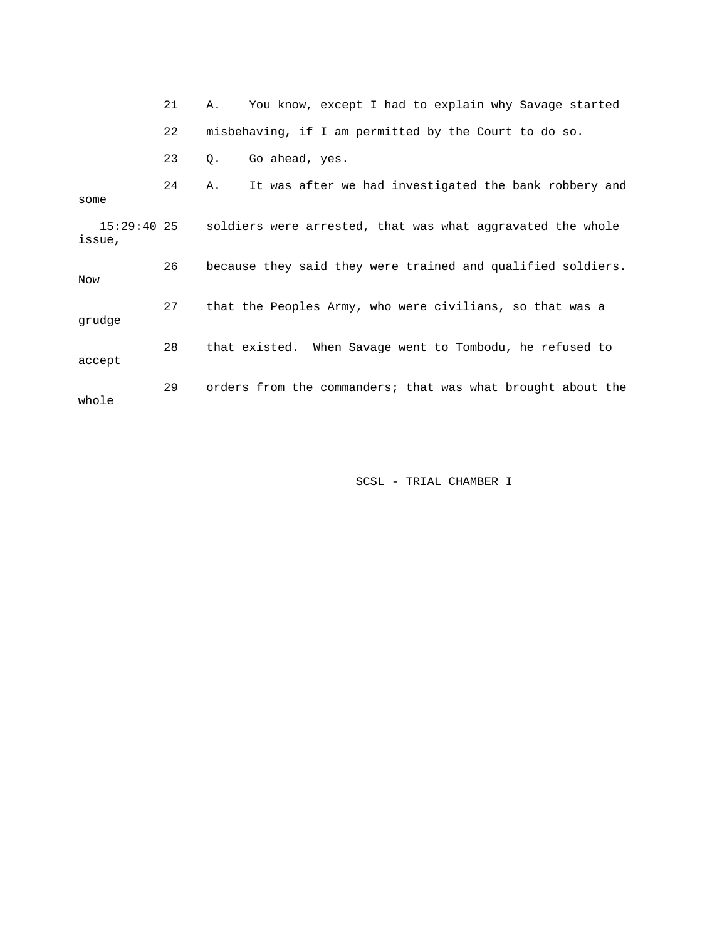|                         | 21 | You know, except I had to explain why Savage started<br>Α.  |
|-------------------------|----|-------------------------------------------------------------|
|                         | 22 | misbehaving, if I am permitted by the Court to do so.       |
|                         | 23 | Go ahead, yes.<br>Q.                                        |
| some                    | 24 | It was after we had investigated the bank robbery and<br>Α. |
| $15:29:40$ 25<br>issue, |    | soldiers were arrested, that was what aggravated the whole  |
| Now                     | 26 | because they said they were trained and qualified soldiers. |
| grudge                  | 27 | that the Peoples Army, who were civilians, so that was a    |
| accept                  | 28 | that existed. When Savage went to Tombodu, he refused to    |
| whole                   | 29 | orders from the commanders; that was what brought about the |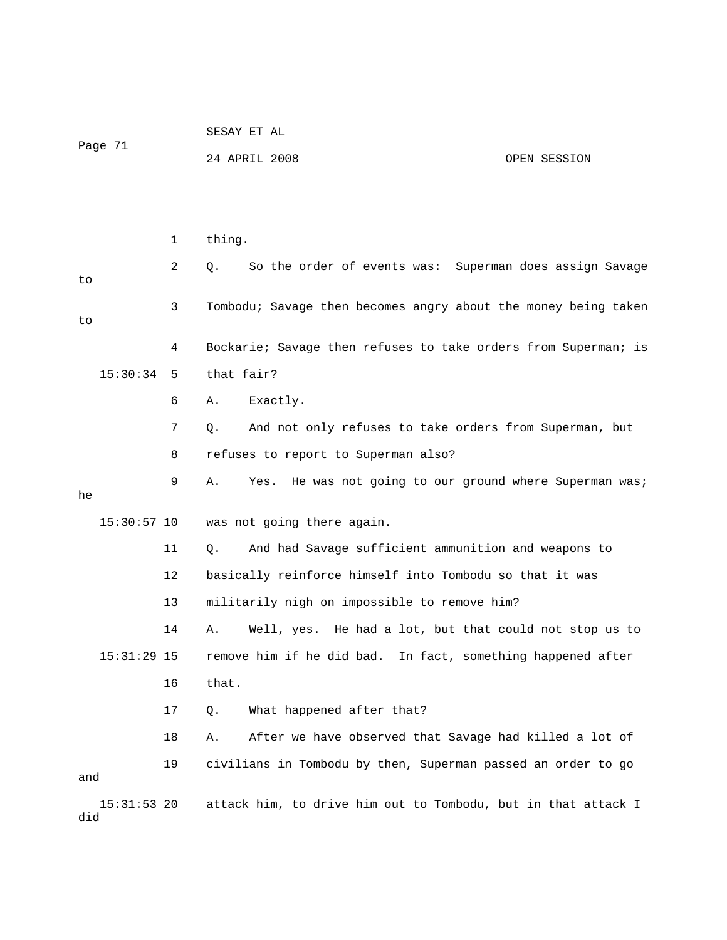| Page 71 |               |    | 24 APRIL 2008                                                    | OPEN SESSION                      |
|---------|---------------|----|------------------------------------------------------------------|-----------------------------------|
|         |               |    |                                                                  |                                   |
|         |               | 1  | thing.                                                           |                                   |
| to      |               | 2  | So the order of events was: Superman does assign Savage<br>Q.    |                                   |
| to      |               | 3  | Tombodu; Savage then becomes angry about the money being taken   |                                   |
|         |               | 4  | Bockarie; Savage then refuses to take orders from Superman; is   |                                   |
|         | 15:30:34      | 5  | that fair?                                                       |                                   |
|         |               | 6  | Exactly.<br>Α.                                                   |                                   |
|         |               | 7  | And not only refuses to take orders from Superman, but<br>Q.     |                                   |
|         |               | 8  | refuses to report to Superman also?                              |                                   |
| he      |               | 9  | He was not going to our ground where Superman was;<br>Α.<br>Yes. |                                   |
|         | $15:30:57$ 10 |    | was not going there again.                                       |                                   |
|         |               | 11 | And had Savage sufficient ammunition and weapons to<br>Q.        |                                   |
|         |               | 12 | basically reinforce himself into Tombodu so that it was          |                                   |
|         |               | 13 | militarily nigh on impossible to remove him?                     |                                   |
|         |               | 14 | Well, yes. He had a lot, but that could not stop us to<br>Α.     |                                   |
|         | $15:31:29$ 15 |    | remove him if he did bad.                                        | In fact, something happened after |
|         |               | 16 | that.                                                            |                                   |
|         |               | 17 | What happened after that?<br>$Q$ .                               |                                   |
|         |               | 18 | After we have observed that Savage had killed a lot of<br>Α.     |                                   |
| and     |               | 19 | civilians in Tombodu by then, Superman passed an order to go     |                                   |
| did     | $15:31:53$ 20 |    | attack him, to drive him out to Tombodu, but in that attack I    |                                   |

SESAY ET AL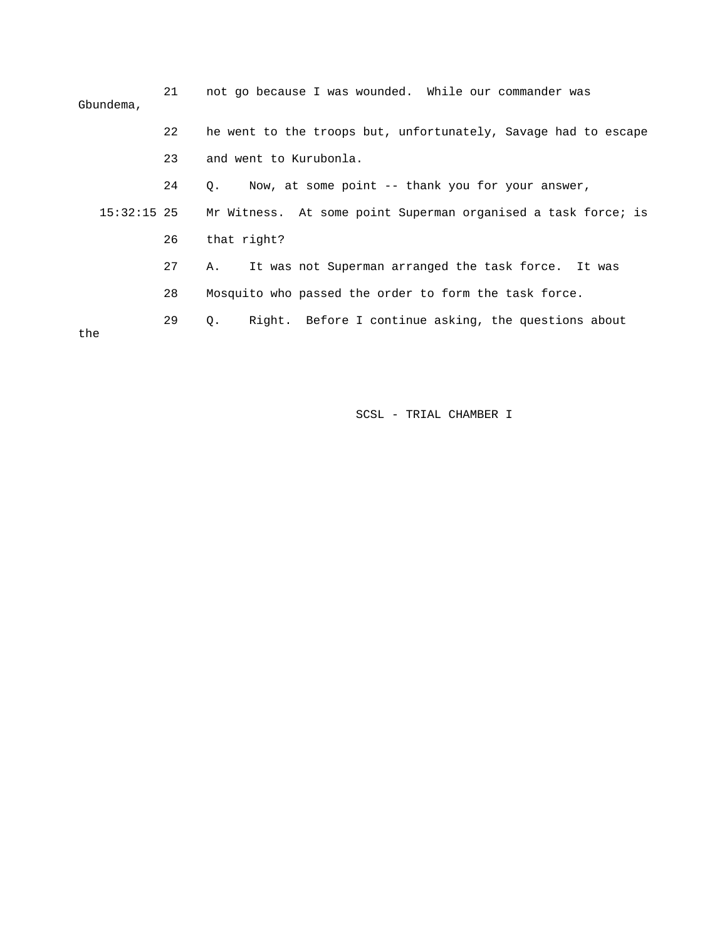| Gbundema,   | 21 | not go because I was wounded. While our commander was             |
|-------------|----|-------------------------------------------------------------------|
|             | 22 | he went to the troops but, unfortunately, Savage had to escape    |
|             | 23 | and went to Kurubonla.                                            |
|             | 24 | Q. Now, at some point -- thank you for your answer,               |
| 15:32:15 25 |    | Mr Witness. At some point Superman organised a task force; is     |
|             | 26 | that right?                                                       |
|             | 27 | It was not Superman arranged the task force. It was<br>A.,        |
|             | 28 | Mosquito who passed the order to form the task force.             |
| the         | 29 | Right. Before I continue asking, the questions about<br>$\circ$ . |
|             |    |                                                                   |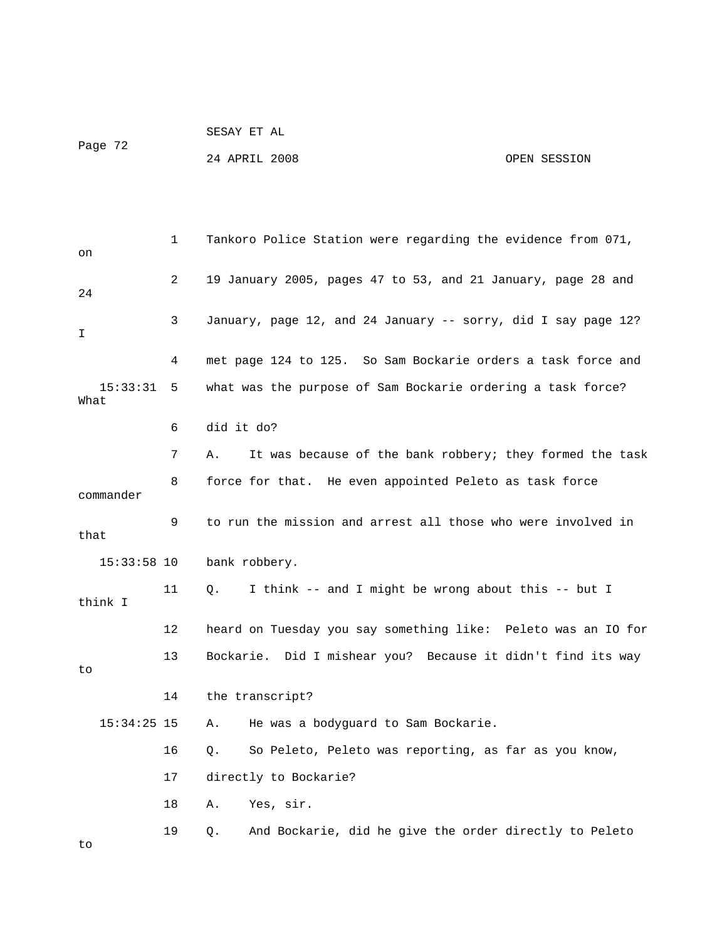SESAY ET AL Page 72

### 24 APRIL 2008 OPEN SESSION

 1 Tankoro Police Station were regarding the evidence from 071, on 2 19 January 2005, pages 47 to 53, and 21 January, page 28 and 24 3 January, page 12, and 24 January -- sorry, did I say page 12? I 4 met page 124 to 125. So Sam Bockarie orders a task force and 15:33:31 5 what was the purpose of Sam Bockarie ordering a task force? What 6 did it do? 7 A. It was because of the bank robbery; they formed the task 8 force for that. He even appointed Peleto as task force commander 9 to run the mission and arrest all those who were involved in that 15:33:58 10 bank robbery. 11 Q. I think -- and I might be wrong about this -- but I think I 12 heard on Tuesday you say something like: Peleto was an IO for 13 Bockarie. Did I mishear you? Because it didn't find its way to 14 the transcript? 15:34:25 15 A. He was a bodyguard to Sam Bockarie. 16 Q. So Peleto, Peleto was reporting, as far as you know, 17 directly to Bockarie? 18 A. Yes, sir. 19 Q. And Bockarie, did he give the order directly to Peleto to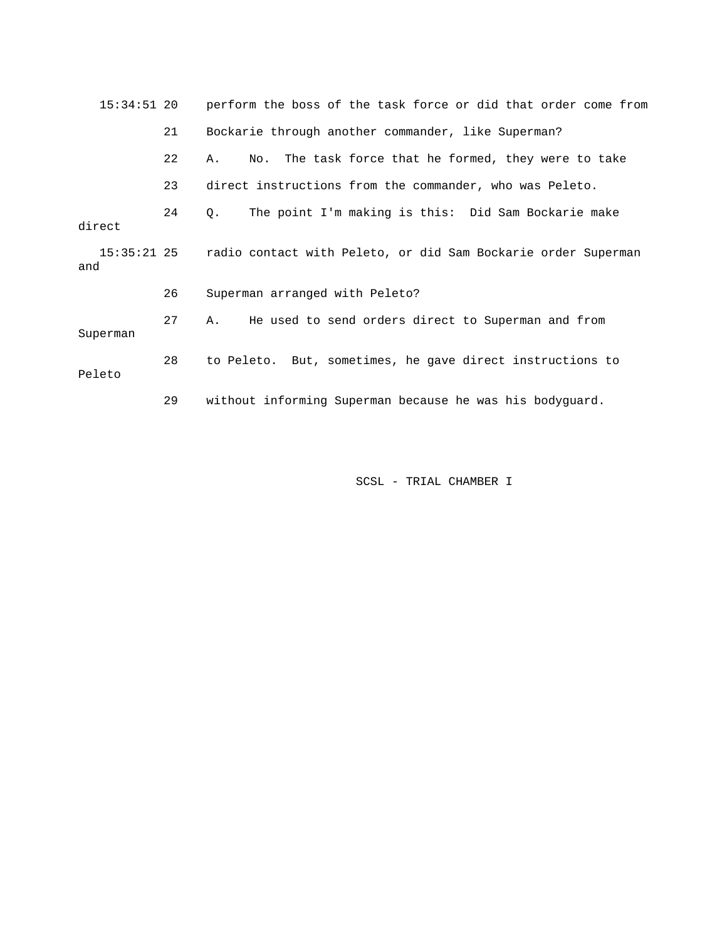| $15:34:51$ 20      |    | perform the boss of the task force or did that order come from |
|--------------------|----|----------------------------------------------------------------|
|                    | 21 | Bockarie through another commander, like Superman?             |
|                    | 22 | No. The task force that he formed, they were to take<br>Α.     |
|                    | 23 | direct instructions from the commander, who was Peleto.        |
| direct             | 24 | The point I'm making is this: Did Sam Bockarie make<br>Q.      |
| 15:35:21 25<br>and |    | radio contact with Peleto, or did Sam Bockarie order Superman  |
|                    | 26 | Superman arranged with Peleto?                                 |
| Superman           | 27 | He used to send orders direct to Superman and from<br>A.       |
| Peleto             | 28 | to Peleto. But, sometimes, he gave direct instructions to      |
|                    | 29 | without informing Superman because he was his bodyguard.       |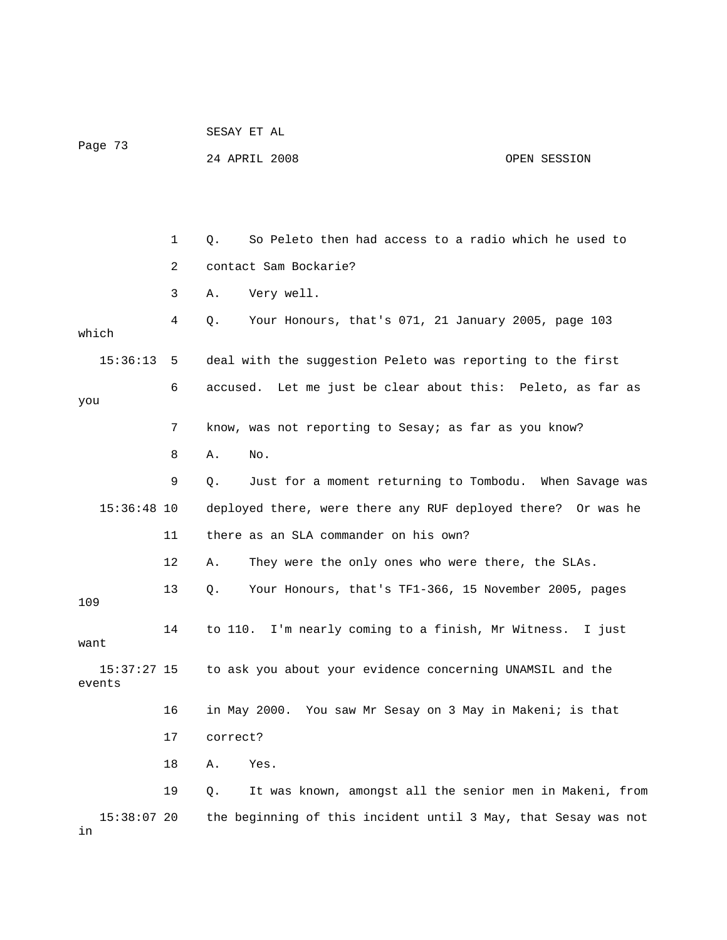| Page 73                 |             | SESAY ET AL                                                       |              |  |  |
|-------------------------|-------------|-------------------------------------------------------------------|--------------|--|--|
|                         |             | 24 APRIL 2008                                                     | OPEN SESSION |  |  |
|                         |             |                                                                   |              |  |  |
|                         |             |                                                                   |              |  |  |
|                         | $\mathbf 1$ | So Peleto then had access to a radio which he used to<br>Q.       |              |  |  |
|                         | 2           | contact Sam Bockarie?                                             |              |  |  |
|                         | 3           | Very well.<br>Α.                                                  |              |  |  |
| which                   | 4           | Your Honours, that's 071, 21 January 2005, page 103<br>Q.         |              |  |  |
| $15:36:13$ 5            |             | deal with the suggestion Peleto was reporting to the first        |              |  |  |
| you                     | 6           | accused. Let me just be clear about this: Peleto, as far as       |              |  |  |
|                         | 7           | know, was not reporting to Sesay; as far as you know?             |              |  |  |
|                         | 8           | Α.<br>No.                                                         |              |  |  |
|                         | 9           | Just for a moment returning to Tombodu. When Savage was<br>Q.     |              |  |  |
| $15:36:48$ 10           |             | deployed there, were there any RUF deployed there? Or was he      |              |  |  |
|                         | 11          | there as an SLA commander on his own?                             |              |  |  |
|                         | 12          | They were the only ones who were there, the SLAs.<br>Α.           |              |  |  |
| 109                     | 13          | Your Honours, that's TF1-366, 15 November 2005, pages<br>Q.       |              |  |  |
| want                    | 14          | to 110. I'm nearly coming to a finish, Mr Witness.                | I just       |  |  |
| $15:37:27$ 15<br>events |             | to ask you about your evidence concerning UNAMSIL and the         |              |  |  |
|                         | 16          | in May 2000. You saw Mr Sesay on 3 May in Makeni; is that         |              |  |  |
|                         | 17          | correct?                                                          |              |  |  |
|                         | 18          | Yes.<br>Α.                                                        |              |  |  |
|                         | 19          | It was known, amongst all the senior men in Makeni, from<br>$Q$ . |              |  |  |
| 15:38:07 20<br>in       |             | the beginning of this incident until 3 May, that Sesay was not    |              |  |  |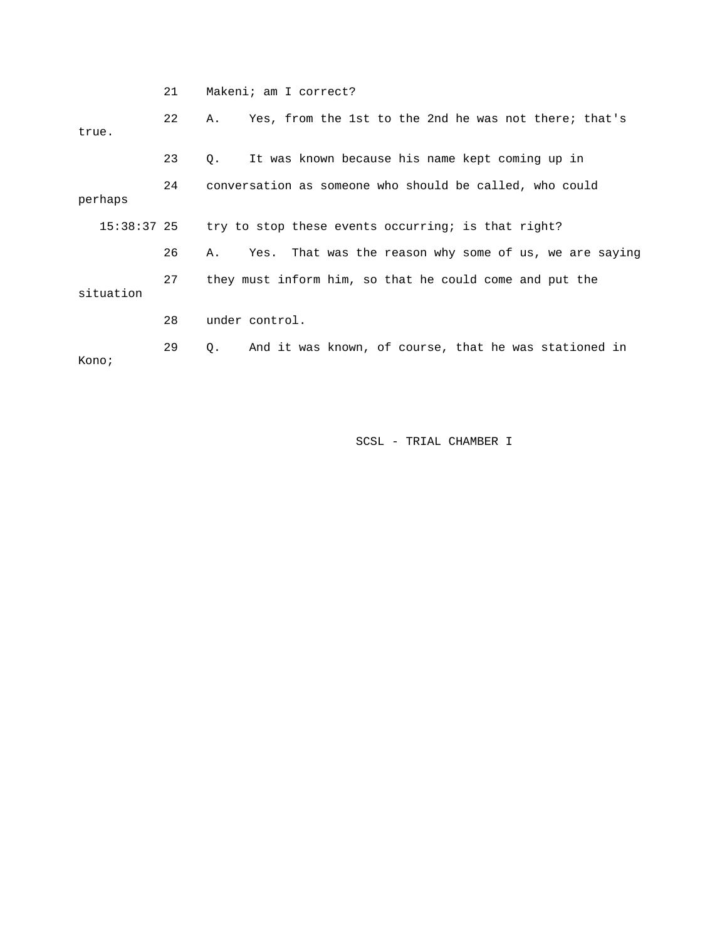|               | 21 | Makeni; am I correct?                                        |
|---------------|----|--------------------------------------------------------------|
| true.         | 22 | Yes, from the 1st to the 2nd he was not there; that's<br>Α.  |
|               | 23 | It was known because his name kept coming up in<br>Q.        |
| perhaps       | 24 | conversation as someone who should be called, who could      |
| $15:38:37$ 25 |    | try to stop these events occurring; is that right?           |
| situation     | 26 | Yes. That was the reason why some of us, we are saying<br>Α. |
|               | 27 | they must inform him, so that he could come and put the      |
|               | 28 | under control.                                               |
| Kono;         | 29 | And it was known, of course, that he was stationed in<br>Q.  |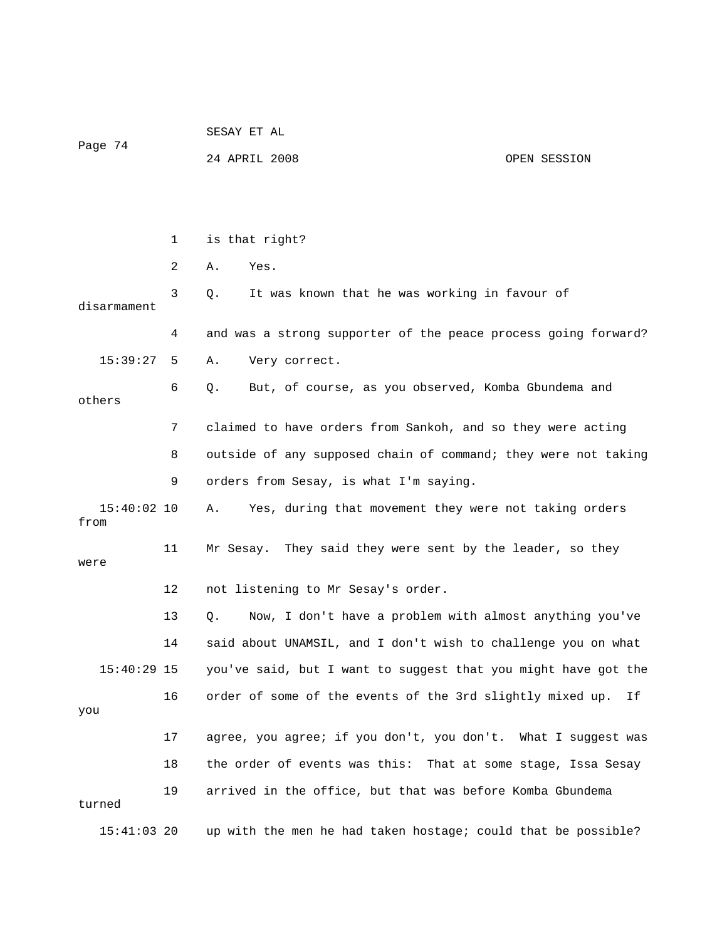|                       |              | SESAY ET AL                                                    |              |  |  |  |
|-----------------------|--------------|----------------------------------------------------------------|--------------|--|--|--|
| Page 74               |              | 24 APRIL 2008                                                  | OPEN SESSION |  |  |  |
|                       |              |                                                                |              |  |  |  |
|                       |              |                                                                |              |  |  |  |
|                       | $\mathbf{1}$ | is that right?                                                 |              |  |  |  |
|                       | 2            | Yes.<br>Α.                                                     |              |  |  |  |
| disarmament           | 3            | It was known that he was working in favour of<br>Q.            |              |  |  |  |
|                       | 4            | and was a strong supporter of the peace process going forward? |              |  |  |  |
| 15:39:27              | 5            | Very correct.<br>Α.                                            |              |  |  |  |
| others                | 6            | But, of course, as you observed, Komba Gbundema and<br>Q.      |              |  |  |  |
|                       | 7            | claimed to have orders from Sankoh, and so they were acting    |              |  |  |  |
|                       | 8            | outside of any supposed chain of command; they were not taking |              |  |  |  |
|                       | 9            | orders from Sesay, is what I'm saying.                         |              |  |  |  |
| $15:40:02$ 10<br>from |              | Α.<br>Yes, during that movement they were not taking orders    |              |  |  |  |
| were                  | 11           | Mr Sesay. They said they were sent by the leader, so they      |              |  |  |  |
|                       | 12           | not listening to Mr Sesay's order.                             |              |  |  |  |
|                       | 13           | Now, I don't have a problem with almost anything you've<br>Q.  |              |  |  |  |
|                       | 14           | said about UNAMSIL, and I don't wish to challenge you on what  |              |  |  |  |
| 15:40:29 15           |              | you've said, but I want to suggest that you might have got the |              |  |  |  |
| you                   | 16           | order of some of the events of the 3rd slightly mixed up.      | Ιf           |  |  |  |
|                       | 17           | agree, you agree; if you don't, you don't. What I suggest was  |              |  |  |  |
|                       | 18           | the order of events was this: That at some stage, Issa Sesay   |              |  |  |  |
| turned                | 19           | arrived in the office, but that was before Komba Gbundema      |              |  |  |  |
| $15:41:03$ 20         |              | up with the men he had taken hostage; could that be possible?  |              |  |  |  |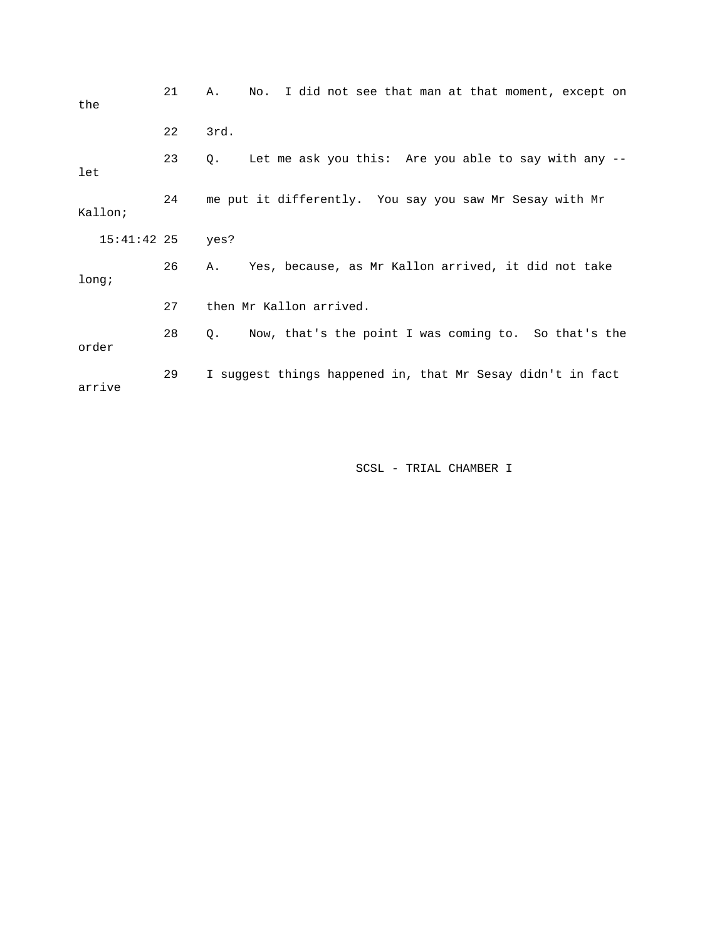| the           | 21 | I did not see that man at that moment, except on<br>Α.<br>No. |
|---------------|----|---------------------------------------------------------------|
|               | 22 | 3rd.                                                          |
| let           | 23 | Let me ask you this: Are you able to say with any --<br>Q.    |
| Kallon;       | 24 | me put it differently. You say you saw Mr Sesay with Mr       |
| $15:41:42$ 25 |    | yes?                                                          |
| long;         | 26 | Yes, because, as Mr Kallon arrived, it did not take<br>Α.     |
|               | 27 | then Mr Kallon arrived.                                       |
| order         | 28 | Q. Now, that's the point I was coming to. So that's the       |
| arrive        | 29 | I suggest things happened in, that Mr Sesay didn't in fact    |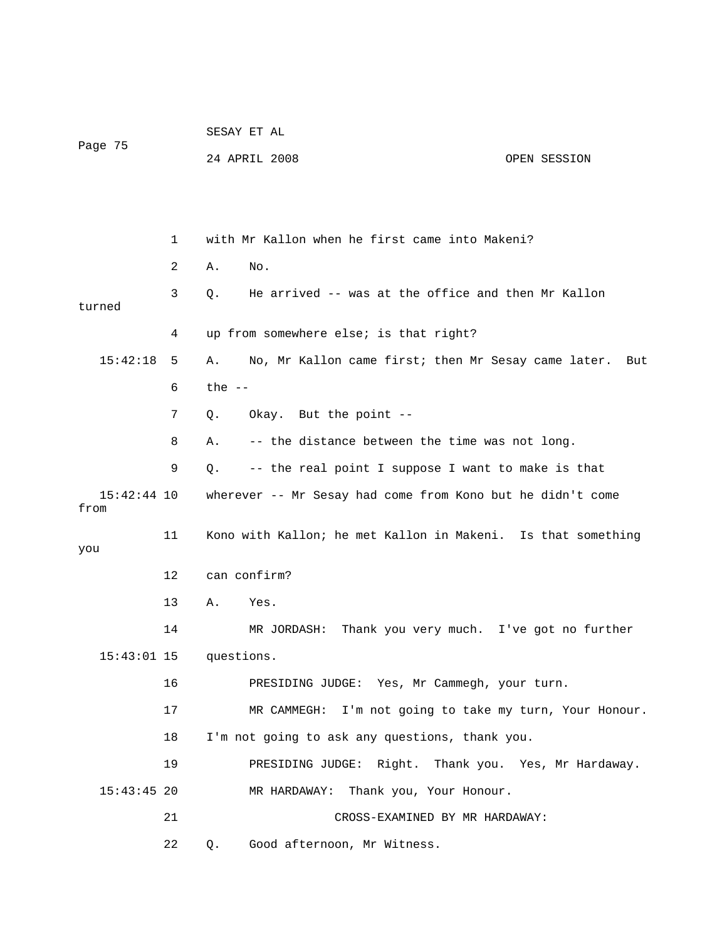|                       |    | SESAY ET AL |                                                              |              |
|-----------------------|----|-------------|--------------------------------------------------------------|--------------|
| Page 75               |    |             | 24 APRIL 2008                                                | OPEN SESSION |
|                       |    |             |                                                              |              |
|                       |    |             |                                                              |              |
|                       | 1  |             | with Mr Kallon when he first came into Makeni?               |              |
|                       | 2  | Α.          | No.                                                          |              |
| turned                | 3  | Q.          | He arrived -- was at the office and then Mr Kallon           |              |
|                       | 4  |             | up from somewhere else; is that right?                       |              |
| 15:42:18              | 5  | Α.          | No, Mr Kallon came first; then Mr Sesay came later.          | But          |
|                       | 6  | the $-$     |                                                              |              |
|                       | 7  | Q.          | Okay. But the point --                                       |              |
|                       | 8  | Α.          | -- the distance between the time was not long.               |              |
|                       | 9  | Q.          | -- the real point I suppose I want to make is that           |              |
| $15:42:44$ 10<br>from |    |             | wherever -- Mr Sesay had come from Kono but he didn't come   |              |
| you                   | 11 |             | Kono with Kallon; he met Kallon in Makeni. Is that something |              |
|                       | 12 |             | can confirm?                                                 |              |
|                       | 13 | Α.          | Yes.                                                         |              |
|                       | 14 |             | MR JORDASH: Thank you very much. I've got no further         |              |
| $15:43:01$ 15         |    | questions.  |                                                              |              |
|                       | 16 |             | PRESIDING JUDGE: Yes, Mr Cammegh, your turn.                 |              |
|                       | 17 |             | MR CAMMEGH: I'm not going to take my turn, Your Honour.      |              |
|                       | 18 |             | I'm not going to ask any questions, thank you.               |              |
|                       | 19 |             | PRESIDING JUDGE: Right. Thank you. Yes, Mr Hardaway.         |              |
| $15:43:45$ 20         |    |             | MR HARDAWAY: Thank you, Your Honour.                         |              |
|                       | 21 |             | CROSS-EXAMINED BY MR HARDAWAY:                               |              |
|                       | 22 | Q.          | Good afternoon, Mr Witness.                                  |              |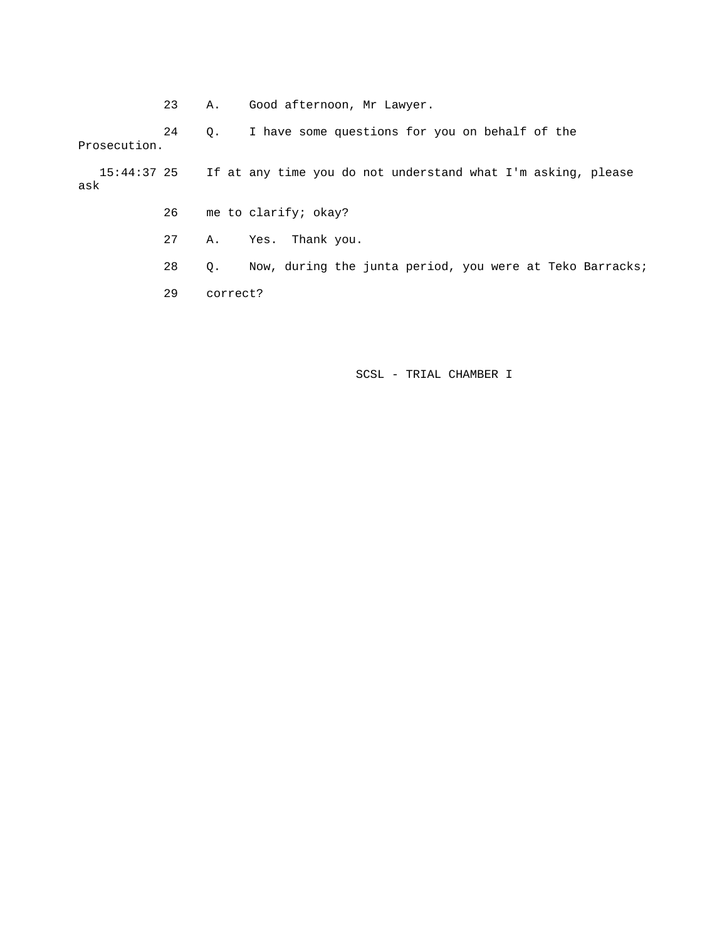23 A. Good afternoon, Mr Lawyer.

 24 Q. I have some questions for you on behalf of the Prosecution.

 15:44:37 25 If at any time you do not understand what I'm asking, please ask

- 26 me to clarify; okay?
- 27 A. Yes. Thank you.
- 28 Q. Now, during the junta period, you were at Teko Barracks;
- 29 correct?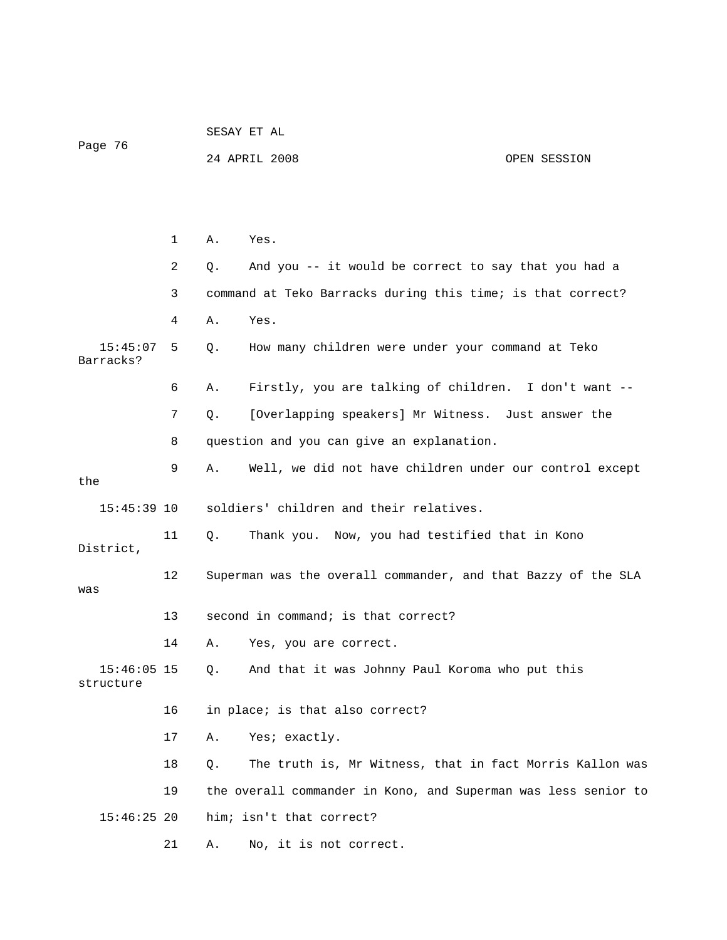| Page 76                    |                                                                     |    | 24 APRIL 2008                                                  | OPEN SESSION |
|----------------------------|---------------------------------------------------------------------|----|----------------------------------------------------------------|--------------|
|                            |                                                                     |    |                                                                |              |
|                            |                                                                     |    |                                                                |              |
|                            |                                                                     |    |                                                                |              |
|                            | 1                                                                   | Α. | Yes.                                                           |              |
|                            | 2                                                                   | Q. | And you -- it would be correct to say that you had a           |              |
|                            | 3                                                                   |    | command at Teko Barracks during this time; is that correct?    |              |
|                            | 4                                                                   | Α. | Yes.                                                           |              |
| 15:45:07<br>Barracks?      | 5                                                                   | Q. | How many children were under your command at Teko              |              |
|                            | 6                                                                   | Α. | Firstly, you are talking of children. I don't want --          |              |
|                            | 7                                                                   | Q. | [Overlapping speakers] Mr Witness. Just answer the             |              |
|                            | 8                                                                   |    | question and you can give an explanation.                      |              |
| the                        | 9                                                                   | Α. | Well, we did not have children under our control except        |              |
| $15:45:39$ 10              |                                                                     |    | soldiers' children and their relatives.                        |              |
| District,                  | 11                                                                  | Q. | Thank you. Now, you had testified that in Kono                 |              |
| was                        | 12<br>Superman was the overall commander, and that Bazzy of the SLA |    |                                                                |              |
|                            | 13                                                                  |    | second in command; is that correct?                            |              |
|                            | 14                                                                  | Α. | Yes, you are correct.                                          |              |
| $15:46:05$ 15<br>structure |                                                                     | Q. | And that it was Johnny Paul Koroma who put this                |              |
|                            | 16                                                                  |    | in place; is that also correct?                                |              |
|                            | 17                                                                  | Α. | Yes; exactly.                                                  |              |
|                            | 18                                                                  | Q. | The truth is, Mr Witness, that in fact Morris Kallon was       |              |
|                            | 19                                                                  |    | the overall commander in Kono, and Superman was less senior to |              |
| $15:46:25$ 20              |                                                                     |    | him; isn't that correct?                                       |              |
|                            | 21                                                                  | Α. | No, it is not correct.                                         |              |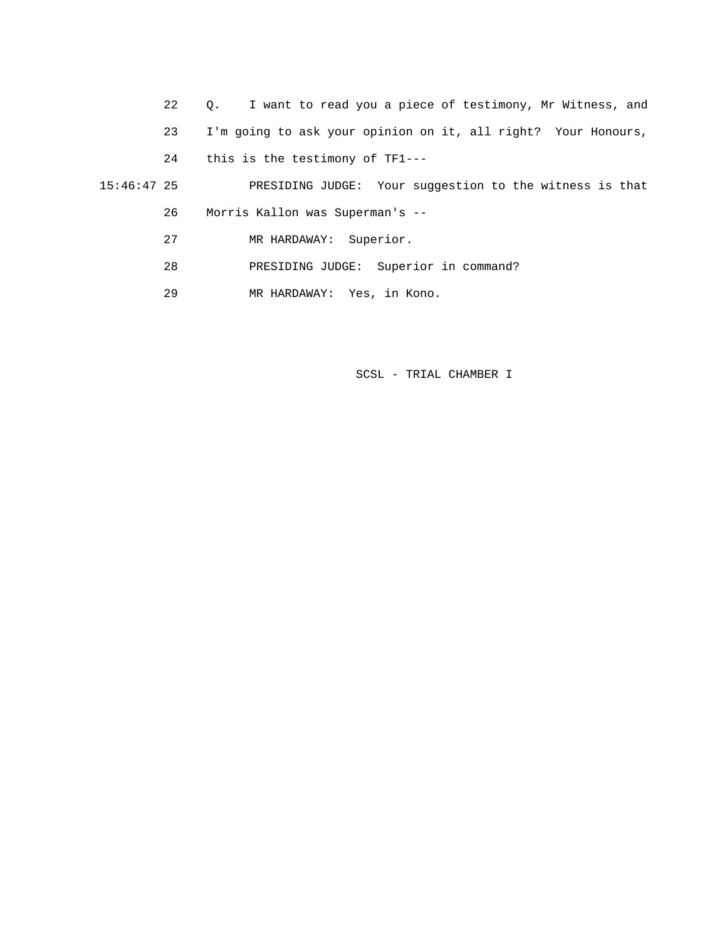22 Q. I want to read you a piece of testimony, Mr Witness, and 23 I'm going to ask your opinion on it, all right? Your Honours, 24 this is the testimony of TF1--- 15:46:47 25 PRESIDING JUDGE: Your suggestion to the witness is that 26 Morris Kallon was Superman's -- 27 MR HARDAWAY: Superior.

28 PRESIDING JUDGE: Superior in command?

29 MR HARDAWAY: Yes, in Kono.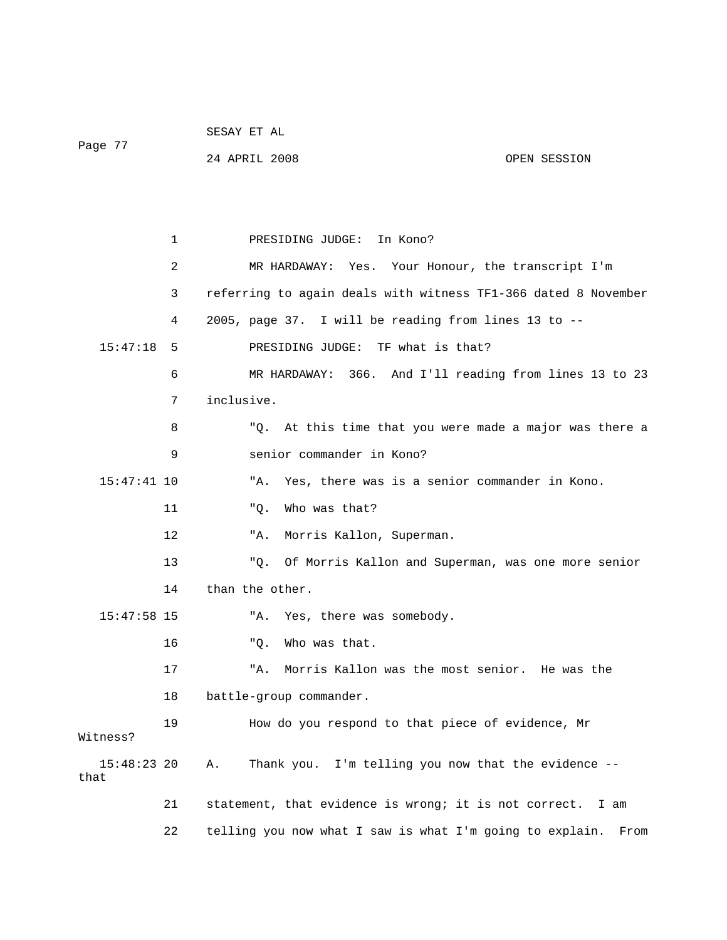| Page 77               |              |                                                                  |
|-----------------------|--------------|------------------------------------------------------------------|
|                       |              | 24 APRIL 2008<br>OPEN SESSION                                    |
|                       |              |                                                                  |
|                       |              |                                                                  |
|                       |              |                                                                  |
|                       | $\mathbf{1}$ | PRESIDING JUDGE: In Kono?                                        |
|                       | 2            | MR HARDAWAY: Yes. Your Honour, the transcript I'm                |
|                       | 3            | referring to again deals with witness TF1-366 dated 8 November   |
|                       | 4            | 2005, page 37. I will be reading from lines 13 to --             |
| 15:47:18              | 5            | PRESIDING JUDGE: TF what is that?                                |
|                       | 6            | MR HARDAWAY: 366. And I'll reading from lines 13 to 23           |
|                       | 7            | inclusive.                                                       |
|                       | 8            | "Q. At this time that you were made a major was there a          |
|                       | 9            | senior commander in Kono?                                        |
| $15:47:41$ 10         |              | Yes, there was is a senior commander in Kono.<br>"A.             |
|                       | 11           | "Q.<br>Who was that?                                             |
|                       | 12           | Morris Kallon, Superman.<br>"A.                                  |
|                       | 13           | "Q. Of Morris Kallon and Superman, was one more senior           |
|                       | 14           | than the other.                                                  |
| $15:47:58$ 15         |              | "A. Yes, there was somebody.                                     |
|                       | 16           | Who was that.<br>"Q.                                             |
|                       | 17           | Morris Kallon was the most senior. He was the<br>"A.             |
|                       | 18           | battle-group commander.                                          |
| Witness?              | 19           | How do you respond to that piece of evidence, Mr                 |
| $15:48:23$ 20<br>that |              | I'm telling you now that the evidence --<br>Thank you.<br>Α.     |
|                       | 21           | statement, that evidence is wrong; it is not correct.<br>I am    |
|                       | 22           | telling you now what I saw is what I'm going to explain.<br>From |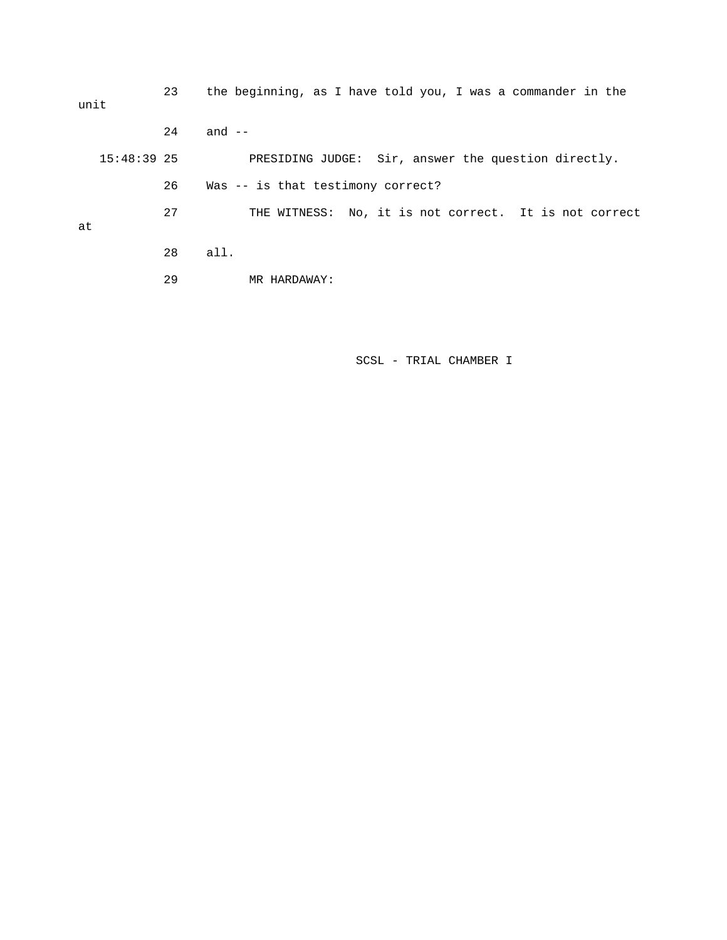23 the beginning, as I have told you, I was a commander in the unit 24 and -- 15:48:39 25 PRESIDING JUDGE: Sir, answer the question directly. 26 Was -- is that testimony correct? 27 THE WITNESS: No, it is not correct. It is not correct at 28 all. 29 MR HARDAWAY: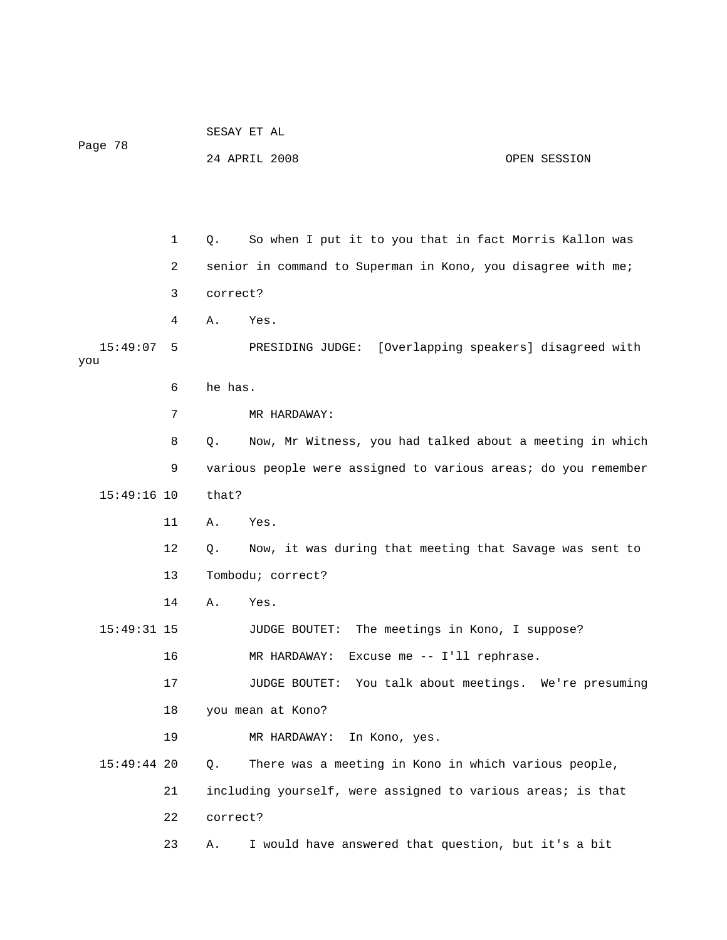|                 |    | SESAY ET AL       |                                                                |              |  |
|-----------------|----|-------------------|----------------------------------------------------------------|--------------|--|
| Page 78         |    |                   | 24 APRIL 2008                                                  | OPEN SESSION |  |
|                 |    |                   |                                                                |              |  |
|                 |    |                   |                                                                |              |  |
|                 | 1  | Q.                | So when I put it to you that in fact Morris Kallon was         |              |  |
|                 | 2  |                   | senior in command to Superman in Kono, you disagree with me;   |              |  |
|                 | 3  | correct?          |                                                                |              |  |
|                 | 4  | Α.                | Yes.                                                           |              |  |
| 15:49:07<br>you | 5  |                   | PRESIDING JUDGE: [Overlapping speakers] disagreed with         |              |  |
|                 | 6  | he has.           |                                                                |              |  |
|                 | 7  |                   | MR HARDAWAY:                                                   |              |  |
|                 | 8  | Q.                | Now, Mr Witness, you had talked about a meeting in which       |              |  |
|                 | 9  |                   | various people were assigned to various areas; do you remember |              |  |
| $15:49:16$ 10   |    | that?             |                                                                |              |  |
|                 | 11 | Α.                | Yes.                                                           |              |  |
|                 | 12 | Q.                | Now, it was during that meeting that Savage was sent to        |              |  |
|                 | 13 | Tombodu; correct? |                                                                |              |  |
|                 | 14 | Α.                | Yes.                                                           |              |  |
| 15:49:31 15     |    |                   | The meetings in Kono, I suppose?<br>JUDGE BOUTET:              |              |  |
|                 | 16 |                   | MR HARDAWAY: Excuse me -- I'll rephrase.                       |              |  |
|                 | 17 |                   | JUDGE BOUTET: You talk about meetings. We're presuming         |              |  |
|                 | 18 |                   | you mean at Kono?                                              |              |  |
|                 | 19 |                   | In Kono, yes.<br>MR HARDAWAY:                                  |              |  |
| 15:49:44 20     |    | Q.                | There was a meeting in Kono in which various people,           |              |  |
|                 | 21 |                   | including yourself, were assigned to various areas; is that    |              |  |
|                 | 22 | correct?          |                                                                |              |  |
|                 | 23 | Α.                | I would have answered that question, but it's a bit            |              |  |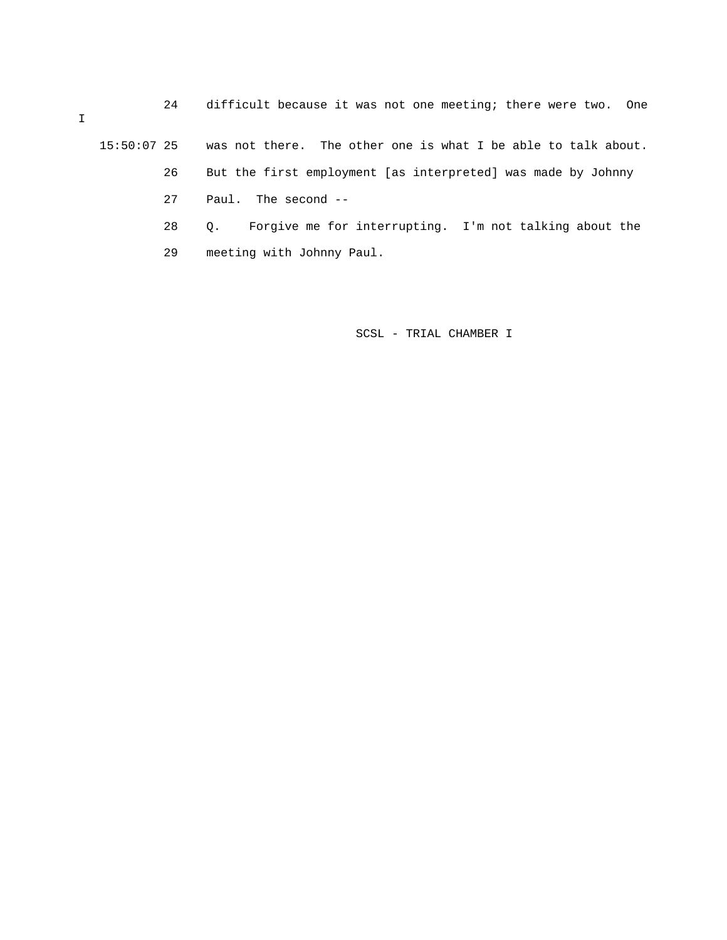24 difficult because it was not one meeting; there were two. One

15:50:07 25 was not there. The other one is what I be able to talk about.

- 26 But the first employment [as interpreted] was made by Johnny
- 27 Paul. The second --
- 28 Q. Forgive me for interrupting. I'm not talking about the
- 29 meeting with Johnny Paul.

SCSL - TRIAL CHAMBER I

 $\mathbf I$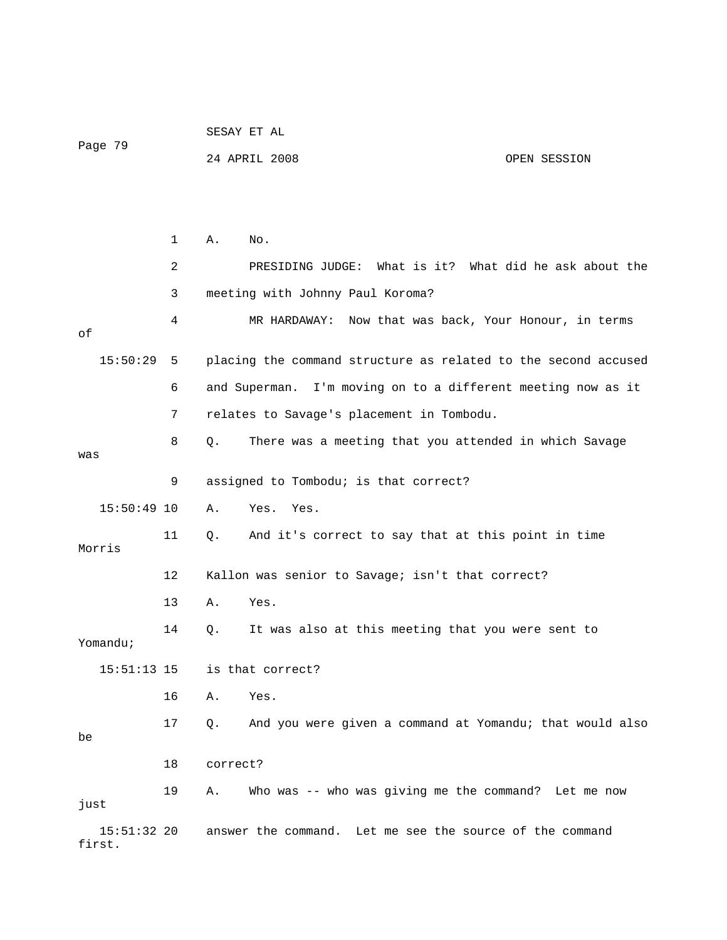|                         |              |          | SESAY ET AL                                                    |              |  |
|-------------------------|--------------|----------|----------------------------------------------------------------|--------------|--|
| Page 79                 |              |          | 24 APRIL 2008                                                  | OPEN SESSION |  |
|                         |              |          |                                                                |              |  |
|                         |              |          |                                                                |              |  |
|                         | $\mathbf{1}$ | Α.       | No.                                                            |              |  |
|                         | 2            |          | PRESIDING JUDGE: What is it? What did he ask about the         |              |  |
|                         | 3            |          | meeting with Johnny Paul Koroma?                               |              |  |
| оf                      | 4            |          | MR HARDAWAY: Now that was back, Your Honour, in terms          |              |  |
| 15:50:29                | -5           |          | placing the command structure as related to the second accused |              |  |
|                         | 6            |          | and Superman. I'm moving on to a different meeting now as it   |              |  |
|                         | 7            |          | relates to Savage's placement in Tombodu.                      |              |  |
| was                     | 8            | Q.       | There was a meeting that you attended in which Savage          |              |  |
|                         | 9            |          | assigned to Tombodu; is that correct?                          |              |  |
| $15:50:49$ 10           |              | Α.       | Yes.<br>Yes.                                                   |              |  |
| Morris                  | 11           | Q.       | And it's correct to say that at this point in time             |              |  |
|                         | 12           |          | Kallon was senior to Savage; isn't that correct?               |              |  |
|                         | 13           | Α.       | Yes.                                                           |              |  |
| Yomandu;                | 14           | Q.       | It was also at this meeting that you were sent to              |              |  |
| $15:51:13$ 15           |              |          | is that correct?                                               |              |  |
|                         | 16           | Α.       | Yes.                                                           |              |  |
| be                      | 17           | Q.       | And you were given a command at Yomandu; that would also       |              |  |
|                         | 18           | correct? |                                                                |              |  |
| just                    | 19           | Α.       | Who was -- who was giving me the command? Let me now           |              |  |
| $15:51:32$ 20<br>first. |              |          | answer the command. Let me see the source of the command       |              |  |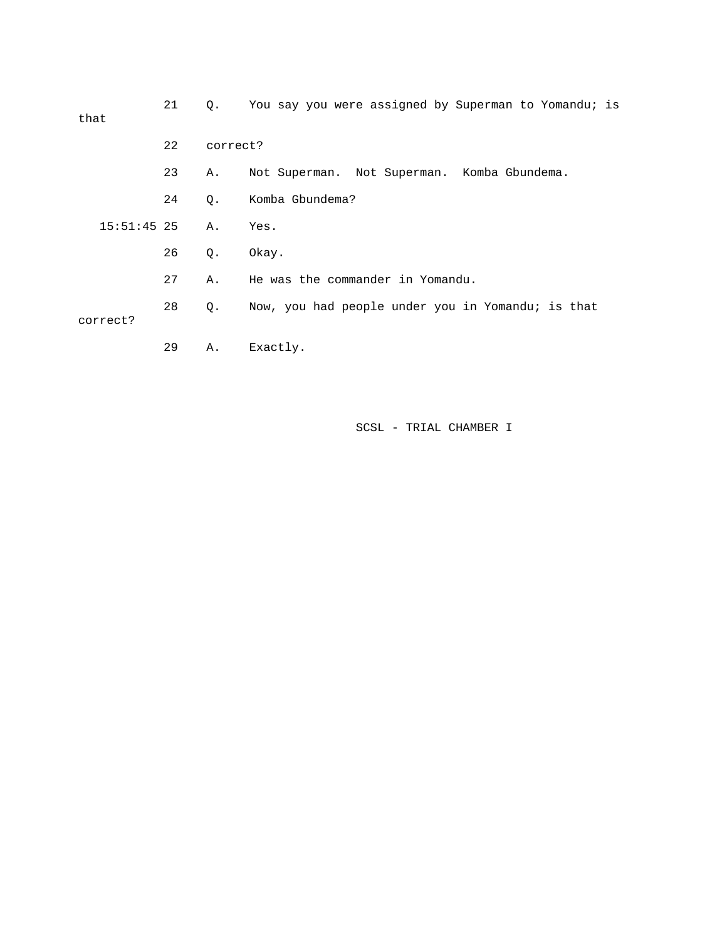| that          | 21 | Q.       | You say you were assigned by Superman to Yomandu; is |
|---------------|----|----------|------------------------------------------------------|
|               | 22 | correct? |                                                      |
|               | 23 | Α.       | Not Superman. Not Superman. Komba Gbundema.          |
|               | 24 | Q.       | Komba Gbundema?                                      |
| $15:51:45$ 25 |    | Α.       | Yes.                                                 |
|               | 26 | $Q$ .    | Okay.                                                |
|               | 27 | Α.       | He was the commander in Yomandu.                     |
| correct?      | 28 | Q.       | Now, you had people under you in Yomandu; is that    |
|               | 29 | Α.       | Exactly.                                             |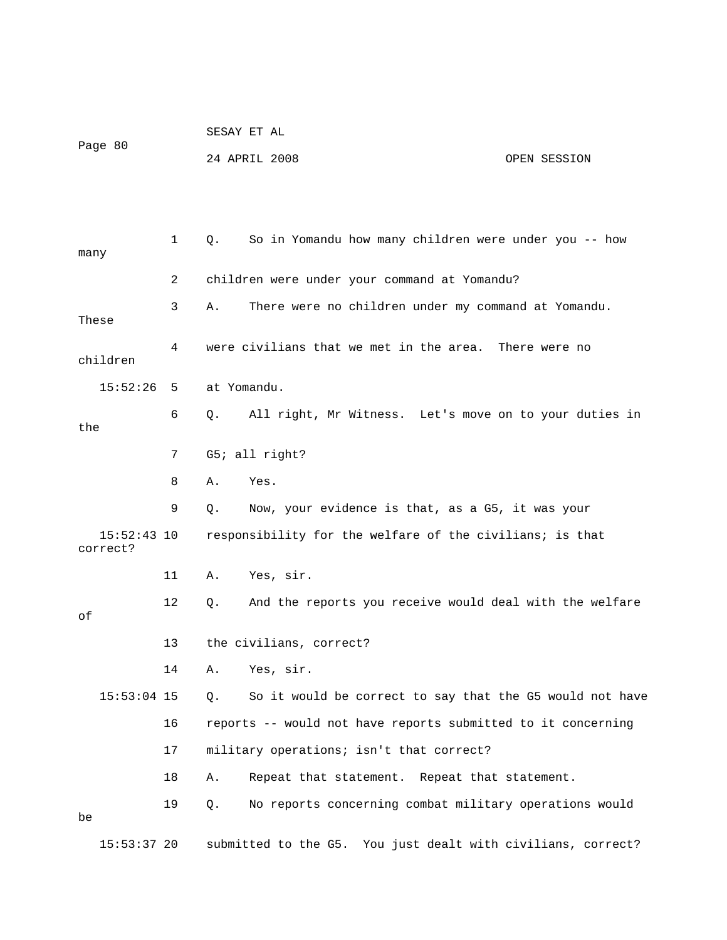| Page 80 | SESAY ET AL   |              |
|---------|---------------|--------------|
|         | 24 APRIL 2008 | OPEN SESSION |

| many                      | 1  | Q.          | So in Yomandu how many children were under you -- how        |
|---------------------------|----|-------------|--------------------------------------------------------------|
|                           | 2  |             | children were under your command at Yomandu?                 |
| These                     | 3  | Α.          | There were no children under my command at Yomandu.          |
| children                  | 4  |             | were civilians that we met in the area. There were no        |
| 15:52:26                  | 5  | at Yomandu. |                                                              |
| the                       | 6  | Q.          | All right, Mr Witness. Let's move on to your duties in       |
|                           | 7  |             | G5; all right?                                               |
|                           | 8  | Α.          | Yes.                                                         |
|                           | 9  | Q.          | Now, your evidence is that, as a G5, it was your             |
| $15:52:43$ 10<br>correct? |    |             | responsibility for the welfare of the civilians; is that     |
|                           | 11 | Α.          | Yes, sir.                                                    |
| оf                        | 12 | Q.          | And the reports you receive would deal with the welfare      |
|                           | 13 |             | the civilians, correct?                                      |
|                           | 14 | Α.          | Yes, sir.                                                    |
| $15:53:04$ 15             |    | Q.          | So it would be correct to say that the G5 would not have     |
|                           | 16 |             | reports -- would not have reports submitted to it concerning |
|                           | 17 |             | military operations; isn't that correct?                     |
|                           | 18 | Α.          | Repeat that statement. Repeat that statement.                |
| be                        | 19 | Q.          | No reports concerning combat military operations would       |
| $15:53:37$ 20             |    |             | submitted to the G5. You just dealt with civilians, correct? |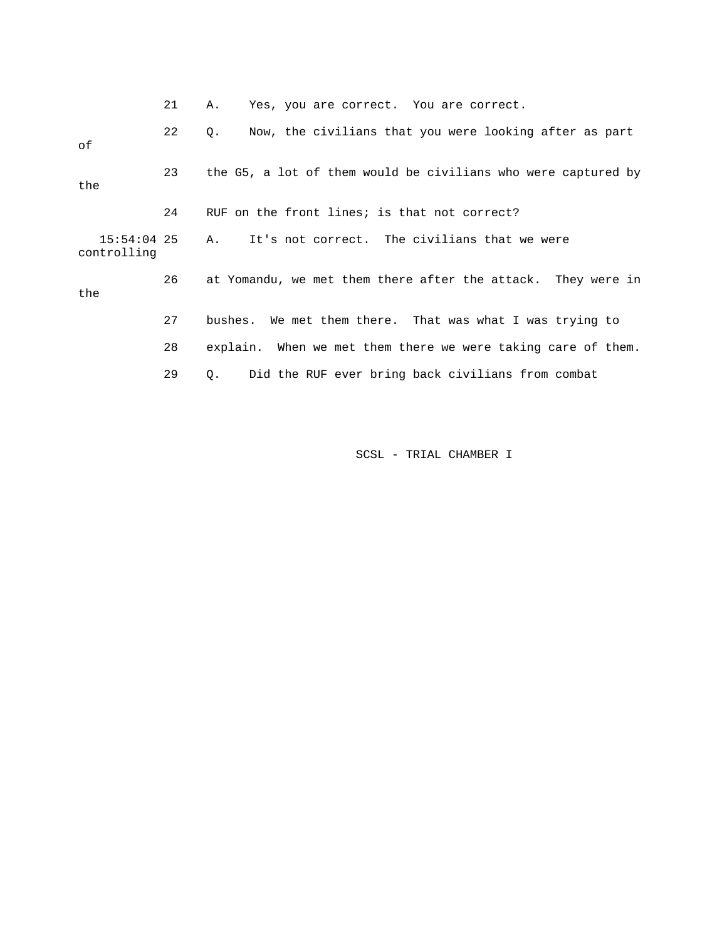|                              | 21 | Yes, you are correct. You are correct.<br>Α.                  |
|------------------------------|----|---------------------------------------------------------------|
| оf                           | 22 | Now, the civilians that you were looking after as part<br>Q.  |
| the                          | 23 | the G5, a lot of them would be civilians who were captured by |
|                              | 24 | RUF on the front lines; is that not correct?                  |
| $15:54:04$ 25<br>controlling |    | A. It's not correct. The civilians that we were               |
| the                          | 26 | at Yomandu, we met them there after the attack. They were in  |
|                              | 27 | bushes. We met them there. That was what I was trying to      |
|                              | 28 | explain. When we met them there we were taking care of them.  |
|                              | 29 | Did the RUF ever bring back civilians from combat<br>О.       |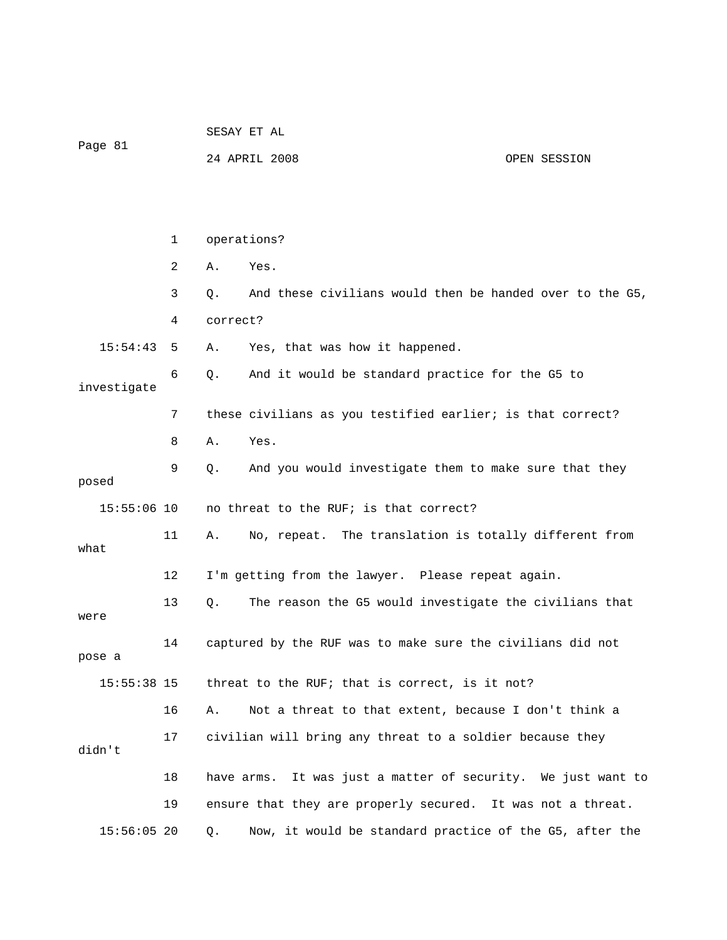| Page 81       |    | SESAY ET AL                                                     |  |  |  |
|---------------|----|-----------------------------------------------------------------|--|--|--|
|               |    | 24 APRIL 2008<br>OPEN SESSION                                   |  |  |  |
|               |    |                                                                 |  |  |  |
|               |    |                                                                 |  |  |  |
|               | 1  | operations?                                                     |  |  |  |
|               | 2  | Yes.<br>Α.                                                      |  |  |  |
|               | 3  | And these civilians would then be handed over to the G5,<br>Q.  |  |  |  |
|               | 4  | correct?                                                        |  |  |  |
| 15:54:43      | 5  | Yes, that was how it happened.<br>Α.                            |  |  |  |
| investigate   | 6  | And it would be standard practice for the G5 to<br>Q.           |  |  |  |
| 7             |    | these civilians as you testified earlier; is that correct?      |  |  |  |
|               | 8  | Yes.<br>Α.                                                      |  |  |  |
| posed         | 9  | And you would investigate them to make sure that they<br>Q.     |  |  |  |
| $15:55:06$ 10 |    | no threat to the RUF; is that correct?                          |  |  |  |
| what          | 11 | No, repeat. The translation is totally different from<br>Α.     |  |  |  |
|               | 12 | I'm getting from the lawyer. Please repeat again.               |  |  |  |
| were          | 13 | The reason the G5 would investigate the civilians that<br>Q.    |  |  |  |
| pose a        | 14 | captured by the RUF was to make sure the civilians did not      |  |  |  |
| 15:55:38 15   |    | threat to the RUF; that is correct, is it not?                  |  |  |  |
|               | 16 | Not a threat to that extent, because I don't think a<br>Α.      |  |  |  |
| didn't        | 17 | civilian will bring any threat to a soldier because they        |  |  |  |
|               | 18 | It was just a matter of security. We just want to<br>have arms. |  |  |  |
|               | 19 | ensure that they are properly secured. It was not a threat.     |  |  |  |
| $15:56:05$ 20 |    | Now, it would be standard practice of the G5, after the<br>Q.   |  |  |  |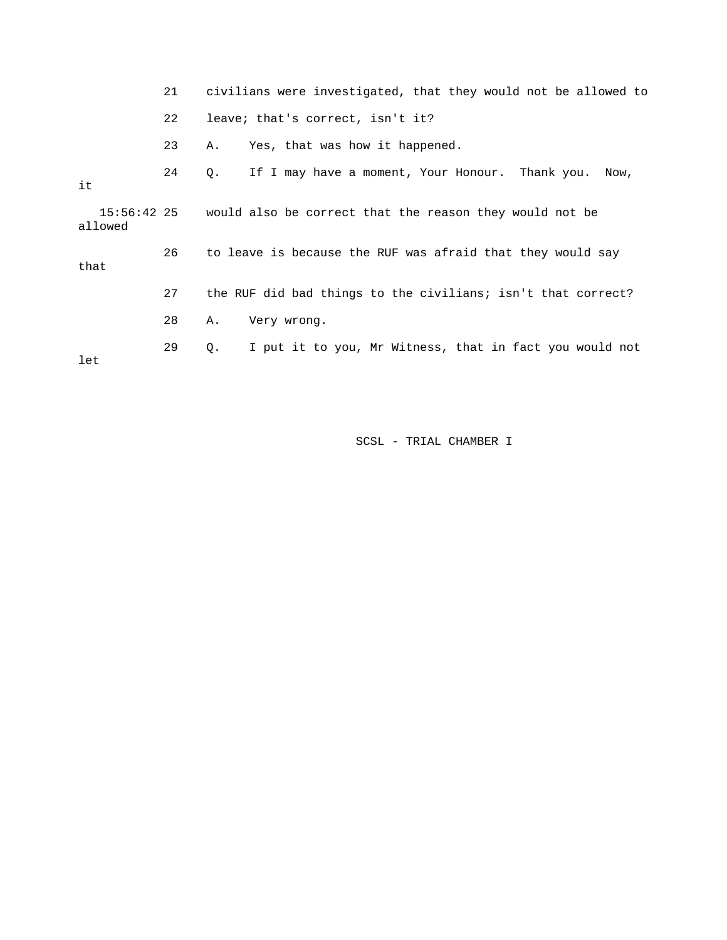|         | 21 | civilians were investigated, that they would not be allowed to      |  |  |  |
|---------|----|---------------------------------------------------------------------|--|--|--|
|         | 22 | leave; that's correct, isn't it?                                    |  |  |  |
|         | 23 | Yes, that was how it happened.<br>Α.                                |  |  |  |
| it      | 24 | If I may have a moment, Your Honour. Thank you.<br>Q.<br>Now,       |  |  |  |
| allowed |    | 15:56:42 25 would also be correct that the reason they would not be |  |  |  |
| that    | 26 | to leave is because the RUF was afraid that they would say          |  |  |  |
|         | 27 | the RUF did bad things to the civilians; isn't that correct?        |  |  |  |
|         | 28 | Very wrong.<br>Α.                                                   |  |  |  |
| let     | 29 | I put it to you, Mr Witness, that in fact you would not<br>Q.       |  |  |  |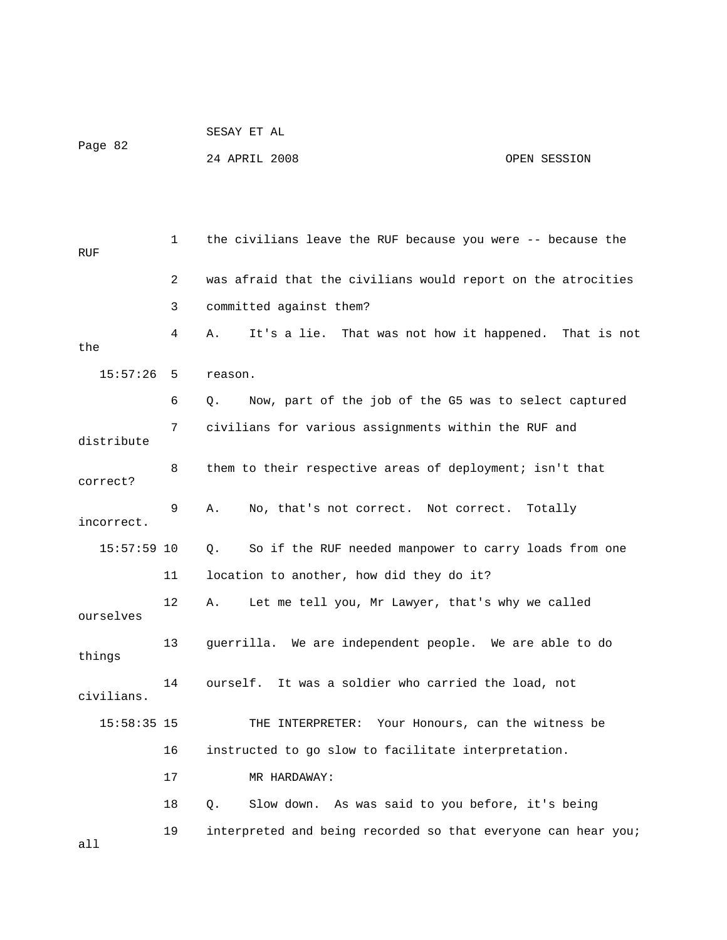|         | SESAY ET AL   |              |
|---------|---------------|--------------|
| Page 82 |               |              |
|         | 24 APRIL 2008 | OPEN SESSION |

 1 the civilians leave the RUF because you were -- because the RUF 2 was afraid that the civilians would report on the atrocities 3 committed against them? 4 A. It's a lie. That was not how it happened. That is not the 15:57:26 5 reason. 6 Q. Now, part of the job of the G5 was to select captured 7 civilians for various assignments within the RUF and distribute 8 them to their respective areas of deployment; isn't that correct? 9 A. No, that's not correct. Not correct. Totally incorrect. 15:57:59 10 Q. So if the RUF needed manpower to carry loads from one 11 location to another, how did they do it? 12 A. Let me tell you, Mr Lawyer, that's why we called ourselves 13 guerrilla. We are independent people. We are able to do things 14 ourself. It was a soldier who carried the load, not civilians. 15:58:35 15 THE INTERPRETER: Your Honours, can the witness be 16 instructed to go slow to facilitate interpretation. 17 MR HARDAWAY: 18 Q. Slow down. As was said to you before, it's being 19 interpreted and being recorded so that everyone can hear you; all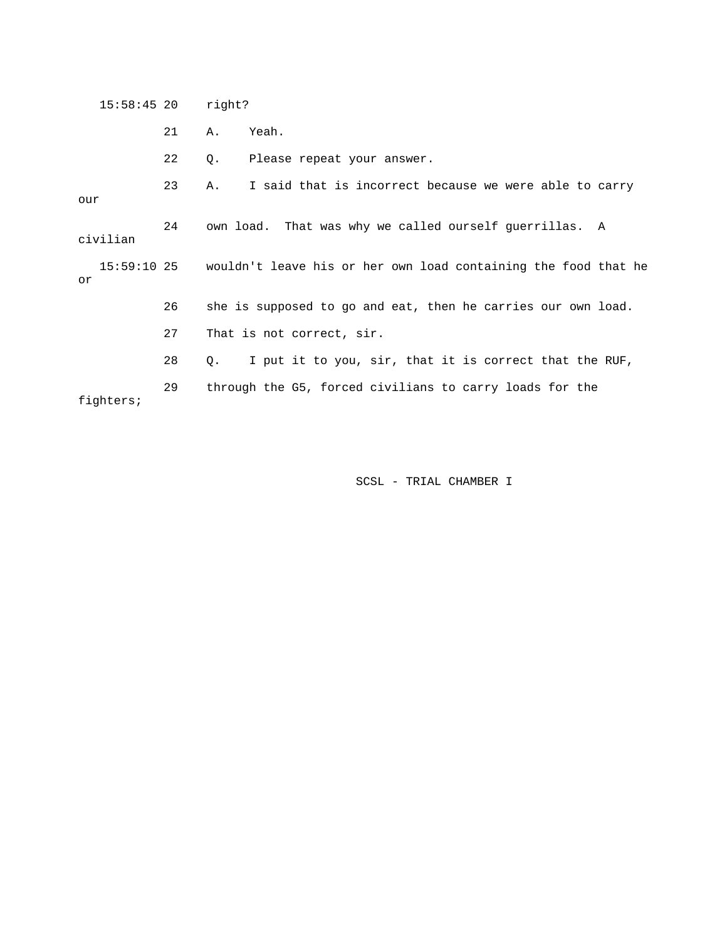| $15:58:45$ 20 |    | right?                                                                     |  |  |  |
|---------------|----|----------------------------------------------------------------------------|--|--|--|
|               | 21 | Yeah.<br>Α.                                                                |  |  |  |
|               | 22 | Please repeat your answer.<br>Q.                                           |  |  |  |
| our           | 23 | I said that is incorrect because we were able to carry<br>A.               |  |  |  |
| civilian      | 24 | own load. That was why we called ourself querrillas. A                     |  |  |  |
| or            |    | 15:59:10 25 wouldn't leave his or her own load containing the food that he |  |  |  |
|               | 26 | she is supposed to go and eat, then he carries our own load.               |  |  |  |
|               | 27 | That is not correct, sir.                                                  |  |  |  |
|               | 28 | I put it to you, sir, that it is correct that the RUF,<br>О.               |  |  |  |
| fighters;     | 29 | through the G5, forced civilians to carry loads for the                    |  |  |  |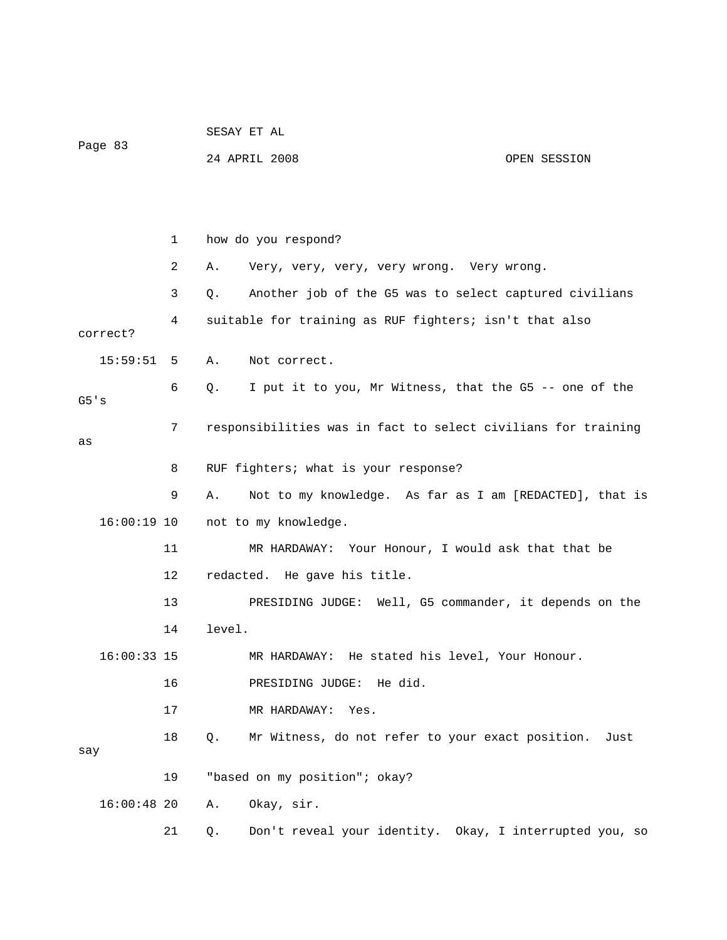| Page 83       |                                                             |    | SESAY ET AL |                                                               |              |  |
|---------------|-------------------------------------------------------------|----|-------------|---------------------------------------------------------------|--------------|--|
|               |                                                             |    |             | 24 APRIL 2008                                                 | OPEN SESSION |  |
|               |                                                             |    |             |                                                               |              |  |
|               |                                                             |    |             |                                                               |              |  |
|               |                                                             | 1  |             | how do you respond?                                           |              |  |
|               |                                                             | 2  | Α.          | Very, very, very, very wrong. Very wrong.                     |              |  |
|               |                                                             | 3  | Q.          | Another job of the G5 was to select captured civilians        |              |  |
| correct?      | suitable for training as RUF fighters; isn't that also<br>4 |    |             |                                                               |              |  |
| 15:59:51      |                                                             | 5  | Α.          | Not correct.                                                  |              |  |
| G5's          |                                                             | 6  | Q.          | I put it to you, Mr Witness, that the G5 -- one of the        |              |  |
| as            | 7                                                           |    |             | responsibilities was in fact to select civilians for training |              |  |
|               |                                                             | 8  |             | RUF fighters; what is your response?                          |              |  |
|               |                                                             | 9  | Α.          | Not to my knowledge. As far as I am [REDACTED], that is       |              |  |
| 16:00:19 10   |                                                             |    |             | not to my knowledge.                                          |              |  |
|               |                                                             | 11 |             | MR HARDAWAY: Your Honour, I would ask that that be            |              |  |
|               |                                                             | 12 |             | redacted. He gave his title.                                  |              |  |
|               |                                                             | 13 |             | PRESIDING JUDGE: Well, G5 commander, it depends on the        |              |  |
|               |                                                             | 14 | level.      |                                                               |              |  |
| $16:00:33$ 15 |                                                             |    |             | MR HARDAWAY: He stated his level, Your Honour.                |              |  |
|               |                                                             | 16 |             | PRESIDING JUDGE: He did.                                      |              |  |
|               |                                                             | 17 |             | MR HARDAWAY:<br>Yes.                                          |              |  |
| say           |                                                             | 18 | Q.          | Mr Witness, do not refer to your exact position.              | Just         |  |
|               |                                                             | 19 |             | "based on my position"; okay?                                 |              |  |
| $16:00:48$ 20 |                                                             |    | Α.          | Okay, sir.                                                    |              |  |
|               |                                                             | 21 | Q.          | Don't reveal your identity. Okay, I interrupted you, so       |              |  |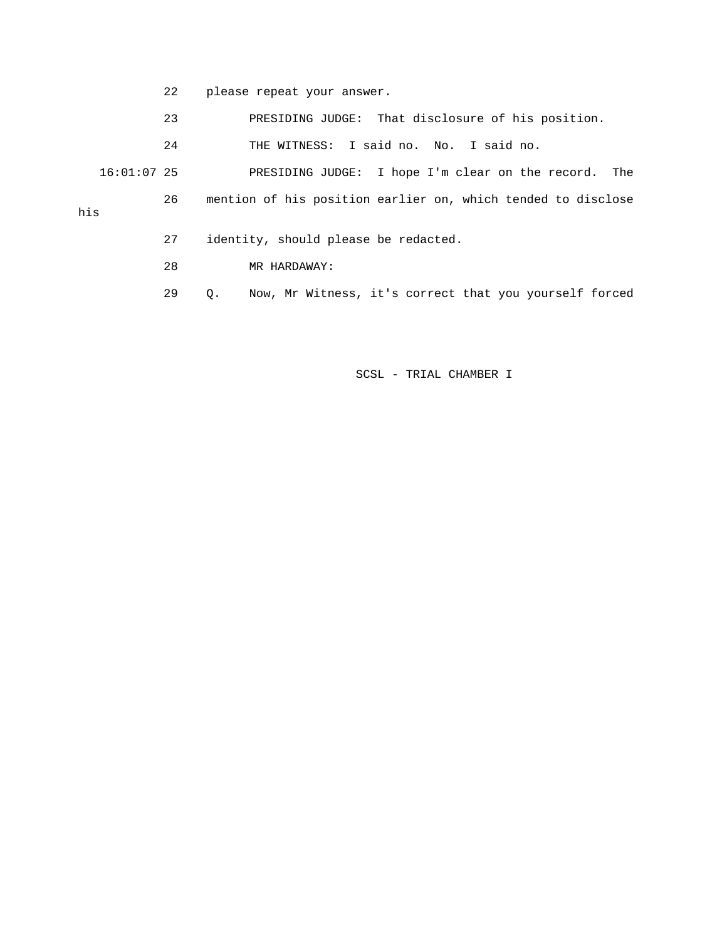- 22 please repeat your answer.
- 23 PRESIDING JUDGE: That disclosure of his position.

24 THE WITNESS: I said no. No. I said no.

 16:01:07 25 PRESIDING JUDGE: I hope I'm clear on the record. The 26 mention of his position earlier on, which tended to disclose his

- 27 identity, should please be redacted.
- 28 MR HARDAWAY:
- 29 Q. Now, Mr Witness, it's correct that you yourself forced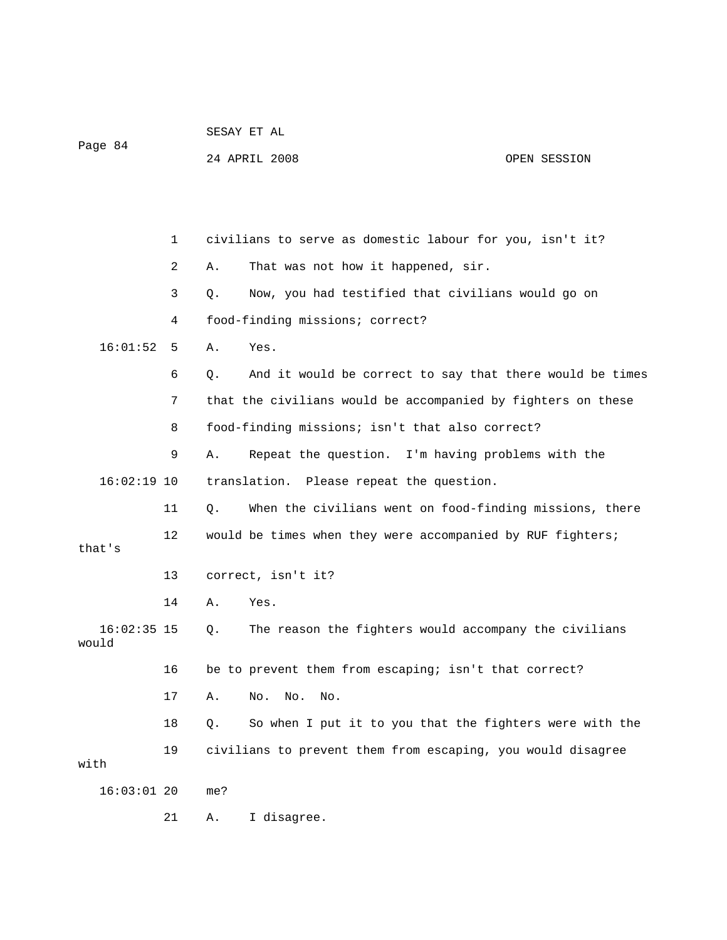| Page 84                |    | 24 APRIL 2008<br>OPEN SESSION                                  |
|------------------------|----|----------------------------------------------------------------|
|                        |    |                                                                |
|                        | 1  | civilians to serve as domestic labour for you, isn't it?       |
|                        | 2  | That was not how it happened, sir.<br>Α.                       |
|                        | 3  | Now, you had testified that civilians would go on<br>Q.        |
|                        | 4  | food-finding missions; correct?                                |
| 16:01:52               | 5  | Yes.<br>Α.                                                     |
|                        | 6  | And it would be correct to say that there would be times<br>Q. |
|                        | 7  | that the civilians would be accompanied by fighters on these   |
|                        | 8  | food-finding missions; isn't that also correct?                |
|                        | 9  | Repeat the question. I'm having problems with the<br>Α.        |
| $16:02:19$ 10          |    | translation. Please repeat the question.                       |
|                        | 11 | When the civilians went on food-finding missions, there<br>Q.  |
| that's                 | 12 | would be times when they were accompanied by RUF fighters;     |
|                        | 13 | correct, isn't it?                                             |
|                        | 14 | Yes.<br>Α.                                                     |
| $16:02:35$ 15<br>would |    | The reason the fighters would accompany the civilians<br>Q.    |
|                        | 16 | be to prevent them from escaping; isn't that correct?          |
|                        | 17 | $\rm No$ .<br>No.<br>No.<br>Α.                                 |
|                        | 18 | So when I put it to you that the fighters were with the<br>Q.  |
| with                   | 19 | civilians to prevent them from escaping, you would disagree    |
| $16:03:01$ 20          |    | me?                                                            |
|                        | 21 | I disagree.<br>Α.                                              |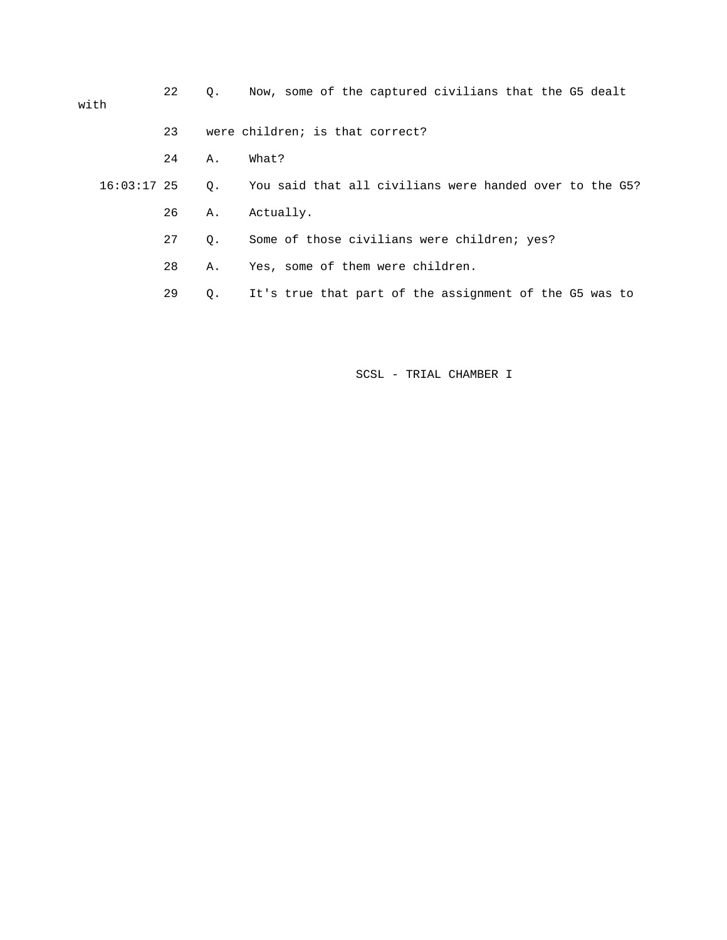| with          | 22 | $\circ$ . | Now, some of the captured civilians that the G5 dealt   |
|---------------|----|-----------|---------------------------------------------------------|
|               | 23 |           | were children; is that correct?                         |
|               | 24 | Α.        | What?                                                   |
| $16:03:17$ 25 |    | 0.        | You said that all civilians were handed over to the G5? |
|               | 26 | Α.        | Actually.                                               |
|               | 27 | 0.        | Some of those civilians were children; yes?             |
|               | 28 | Α.        | Yes, some of them were children.                        |
|               | 29 | Q.        | It's true that part of the assignment of the G5 was to  |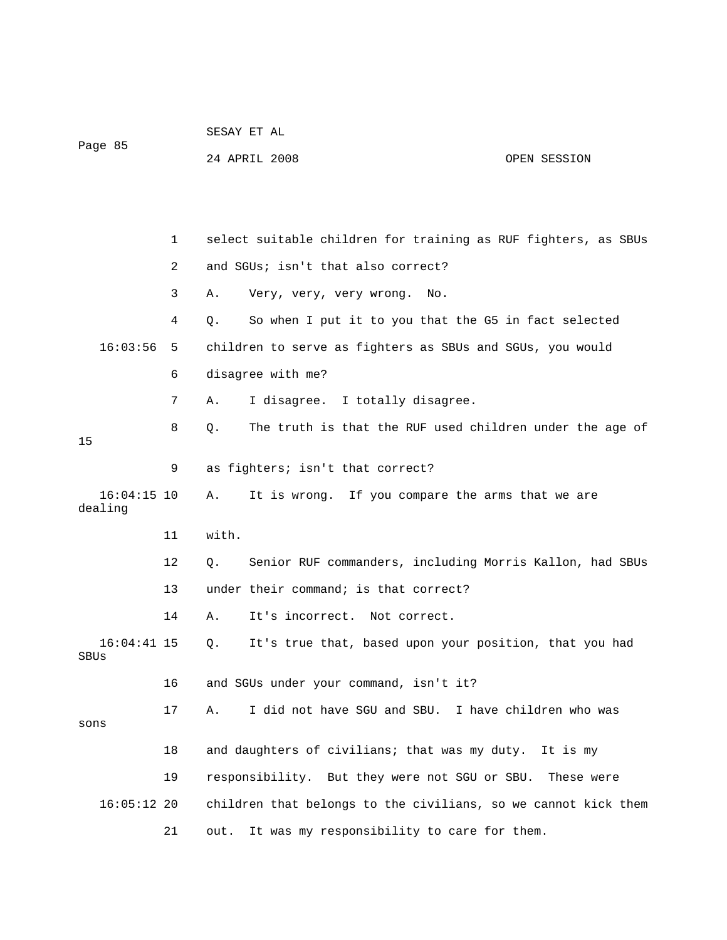| Page 85               |              | SESAY ET AL |                                                                |              |
|-----------------------|--------------|-------------|----------------------------------------------------------------|--------------|
|                       |              |             | 24 APRIL 2008                                                  | OPEN SESSION |
|                       |              |             |                                                                |              |
|                       |              |             |                                                                |              |
|                       | $\mathbf{1}$ |             | select suitable children for training as RUF fighters, as SBUs |              |
|                       | 2            |             | and SGUs; isn't that also correct?                             |              |
|                       | 3            | Α.          | Very, very, very wrong.<br>No.                                 |              |
|                       | 4            | Q.          | So when I put it to you that the G5 in fact selected           |              |
| 16:03:56              | 5            |             | children to serve as fighters as SBUs and SGUs, you would      |              |
|                       | 6            |             | disagree with me?                                              |              |
|                       | 7            | Α.          | I disagree. I totally disagree.                                |              |
| 15                    | 8            | Q.          | The truth is that the RUF used children under the age of       |              |
|                       | 9            |             | as fighters; isn't that correct?                               |              |
| $16:04:15$ 10         |              | Α.          | It is wrong. If you compare the arms that we are               |              |
| dealing               |              |             |                                                                |              |
|                       | 11           | with.       |                                                                |              |
|                       | 12           | Q.          | Senior RUF commanders, including Morris Kallon, had SBUs       |              |
|                       | 13           |             | under their command; is that correct?                          |              |
|                       | 14           | Α.          | It's incorrect. Not correct.                                   |              |
| $16:04:41$ 15<br>SBUs |              | Q.          | It's true that, based upon your position, that you had         |              |
|                       | 16           |             | and SGUs under your command, isn't it?                         |              |
|                       | 17           | Α.          | I did not have SGU and SBU. I have children who was            |              |
| sons                  |              |             |                                                                |              |
|                       | 18           |             | and daughters of civilians; that was my duty.                  | It is mv     |
|                       | 19           |             | responsibility. But they were not SGU or SBU.                  | These were   |
| $16:05:12$ 20         |              |             | children that belongs to the civilians, so we cannot kick them |              |
|                       | 21           | out.        | It was my responsibility to care for them.                     |              |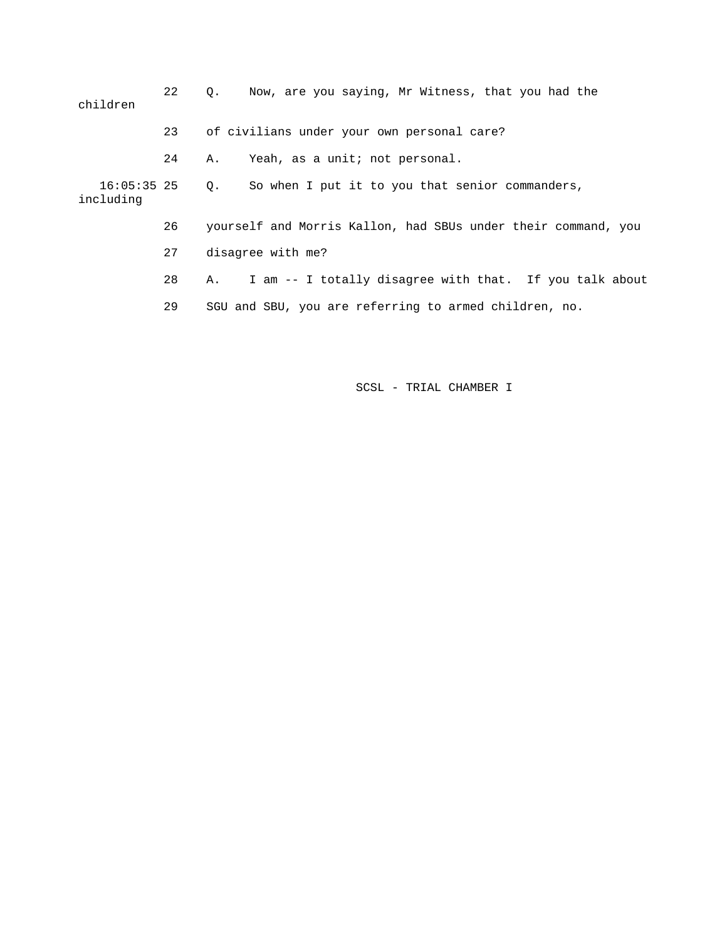| children                      | 22 | Now, are you saying, Mr Witness, that you had the<br>Q.       |
|-------------------------------|----|---------------------------------------------------------------|
|                               | 23 | of civilians under your own personal care?                    |
|                               | 24 | Yeah, as a unit; not personal.<br>Α.                          |
| $16:05:35$ 25 Q.<br>including |    | So when I put it to you that senior commanders,               |
|                               | 26 | yourself and Morris Kallon, had SBUs under their command, you |
|                               | 27 | disagree with me?                                             |
|                               | 28 | I am -- I totally disagree with that. If you talk about<br>Α. |
|                               | 29 | SGU and SBU, you are referring to armed children, no.         |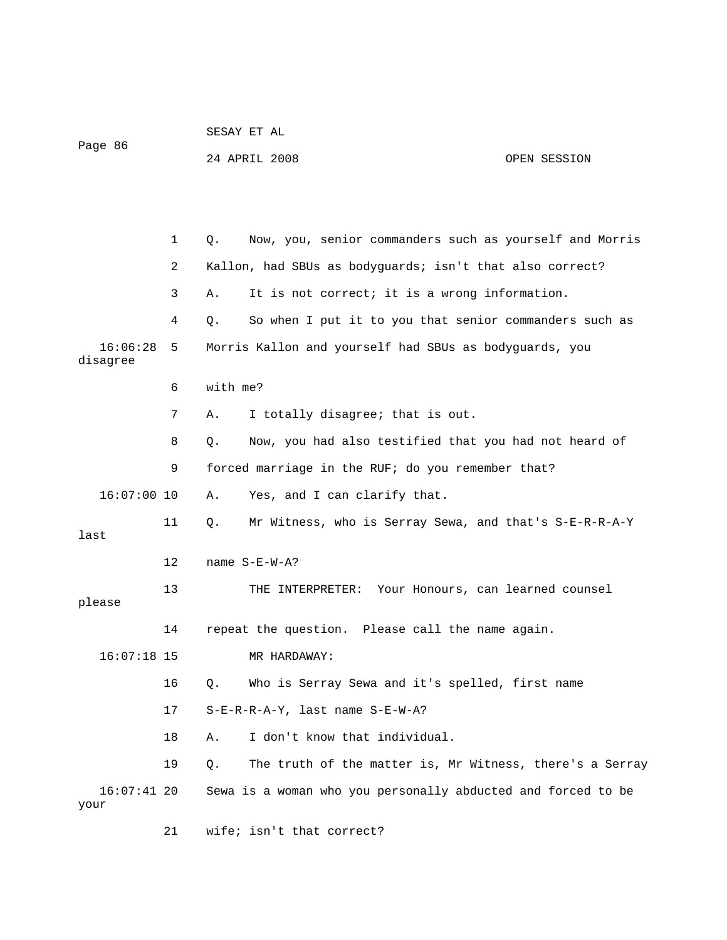|                       |    |          | 24 APRIL 2008                                                | OPEN SESSION |
|-----------------------|----|----------|--------------------------------------------------------------|--------------|
|                       |    |          |                                                              |              |
|                       |    |          |                                                              |              |
|                       |    |          |                                                              |              |
|                       | 1  | Q.       | Now, you, senior commanders such as yourself and Morris      |              |
|                       | 2  |          | Kallon, had SBUs as bodyguards; isn't that also correct?     |              |
|                       | 3  | Α.       | It is not correct; it is a wrong information.                |              |
|                       | 4  | Q.       | So when I put it to you that senior commanders such as       |              |
| 16:06:28<br>disagree  | 5  |          | Morris Kallon and yourself had SBUs as bodyguards, you       |              |
|                       | 6  | with me? |                                                              |              |
|                       | 7  | Α.       | I totally disagree; that is out.                             |              |
|                       | 8  | Q.       | Now, you had also testified that you had not heard of        |              |
|                       | 9  |          | forced marriage in the RUF; do you remember that?            |              |
| $16:07:00$ 10         |    | Α.       | Yes, and I can clarify that.                                 |              |
|                       | 11 | $Q$ .    | Mr Witness, who is Serray Sewa, and that's S-E-R-R-A-Y       |              |
| last                  |    |          |                                                              |              |
|                       | 12 |          | name $S-E-W-A$ ?                                             |              |
| please                | 13 |          | THE INTERPRETER: Your Honours, can learned counsel           |              |
|                       | 14 |          | repeat the question. Please call the name again.             |              |
| $16:07:18$ 15         |    |          | MR HARDAWAY:                                                 |              |
|                       | 16 | Q.       | Who is Serray Sewa and it's spelled, first name              |              |
|                       |    |          |                                                              |              |
|                       | 17 |          | S-E-R-R-A-Y, last name S-E-W-A?                              |              |
|                       | 18 | Α.       | I don't know that individual.                                |              |
|                       | 19 | Q.       | The truth of the matter is, Mr Witness, there's a Serray     |              |
| $16:07:41$ 20<br>your |    |          | Sewa is a woman who you personally abducted and forced to be |              |

21 wife; isn't that correct?

SESAY ET AL

Page 86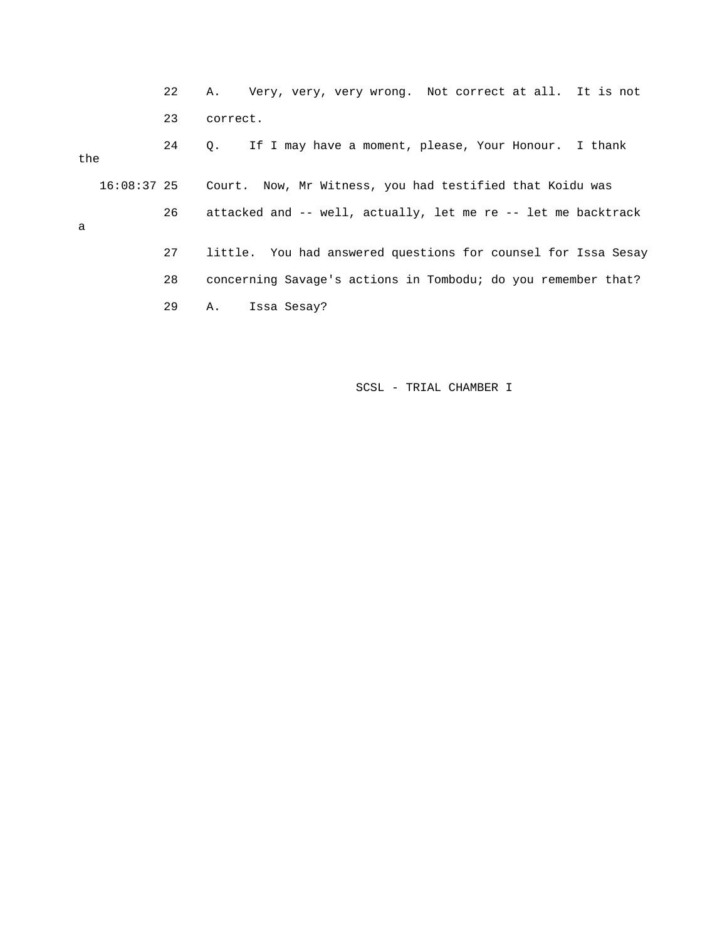22 A. Very, very, very wrong. Not correct at all. It is not 23 correct. 24 Q. If I may have a moment, please, Your Honour. I thank the 16:08:37 25 Court. Now, Mr Witness, you had testified that Koidu was 26 attacked and -- well, actually, let me re -- let me backtrack a 27 little. You had answered questions for counsel for Issa Sesay 28 concerning Savage's actions in Tombodu; do you remember that?

29 A. Issa Sesay?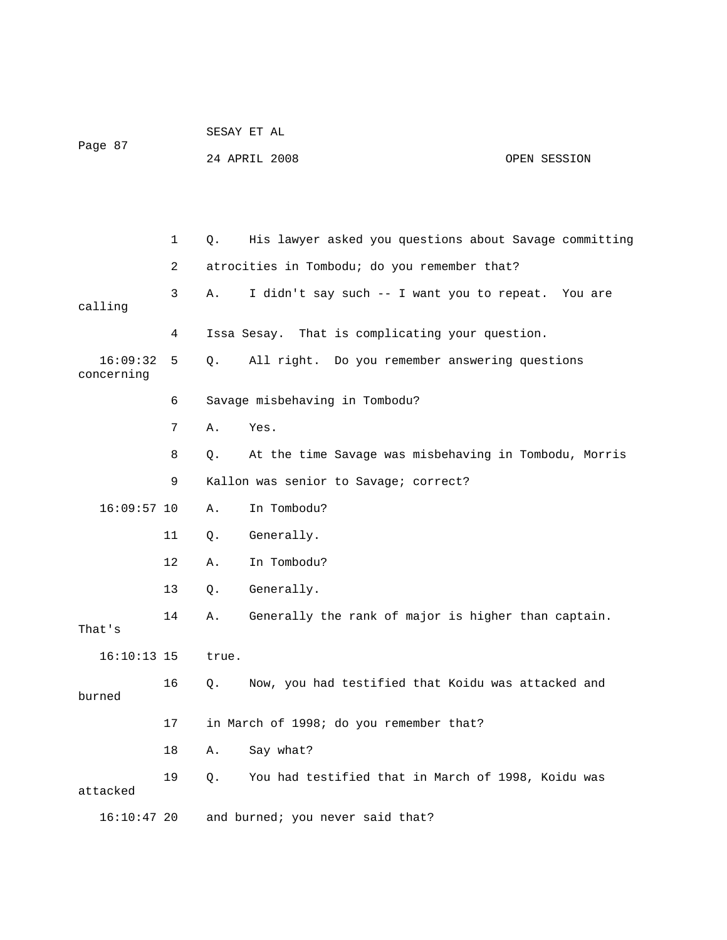| Page 87                |             |             | 24 APRIL 2008                                          | OPEN SESSION |
|------------------------|-------------|-------------|--------------------------------------------------------|--------------|
|                        |             |             |                                                        |              |
|                        | $\mathbf 1$ | Q.          | His lawyer asked you questions about Savage committing |              |
|                        | 2           |             | atrocities in Tombodu; do you remember that?           |              |
| calling                | 3           | Α.          | I didn't say such -- I want you to repeat. You are     |              |
|                        | 4           |             | Issa Sesay. That is complicating your question.        |              |
| 16:09:32<br>concerning | 5           | $Q_{\star}$ | All right. Do you remember answering questions         |              |
|                        | 6           |             | Savage misbehaving in Tombodu?                         |              |
|                        | 7           | Α.          | Yes.                                                   |              |
|                        | 8           | Q.          | At the time Savage was misbehaving in Tombodu, Morris  |              |
|                        | 9           |             | Kallon was senior to Savage; correct?                  |              |
| $16:09:57$ 10          |             | Α.          | In Tombodu?                                            |              |
|                        | 11          | Q.          | Generally.                                             |              |
|                        | 12          | Α.          | In Tombodu?                                            |              |
|                        | 13          | Q.          | Generally.                                             |              |
| That's                 | 14          | Α.          | Generally the rank of major is higher than captain.    |              |
| $16:10:13$ 15          |             | true.       |                                                        |              |
| burned                 | 16          | $Q$ .       | Now, you had testified that Koidu was attacked and     |              |
|                        | 17          |             | in March of 1998; do you remember that?                |              |
|                        | 18          | Α.          | Say what?                                              |              |
| attacked               | 19          | Q.          | You had testified that in March of 1998, Koidu was     |              |
| $16:10:47$ 20          |             |             | and burned; you never said that?                       |              |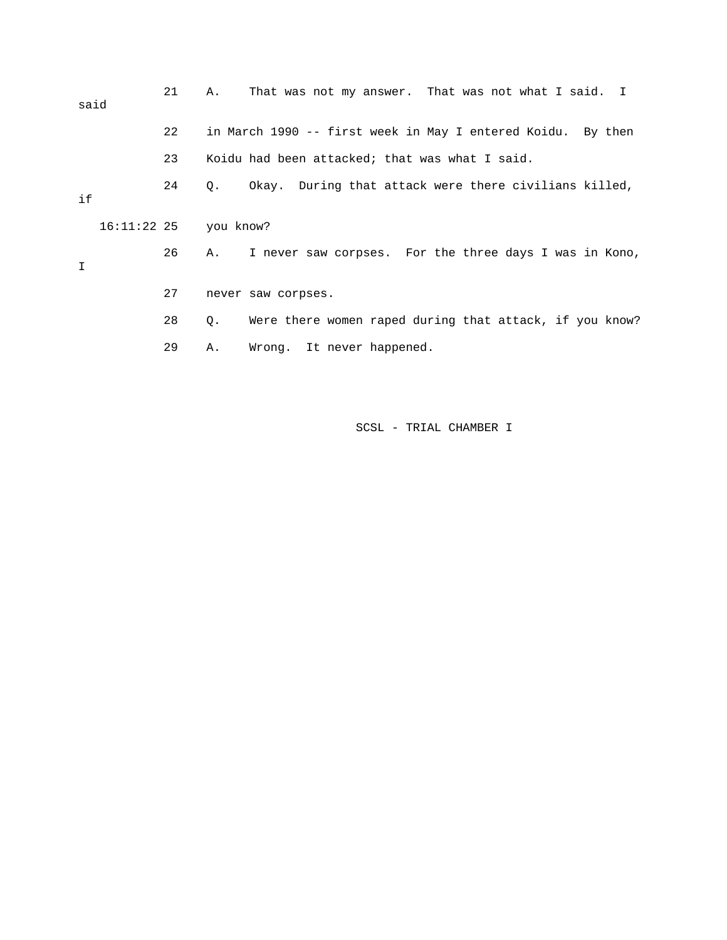| said | 21 | That was not my answer. That was not what I said. I<br>Α.            |
|------|----|----------------------------------------------------------------------|
|      | 22 | in March 1990 -- first week in May I entered Koidu. By then          |
|      | 23 | Koidu had been attacked; that was what I said.                       |
| if   | 24 | Okay. During that attack were there civilians killed,<br>Q.          |
|      |    | 16:11:22 25 you know?                                                |
| I    | 26 | I never saw corpses. For the three days I was in Kono,<br>Α.         |
|      | 27 | never saw corpses.                                                   |
|      | 28 | Were there women raped during that attack, if you know?<br>$\circ$ . |
|      | 29 | Wrong. It never happened.<br>Α.                                      |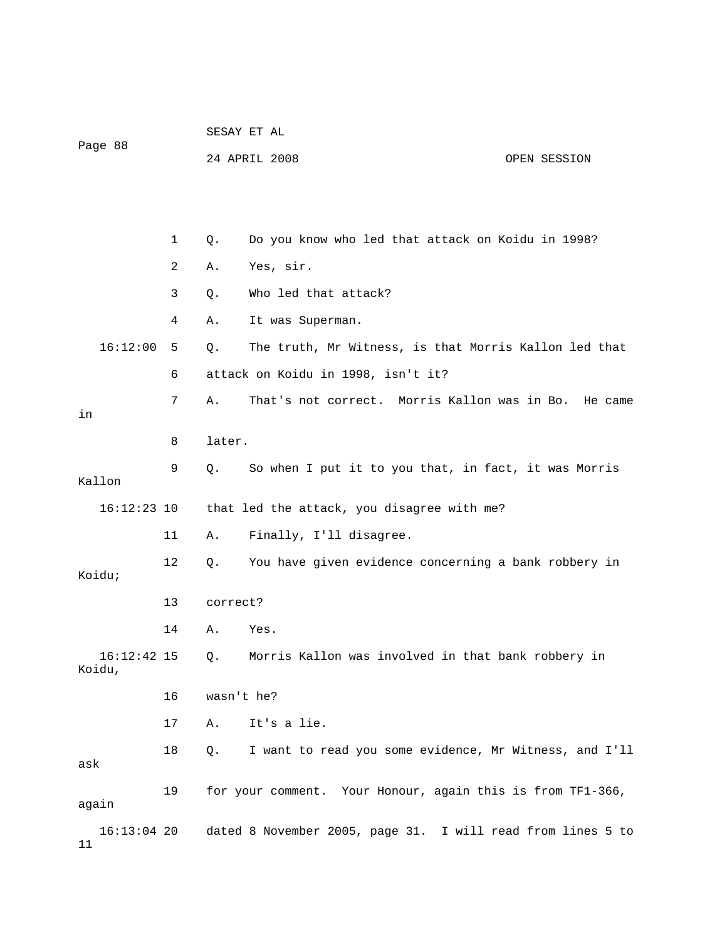|                         |    | SESAY ET AL |                                                             |  |              |
|-------------------------|----|-------------|-------------------------------------------------------------|--|--------------|
| Page 88                 |    |             | 24 APRIL 2008                                               |  | OPEN SESSION |
|                         |    |             |                                                             |  |              |
|                         |    |             |                                                             |  |              |
|                         | 1  | Q.          | Do you know who led that attack on Koidu in 1998?           |  |              |
|                         | 2  | Α.          | Yes, sir.                                                   |  |              |
|                         | 3  | Q.          | Who led that attack?                                        |  |              |
|                         | 4  | Α.          | It was Superman.                                            |  |              |
| 16:12:00                | 5  | Q.          | The truth, Mr Witness, is that Morris Kallon led that       |  |              |
|                         | 6  |             | attack on Koidu in 1998, isn't it?                          |  |              |
| in                      | 7  | Α.          | That's not correct. Morris Kallon was in Bo. He came        |  |              |
|                         | 8  | later.      |                                                             |  |              |
|                         |    |             |                                                             |  |              |
| Kallon                  | 9  | Q.          | So when I put it to you that, in fact, it was Morris        |  |              |
| $16:12:23$ 10           |    |             | that led the attack, you disagree with me?                  |  |              |
|                         | 11 | Α.          | Finally, I'll disagree.                                     |  |              |
|                         | 12 | Q.          | You have given evidence concerning a bank robbery in        |  |              |
| Koidu;                  |    |             |                                                             |  |              |
|                         | 13 | correct?    |                                                             |  |              |
|                         | 14 | Α.          | Yes.                                                        |  |              |
| $16:12:42$ 15<br>Koidu, |    | Q.          | Morris Kallon was involved in that bank robbery in          |  |              |
|                         | 16 | wasn't he?  |                                                             |  |              |
|                         | 17 | Α.          | It's a lie.                                                 |  |              |
| ask                     | 18 | Q.          | I want to read you some evidence, Mr Witness, and I'll      |  |              |
| again                   | 19 |             | for your comment. Your Honour, again this is from TF1-366,  |  |              |
| $16:13:04$ 20<br>11     |    |             | dated 8 November 2005, page 31. I will read from lines 5 to |  |              |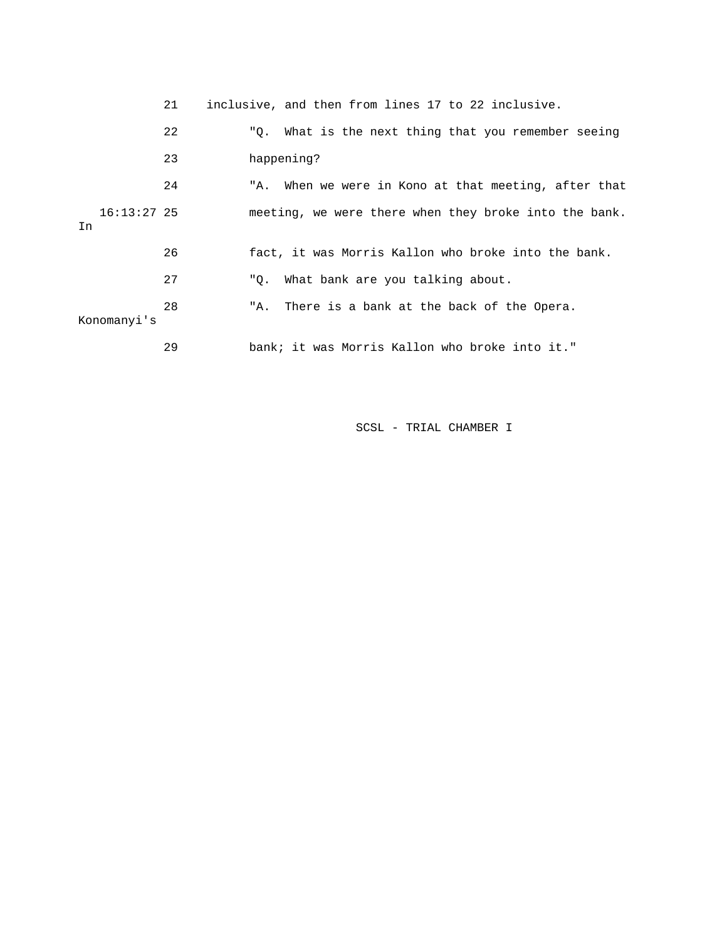|    |               | 21 |     | inclusive, and then from lines 17 to 22 inclusive.    |
|----|---------------|----|-----|-------------------------------------------------------|
|    |               | 22 |     | "Q. What is the next thing that you remember seeing   |
|    |               | 23 |     | happening?                                            |
|    |               | 24 |     | "A. When we were in Kono at that meeting, after that  |
| In | $16:13:27$ 25 |    |     | meeting, we were there when they broke into the bank. |
|    |               | 26 |     | fact, it was Morris Kallon who broke into the bank.   |
|    |               | 27 |     | "Q. What bank are you talking about.                  |
|    | Konomanyi's   | 28 | "A. | There is a bank at the back of the Opera.             |
|    |               | 29 |     | bank; it was Morris Kallon who broke into it."        |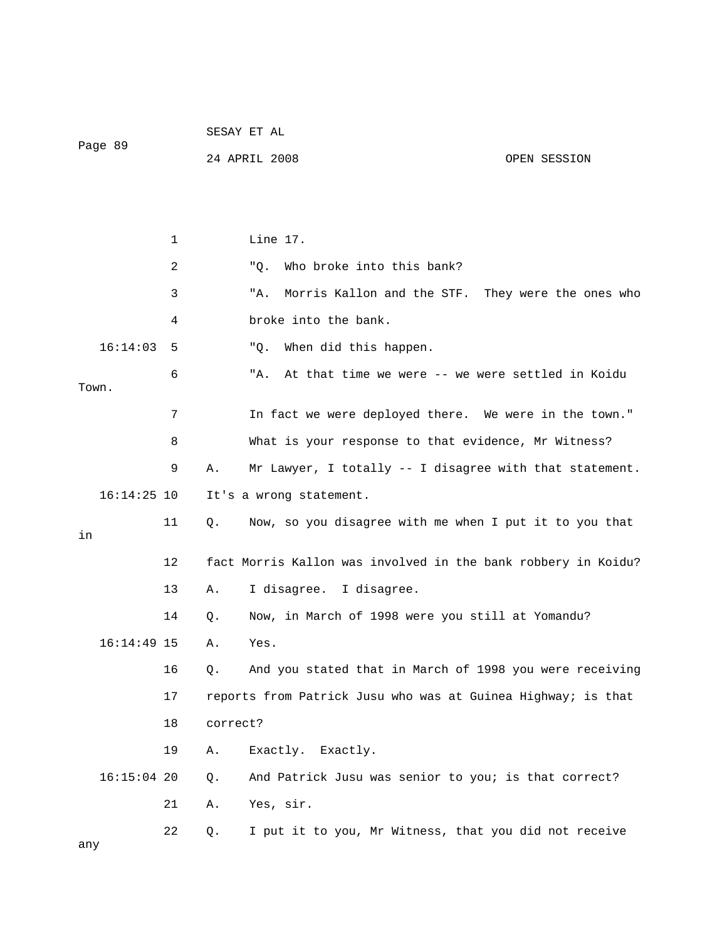| Page 89 |               |    |          | 24 APRIL 2008                                                 | OPEN SESSION |
|---------|---------------|----|----------|---------------------------------------------------------------|--------------|
|         |               |    |          |                                                               |              |
|         |               |    |          |                                                               |              |
|         |               | 1  |          | Line 17.                                                      |              |
|         |               | 2  |          | Who broke into this bank?<br>"Q.                              |              |
|         |               | 3  |          | Morris Kallon and the STF. They were the ones who<br>"A.      |              |
|         |               | 4  |          | broke into the bank.                                          |              |
|         | 16:14:03      | 5  |          | When did this happen.<br>"Q.                                  |              |
| Town.   |               | 6  |          | At that time we were -- we were settled in Koidu<br>"A.       |              |
|         |               | 7  |          | In fact we were deployed there. We were in the town."         |              |
|         |               | 8  |          | What is your response to that evidence, Mr Witness?           |              |
|         |               | 9  | Α.       | Mr Lawyer, I totally -- I disagree with that statement.       |              |
|         | $16:14:25$ 10 |    |          | It's a wrong statement.                                       |              |
| in      |               | 11 | Q.       | Now, so you disagree with me when I put it to you that        |              |
|         |               | 12 |          | fact Morris Kallon was involved in the bank robbery in Koidu? |              |
|         |               | 13 | Α.       | I disagree. I disagree.                                       |              |
|         |               | 14 | Q.       | Now, in March of 1998 were you still at Yomandu?              |              |
|         | $16:14:49$ 15 |    | Α.       | Yes.                                                          |              |
|         |               | 16 | Q.       | And you stated that in March of 1998 you were receiving       |              |
|         |               | 17 |          | reports from Patrick Jusu who was at Guinea Highway; is that  |              |
|         |               | 18 | correct? |                                                               |              |
|         |               | 19 | Α.       | Exactly. Exactly.                                             |              |
|         | $16:15:04$ 20 |    | Q.       | And Patrick Jusu was senior to you; is that correct?          |              |
|         |               | 21 | Α.       | Yes, sir.                                                     |              |
| any     |               | 22 | Q.       | I put it to you, Mr Witness, that you did not receive         |              |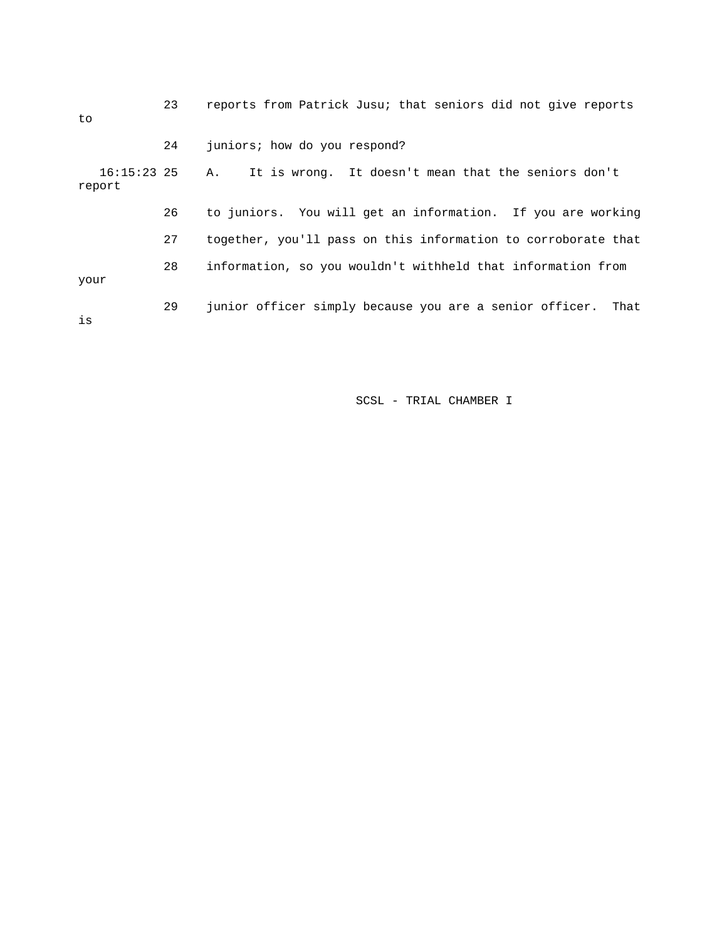| to                      | 23 | reports from Patrick Jusu; that seniors did not give reports    |
|-------------------------|----|-----------------------------------------------------------------|
|                         | 24 | juniors; how do you respond?                                    |
| $16:15:23$ 25<br>report |    | It is wrong. It doesn't mean that the seniors don't<br>А.       |
|                         | 26 | to juniors. You will get an information. If you are working     |
|                         | 27 | together, you'll pass on this information to corroborate that   |
| your                    | 28 | information, so you wouldn't withheld that information from     |
| is                      | 29 | junior officer simply because you are a senior officer.<br>That |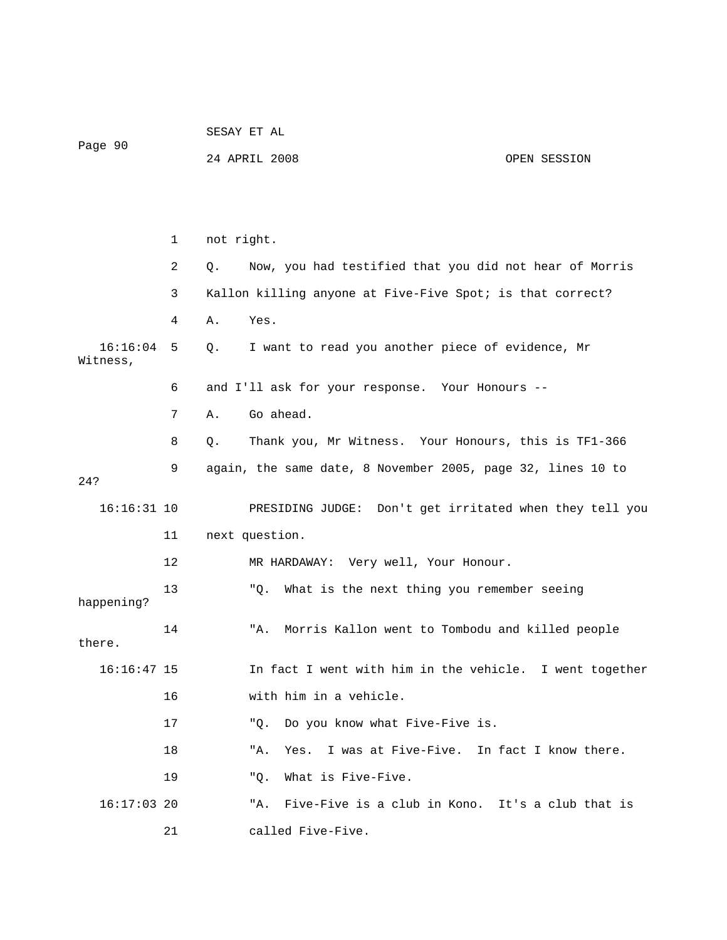|                      |                                                                | SESAY ET AL                                                   |  |  |  |
|----------------------|----------------------------------------------------------------|---------------------------------------------------------------|--|--|--|
| Page 90              |                                                                | 24 APRIL 2008<br>OPEN SESSION                                 |  |  |  |
|                      |                                                                |                                                               |  |  |  |
|                      |                                                                |                                                               |  |  |  |
|                      | $\mathbf{1}$                                                   | not right.                                                    |  |  |  |
|                      | 2                                                              | Now, you had testified that you did not hear of Morris<br>Q.  |  |  |  |
|                      | Kallon killing anyone at Five-Five Spot; is that correct?<br>3 |                                                               |  |  |  |
|                      | 4                                                              | Yes.<br>Α.                                                    |  |  |  |
| 16:16:04<br>Witness, | 5                                                              | I want to read you another piece of evidence, Mr<br>Q.        |  |  |  |
|                      | 6                                                              | and I'll ask for your response. Your Honours --               |  |  |  |
|                      | 7                                                              | Go ahead.<br>Α.                                               |  |  |  |
|                      | 8                                                              | Thank you, Mr Witness. Your Honours, this is TF1-366<br>$Q$ . |  |  |  |
| 24?                  | 9                                                              | again, the same date, 8 November 2005, page 32, lines 10 to   |  |  |  |
| $16:16:31$ 10        |                                                                | PRESIDING JUDGE: Don't get irritated when they tell you       |  |  |  |
|                      | 11                                                             | next question.                                                |  |  |  |
|                      | 12                                                             | MR HARDAWAY: Very well, Your Honour.                          |  |  |  |
| happening?           | 13                                                             | What is the next thing you remember seeing<br>"Q.             |  |  |  |
| there.               | 14                                                             | Morris Kallon went to Tombodu and killed people<br>"A.        |  |  |  |
| $16:16:47$ 15        |                                                                | In fact I went with him in the vehicle. I went together       |  |  |  |
|                      | 16                                                             | with him in a vehicle.                                        |  |  |  |
|                      | 17                                                             | Do you know what Five-Five is.<br>"O.                         |  |  |  |
|                      | 18                                                             | I was at Five-Five. In fact I know there.<br>"A.<br>Yes.      |  |  |  |
|                      | 19                                                             | What is Five-Five.<br>"O.                                     |  |  |  |
| $16:17:03$ 20        |                                                                | "A. Five-Five is a club in Kono. It's a club that is          |  |  |  |
|                      | 21                                                             | called Five-Five.                                             |  |  |  |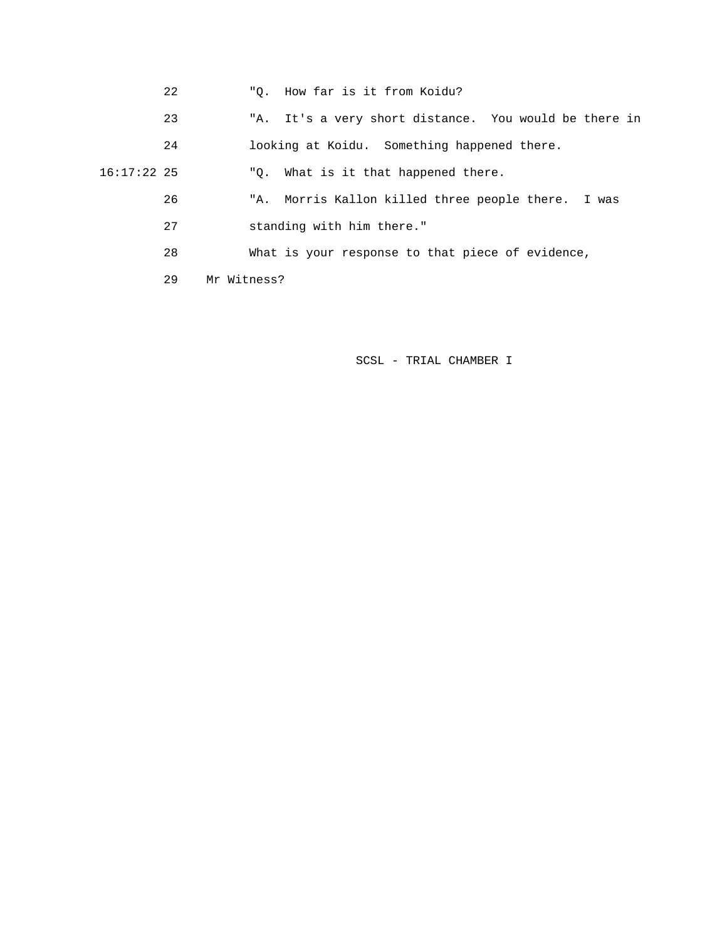- 22 "Q. How far is it from Koidu?
- 23 "A. It's a very short distance. You would be there in
- 24 looking at Koidu. Something happened there.

16:17:22 25 "Q. What is it that happened there.

- 26 "A. Morris Kallon killed three people there. I was
- 27 standing with him there."
- 28 What is your response to that piece of evidence,

29 Mr Witness?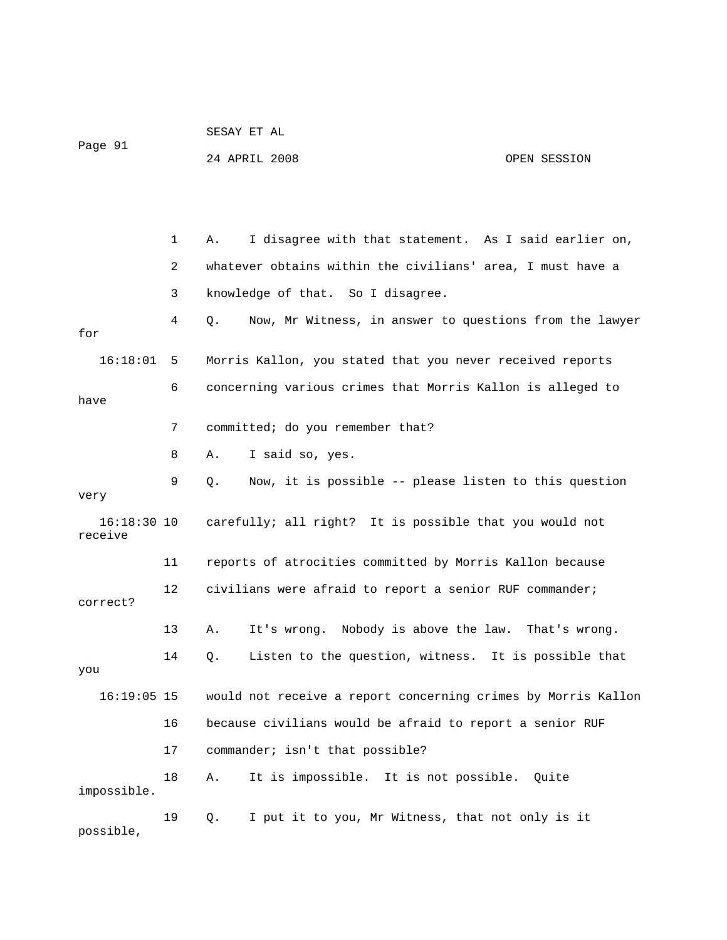| Page 91                  |    | 24 APRIL 2008                                                 | OPEN SESSION |
|--------------------------|----|---------------------------------------------------------------|--------------|
|                          |    |                                                               |              |
|                          |    |                                                               |              |
|                          |    |                                                               |              |
|                          | 1  | I disagree with that statement. As I said earlier on,<br>Α.   |              |
|                          | 2  | whatever obtains within the civilians' area, I must have a    |              |
|                          | 3  | knowledge of that. So I disagree.                             |              |
| for                      | 4  | Now, Mr Witness, in answer to questions from the lawyer<br>Q. |              |
| 16:18:01                 | 5  | Morris Kallon, you stated that you never received reports     |              |
|                          | 6  | concerning various crimes that Morris Kallon is alleged to    |              |
| have                     |    |                                                               |              |
|                          | 7  | committed; do you remember that?                              |              |
|                          | 8  | I said so, yes.<br>Α.                                         |              |
|                          | 9  | Now, it is possible -- please listen to this question<br>Q.   |              |
| very                     |    |                                                               |              |
| $16:18:30$ 10<br>receive |    | carefully; all right? It is possible that you would not       |              |
|                          | 11 | reports of atrocities committed by Morris Kallon because      |              |
| correct?                 | 12 | civilians were afraid to report a senior RUF commander;       |              |
|                          | 13 | It's wrong. Nobody is above the law. That's wrong.<br>Α.      |              |
|                          |    |                                                               |              |
| you                      | 14 | Listen to the question, witness. It is possible that<br>Q.    |              |
| $16:19:05$ 15            |    | would not receive a report concerning crimes by Morris Kallon |              |
|                          | 16 | because civilians would be afraid to report a senior RUF      |              |
|                          | 17 | commander; isn't that possible?                               |              |
| impossible.              | 18 | It is impossible. It is not possible. Quite<br>Α.             |              |
| possible,                | 19 | I put it to you, Mr Witness, that not only is it<br>Q.        |              |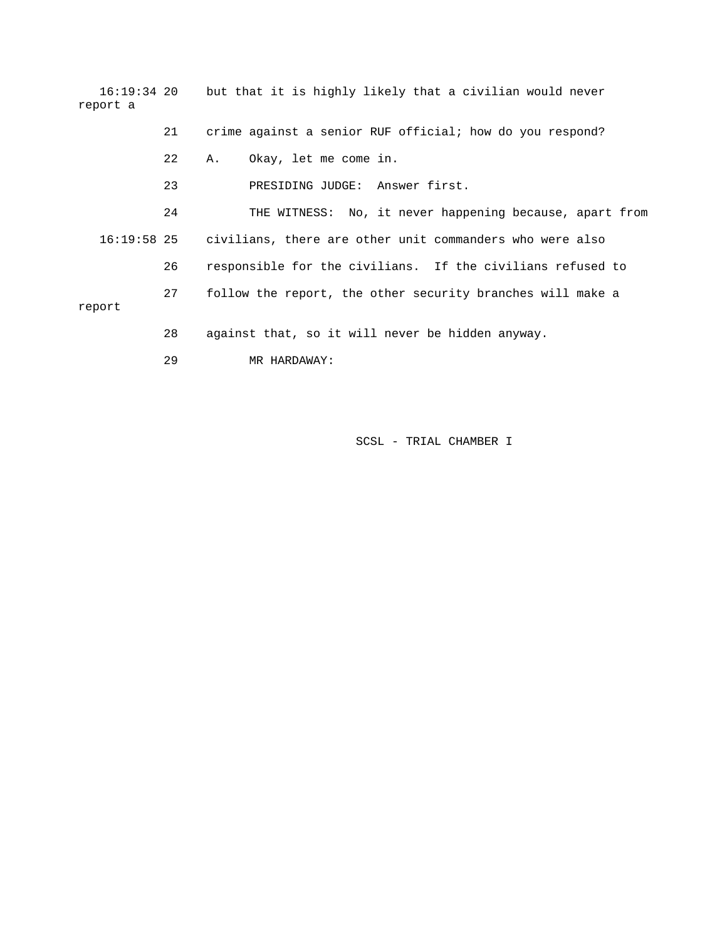| report a    |    | 16:19:34 20 but that it is highly likely that a civilian would never |
|-------------|----|----------------------------------------------------------------------|
|             | 21 | crime against a senior RUF official; how do you respond?             |
|             | 22 | Okay, let me come in.<br>Α.                                          |
|             | 23 | PRESIDING JUDGE: Answer first.                                       |
|             | 24 | THE WITNESS: No, it never happening because, apart from              |
| 16:19:58 25 |    | civilians, there are other unit commanders who were also             |
|             | 26 | responsible for the civilians. If the civilians refused to           |
| report      | 27 | follow the report, the other security branches will make a           |
|             | 28 | against that, so it will never be hidden anyway.                     |

29 MR HARDAWAY: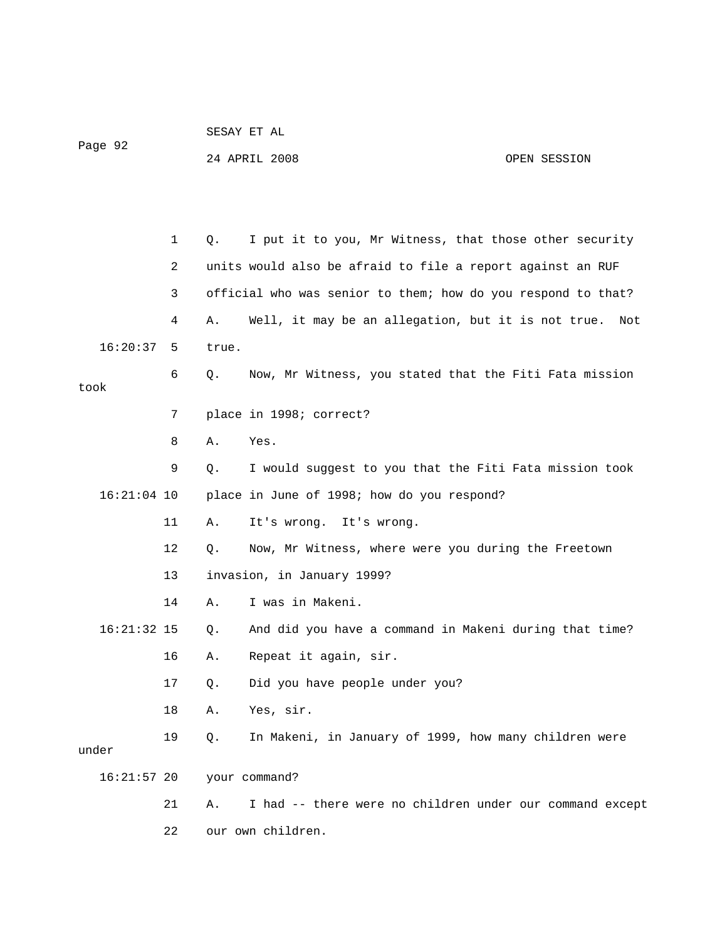| Page 92       |              |       | 24 APRIL 2008                                                | OPEN SESSION |
|---------------|--------------|-------|--------------------------------------------------------------|--------------|
|               |              |       |                                                              |              |
|               | $\mathbf{1}$ | Q.    | I put it to you, Mr Witness, that those other security       |              |
|               | 2            |       | units would also be afraid to file a report against an RUF   |              |
|               | 3            |       | official who was senior to them; how do you respond to that? |              |
|               | 4            | Α.    | Well, it may be an allegation, but it is not true.           | Not          |
| 16:20:37      | 5            | true. |                                                              |              |
| took          | 6            | Q.    | Now, Mr Witness, you stated that the Fiti Fata mission       |              |
|               | 7            |       | place in 1998; correct?                                      |              |
|               | 8            | Α.    | Yes.                                                         |              |
|               | 9            | Q.    | I would suggest to you that the Fiti Fata mission took       |              |
| $16:21:04$ 10 |              |       | place in June of 1998; how do you respond?                   |              |
|               | 11           | Α.    | It's wrong. It's wrong.                                      |              |
|               | 12           | Q.    | Now, Mr Witness, where were you during the Freetown          |              |
|               | 13           |       | invasion, in January 1999?                                   |              |
|               | 14           | Α.    | I was in Makeni.                                             |              |
| $16:21:32$ 15 |              | Q.    | And did you have a command in Makeni during that time?       |              |
|               | 16           | Α.    | Repeat it again, sir.                                        |              |
|               | 17           | Q.    | Did you have people under you?                               |              |
|               | 18           | Α.    | Yes, sir.                                                    |              |
| under         | 19           | Q.    | In Makeni, in January of 1999, how many children were        |              |
| $16:21:57$ 20 |              |       | your command?                                                |              |
|               | 21           | Α.    | I had -- there were no children under our command except     |              |
|               | 22           |       | our own children.                                            |              |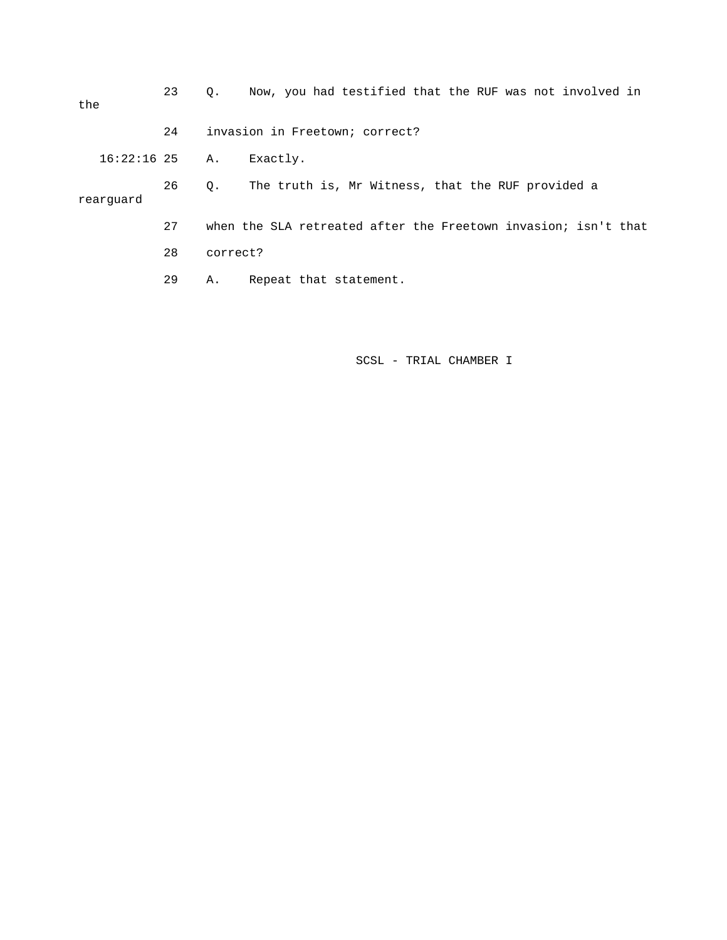| the |                  | 23 | О.       | Now, you had testified that the RUF was not involved in        |
|-----|------------------|----|----------|----------------------------------------------------------------|
|     |                  | 24 |          | invasion in Freetown; correct?                                 |
|     | $16:22:16$ 25 A. |    |          | Exactly.                                                       |
|     | rearquard        | 26 | О.       | The truth is, Mr Witness, that the RUF provided a              |
|     |                  | 27 |          | when the SLA retreated after the Freetown invasion; isn't that |
|     |                  | 28 | correct? |                                                                |
|     |                  | 29 | Α.       | Repeat that statement.                                         |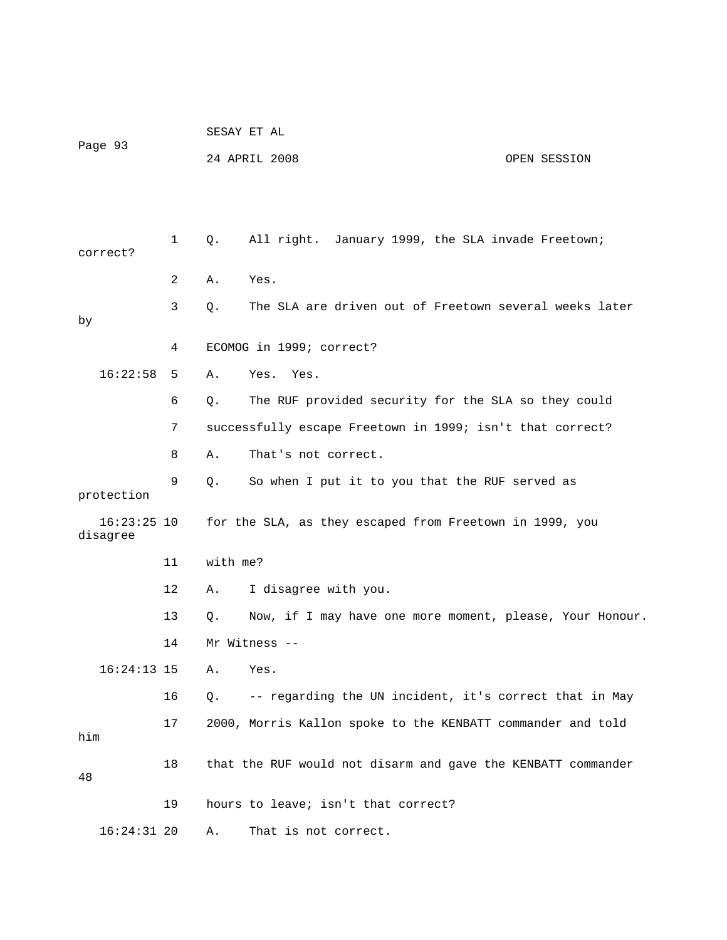| Page 93 |                           |    |          | SESAY ET AL                                                  |              |
|---------|---------------------------|----|----------|--------------------------------------------------------------|--------------|
|         |                           |    |          | 24 APRIL 2008                                                | OPEN SESSION |
|         |                           |    |          |                                                              |              |
|         |                           |    |          |                                                              |              |
|         | correct?                  | 1  | $Q$ .    | All right. January 1999, the SLA invade Freetown;            |              |
|         |                           | 2  | Α.       | Yes.                                                         |              |
| by      |                           | 3  | Q.       | The SLA are driven out of Freetown several weeks later       |              |
|         |                           | 4  |          | ECOMOG in 1999; correct?                                     |              |
|         | 16:22:58                  | 5  | Α.       | Yes. Yes.                                                    |              |
|         |                           | 6  | Q.       | The RUF provided security for the SLA so they could          |              |
|         |                           | 7  |          | successfully escape Freetown in 1999; isn't that correct?    |              |
|         |                           | 8  | Α.       | That's not correct.                                          |              |
|         | protection                | 9  | Q.       | So when I put it to you that the RUF served as               |              |
|         | $16:23:25$ 10<br>disagree |    |          | for the SLA, as they escaped from Freetown in 1999, you      |              |
|         |                           | 11 | with me? |                                                              |              |
|         |                           | 12 | Α.       | I disagree with you.                                         |              |
|         |                           | 13 | Q.       | Now, if I may have one more moment, please, Your Honour.     |              |
|         |                           | 14 |          | Mr Witness --                                                |              |
|         | $16:24:13$ 15             |    | Α.       | Yes.                                                         |              |
|         |                           | 16 | Q.       | -- regarding the UN incident, it's correct that in May       |              |
| him     |                           | 17 |          | 2000, Morris Kallon spoke to the KENBATT commander and told  |              |
| 48      |                           | 18 |          | that the RUF would not disarm and gave the KENBATT commander |              |
|         |                           | 19 |          | hours to leave; isn't that correct?                          |              |
|         | $16:24:31$ 20             |    | Α.       | That is not correct.                                         |              |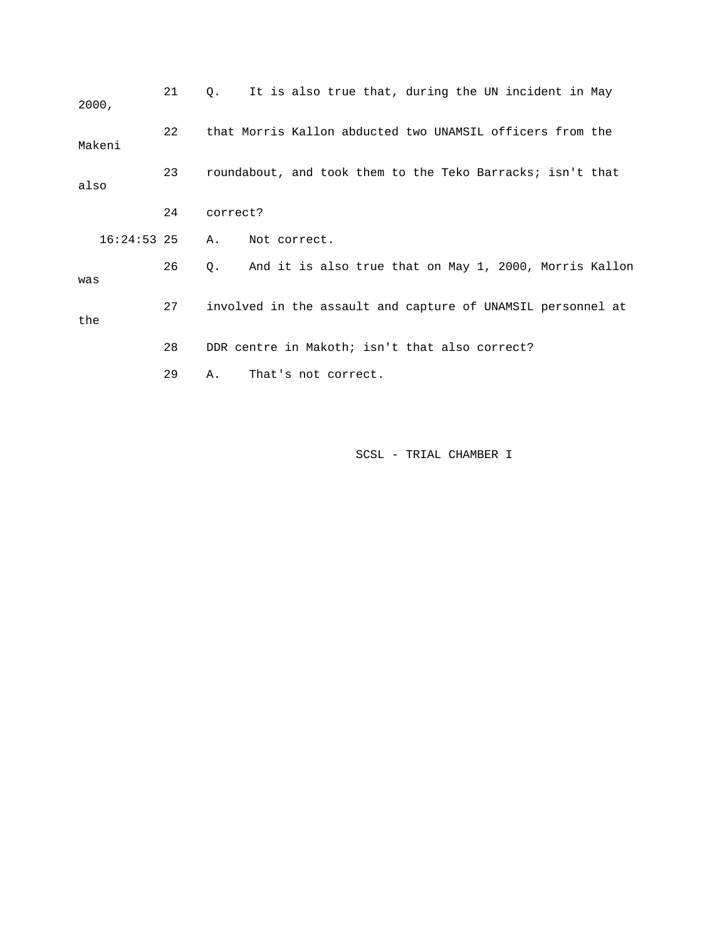| 2000,         | 21 | It is also true that, during the UN incident in May<br>0.    |
|---------------|----|--------------------------------------------------------------|
| Makeni        | 22 | that Morris Kallon abducted two UNAMSIL officers from the    |
| also          | 23 | roundabout, and took them to the Teko Barracks; isn't that   |
|               | 24 | correct?                                                     |
| $16:24:53$ 25 |    | Α.<br>Not correct.                                           |
| was           | 26 | And it is also true that on May 1, 2000, Morris Kallon<br>О. |
| the           | 27 | involved in the assault and capture of UNAMSIL personnel at  |
|               | 28 | DDR centre in Makoth; isn't that also correct?               |
|               | 29 | That's not correct.<br>Α.                                    |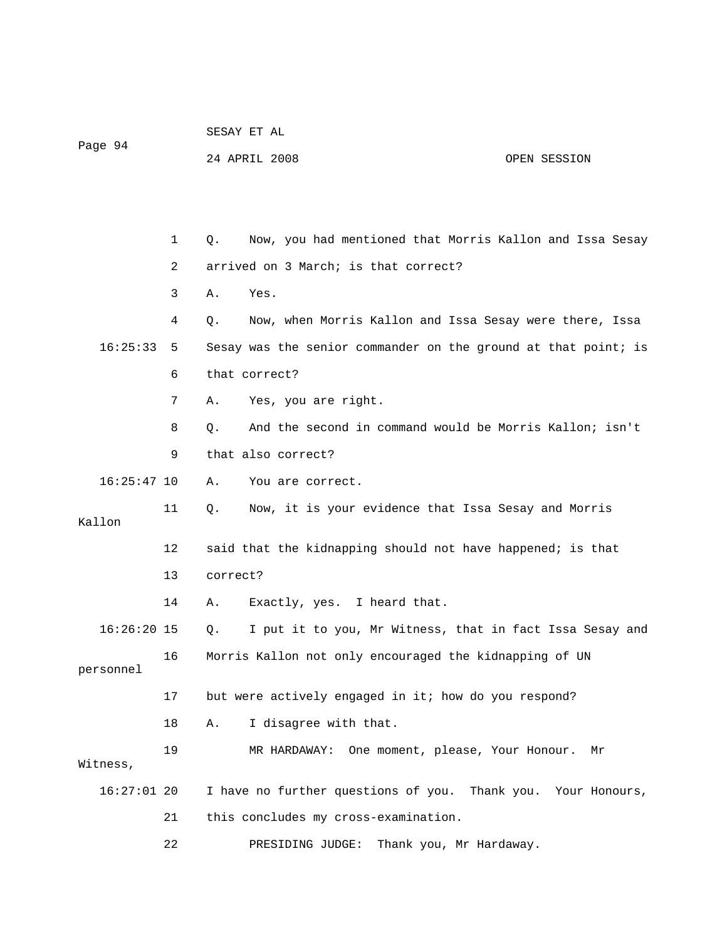| Page 94       |    | 24 APRIL 2008 |                                                                | OPEN SESSION                |
|---------------|----|---------------|----------------------------------------------------------------|-----------------------------|
|               |    |               |                                                                |                             |
|               |    |               |                                                                |                             |
|               | 1  | Q.            | Now, you had mentioned that Morris Kallon and Issa Sesay       |                             |
|               | 2  |               | arrived on 3 March; is that correct?                           |                             |
|               | 3  | Α.            | Yes.                                                           |                             |
|               | 4  | Q.            | Now, when Morris Kallon and Issa Sesay were there, Issa        |                             |
| 16:25:33      | 5  |               | Sesay was the senior commander on the ground at that point; is |                             |
|               | 6  | that correct? |                                                                |                             |
|               | 7  | Α.            | Yes, you are right.                                            |                             |
|               | 8  | Q.            | And the second in command would be Morris Kallon; isn't        |                             |
|               | 9  |               | that also correct?                                             |                             |
| $16:25:47$ 10 |    | Α.            | You are correct.                                               |                             |
| Kallon        | 11 | Q.            | Now, it is your evidence that Issa Sesay and Morris            |                             |
|               | 12 |               | said that the kidnapping should not have happened; is that     |                             |
|               | 13 | correct?      |                                                                |                             |
|               | 14 | Α.            | Exactly, yes. I heard that.                                    |                             |
| $16:26:20$ 15 |    | Q.            | I put it to you, Mr Witness, that in fact Issa Sesay and       |                             |
| personnel     | 16 |               | Morris Kallon not only encouraged the kidnapping of UN         |                             |
|               | 17 |               | but were actively engaged in it; how do you respond?           |                             |
|               | 18 | Α.            | I disagree with that.                                          |                             |
| Witness,      | 19 |               | MR HARDAWAY:<br>One moment, please, Your Honour.               | Μr                          |
| $16:27:01$ 20 |    |               | I have no further questions of you.                            | Thank you.<br>Your Honours, |
|               | 21 |               | this concludes my cross-examination.                           |                             |
|               | 22 |               | Thank you, Mr Hardaway.<br>PRESIDING JUDGE:                    |                             |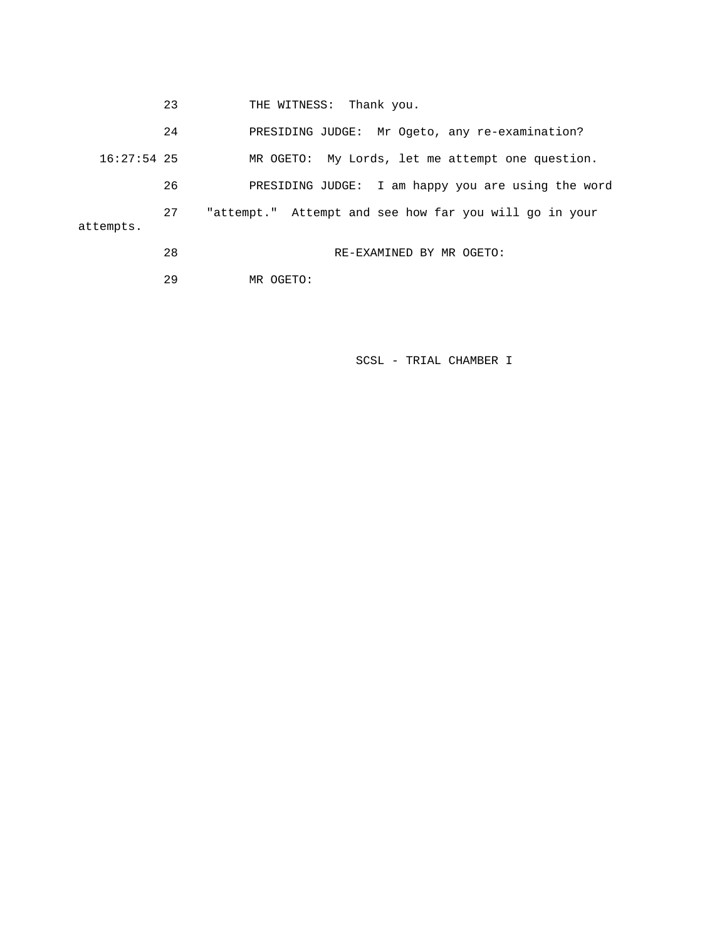23 THE WITNESS: Thank you.

 24 PRESIDING JUDGE: Mr Ogeto, any re-examination? 16:27:54 25 MR OGETO: My Lords, let me attempt one question. 26 PRESIDING JUDGE: I am happy you are using the word 27 "attempt." Attempt and see how far you will go in your attempts. 28 RE-EXAMINED BY MR OGETO:

29 MR OGETO: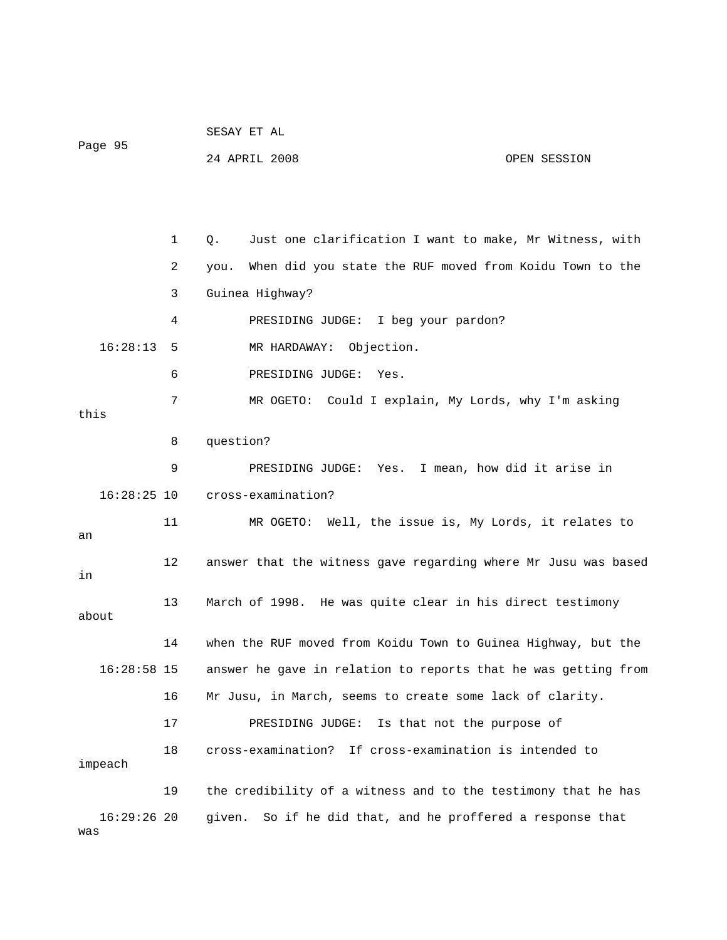| Page 95              |    | 24 APRIL 2008<br>OPEN SESSION                                   |
|----------------------|----|-----------------------------------------------------------------|
|                      |    |                                                                 |
|                      | 1  | Just one clarification I want to make, Mr Witness, with<br>Q.   |
|                      | 2  | When did you state the RUF moved from Koidu Town to the<br>you. |
|                      | 3  | Guinea Highway?                                                 |
|                      | 4  | PRESIDING JUDGE: I beg your pardon?                             |
| 16:28:13             | 5  | MR HARDAWAY: Objection.                                         |
|                      | 6  | PRESIDING JUDGE:<br>Yes.                                        |
| this                 | 7  | MR OGETO: Could I explain, My Lords, why I'm asking             |
|                      | 8  | question?                                                       |
|                      | 9  | PRESIDING JUDGE: Yes. I mean, how did it arise in               |
| $16:28:25$ 10        |    | cross-examination?                                              |
| an                   | 11 | MR OGETO: Well, the issue is, My Lords, it relates to           |
| in                   | 12 | answer that the witness gave regarding where Mr Jusu was based  |
| about                | 13 | March of 1998. He was quite clear in his direct testimony       |
|                      | 14 | when the RUF moved from Koidu Town to Guinea Highway, but the   |
| $16:28:58$ 15        |    | answer he gave in relation to reports that he was getting from  |
|                      | 16 | Mr Jusu, in March, seems to create some lack of clarity.        |
|                      | 17 | PRESIDING JUDGE:<br>Is that not the purpose of                  |
| impeach              | 18 | If cross-examination is intended to<br>cross-examination?       |
|                      | 19 | the credibility of a witness and to the testimony that he has   |
| $16:29:26$ 20<br>was |    | given. So if he did that, and he proffered a response that      |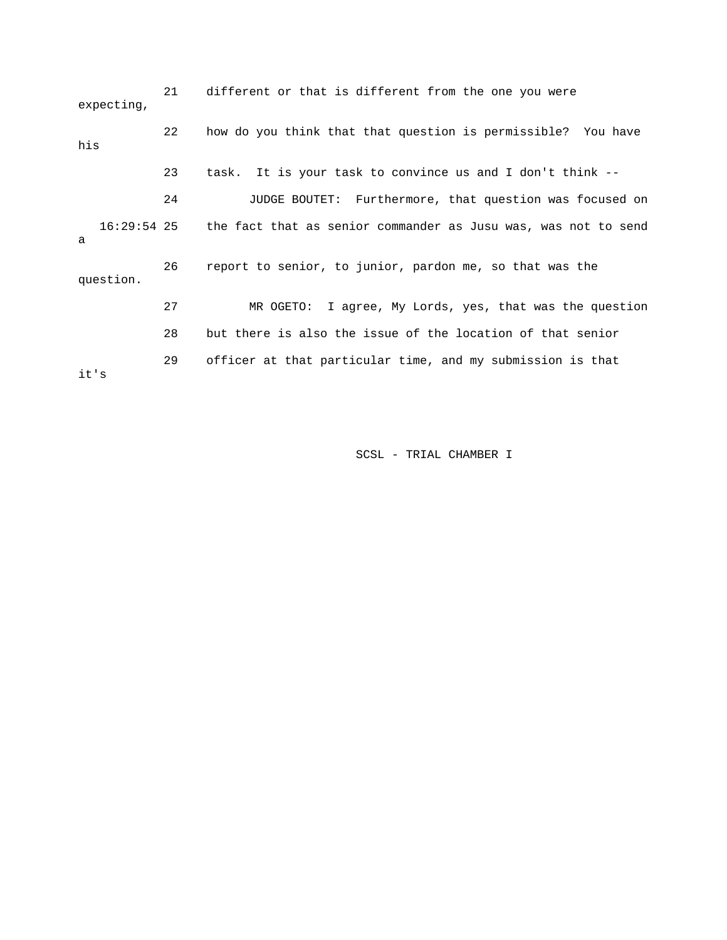21 different or that is different from the one you were expecting, 22 how do you think that that question is permissible? You have his 23 task. It is your task to convince us and I don't think -- 24 JUDGE BOUTET: Furthermore, that question was focused on 16:29:54 25 the fact that as senior commander as Jusu was, was not to send a 26 report to senior, to junior, pardon me, so that was the question. 27 MR OGETO: I agree, My Lords, yes, that was the question 28 but there is also the issue of the location of that senior 29 officer at that particular time, and my submission is that it's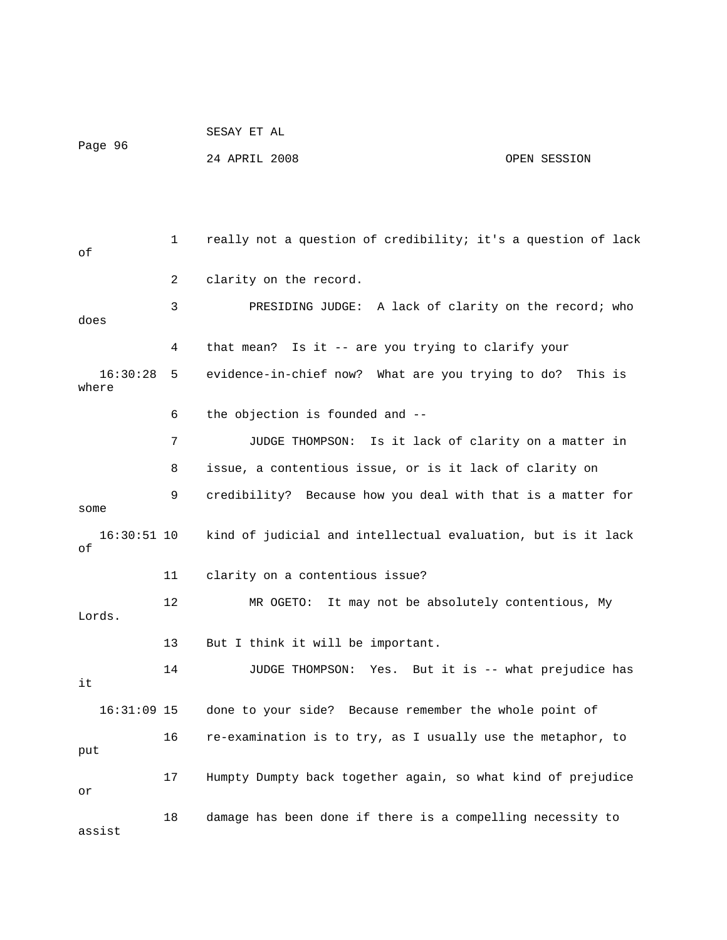Page 96 24 APRIL 2008 OPEN SESSION 1 really not a question of credibility; it's a question of lack of 2 clarity on the record. 3 PRESIDING JUDGE: A lack of clarity on the record; who does 4 that mean? Is it -- are you trying to clarify your 16:30:28 5 evidence-in-chief now? What are you trying to do? This is where 6 the objection is founded and -- 7 JUDGE THOMPSON: Is it lack of clarity on a matter in 8 issue, a contentious issue, or is it lack of clarity on 9 credibility? Because how you deal with that is a matter for some 16:30:51 10 kind of judicial and intellectual evaluation, but is it lack of 11 clarity on a contentious issue? 12 MR OGETO: It may not be absolutely contentious, My Lords. 13 But I think it will be important. 14 JUDGE THOMPSON: Yes. But it is -- what prejudice has it 16:31:09 15 done to your side? Because remember the whole point of 16 re-examination is to try, as I usually use the metaphor, to put 17 Humpty Dumpty back together again, so what kind of prejudice or 18 damage has been done if there is a compelling necessity to assist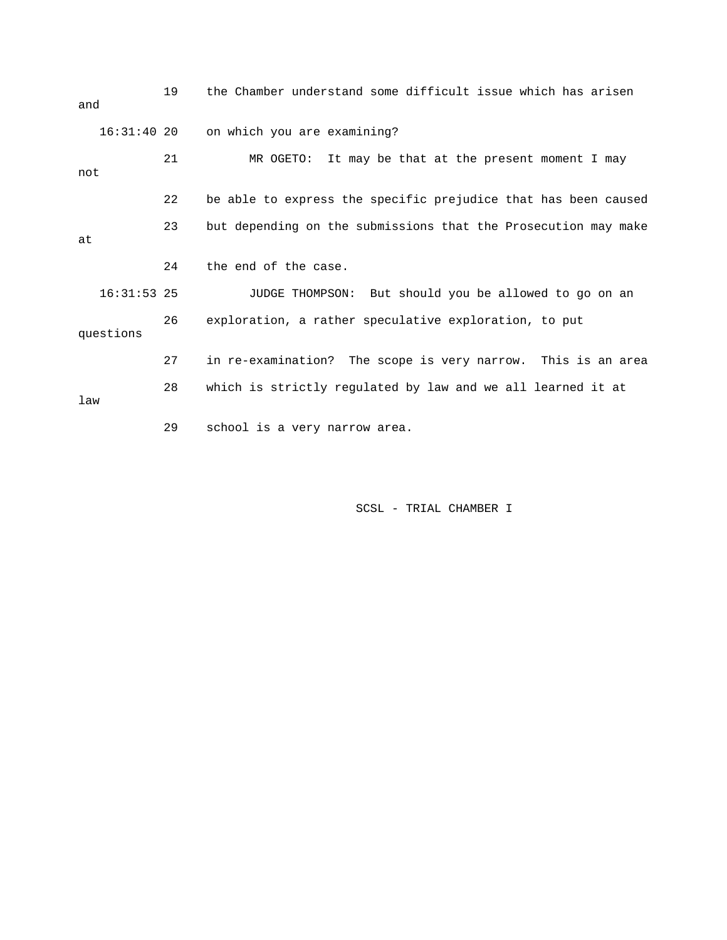| and |               | 19 | the Chamber understand some difficult issue which has arisen   |
|-----|---------------|----|----------------------------------------------------------------|
|     | $16:31:40$ 20 |    | on which you are examining?                                    |
| not |               | 21 | It may be that at the present moment I may<br>MR OGETO:        |
|     |               | 22 | be able to express the specific prejudice that has been caused |
| at  |               | 23 | but depending on the submissions that the Prosecution may make |
|     |               | 24 | the end of the case.                                           |
|     | $16:31:53$ 25 |    | JUDGE THOMPSON: But should you be allowed to go on an          |
|     | questions     | 26 | exploration, a rather speculative exploration, to put          |
|     |               | 27 | in re-examination? The scope is very narrow. This is an area   |
| law |               | 28 | which is strictly regulated by law and we all learned it at    |
|     |               | 29 | school is a very narrow area.                                  |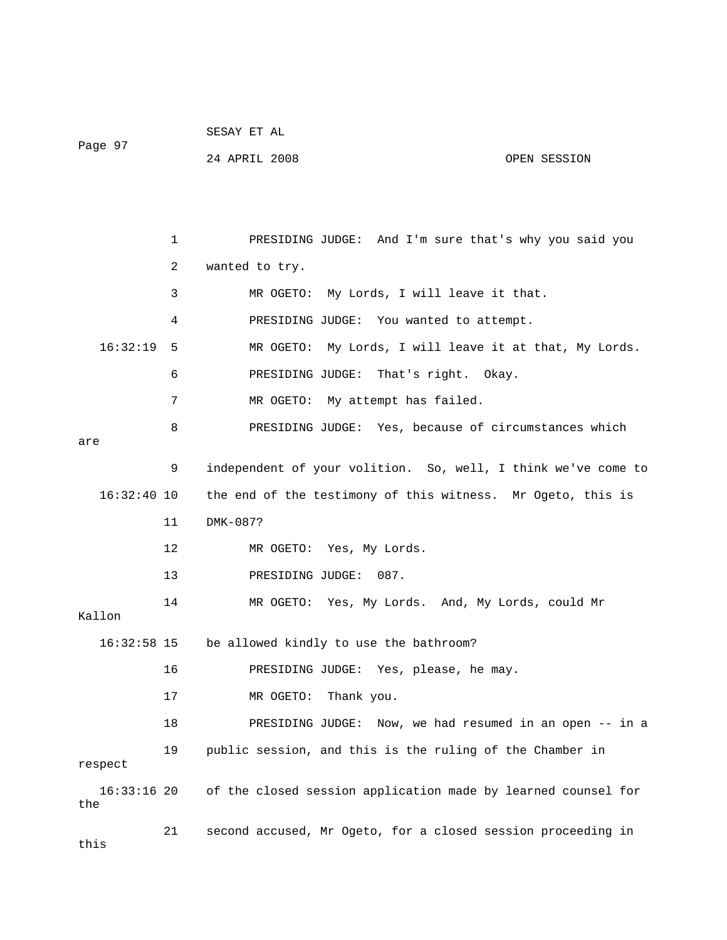|               |               | 24 APRIL 2008                          | OPEN SESSION                                                  |
|---------------|---------------|----------------------------------------|---------------------------------------------------------------|
|               |               |                                        |                                                               |
|               | 1             |                                        | PRESIDING JUDGE: And I'm sure that's why you said you         |
|               | 2             | wanted to try.                         |                                                               |
|               | 3             |                                        | MR OGETO: My Lords, I will leave it that.                     |
|               | 4             |                                        | PRESIDING JUDGE: You wanted to attempt.                       |
| 16:32:19      | 5             |                                        | MR OGETO: My Lords, I will leave it at that, My Lords.        |
|               | 6             | PRESIDING JUDGE:                       | That's right. Okay.                                           |
|               | 7             | MR OGETO: My attempt has failed.       |                                                               |
| are           | 8             |                                        | PRESIDING JUDGE: Yes, because of circumstances which          |
|               | 9             |                                        | independent of your volition. So, well, I think we've come to |
| $16:32:40$ 10 |               |                                        | the end of the testimony of this witness. Mr Ogeto, this is   |
|               | 11            | DMK-087?                               |                                                               |
|               | 12            | MR OGETO: Yes, My Lords.               |                                                               |
|               | 13            | PRESIDING JUDGE:                       | 087.                                                          |
| Kallon        | 14            |                                        | MR OGETO: Yes, My Lords. And, My Lords, could Mr              |
| 16:32:58 15   |               | be allowed kindly to use the bathroom? |                                                               |
|               | 16            |                                        | PRESIDING JUDGE: Yes, please, he may.                         |
|               | 17            | MR OGETO: Thank you.                   |                                                               |
|               | 18            |                                        | PRESIDING JUDGE: Now, we had resumed in an open -- in a       |
| respect       | 19            |                                        | public session, and this is the ruling of the Chamber in      |
|               | $\cap$ $\cap$ |                                        | لماه منسامية المواطن                                          |

Page 97

 16:33:16 20 of the closed session application made by learned counsel for the

 21 second accused, Mr Ogeto, for a closed session proceeding in this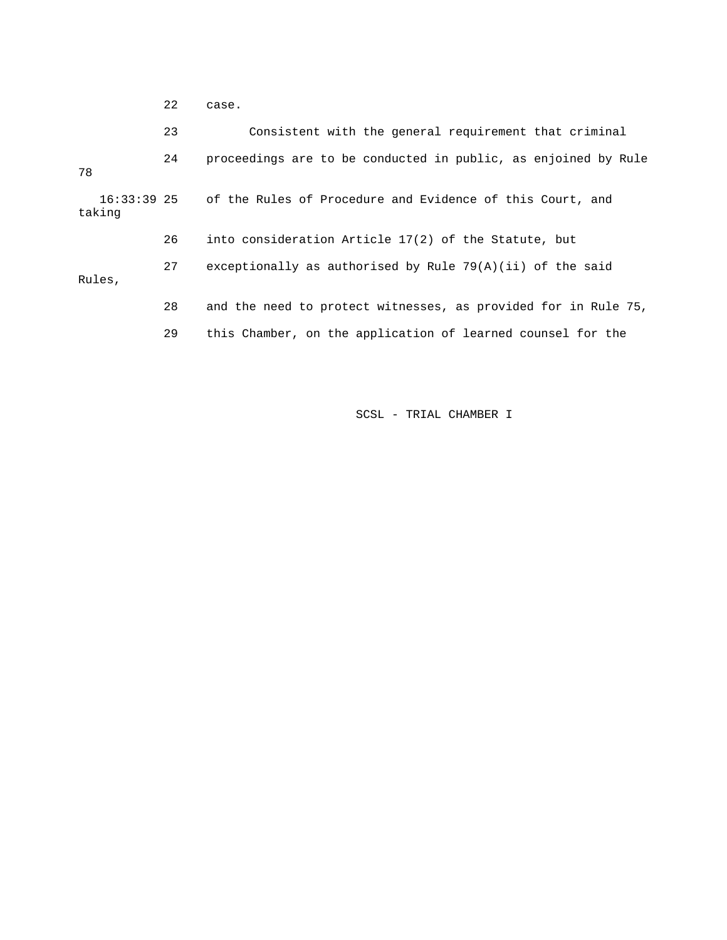|                         | 22 | case.                                                          |
|-------------------------|----|----------------------------------------------------------------|
|                         | 23 | Consistent with the general requirement that criminal          |
| 78                      | 24 | proceedings are to be conducted in public, as enjoined by Rule |
| $16:33:39$ 25<br>taking |    | of the Rules of Procedure and Evidence of this Court, and      |
|                         | 26 | into consideration Article 17(2) of the Statute, but           |
| Rules,                  | 27 | exceptionally as authorised by Rule $79(A)(ii)$ of the said    |
|                         | 28 | and the need to protect witnesses, as provided for in Rule 75, |
|                         | 29 | this Chamber, on the application of learned counsel for the    |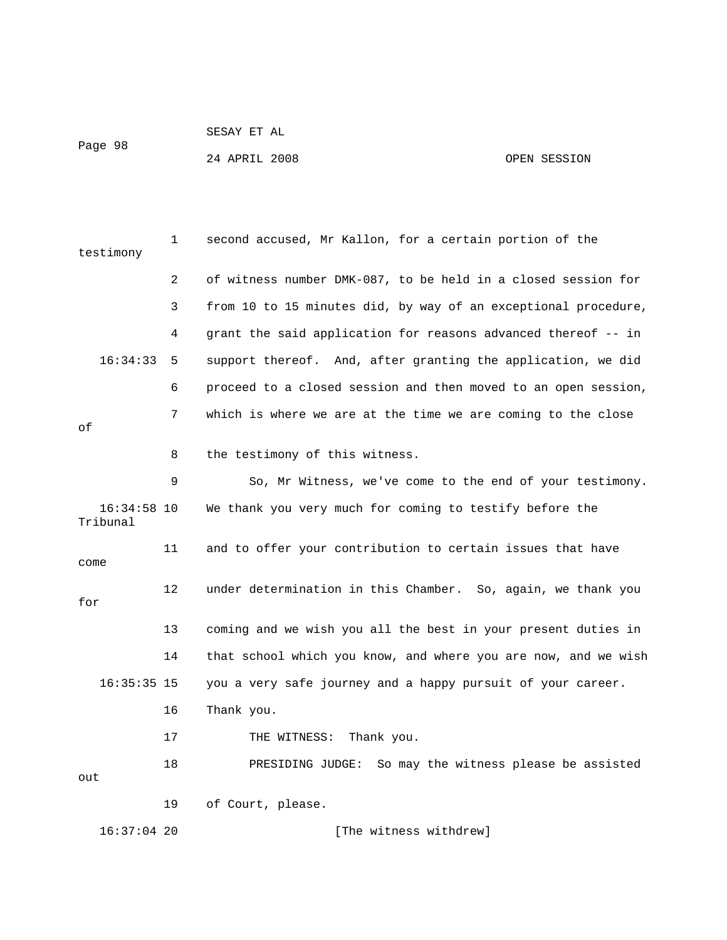```
 SESAY ET AL
```
Page 98

24 APRIL 2008 OPEN SESSION

| testimony               | 1  | second accused, Mr Kallon, for a certain portion of the        |
|-------------------------|----|----------------------------------------------------------------|
|                         | 2  | of witness number DMK-087, to be held in a closed session for  |
|                         | 3  | from 10 to 15 minutes did, by way of an exceptional procedure, |
|                         | 4  | grant the said application for reasons advanced thereof -- in  |
| 16:34:33                | 5  | support thereof. And, after granting the application, we did   |
|                         | 6  | proceed to a closed session and then moved to an open session, |
| оf                      | 7  | which is where we are at the time we are coming to the close   |
|                         | 8  | the testimony of this witness.                                 |
|                         | 9  | So, Mr Witness, we've come to the end of your testimony.       |
| 16:34:58 10<br>Tribunal |    | We thank you very much for coming to testify before the        |
| come                    | 11 | and to offer your contribution to certain issues that have     |
| for                     | 12 | under determination in this Chamber. So, again, we thank you   |
|                         | 13 | coming and we wish you all the best in your present duties in  |
|                         | 14 | that school which you know, and where you are now, and we wish |
| $16:35:35$ 15           |    | you a very safe journey and a happy pursuit of your career.    |
|                         | 16 | Thank you.                                                     |
|                         | 17 | THE WITNESS:<br>Thank you.                                     |
| out                     | 18 | PRESIDING JUDGE: So may the witness please be assisted         |
|                         | 19 | of Court, please.                                              |
| $16:37:04$ 20           |    | [The witness withdrew]                                         |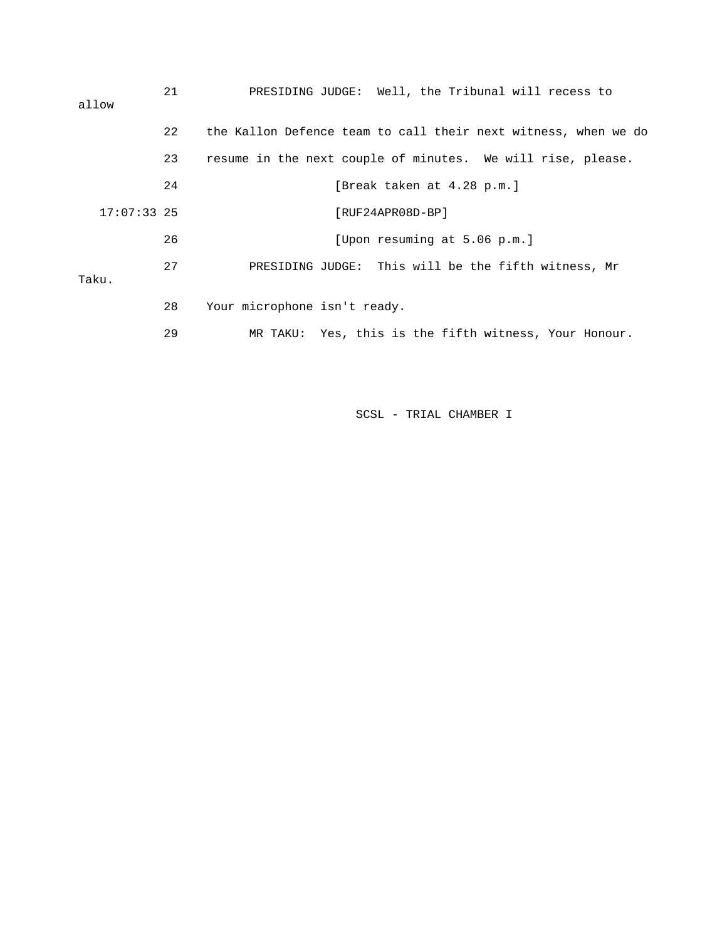| allow         | 21 | PRESIDING JUDGE: Well, the Tribunal will recess to             |
|---------------|----|----------------------------------------------------------------|
|               | 22 | the Kallon Defence team to call their next witness, when we do |
|               | 23 | resume in the next couple of minutes. We will rise, please.    |
|               | 24 | [Break taken at 4.28 p.m.]                                     |
| $17:07:33$ 25 |    | [RUF24APR08D-BP]                                               |
|               | 26 | [Upon resuming at 5.06 p.m.]                                   |
| Taku.         | 27 | PRESIDING JUDGE: This will be the fifth witness, Mr            |
|               | 28 | Your microphone isn't ready.                                   |
|               | 29 | MR TAKU: Yes, this is the fifth witness, Your Honour.          |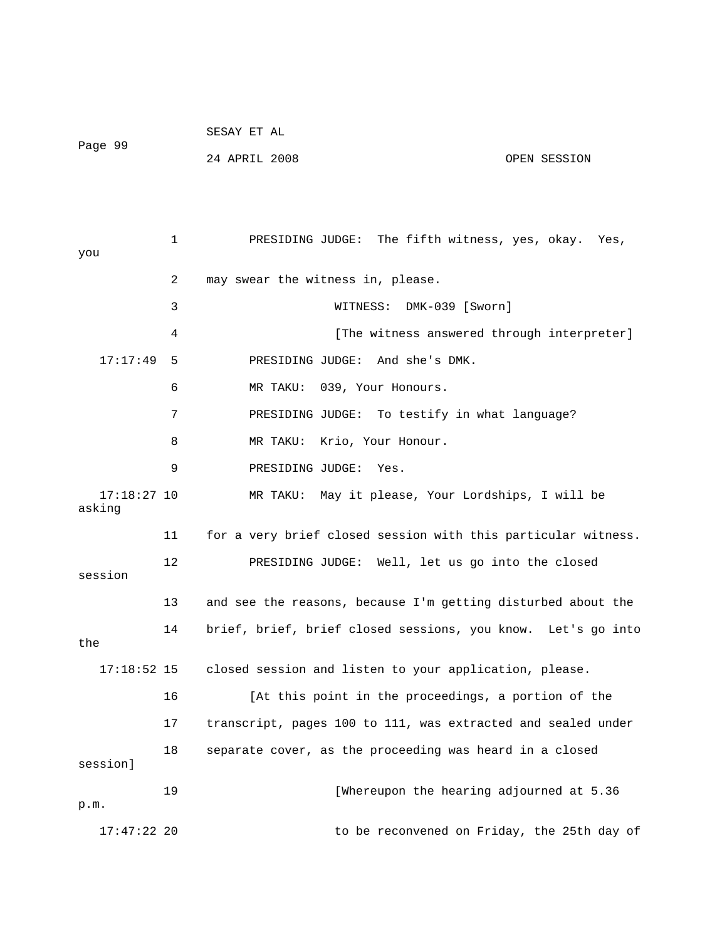| Page 99 | SESAY ET AL   |  |              |
|---------|---------------|--|--------------|
|         | 24 APRIL 2008 |  | OPEN SESSION |

 1 PRESIDING JUDGE: The fifth witness, yes, okay. Yes, you 2 may swear the witness in, please. 3 WITNESS: DMK-039 [Sworn] 4 **1** [The witness answered through interpreter] 17:17:49 5 PRESIDING JUDGE: And she's DMK. 6 MR TAKU: 039, Your Honours. 7 PRESIDING JUDGE: To testify in what language? 8 MR TAKU: Krio, Your Honour. 9 PRESIDING JUDGE: Yes. 17:18:27 10 MR TAKU: May it please, Your Lordships, I will be asking 11 for a very brief closed session with this particular witness. 12 PRESIDING JUDGE: Well, let us go into the closed session 13 and see the reasons, because I'm getting disturbed about the 14 brief, brief, brief closed sessions, you know. Let's go into the 17:18:52 15 closed session and listen to your application, please. 16 [At this point in the proceedings, a portion of the 17 transcript, pages 100 to 111, was extracted and sealed under 18 separate cover, as the proceeding was heard in a closed session] 19 [Whereupon the hearing adjourned at 5.36 p.m. 17:47:22 20 to be reconvened on Friday, the 25th day of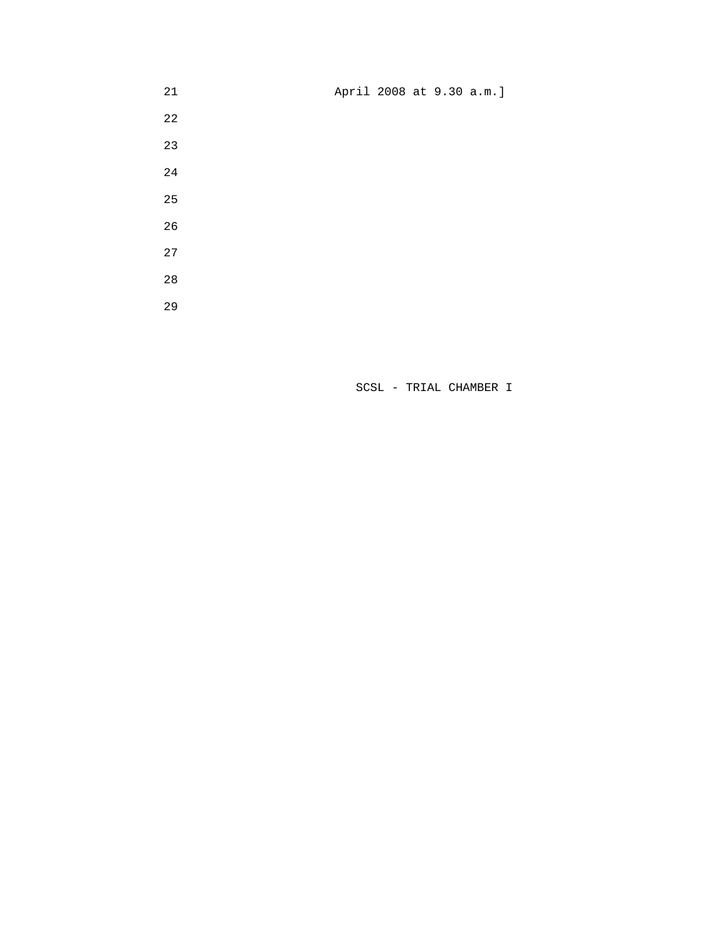21 April 2008 at 9.30 a.m.]